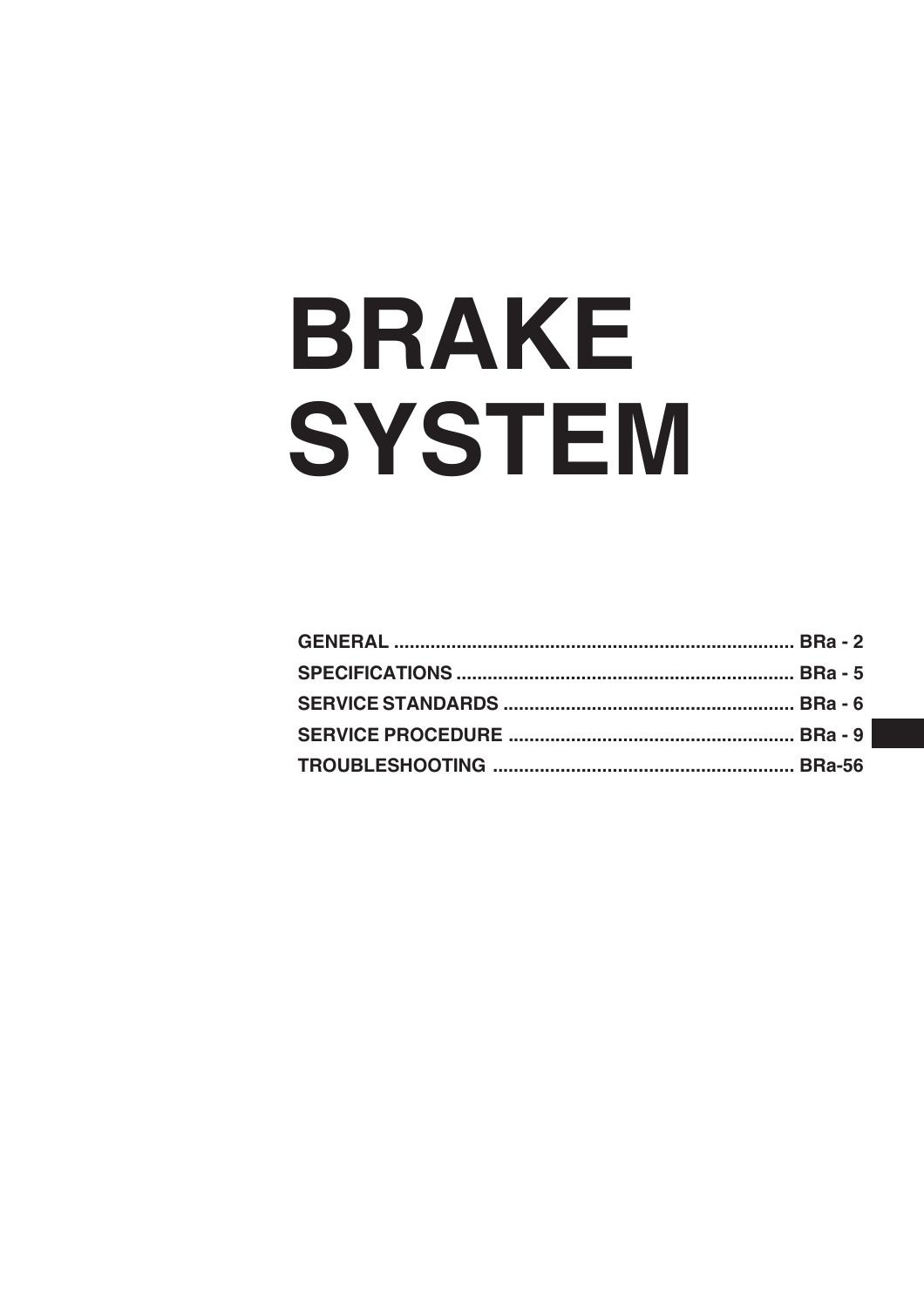# **BRAKE** SYSTEM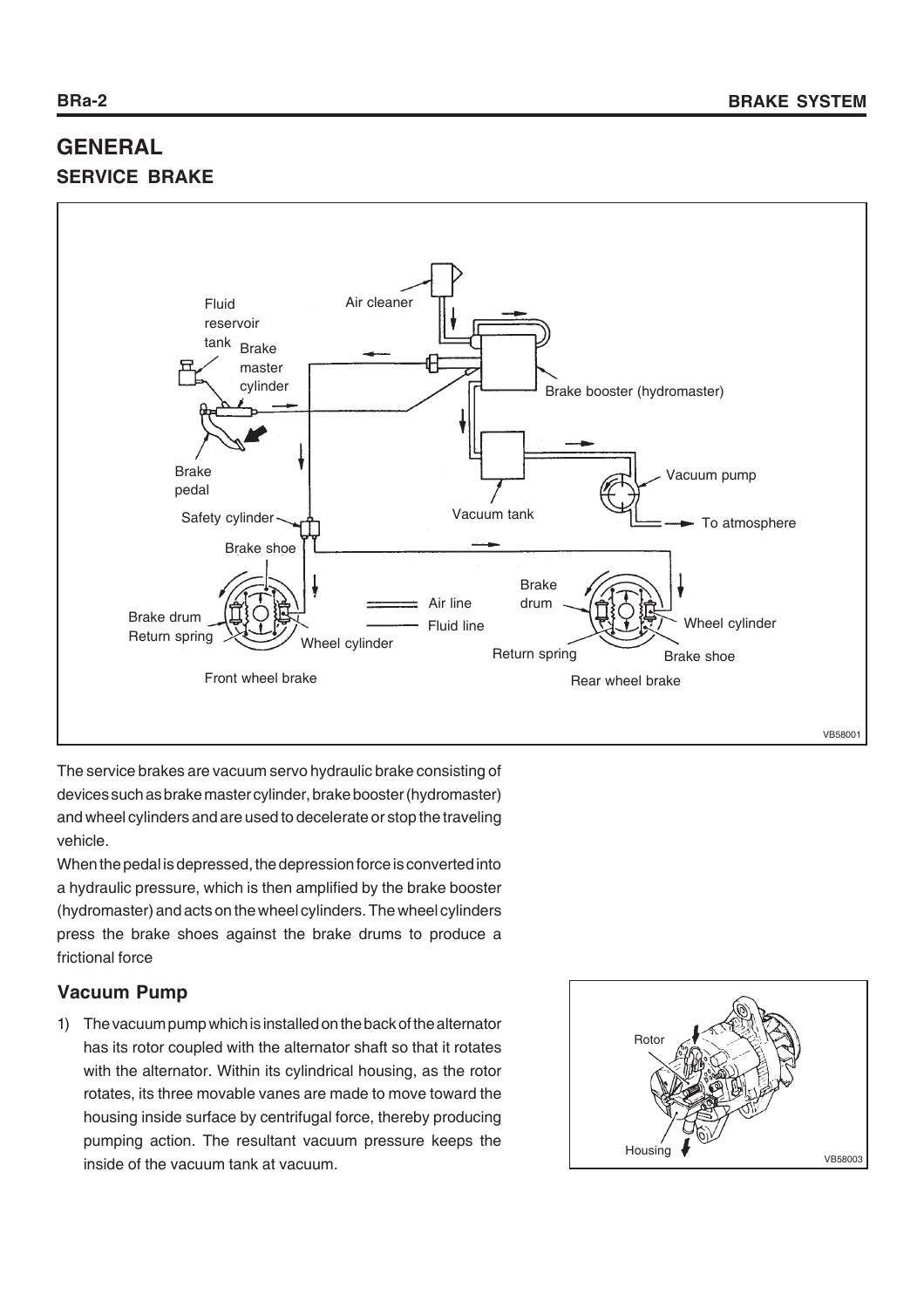# **GENERAL SERVICE BRAKE**



The service brakes are vacuum servo hydraulic brake consisting of devices such as brake master cylinder, brake booster (hydromaster) and wheel cylinders and are used to decelerate or stop the traveling vehicle.

When the pedal is depressed, the depression force is converted into a hydraulic pressure, which is then amplified by the brake booster (hydromaster) and acts on the wheel cylinders. The wheel cylinders press the brake shoes against the brake drums to produce a frictional force

# **Vacuum Pump**

1) The vacuum pump which is installed on the back of the alternator has its rotor coupled with the alternator shaft so that it rotates with the alternator. Within its cylindrical housing, as the rotor rotates, its three movable vanes are made to move toward the housing inside surface by centrifugal force, thereby producing pumping action. The resultant vacuum pressure keeps the inside of the vacuum tank at vacuum.

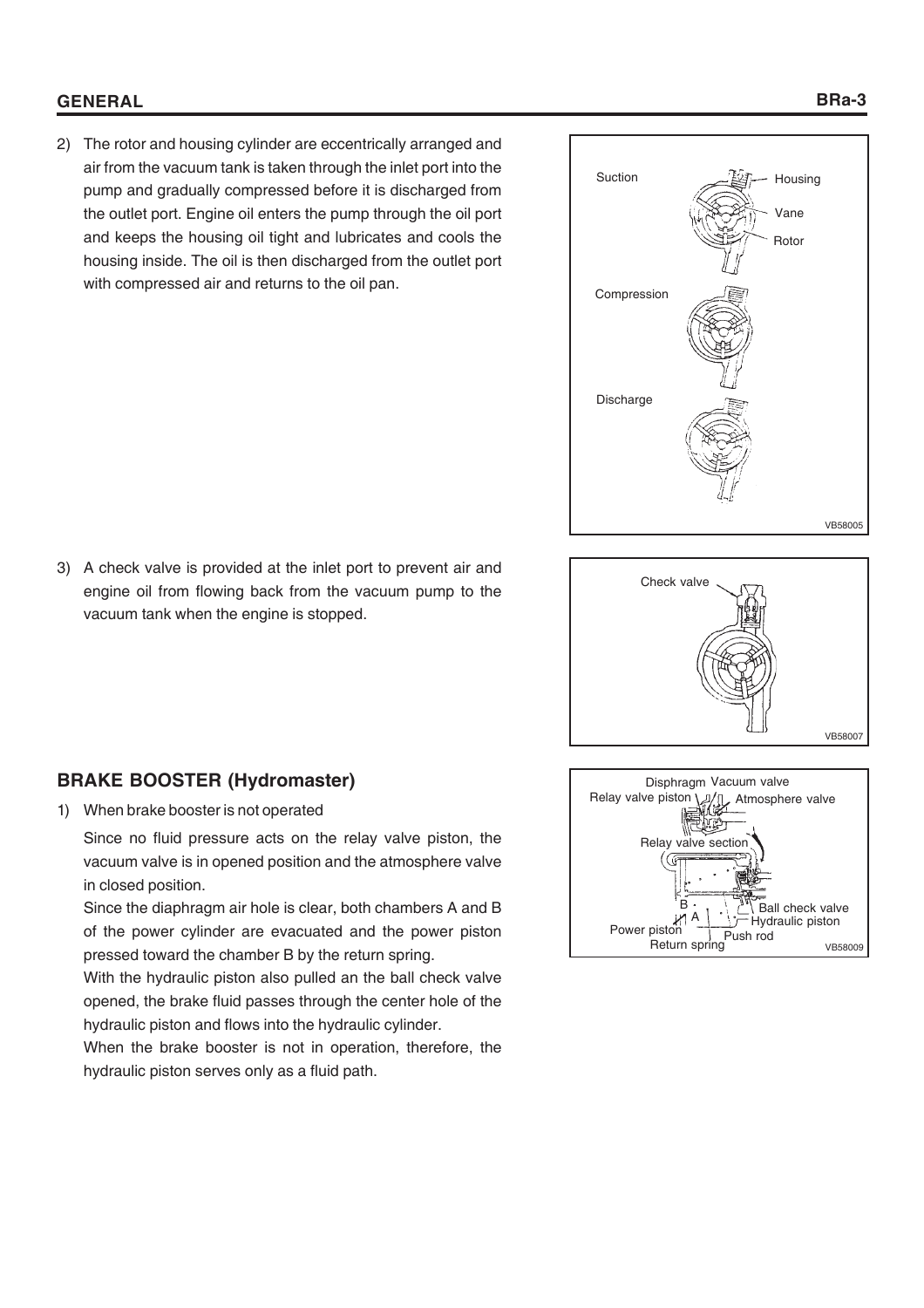# **GENERAL**

2) The rotor and housing cylinder are eccentrically arranged and air from the vacuum tank is taken through the inlet port into the pump and gradually compressed before it is discharged from the outlet port. Engine oil enters the pump through the oil port and keeps the housing oil tight and lubricates and cools the housing inside. The oil is then discharged from the outlet port with compressed air and returns to the oil pan.







3) A check valve is provided at the inlet port to prevent air and engine oil from flowing back from the vacuum pump to the vacuum tank when the engine is stopped.

# **BRAKE BOOSTER (Hydromaster)**

1) When brake booster is not operated

Since no fluid pressure acts on the relay valve piston, the vacuum valve is in opened position and the atmosphere valve in closed position.

Since the diaphragm air hole is clear, both chambers A and B of the power cylinder are evacuated and the power piston pressed toward the chamber B by the return spring.

With the hydraulic piston also pulled an the ball check valve opened, the brake fluid passes through the center hole of the hydraulic piston and flows into the hydraulic cylinder.

When the brake booster is not in operation, therefore, the hydraulic piston serves only as a fluid path.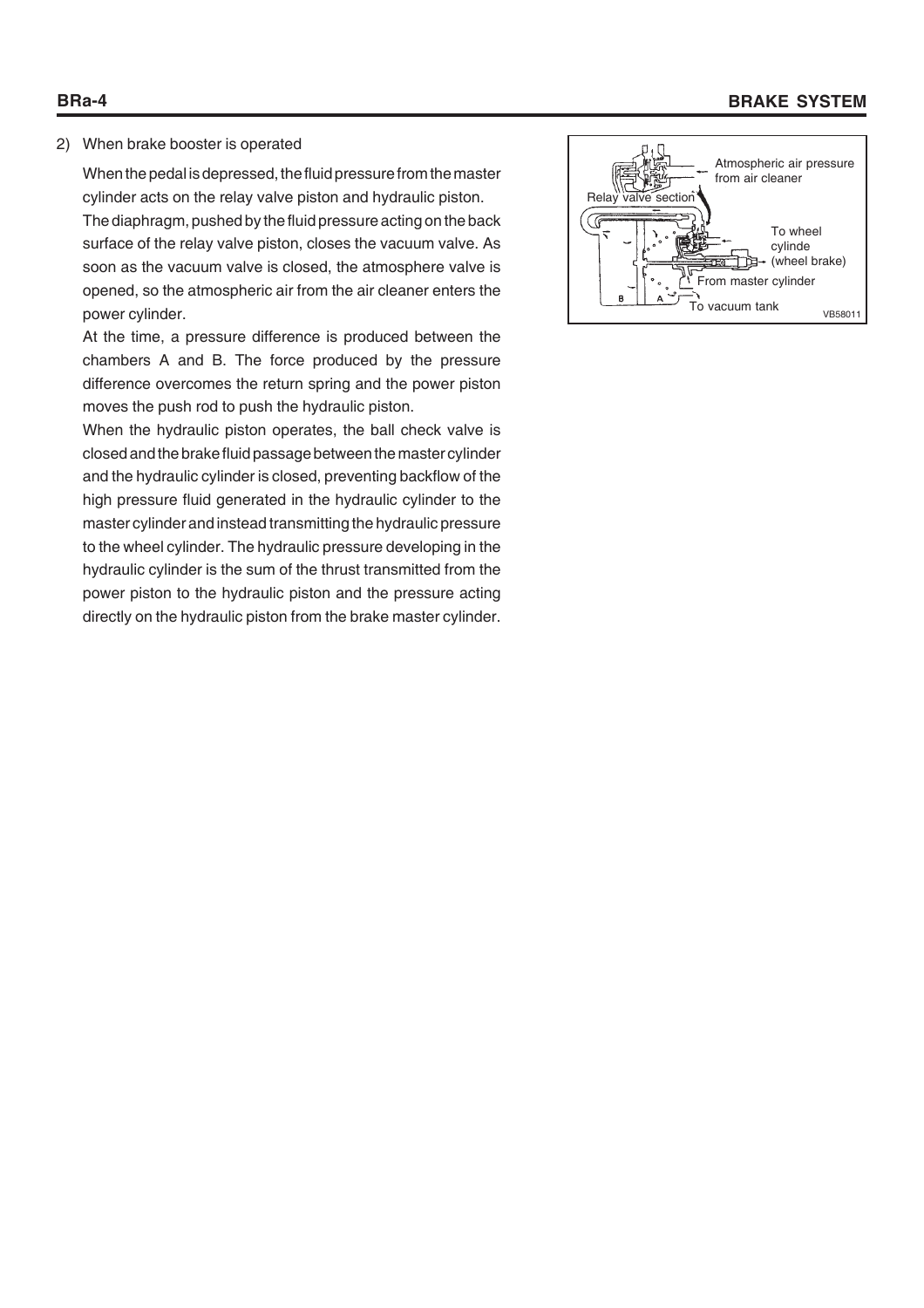# **BRa-4 BRAKE SYSTEM**

# 2) When brake booster is operated

When the pedal is depressed, the fluid pressure from the master cylinder acts on the relay valve piston and hydraulic piston. The diaphragm, pushed by the fluid pressure acting on the back surface of the relay valve piston, closes the vacuum valve. As soon as the vacuum valve is closed, the atmosphere valve is opened, so the atmospheric air from the air cleaner enters the power cylinder.

At the time, a pressure difference is produced between the chambers A and B. The force produced by the pressure difference overcomes the return spring and the power piston moves the push rod to push the hydraulic piston.

When the hydraulic piston operates, the ball check valve is closed and the brake fluid passage between the master cylinder and the hydraulic cylinder is closed, preventing backflow of the high pressure fluid generated in the hydraulic cylinder to the master cylinder and instead transmitting the hydraulic pressure to the wheel cylinder. The hydraulic pressure developing in the hydraulic cylinder is the sum of the thrust transmitted from the power piston to the hydraulic piston and the pressure acting directly on the hydraulic piston from the brake master cylinder.

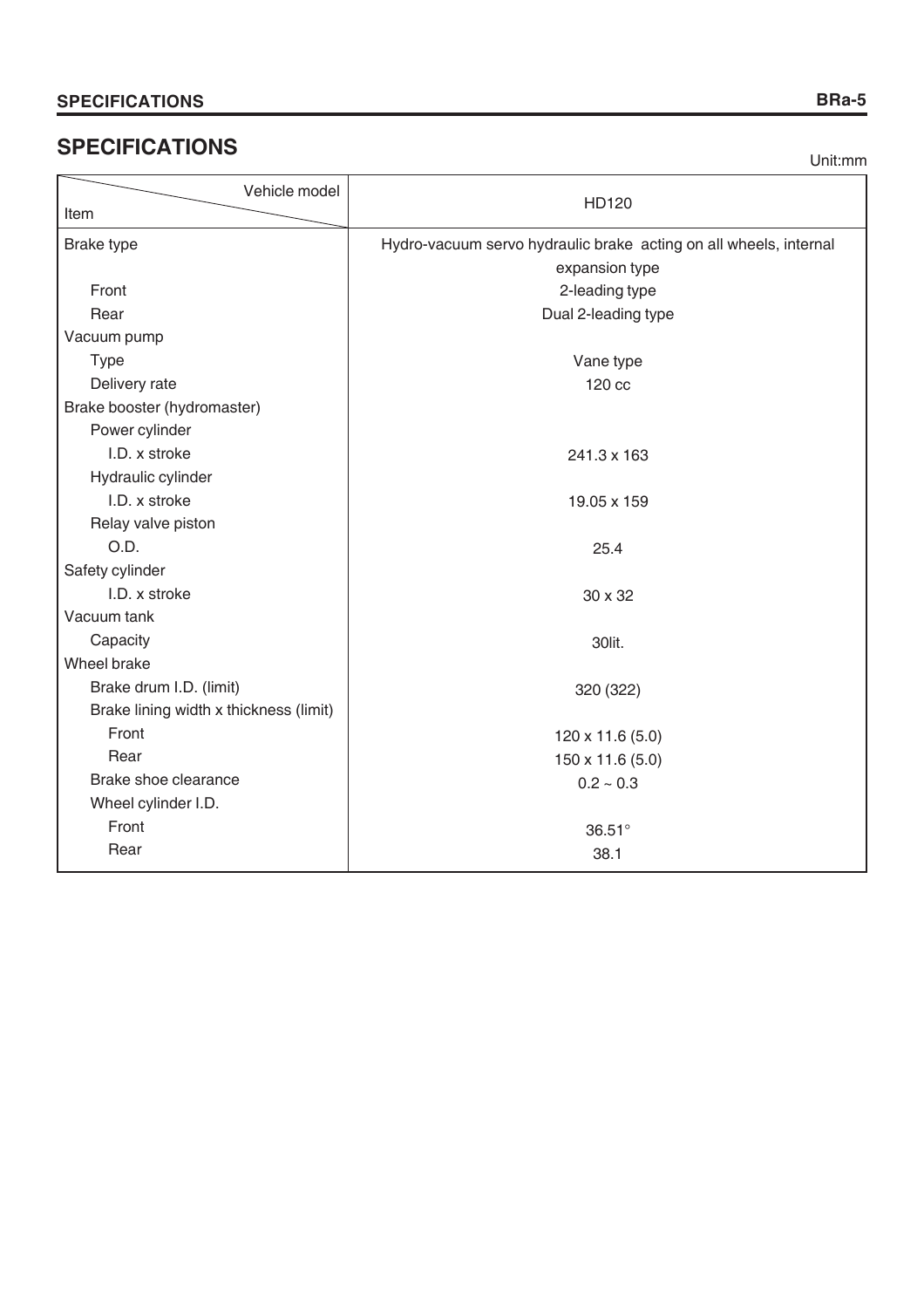# **SPECIFICATIONS**

Unit:mm

| Vehicle model                          | HD120                                                             |  |
|----------------------------------------|-------------------------------------------------------------------|--|
| Item                                   |                                                                   |  |
| <b>Brake type</b>                      | Hydro-vacuum servo hydraulic brake acting on all wheels, internal |  |
|                                        | expansion type                                                    |  |
| Front                                  | 2-leading type                                                    |  |
| Rear                                   | Dual 2-leading type                                               |  |
| Vacuum pump                            |                                                                   |  |
| <b>Type</b>                            | Vane type                                                         |  |
| Delivery rate                          | 120 cc                                                            |  |
| Brake booster (hydromaster)            |                                                                   |  |
| Power cylinder                         |                                                                   |  |
| I.D. x stroke                          | 241.3 x 163                                                       |  |
| Hydraulic cylinder                     |                                                                   |  |
| I.D. x stroke                          | 19.05 x 159                                                       |  |
| Relay valve piston                     |                                                                   |  |
| O.D.                                   | 25.4                                                              |  |
| Safety cylinder                        |                                                                   |  |
| I.D. x stroke                          | 30 x 32                                                           |  |
| Vacuum tank                            |                                                                   |  |
| Capacity                               | 30lit.                                                            |  |
| Wheel brake                            |                                                                   |  |
| Brake drum I.D. (limit)                | 320 (322)                                                         |  |
| Brake lining width x thickness (limit) |                                                                   |  |
| Front                                  | 120 x 11.6 (5.0)                                                  |  |
| Rear                                   | 150 x 11.6 (5.0)                                                  |  |
| Brake shoe clearance                   | $0.2 \sim 0.3$                                                    |  |
| Wheel cylinder I.D.                    |                                                                   |  |
| Front                                  | 36.51°                                                            |  |
| Rear                                   | 38.1                                                              |  |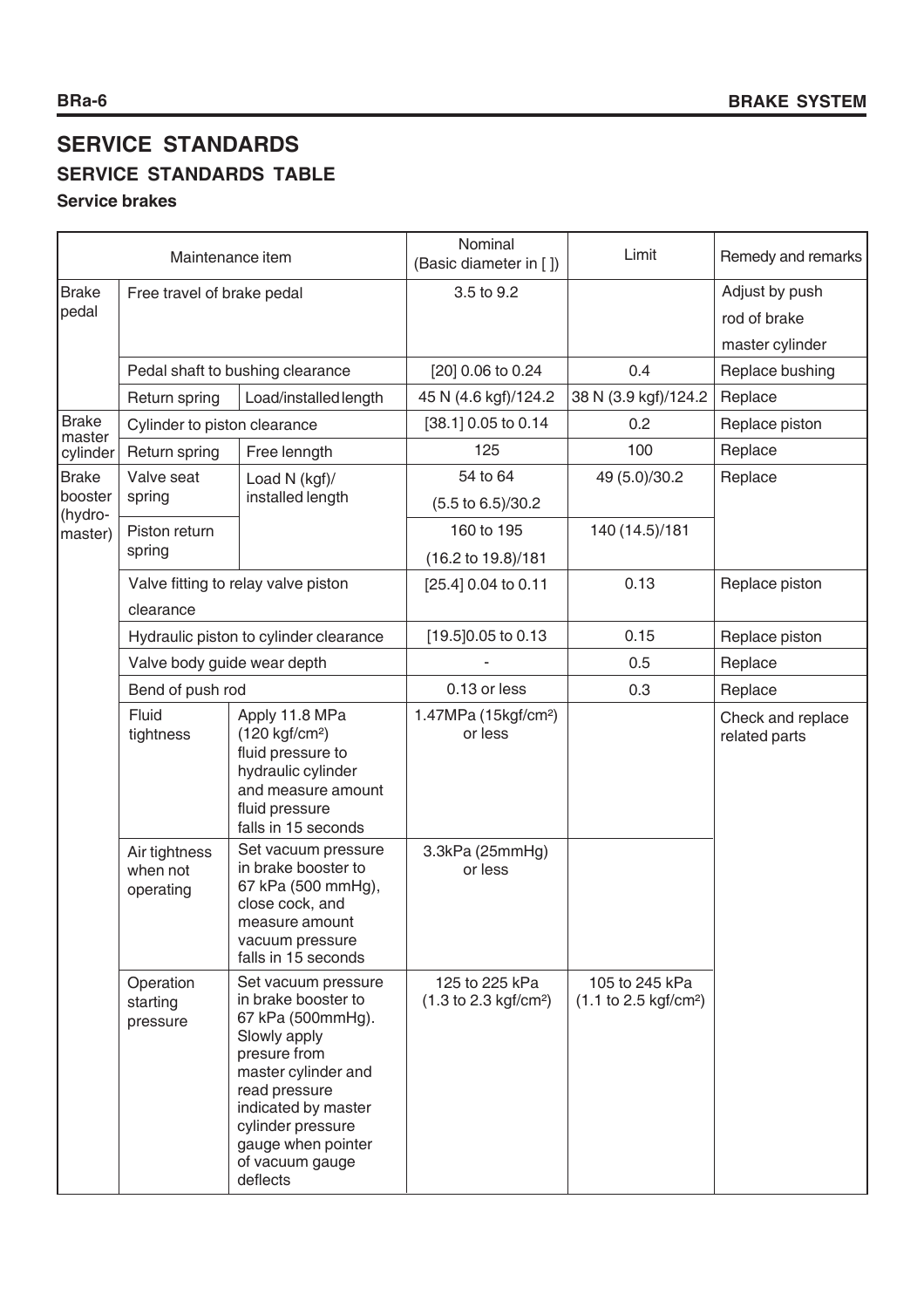# **SERVICE STANDARDS SERVICE STANDARDS TABLE**

# **Service brakes**

| Maintenance item       |                                        | Nominal<br>(Basic diameter in [])                                                                                                                                                                                                        | Limit                                                      | Remedy and remarks                                         |                                    |
|------------------------|----------------------------------------|------------------------------------------------------------------------------------------------------------------------------------------------------------------------------------------------------------------------------------------|------------------------------------------------------------|------------------------------------------------------------|------------------------------------|
| <b>Brake</b>           | Free travel of brake pedal             |                                                                                                                                                                                                                                          | 3.5 to 9.2                                                 |                                                            | Adjust by push                     |
| pedal                  |                                        |                                                                                                                                                                                                                                          |                                                            |                                                            | rod of brake                       |
|                        |                                        |                                                                                                                                                                                                                                          |                                                            |                                                            | master cylinder                    |
|                        |                                        | Pedal shaft to bushing clearance                                                                                                                                                                                                         | [20] 0.06 to 0.24                                          | 0.4                                                        | Replace bushing                    |
|                        | Return spring                          | Load/installed length                                                                                                                                                                                                                    | 45 N (4.6 kgf)/124.2                                       | 38 N (3.9 kgf)/124.2                                       | Replace                            |
| <b>Brake</b><br>master | Cylinder to piston clearance           |                                                                                                                                                                                                                                          | [38.1] 0.05 to 0.14                                        | 0.2                                                        | Replace piston                     |
| cylinder               | Return spring                          | Free lenngth                                                                                                                                                                                                                             | 125                                                        | 100                                                        | Replace                            |
| <b>Brake</b>           | Valve seat                             | Load N (kgf)/                                                                                                                                                                                                                            | 54 to 64                                                   | 49 (5.0)/30.2                                              | Replace                            |
| booster                | spring                                 | installed length                                                                                                                                                                                                                         | (5.5 to 6.5)/30.2                                          |                                                            |                                    |
| (hydro-<br>master)     | Piston return                          |                                                                                                                                                                                                                                          | 160 to 195                                                 | 140 (14.5)/181                                             |                                    |
|                        | spring                                 |                                                                                                                                                                                                                                          | (16.2 to 19.8)/181                                         |                                                            |                                    |
|                        |                                        | Valve fitting to relay valve piston                                                                                                                                                                                                      | [25.4] 0.04 to 0.11                                        | 0.13                                                       | Replace piston                     |
|                        | clearance                              |                                                                                                                                                                                                                                          |                                                            |                                                            |                                    |
|                        |                                        | Hydraulic piston to cylinder clearance                                                                                                                                                                                                   | [19.5] 0.05 to 0.13                                        | 0.15                                                       | Replace piston                     |
|                        | Valve body guide wear depth            |                                                                                                                                                                                                                                          |                                                            | 0.5                                                        | Replace                            |
|                        | Bend of push rod                       |                                                                                                                                                                                                                                          | 0.13 or less                                               | 0.3                                                        | Replace                            |
|                        | Fluid<br>tightness                     | Apply 11.8 MPa<br>$(120 \text{ kgf/cm}^2)$<br>fluid pressure to<br>hydraulic cylinder<br>and measure amount<br>fluid pressure<br>falls in 15 seconds                                                                                     | 1.47MPa (15kgf/cm <sup>2</sup> )<br>or less                |                                                            | Check and replace<br>related parts |
|                        | Air tightness<br>when not<br>operating | Set vacuum pressure<br>in brake booster to<br>67 kPa (500 mmHg),<br>close cock, and<br>measure amount<br>vacuum pressure<br>falls in 15 seconds                                                                                          | 3.3kPa (25mmHg)<br>or less                                 |                                                            |                                    |
|                        | Operation<br>starting<br>pressure      | Set vacuum pressure<br>in brake booster to<br>67 kPa (500mmHg).<br>Slowly apply<br>presure from<br>master cylinder and<br>read pressure<br>indicated by master<br>cylinder pressure<br>gauge when pointer<br>of vacuum gauge<br>deflects | 125 to 225 kPa<br>$(1.3 \text{ to } 2.3 \text{ kgf/cm}^2)$ | 105 to 245 kPa<br>$(1.1 \text{ to } 2.5 \text{ kgf/cm}^2)$ |                                    |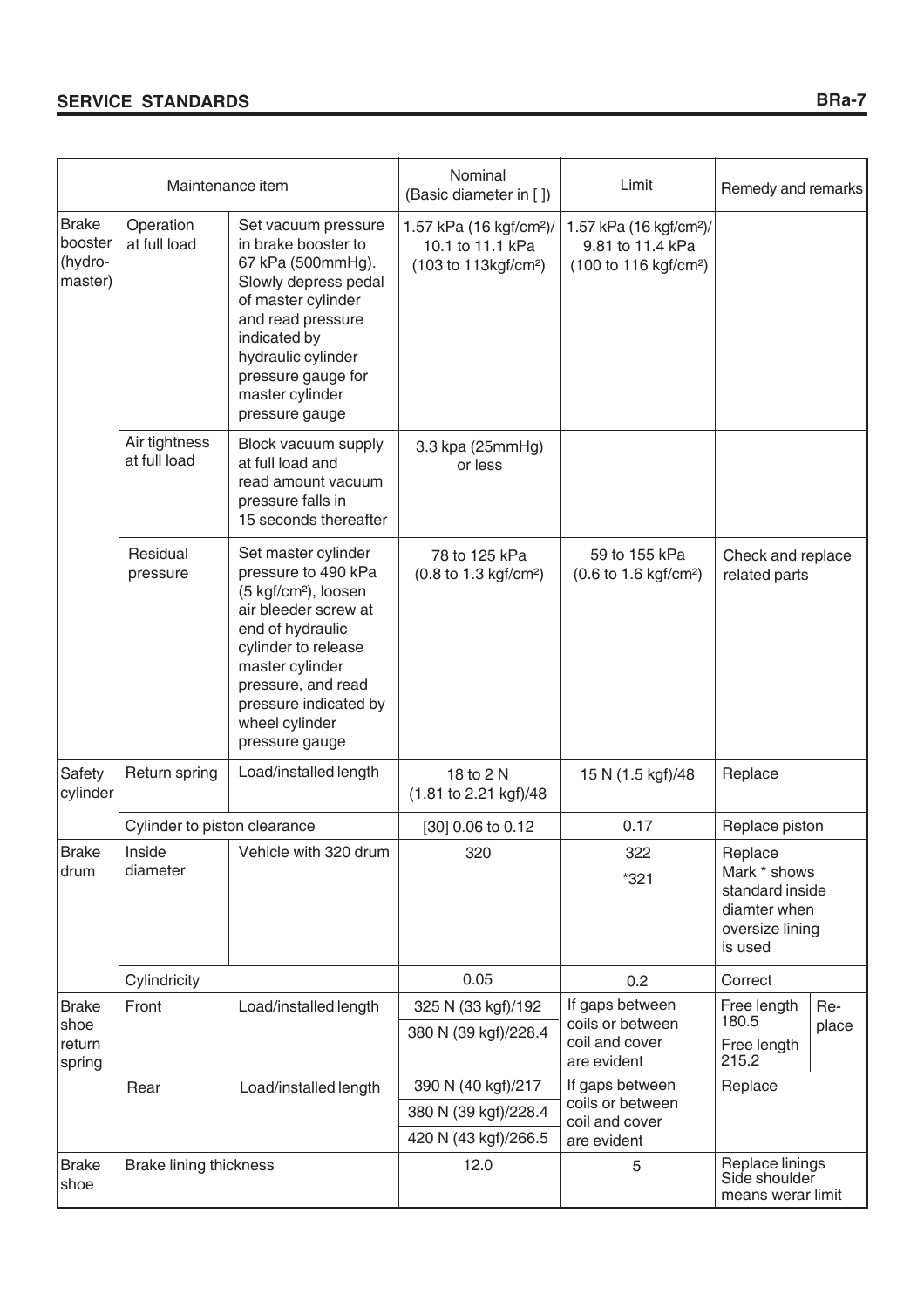|                                                                                                                                                                                                                                                                                                                   | Maintenance item                            |                                                                                                                                                                                                                                                         | Nominal<br>(Basic diameter in [])                                                            | Limit                                              | Remedy and remarks                                                                       |  |
|-------------------------------------------------------------------------------------------------------------------------------------------------------------------------------------------------------------------------------------------------------------------------------------------------------------------|---------------------------------------------|---------------------------------------------------------------------------------------------------------------------------------------------------------------------------------------------------------------------------------------------------------|----------------------------------------------------------------------------------------------|----------------------------------------------------|------------------------------------------------------------------------------------------|--|
| <b>Brake</b><br>Operation<br>Set vacuum pressure<br>booster<br>at full load<br>in brake booster to<br>(hydro-<br>67 kPa (500mmHg).<br>master)<br>Slowly depress pedal<br>of master cylinder<br>and read pressure<br>indicated by<br>hydraulic cylinder<br>pressure gauge for<br>master cylinder<br>pressure gauge |                                             | 1.57 kPa (16 kgf/cm <sup>2</sup> )/<br>10.1 to 11.1 kPa<br>(103 to 113kgf/cm <sup>2</sup> )                                                                                                                                                             | 1.57 kPa (16 kgf/cm <sup>2</sup> )/<br>9.81 to 11.4 kPa<br>(100 to 116 kgf/cm <sup>2</sup> ) |                                                    |                                                                                          |  |
|                                                                                                                                                                                                                                                                                                                   | Air tightness<br>at full load               | Block vacuum supply<br>at full load and<br>read amount vacuum<br>pressure falls in<br>15 seconds thereafter                                                                                                                                             | 3.3 kpa (25mmHg)<br>or less                                                                  |                                                    |                                                                                          |  |
|                                                                                                                                                                                                                                                                                                                   | Residual<br>pressure                        | Set master cylinder<br>pressure to 490 kPa<br>(5 kgf/cm <sup>2</sup> ), loosen<br>air bleeder screw at<br>end of hydraulic<br>cylinder to release<br>master cylinder<br>pressure, and read<br>pressure indicated by<br>wheel cylinder<br>pressure gauge | 78 to 125 kPa<br>(0.8 to 1.3 kgf/cm <sup>2</sup> )                                           | 59 to 155 kPa<br>(0.6 to 1.6 kgf/cm <sup>2</sup> ) | Check and replace<br>related parts                                                       |  |
| Safety<br>cylinder                                                                                                                                                                                                                                                                                                | Return spring                               | Load/installed length                                                                                                                                                                                                                                   | 18 to 2 N<br>(1.81 to 2.21 kgf)/48                                                           | 15 N (1.5 kgf)/48                                  | Replace                                                                                  |  |
|                                                                                                                                                                                                                                                                                                                   | Cylinder to piston clearance                |                                                                                                                                                                                                                                                         | [30] 0.06 to 0.12                                                                            | 0.17                                               | Replace piston                                                                           |  |
| <b>Brake</b><br>drum                                                                                                                                                                                                                                                                                              | Inside<br>Vehicle with 320 drum<br>diameter |                                                                                                                                                                                                                                                         | 320                                                                                          | 322<br>$*321$                                      | Replace<br>Mark * shows<br>standard inside<br>diamter when<br>oversize lining<br>is used |  |
|                                                                                                                                                                                                                                                                                                                   | Cylindricity                                |                                                                                                                                                                                                                                                         | 0.05                                                                                         | 0.2                                                | Correct                                                                                  |  |
| <b>Brake</b>                                                                                                                                                                                                                                                                                                      | Front                                       | Load/installed length                                                                                                                                                                                                                                   | 325 N (33 kgf)/192                                                                           | If gaps between                                    | Free length<br>Re-                                                                       |  |
| shoe<br>return<br>spring                                                                                                                                                                                                                                                                                          |                                             |                                                                                                                                                                                                                                                         | 380 N (39 kgf)/228.4                                                                         | coils or between<br>coil and cover<br>are evident  | 180.5<br>place<br>Free length<br>215.2                                                   |  |
|                                                                                                                                                                                                                                                                                                                   | Rear                                        | Load/installed length                                                                                                                                                                                                                                   | 390 N (40 kgf)/217                                                                           | If gaps between                                    | Replace                                                                                  |  |
|                                                                                                                                                                                                                                                                                                                   |                                             |                                                                                                                                                                                                                                                         | 380 N (39 kgf)/228.4                                                                         | coils or between<br>coil and cover                 |                                                                                          |  |
|                                                                                                                                                                                                                                                                                                                   |                                             |                                                                                                                                                                                                                                                         | 420 N (43 kgf)/266.5                                                                         | are evident                                        |                                                                                          |  |
| <b>Brake</b><br>shoe                                                                                                                                                                                                                                                                                              | <b>Brake lining thickness</b>               |                                                                                                                                                                                                                                                         | 12.0                                                                                         | 5                                                  | Replace linings<br>Side shoulder<br>means werar limit                                    |  |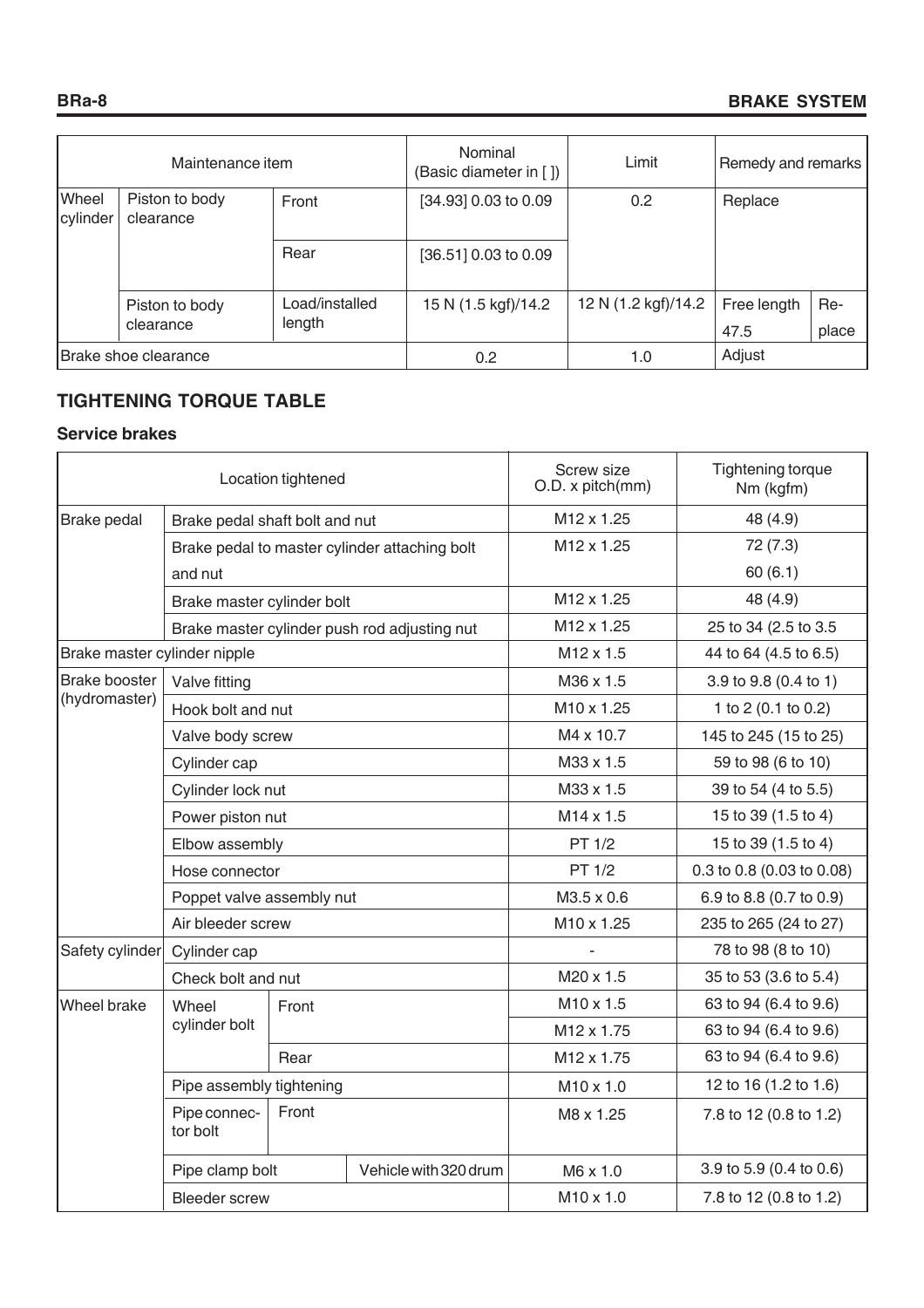| Maintenance item         |                             | Nominal<br>(Basic diameter in []) | Limit                | Remedy and remarks  |             |       |
|--------------------------|-----------------------------|-----------------------------------|----------------------|---------------------|-------------|-------|
| <b>Wheel</b><br>cylinder | Piston to body<br>clearance | Front                             | [34.93] 0.03 to 0.09 | 0.2                 | Replace     |       |
|                          |                             | Rear                              | [36.51] 0.03 to 0.09 |                     |             |       |
|                          | Piston to body              | Load/installed                    | 15 N (1.5 kgf)/14.2  | 12 N (1.2 kgf)/14.2 | Free length | Re-   |
|                          | clearance                   | length                            |                      |                     | 47.5        | place |
|                          | Brake shoe clearance        |                                   | 0.2                  | 1.0                 | Adjust      |       |

# **TIGHTENING TORQUE TABLE**

# **Service brakes**

| Location tightened           |                                   |                          | Screw size<br>O.D. x pitch(mm)                | Tightening torque<br>Nm (kgfm) |                           |
|------------------------------|-----------------------------------|--------------------------|-----------------------------------------------|--------------------------------|---------------------------|
| Brake pedal                  | Brake pedal shaft bolt and nut    |                          |                                               | M <sub>12</sub> x 1.25         | 48 (4.9)                  |
|                              |                                   |                          | Brake pedal to master cylinder attaching bolt | M12 x 1.25                     | 72(7.3)                   |
|                              | and nut                           |                          |                                               |                                | 60(6.1)                   |
|                              | Brake master cylinder bolt        |                          |                                               | M12 x 1.25                     | 48 (4.9)                  |
|                              |                                   |                          | Brake master cylinder push rod adjusting nut  | M <sub>12</sub> x 1.25         | 25 to 34 (2.5 to 3.5)     |
| Brake master cylinder nipple |                                   |                          |                                               | M12 x 1.5                      | 44 to 64 (4.5 to 6.5)     |
| <b>Brake booster</b>         | Valve fitting                     |                          |                                               | M36 x 1.5                      | 3.9 to 9.8 (0.4 to 1)     |
| (hydromaster)                | Hook bolt and nut                 |                          |                                               | M10 x 1.25                     | 1 to 2 (0.1 to 0.2)       |
|                              | Valve body screw                  |                          |                                               | M4 x 10.7                      | 145 to 245 (15 to 25)     |
|                              | Cylinder cap                      |                          |                                               | M33 x 1.5                      | 59 to 98 (6 to 10)        |
|                              | Cylinder lock nut                 |                          |                                               | M33 x 1.5                      | 39 to 54 (4 to 5.5)       |
|                              | Power piston nut                  |                          |                                               | M14 x 1.5                      | 15 to 39 (1.5 to 4)       |
|                              | Elbow assembly                    |                          |                                               | PT 1/2                         | 15 to 39 (1.5 to 4)       |
|                              | Hose connector                    |                          |                                               | PT 1/2                         | 0.3 to 0.8 (0.03 to 0.08) |
|                              | Poppet valve assembly nut         |                          |                                               | M3.5 x 0.6                     | 6.9 to 8.8 (0.7 to 0.9)   |
|                              | Air bleeder screw                 |                          |                                               | M10 x 1.25                     | 235 to 265 (24 to 27)     |
| Safety cylinder              | Cylinder cap                      |                          |                                               |                                | 78 to 98 (8 to 10)        |
|                              | Check bolt and nut                |                          |                                               | M20 x 1.5                      | 35 to 53 (3.6 to 5.4)     |
| Wheel brake                  | Wheel                             | Front                    |                                               | M10 x 1.5                      | 63 to 94 (6.4 to 9.6)     |
|                              | cylinder bolt                     |                          |                                               | M12 x 1.75                     | 63 to 94 (6.4 to 9.6)     |
|                              |                                   | Rear                     |                                               | M12 x 1.75                     | 63 to 94 (6.4 to 9.6)     |
|                              |                                   | Pipe assembly tightening |                                               | $M10 \times 1.0$               | 12 to 16 (1.2 to 1.6)     |
|                              | Pipe connec-<br>Front<br>tor bolt |                          |                                               | M8 x 1.25                      | 7.8 to 12 (0.8 to 1.2)    |
|                              | Pipe clamp bolt                   |                          | Vehicle with 320 drum                         | M6 x 1.0                       | 3.9 to 5.9 (0.4 to 0.6)   |
|                              | <b>Bleeder</b> screw              |                          | $M10 \times 1.0$                              | 7.8 to 12 (0.8 to 1.2)         |                           |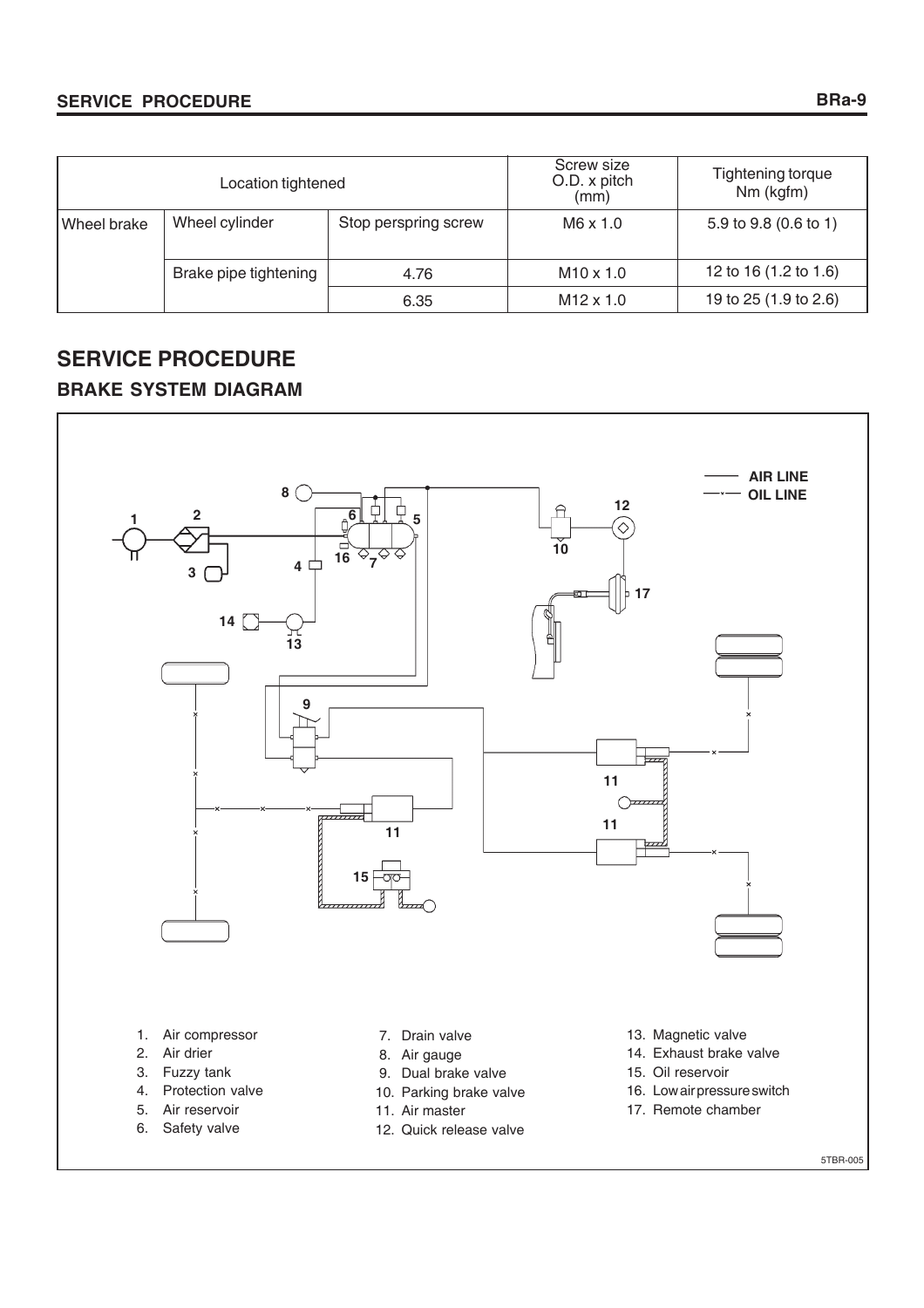# **SERVICE PROCEDURE**

|                               | Location tightened                     |                  | Screw size<br>O.D. x pitch<br>(mm) | Tightening torque<br>Nm (kgfm) |
|-------------------------------|----------------------------------------|------------------|------------------------------------|--------------------------------|
| Wheel brake                   | Wheel cylinder<br>Stop perspring screw |                  | $M6 \times 1.0$                    | 5.9 to 9.8 (0.6 to 1)          |
| Brake pipe tightening<br>4.76 |                                        | $M10 \times 1.0$ | 12 to 16 (1.2 to 1.6)              |                                |
|                               |                                        | 6.35             | $M12 \times 1.0$                   | 19 to 25 (1.9 to 2.6)          |

# **SERVICE PROCEDURE BRAKE SYSTEM DIAGRAM**



5TBR-005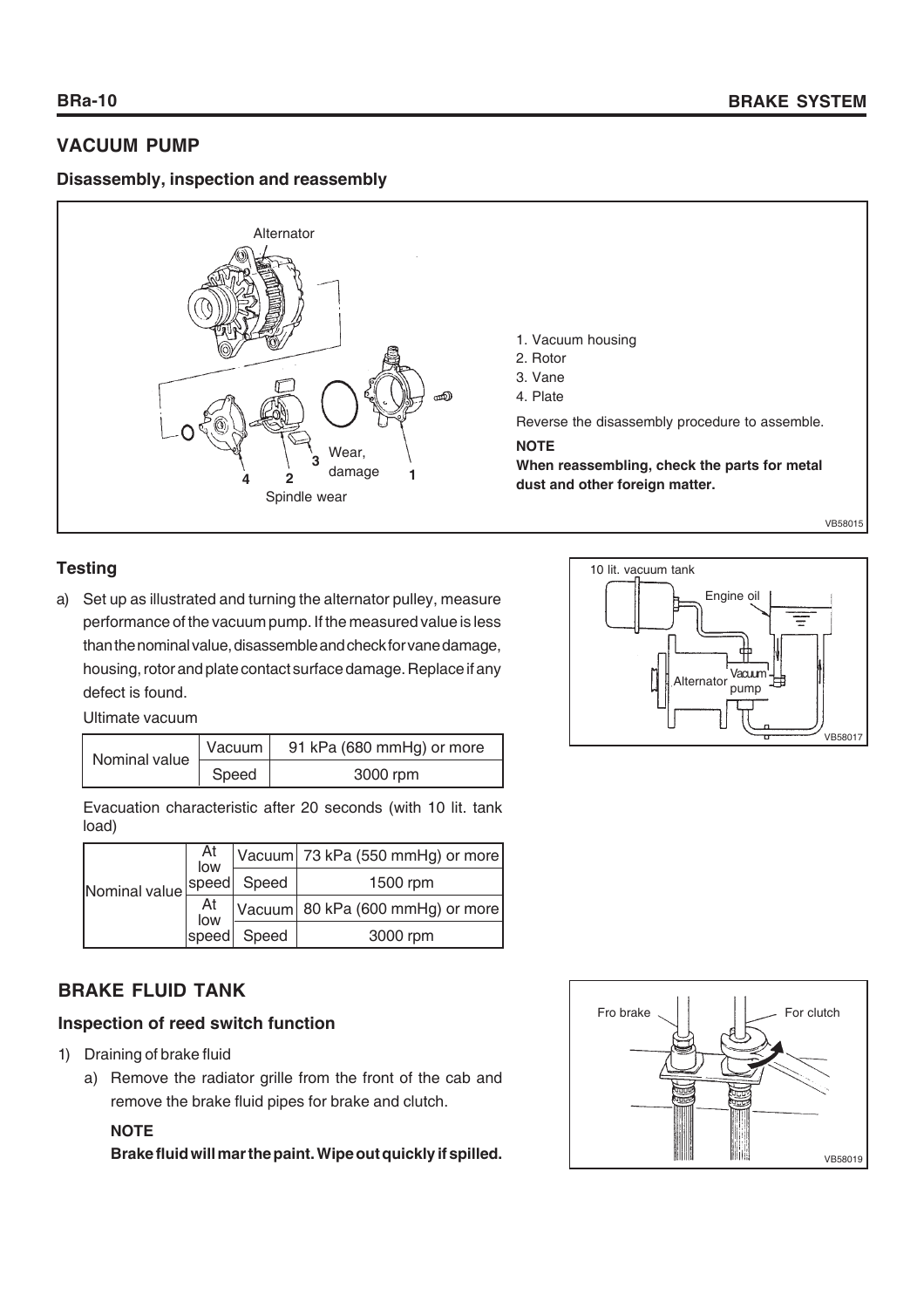# **VACUUM PUMP**

# **Disassembly, inspection and reassembly**



# **Testing**

a) Set up as illustrated and turning the alternator pulley, measure performance of the vacuum pump. If the measured value is less than the nominal value, disassemble and check for vane damage, housing, rotor and plate contact surface damage. Replace if any defect is found.

Ultimate vacuum

| Nominal value | Vacuum | 91 kPa (680 mmHg) or more |
|---------------|--------|---------------------------|
|               | Speed  | 3000 rpm                  |

Evacuation characteristic after 20 seconds (with 10 lit. tank load)

| Nominal value! | At<br>Iow |             | Vacuum 73 kPa (550 mmHg) or more |
|----------------|-----------|-------------|----------------------------------|
|                |           | speed Speed | 1500 rpm                         |
|                | At<br>Iow |             | Vacuum 80 kPa (600 mmHg) or more |
|                | speed     | Speed       | 3000 rpm                         |

# **BRAKE FLUID TANK**

# **Inspection of reed switch function**

- 1) Draining of brake fluid
	- a) Remove the radiator grille from the front of the cab and remove the brake fluid pipes for brake and clutch.

# **NOTE**

**Brake fluid will mar the paint. Wipe out quickly if spilled.**



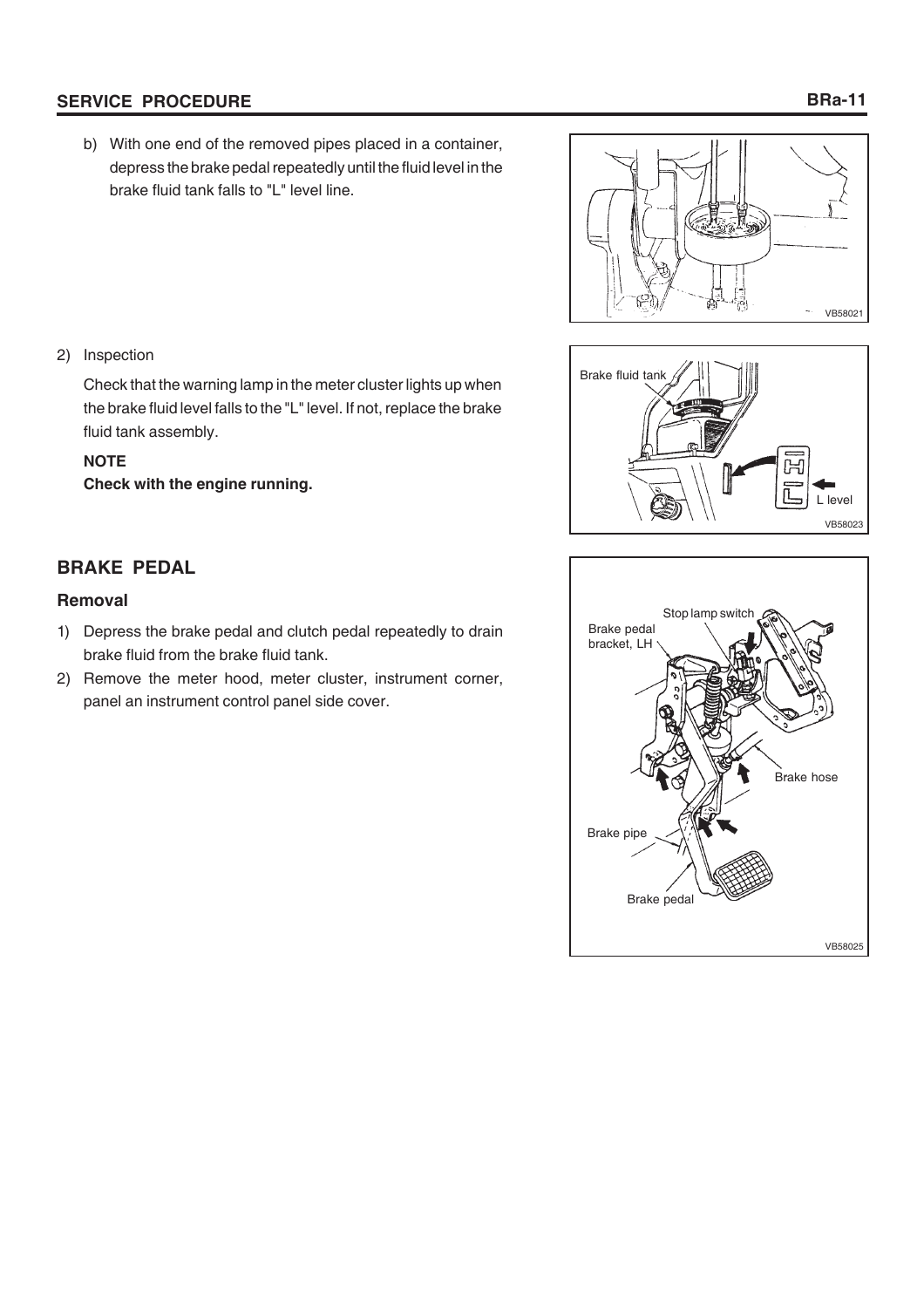# **SERVICE PROCEDURE**

b) With one end of the removed pipes placed in a container, depress the brake pedal repeatedly until the fluid level in the brake fluid tank falls to "L" level line.





Check that the warning lamp in the meter cluster lights up when the brake fluid level falls to the "L" level. If not, replace the brake fluid tank assembly.

# **NOTE**

**Check with the engine running.**



# **Removal**

- 1) Depress the brake pedal and clutch pedal repeatedly to drain brake fluid from the brake fluid tank.
- 2) Remove the meter hood, meter cluster, instrument corner, panel an instrument control panel side cover.





# **BRa-11**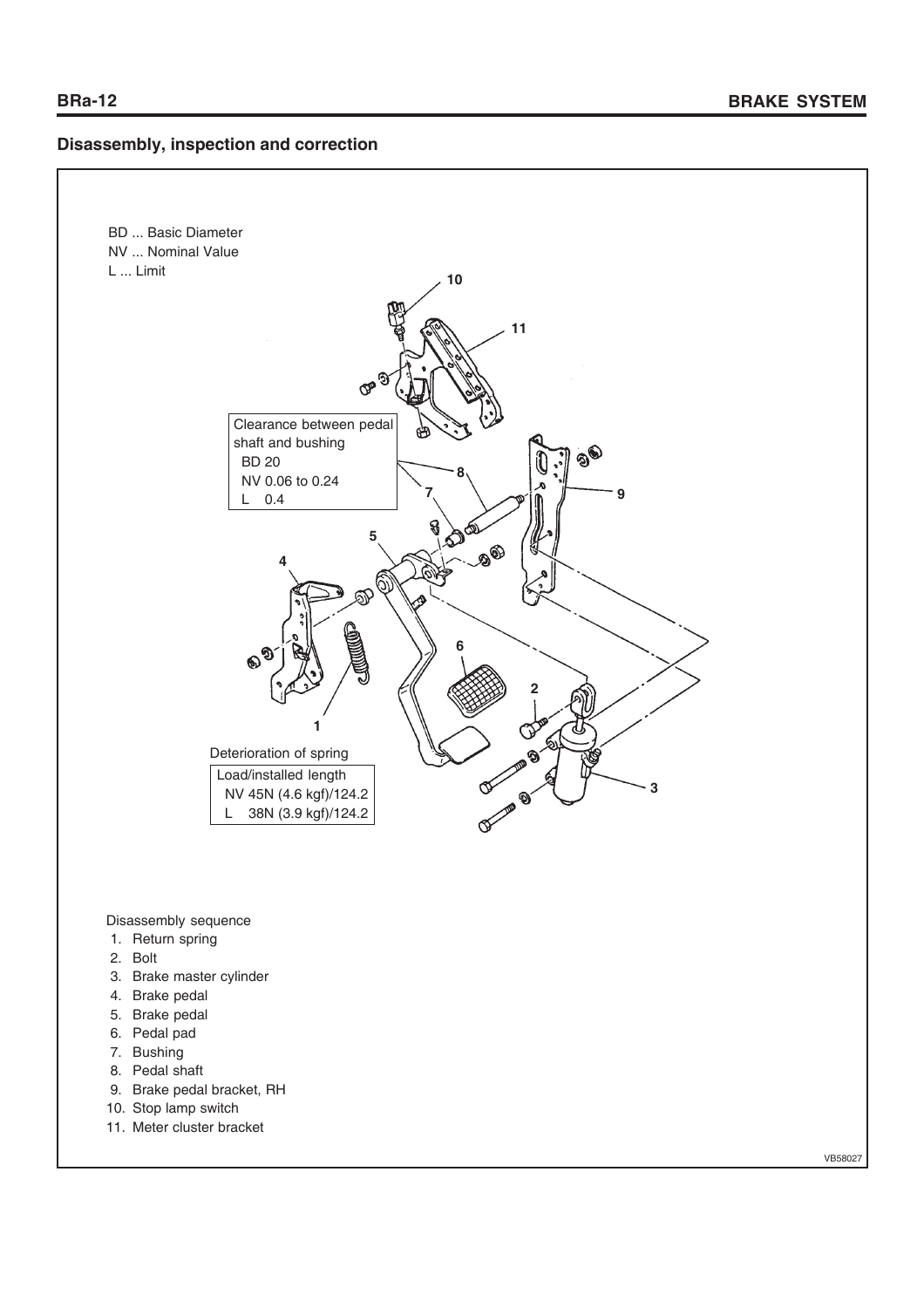# **Disassembly, inspection and correction**



Disassembly sequence

- 1. Return spring
- 2. Bolt
- 3. Brake master cylinder
- 4. Brake pedal
- 5. Brake pedal
- 6. Pedal pad
- 7. Bushing
- 8. Pedal shaft
- 9. Brake pedal bracket, RH
- 10. Stop lamp switch
- 11. Meter cluster bracket

VB58027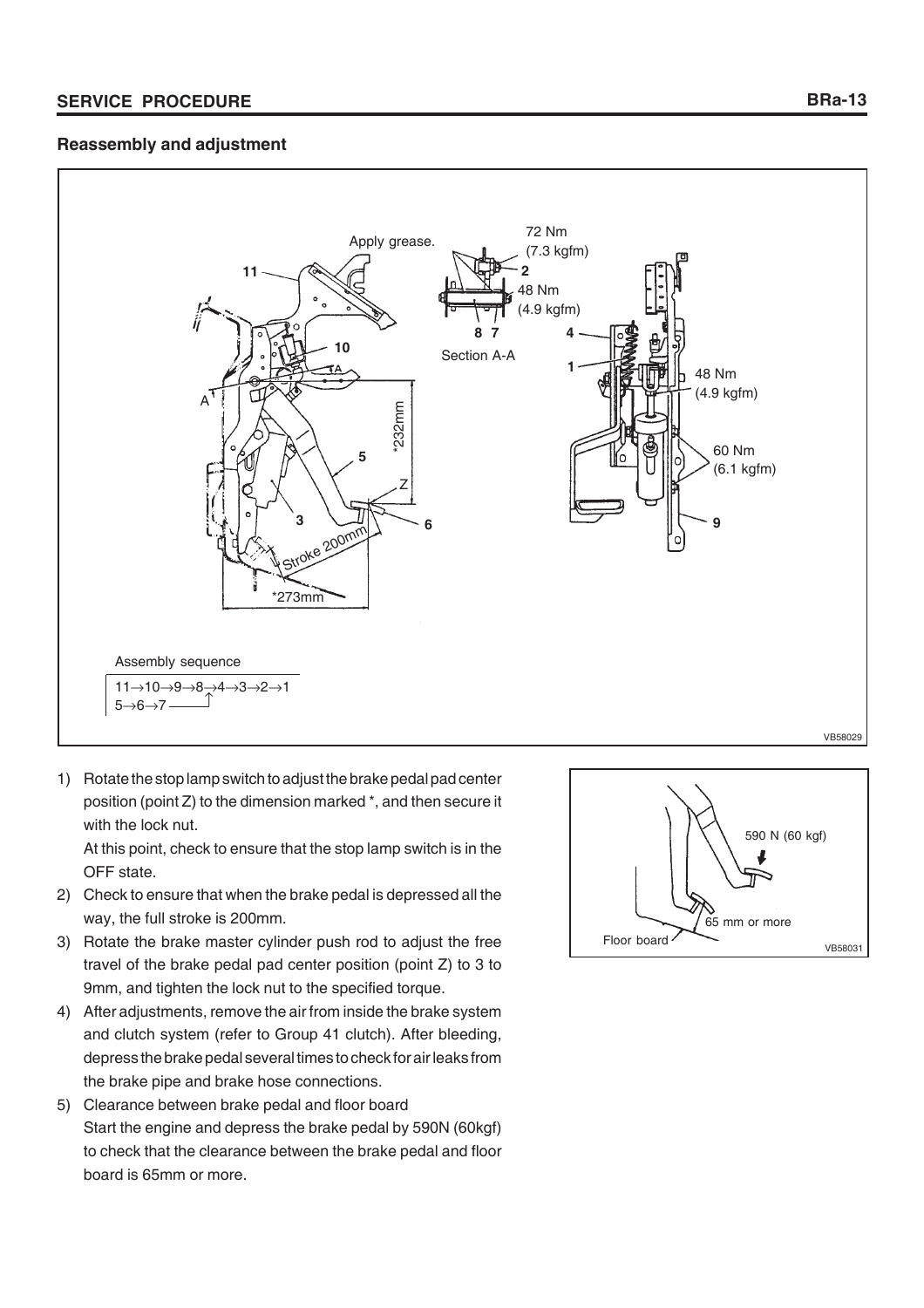# **Reassembly and adjustment**



1) Rotate the stop lamp switch to adjust the brake pedal pad center position (point Z) to the dimension marked \*, and then secure it with the lock nut.

At this point, check to ensure that the stop lamp switch is in the OFF state.

- 2) Check to ensure that when the brake pedal is depressed all the way, the full stroke is 200mm.
- 3) Rotate the brake master cylinder push rod to adjust the free travel of the brake pedal pad center position (point Z) to 3 to 9mm, and tighten the lock nut to the specified torque.
- 4) After adjustments, remove the air from inside the brake system and clutch system (refer to Group 41 clutch). After bleeding, depress the brake pedal several times to check for air leaks from the brake pipe and brake hose connections.
- 5) Clearance between brake pedal and floor board Start the engine and depress the brake pedal by 590N (60kgf) to check that the clearance between the brake pedal and floor board is 65mm or more.

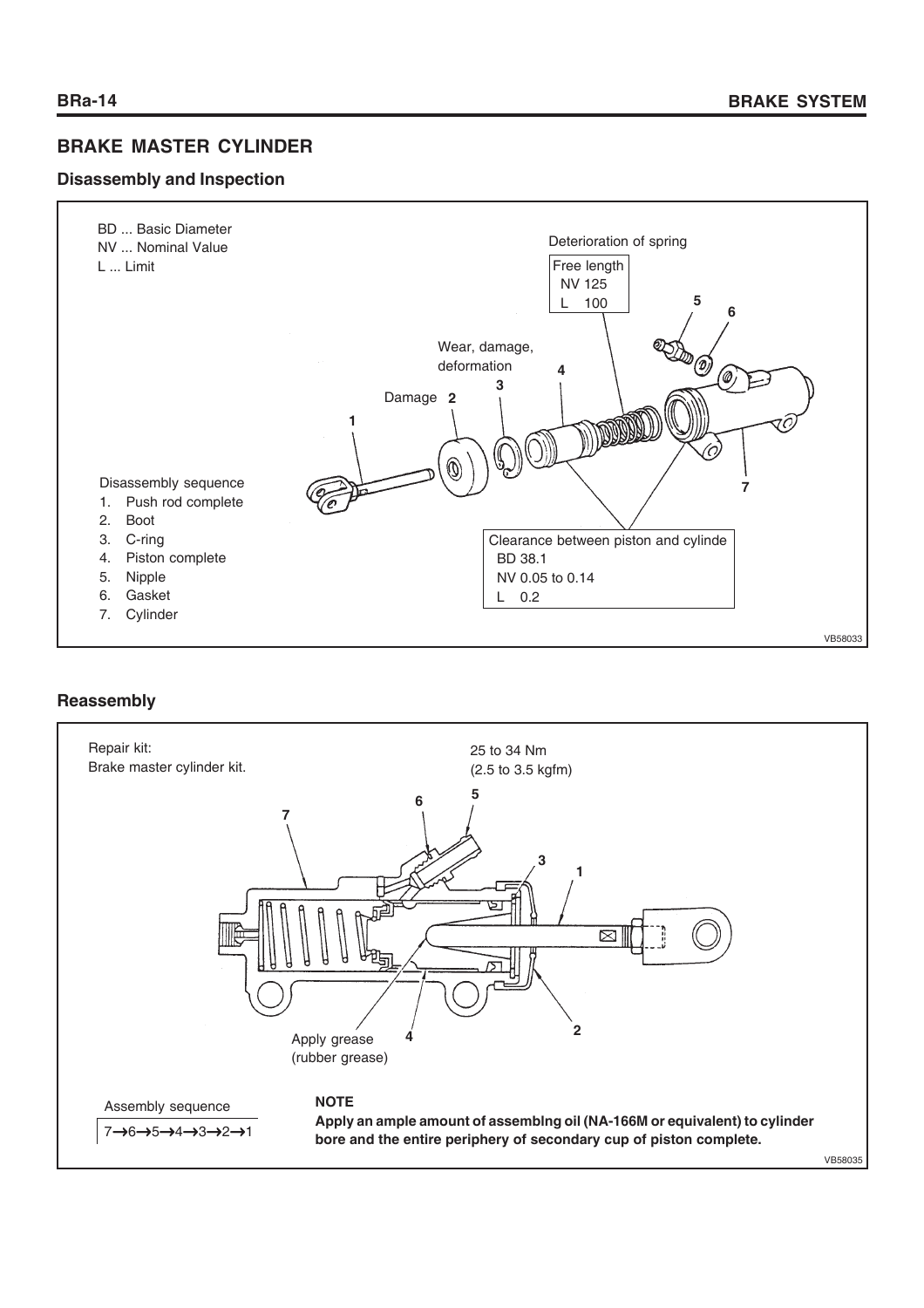# **BRAKE MASTER CYLINDER**

# **Disassembly and Inspection**



# **Reassembly**

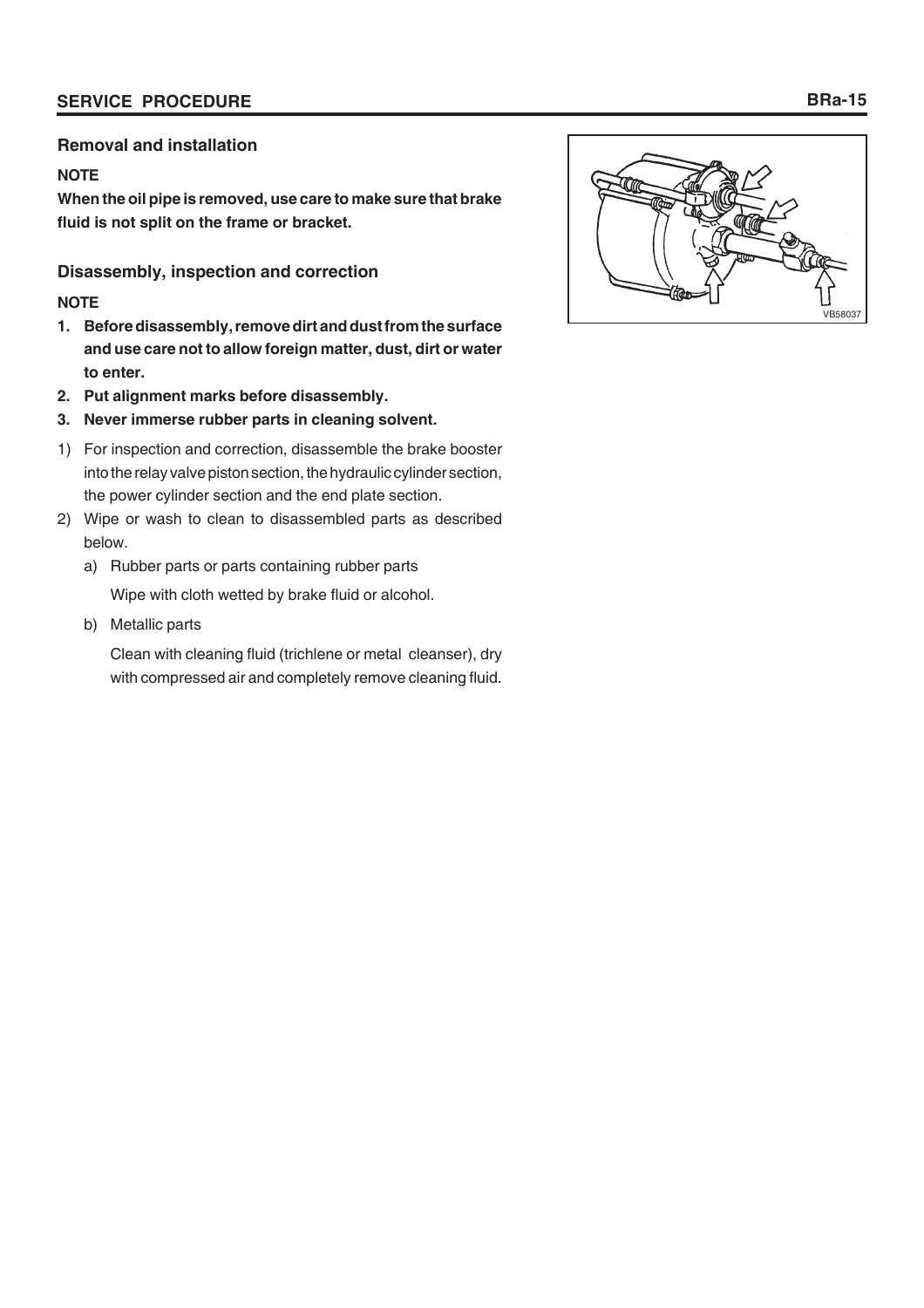# **Removal and installation**

# **NOTE**

**When the oil pipe is removed, use care to make sure that brake fluid is not split on the frame or bracket.**

# **Disassembly, inspection and correction**

# **NOTE**

- **1. Before disassembly, remove dirt and dust from the surface and use care not to allow foreign matter, dust, dirt or water to enter.**
- **2. Put alignment marks before disassembly.**
- **3. Never immerse rubber parts in cleaning solvent.**
- 1) For inspection and correction, disassemble the brake booster into the relay valve piston section, the hydraulic cylinder section, the power cylinder section and the end plate section.
- 2) Wipe or wash to clean to disassembled parts as described below.
	- a) Rubber parts or parts containing rubber parts

Wipe with cloth wetted by brake fluid or alcohol.

b) Metallic parts

Clean with cleaning fluid (trichlene or metal cleanser), dry with compressed air and completely remove cleaning fluid.

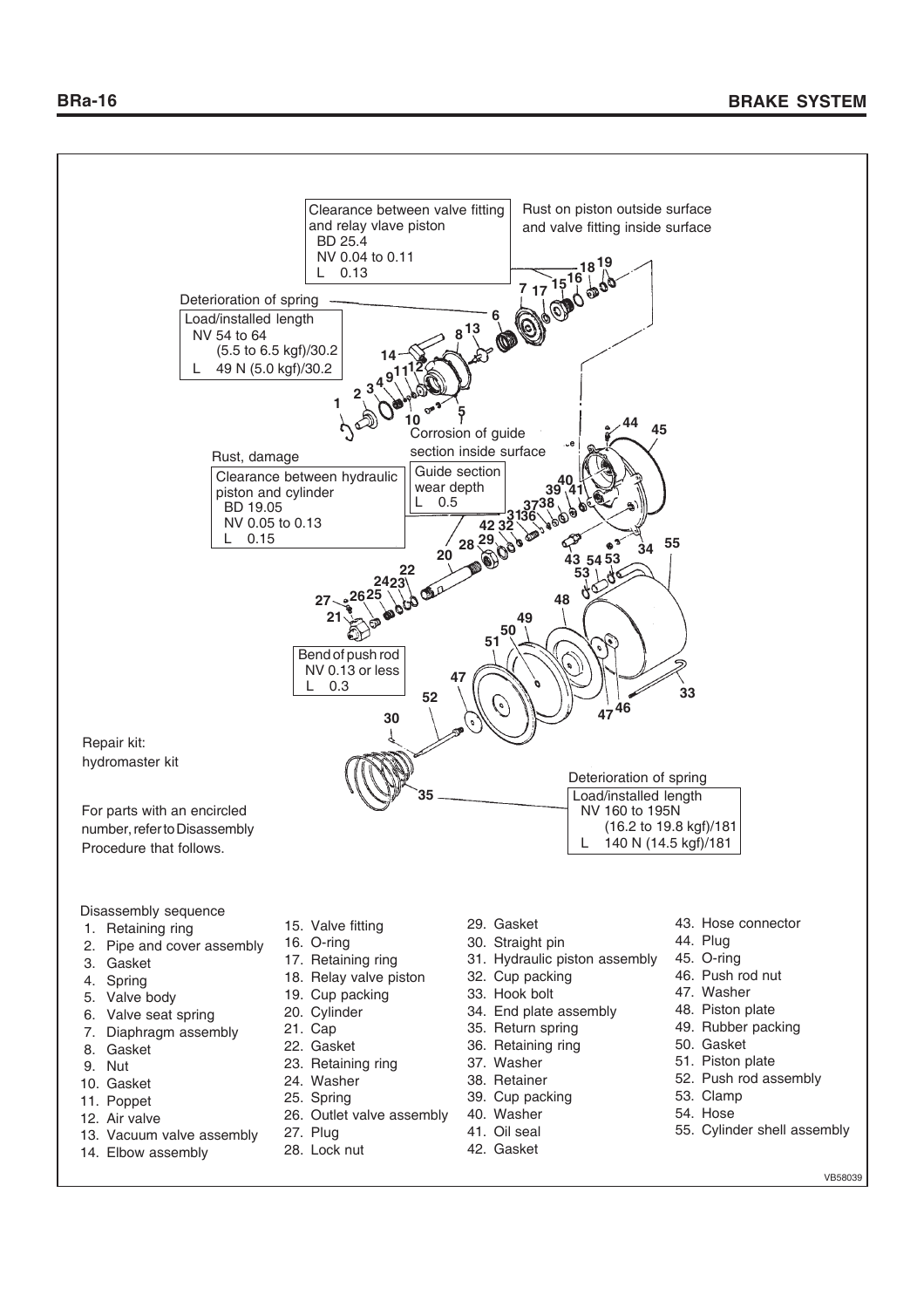

- 7. Diaphragm assembly
- 8. Gasket
- 9. Nut
- 10. Gasket
- 11. Poppet
- 12. Air valve
- 13. Vacuum valve assembly
- 14. Elbow assembly
- 21. Cap
- 22. Gasket
- 23. Retaining ring
- 24. Washer
- 25. Spring
- 26. Outlet valve assembly
- 27. Plug
- 28. Lock nut
- 35. Return spring
- 36. Retaining ring
- 37. Washer
- 
- 38. Retainer
- 39. Cup packing
- 40. Washer
- 41. Oil seal
	- 42. Gasket
- 49. Rubber packing
- 50. Gasket
- 51. Piston plate
- 52. Push rod assembly
- 53. Clamp
- 54. Hose
- 55. Cylinder shell assembly
	- VB58039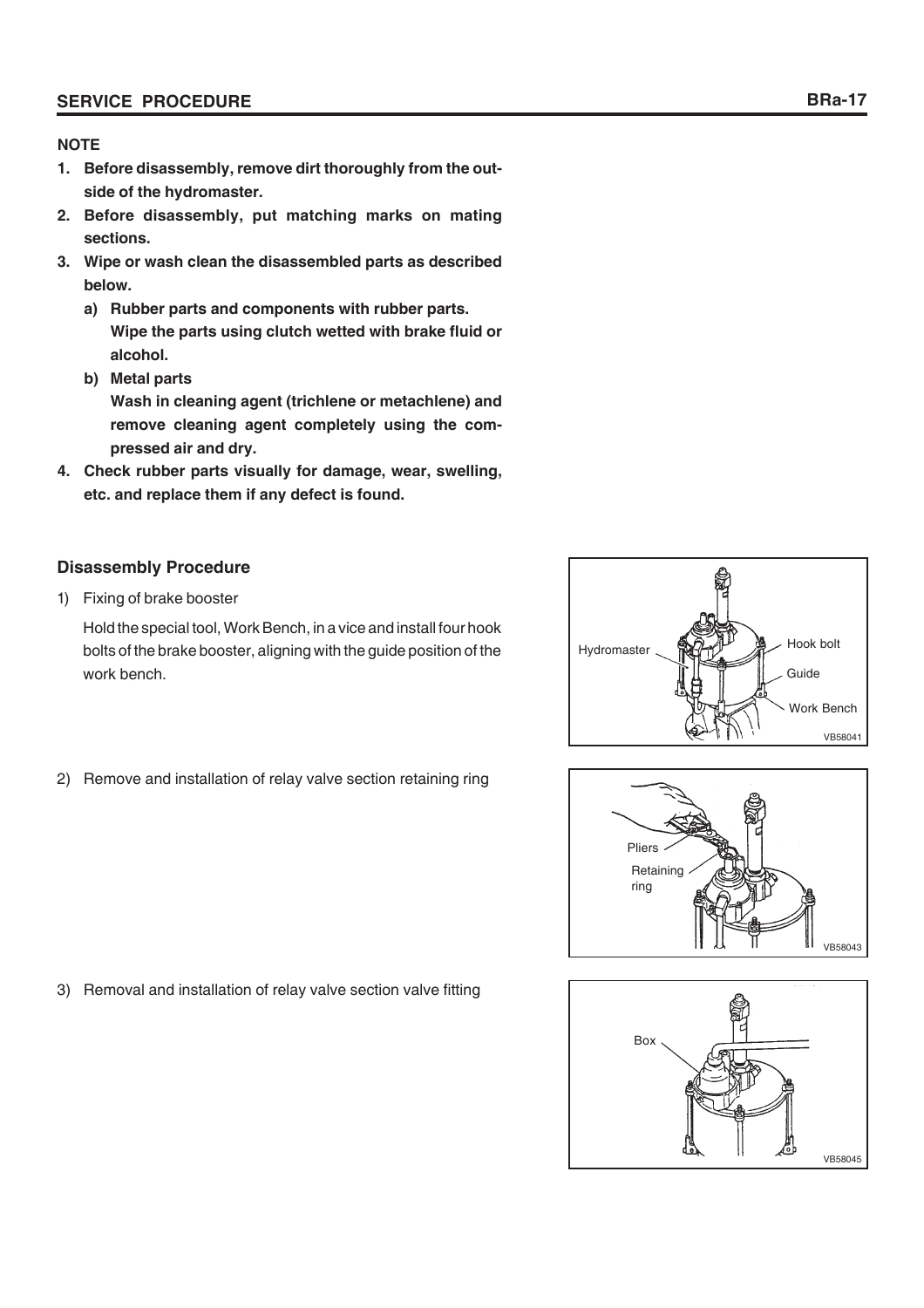# **NOTE**

- **1. Before disassembly, remove dirt thoroughly from the outside of the hydromaster.**
- **2. Before disassembly, put matching marks on mating sections.**
- **3. Wipe or wash clean the disassembled parts as described below.**
	- **a) Rubber parts and components with rubber parts. Wipe the parts using clutch wetted with brake fluid or alcohol.**
	- **b) Metal parts Wash in cleaning agent (trichlene or metachlene) and remove cleaning agent completely using the compressed air and dry.**
- **4. Check rubber parts visually for damage, wear, swelling, etc. and replace them if any defect is found.**

# **Disassembly Procedure**

1) Fixing of brake booster

Hold the special tool, Work Bench, in a vice and install four hook bolts of the brake booster, aligning with the guide position of the work bench.



**Retaining** ring VB58043 Pliers



3) Removal and installation of relay valve section valve fitting

2) Remove and installation of relay valve section retaining ring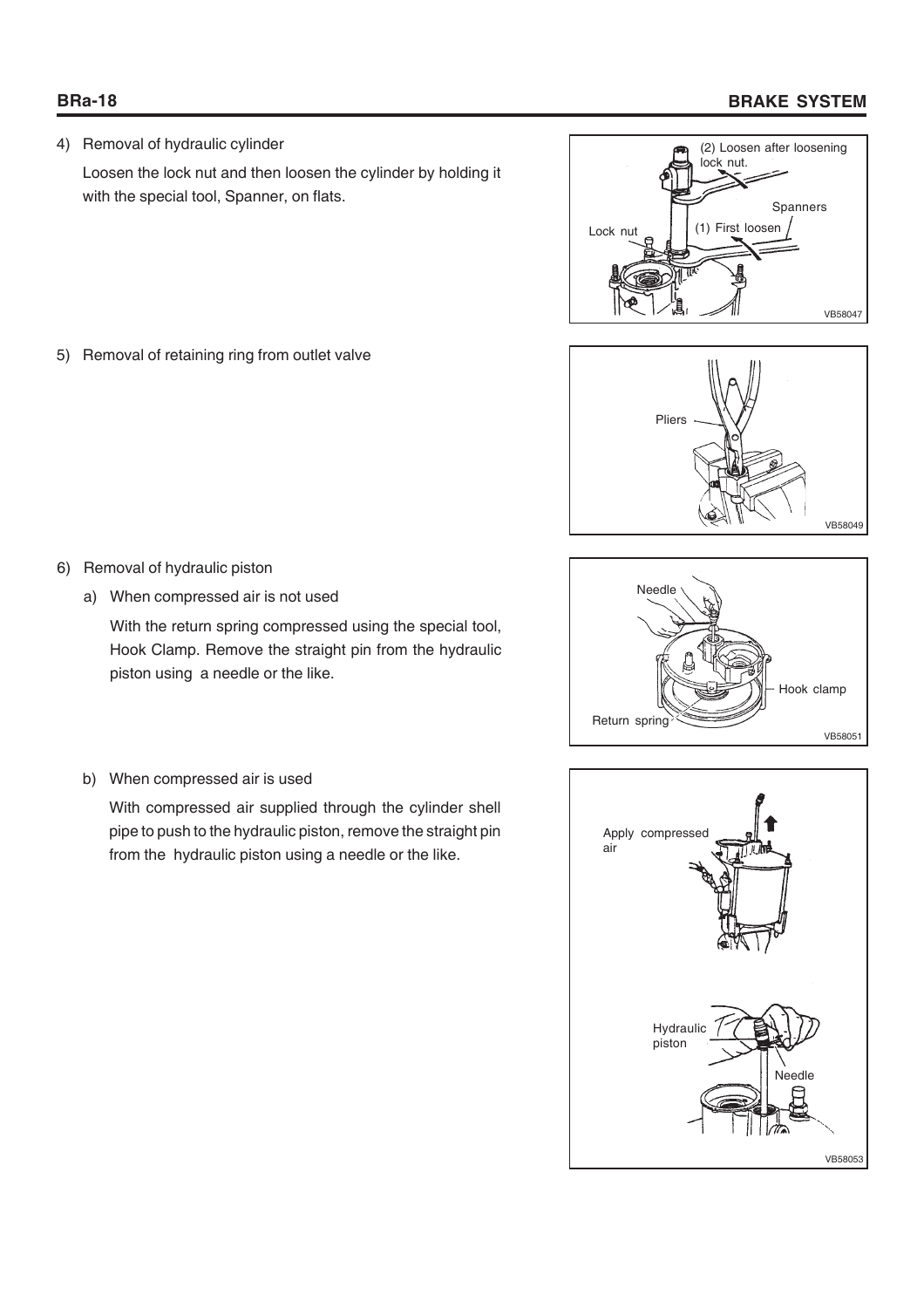# **BRa-18 BRAKE SYSTEM**

4) Removal of hydraulic cylinder

Loosen the lock nut and then loosen the cylinder by holding it with the special tool, Spanner, on flats.



Pliers VB58049



- 
- 6) Removal of hydraulic piston a) When compressed air is not used

5) Removal of retaining ring from outlet valve

With the return spring compressed using the special tool,

Hook Clamp. Remove the straight pin from the hydraulic piston using a needle or the like.

b) When compressed air is used

With compressed air supplied through the cylinder shell pipe to push to the hydraulic piston, remove the straight pin from the hydraulic piston using a needle or the like.

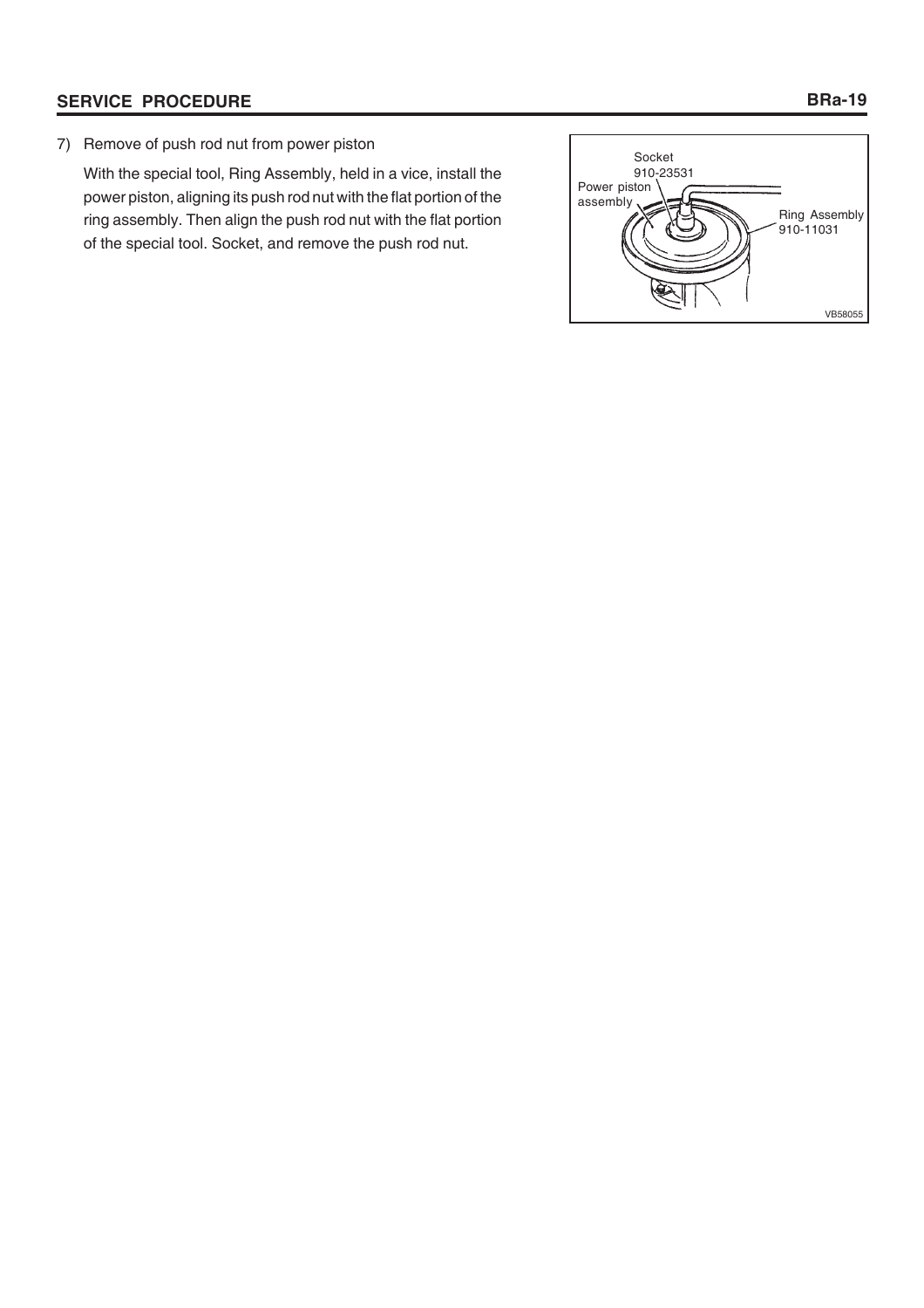7) Remove of push rod nut from power piston

With the special tool, Ring Assembly, held in a vice, install the power piston, aligning its push rod nut with the flat portion of the ring assembly. Then align the push rod nut with the flat portion of the special tool. Socket, and remove the push rod nut.

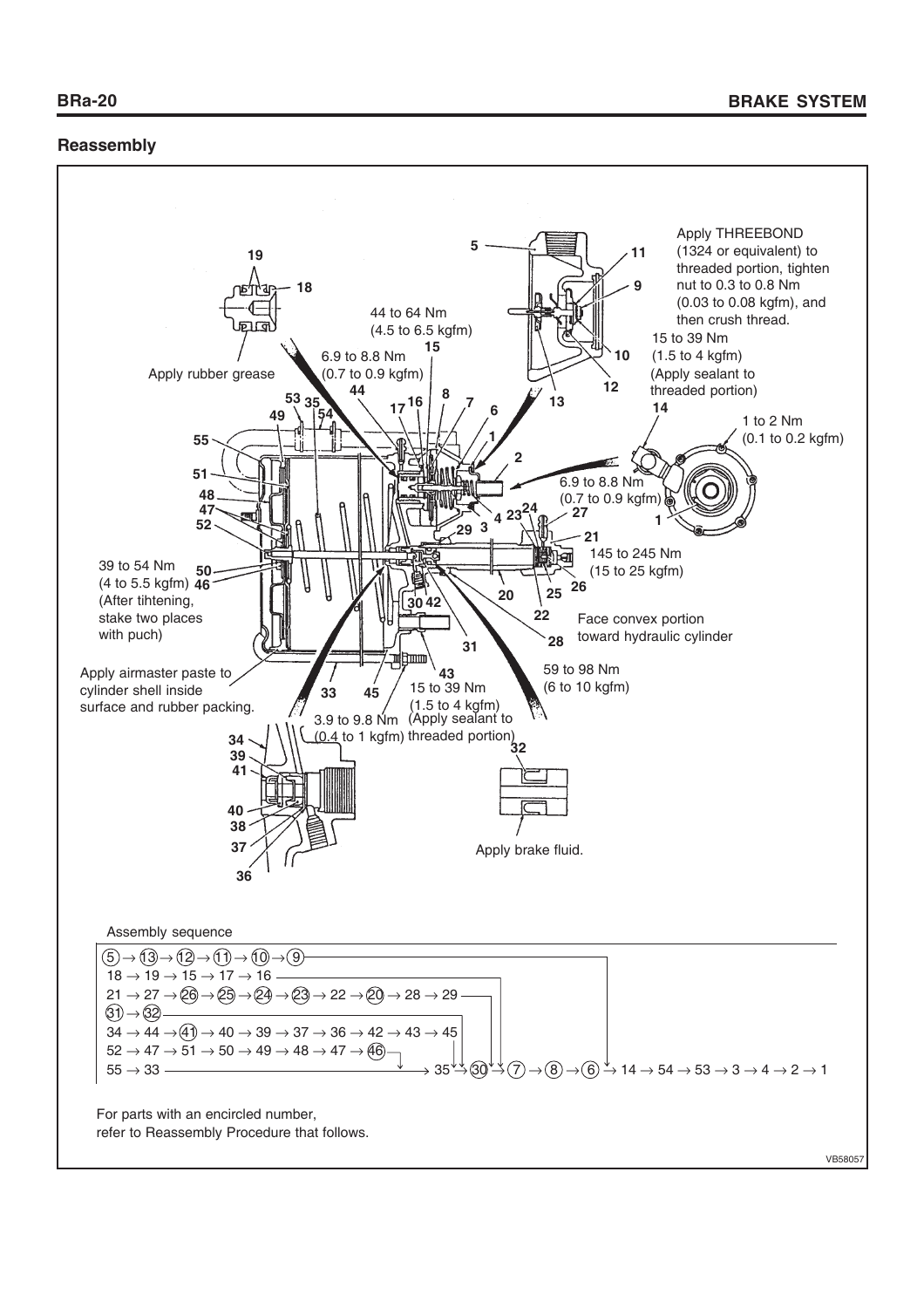# **Reassembly**

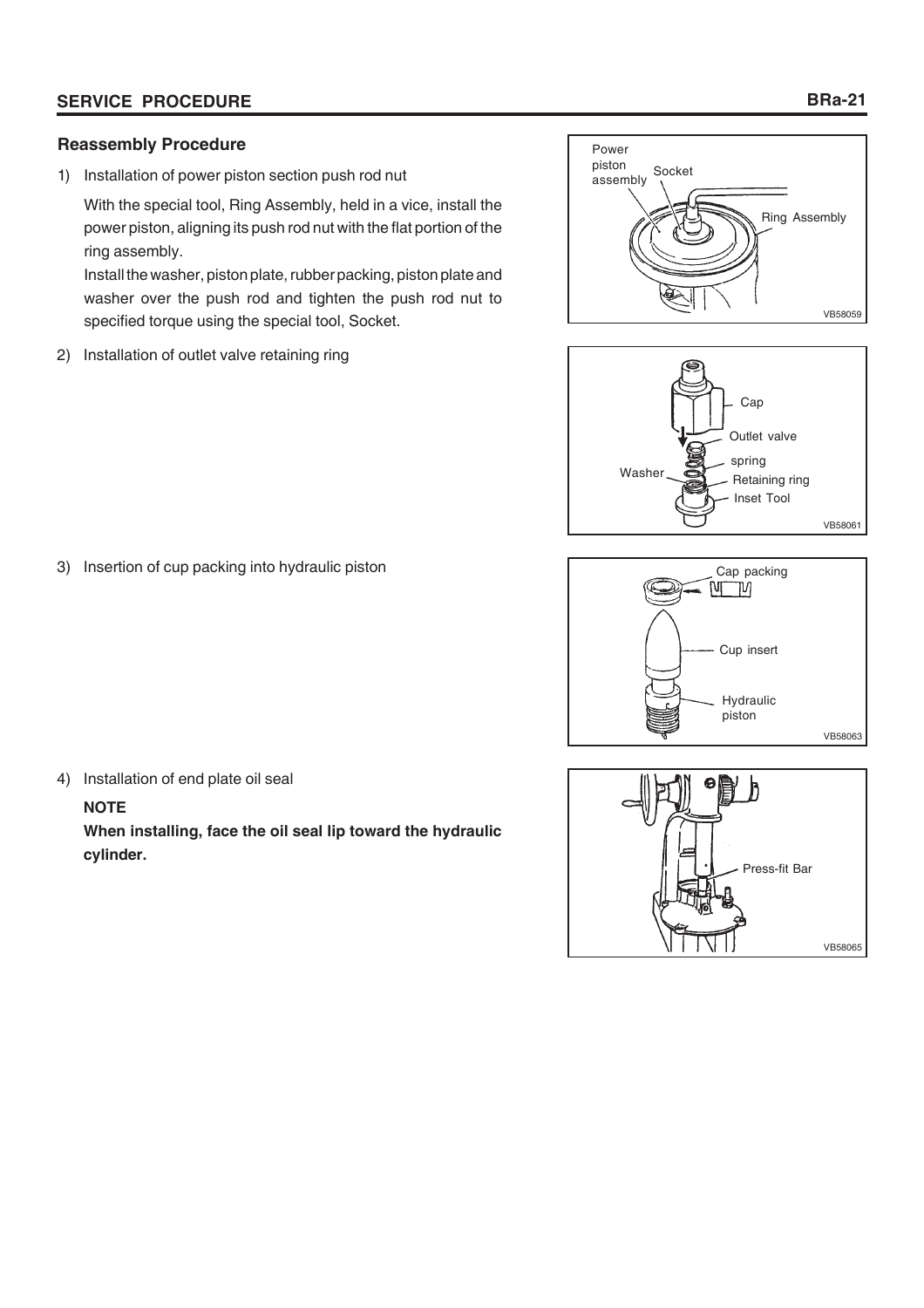# **Reassembly Procedure**

1) Installation of power piston section push rod nut

With the special tool, Ring Assembly, held in a vice, install the power piston, aligning its push rod nut with the flat portion of the ring assembly.

Install the washer, piston plate, rubber packing, piston plate and washer over the push rod and tighten the push rod nut to specified torque using the special tool, Socket.

2) Installation of outlet valve retaining ring









3) Insertion of cup packing into hydraulic piston

4) Installation of end plate oil seal

# **NOTE**

**When installing, face the oil seal lip toward the hydraulic cylinder.**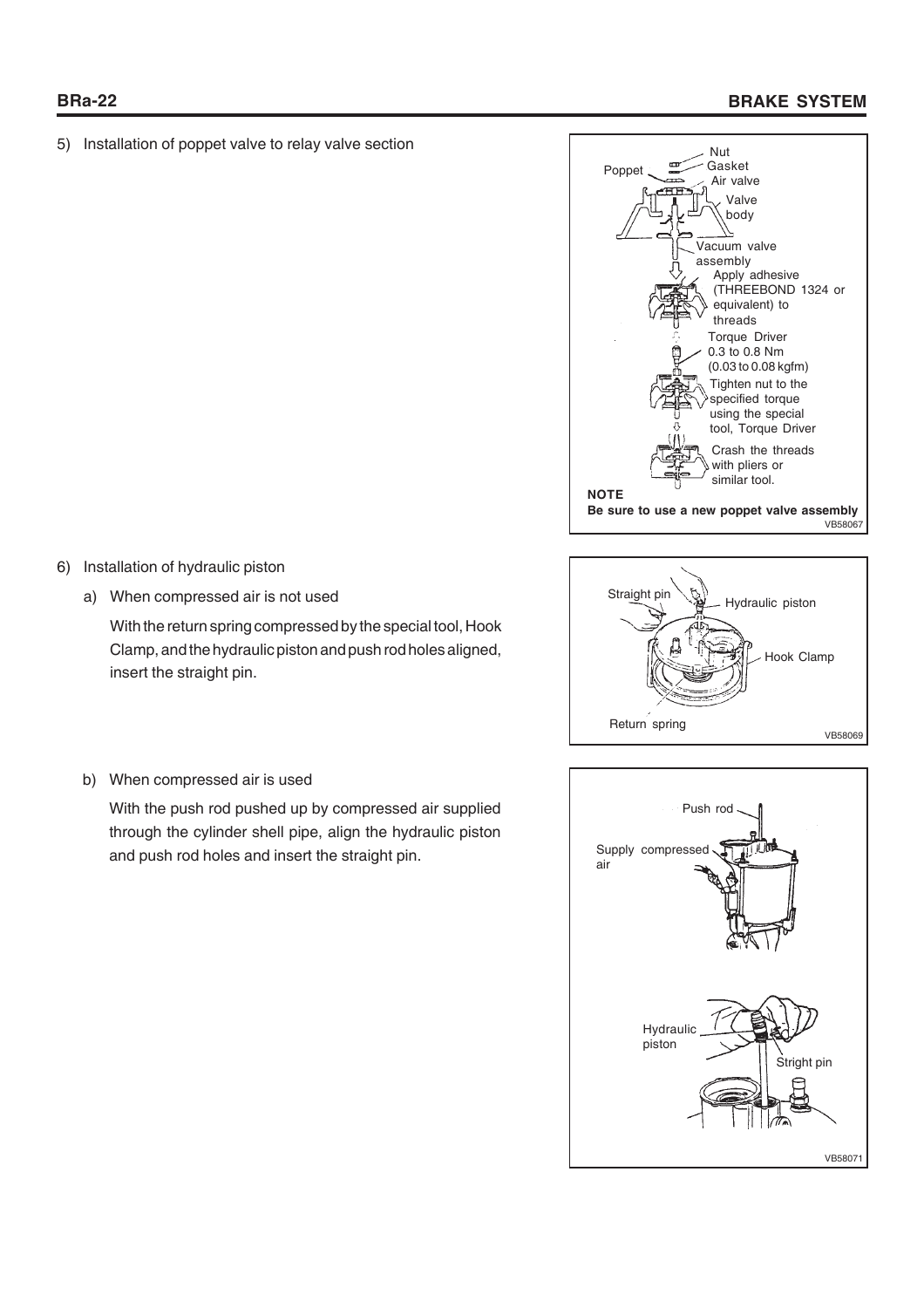5) Installation of poppet valve to relay valve section





b) When compressed air is used

6) Installation of hydraulic piston

insert the straight pin.

a) When compressed air is not used

With the push rod pushed up by compressed air supplied through the cylinder shell pipe, align the hydraulic piston and push rod holes and insert the straight pin.

With the return spring compressed by the special tool, Hook Clamp, and the hydraulic piston and push rod holes aligned,

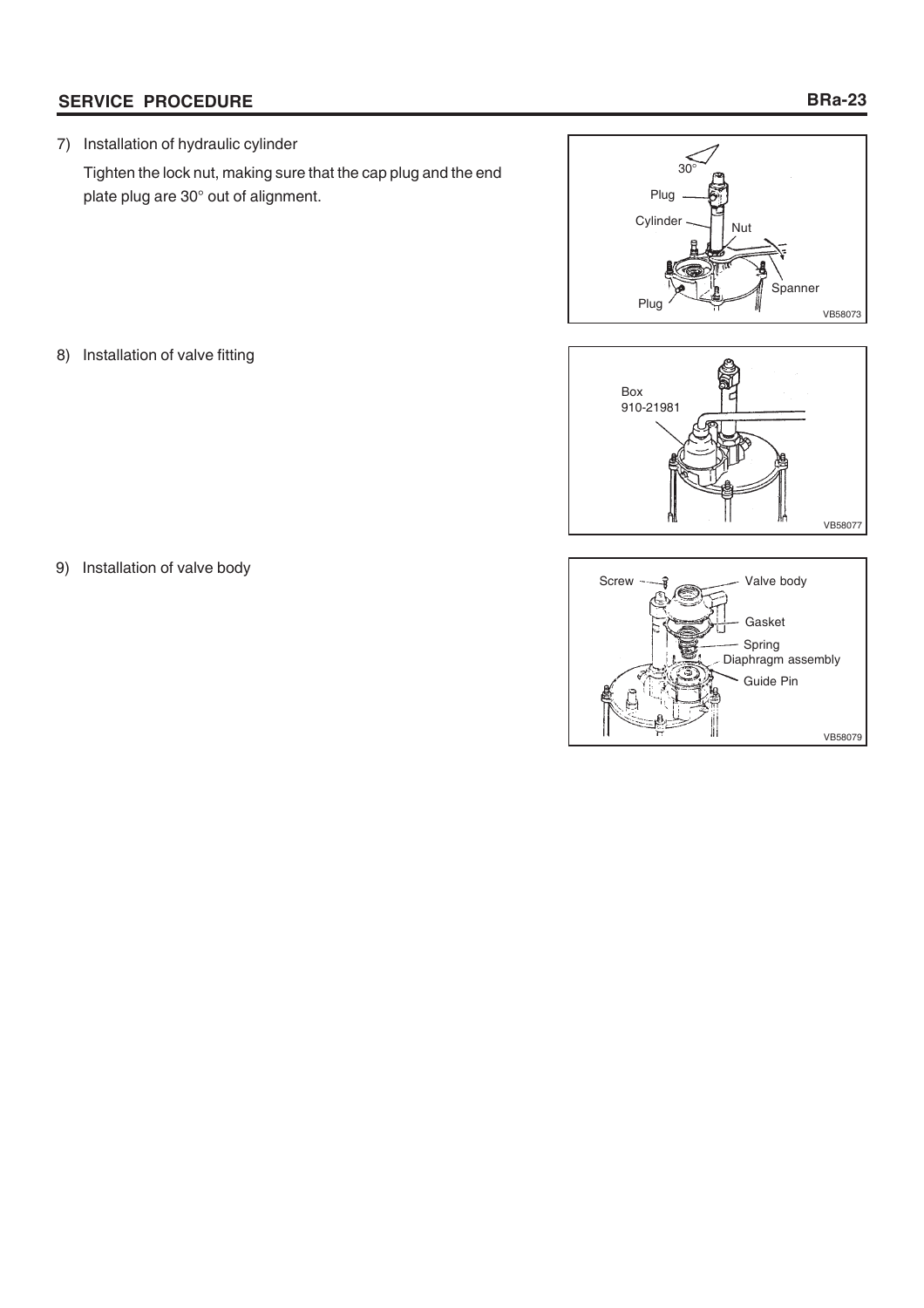7) Installation of hydraulic cylinder

Tighten the lock nut, making sure that the cap plug and the end plate plug are 30° out of alignment.



8) Installation of valve fitting





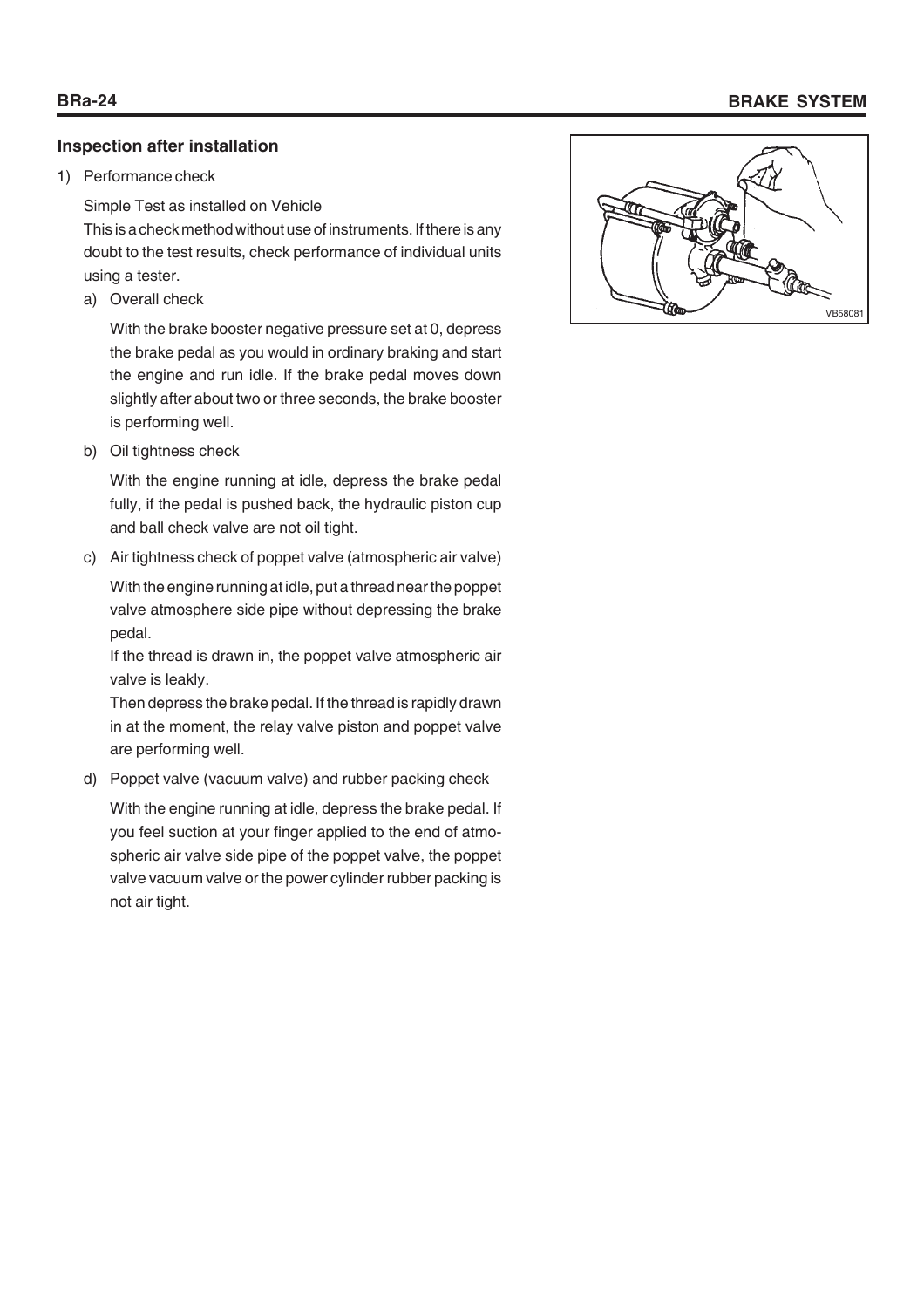# **Inspection after installation**

## 1) Performance check

Simple Test as installed on Vehicle

This is a check method without use of instruments. If there is any doubt to the test results, check performance of individual units using a tester.

a) Overall check

With the brake booster negative pressure set at 0, depress the brake pedal as you would in ordinary braking and start the engine and run idle. If the brake pedal moves down slightly after about two or three seconds, the brake booster is performing well.

b) Oil tightness check

With the engine running at idle, depress the brake pedal fully, if the pedal is pushed back, the hydraulic piston cup and ball check valve are not oil tight.

c) Air tightness check of poppet valve (atmospheric air valve)

With the engine running at idle, put a thread near the poppet valve atmosphere side pipe without depressing the brake pedal.

If the thread is drawn in, the poppet valve atmospheric air valve is leakly.

Then depress the brake pedal. If the thread is rapidly drawn in at the moment, the relay valve piston and poppet valve are performing well.

d) Poppet valve (vacuum valve) and rubber packing check

With the engine running at idle, depress the brake pedal. If you feel suction at your finger applied to the end of atmospheric air valve side pipe of the poppet valve, the poppet valve vacuum valve or the power cylinder rubber packing is not air tight.



# **BRa-24 BRAKE SYSTEM**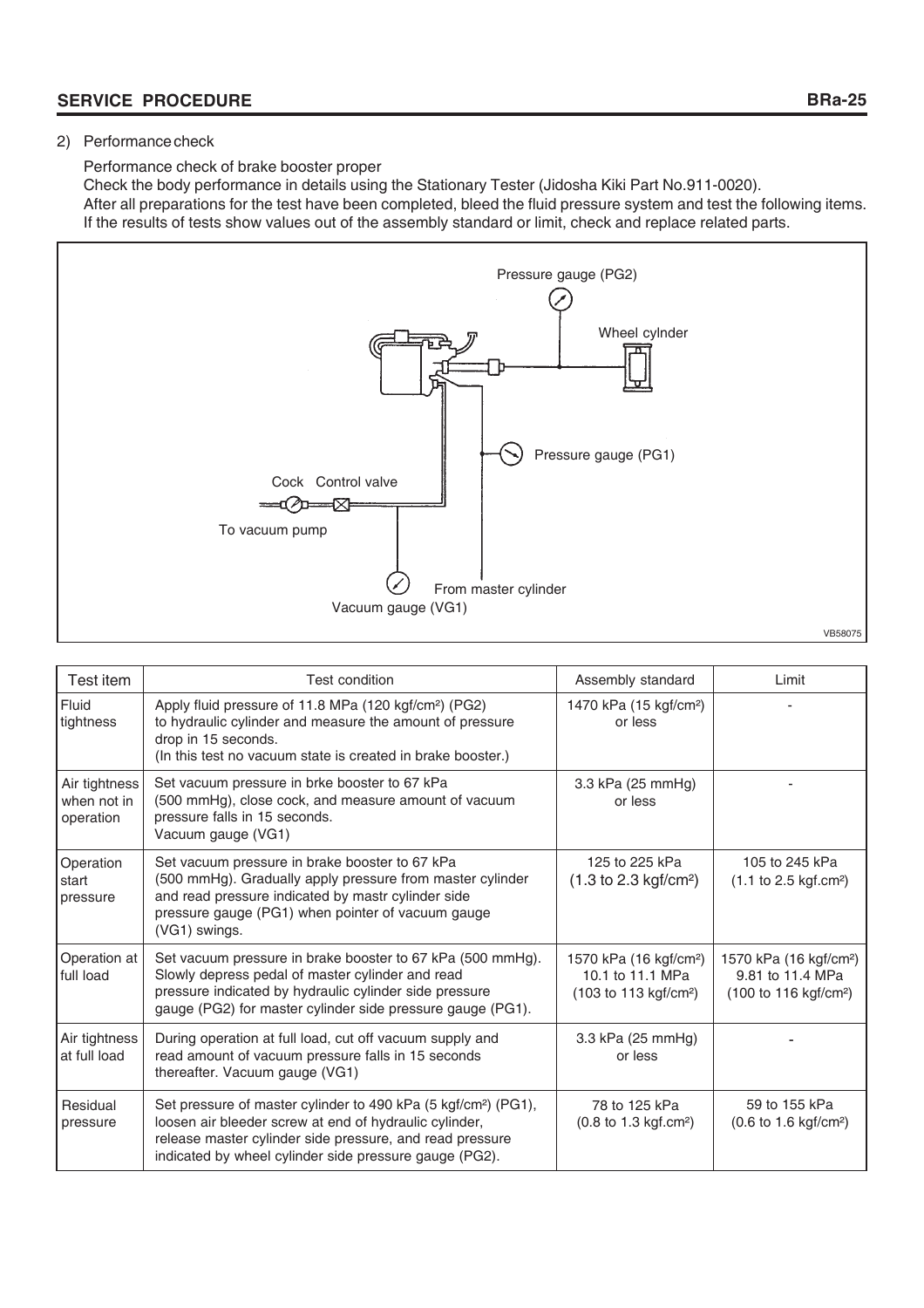# 2) Performance check

Performance check of brake booster proper

Check the body performance in details using the Stationary Tester (Jidosha Kiki Part No.911-0020). After all preparations for the test have been completed, bleed the fluid pressure system and test the following items. If the results of tests show values out of the assembly standard or limit, check and replace related parts.



| Test item                                 | <b>Test condition</b>                                                                                                                                                                                                                                      | Assembly standard                                                                                  | Limit                                                                                              |
|-------------------------------------------|------------------------------------------------------------------------------------------------------------------------------------------------------------------------------------------------------------------------------------------------------------|----------------------------------------------------------------------------------------------------|----------------------------------------------------------------------------------------------------|
| Fluid<br>tightness                        | Apply fluid pressure of 11.8 MPa (120 kgf/cm <sup>2</sup> ) (PG2)<br>to hydraulic cylinder and measure the amount of pressure<br>drop in 15 seconds.<br>(In this test no vacuum state is created in brake booster.)                                        | 1470 kPa (15 kgf/cm <sup>2</sup> )<br>or less                                                      |                                                                                                    |
| Air tightness<br>when not in<br>operation | Set vacuum pressure in brke booster to 67 kPa<br>(500 mmHg), close cock, and measure amount of vacuum<br>pressure falls in 15 seconds.<br>Vacuum gauge (VG1)                                                                                               | 3.3 kPa (25 mmHg)<br>or less                                                                       |                                                                                                    |
| Operation<br>start<br>pressure            | Set vacuum pressure in brake booster to 67 kPa<br>(500 mmHg). Gradually apply pressure from master cylinder<br>and read pressure indicated by mastr cylinder side<br>pressure gauge (PG1) when pointer of vacuum gauge<br>(VG1) swings.                    | 125 to 225 kPa<br>$(1.3 \text{ to } 2.3 \text{ kgf/cm}^2)$                                         | 105 to 245 kPa<br>$(1.1 \text{ to } 2.5 \text{ kgf.cm}^2)$                                         |
| Operation at<br>full load                 | Set vacuum pressure in brake booster to 67 kPa (500 mmHg).<br>Slowly depress pedal of master cylinder and read<br>pressure indicated by hydraulic cylinder side pressure<br>gauge (PG2) for master cylinder side pressure gauge (PG1).                     | 1570 kPa (16 kgf/cm <sup>2</sup> )<br>10.1 to 11.1 MPa<br>$(103 \text{ to } 113 \text{ kgf/cm}^2)$ | 1570 kPa (16 kgf/cm <sup>2</sup> )<br>9.81 to 11.4 MPa<br>$(100 \text{ to } 116 \text{ kgf/cm}^2)$ |
| Air tightness<br>at full load             | During operation at full load, cut off vacuum supply and<br>read amount of vacuum pressure falls in 15 seconds<br>thereafter. Vacuum gauge (VG1)                                                                                                           | 3.3 kPa (25 mmHg)<br>or less                                                                       |                                                                                                    |
| Residual<br>pressure                      | Set pressure of master cylinder to 490 kPa (5 kgf/cm <sup>2</sup> ) (PG1),<br>loosen air bleeder screw at end of hydraulic cylinder,<br>release master cylinder side pressure, and read pressure<br>indicated by wheel cylinder side pressure gauge (PG2). | 78 to 125 kPa<br>$(0.8 \text{ to } 1.3 \text{ kgf.cm}^2)$                                          | 59 to 155 kPa<br>$(0.6 \text{ to } 1.6 \text{ kgf/cm}^2)$                                          |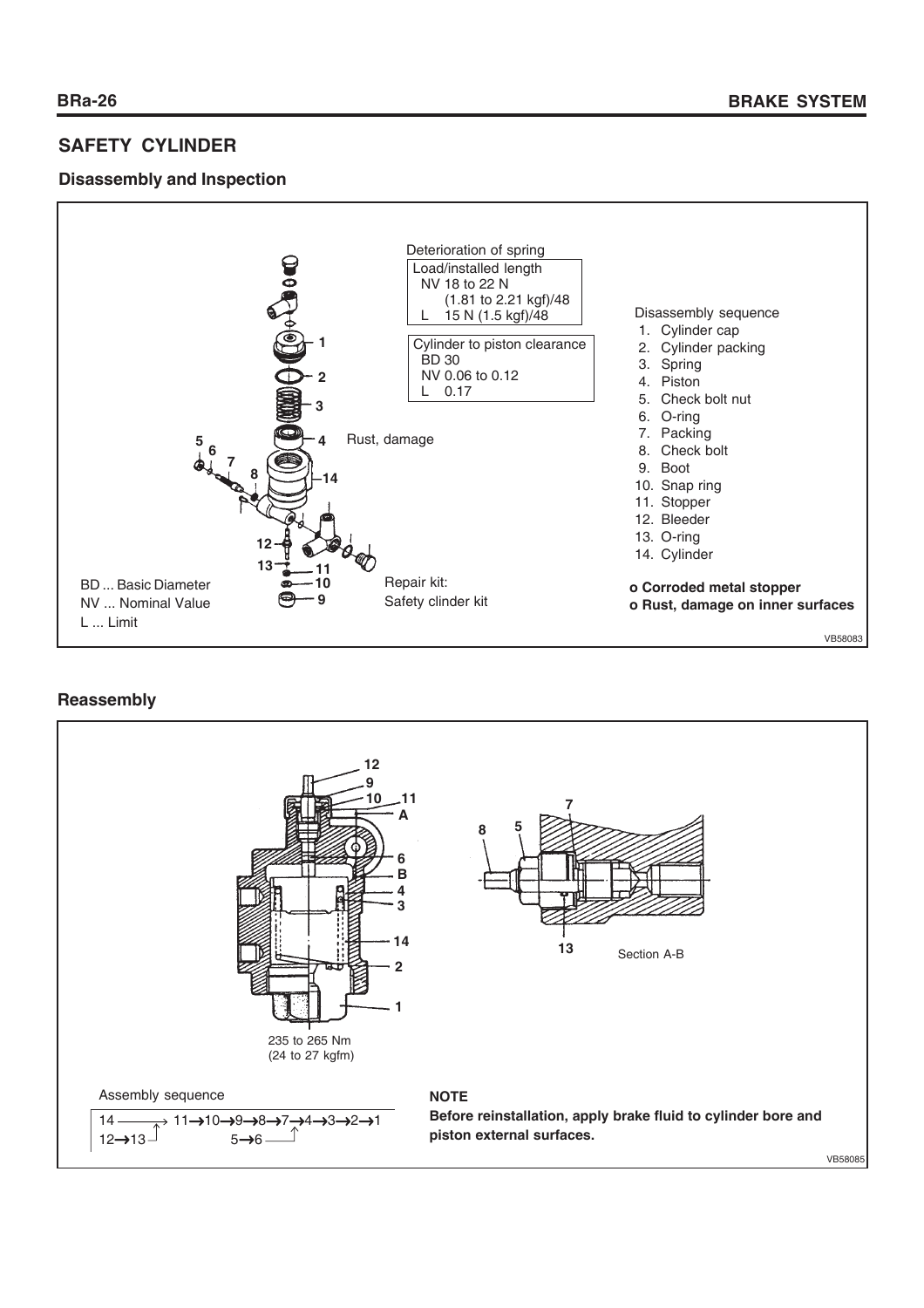# **SAFETY CYLINDER**

# **Disassembly and Inspection**



# **Reassembly**

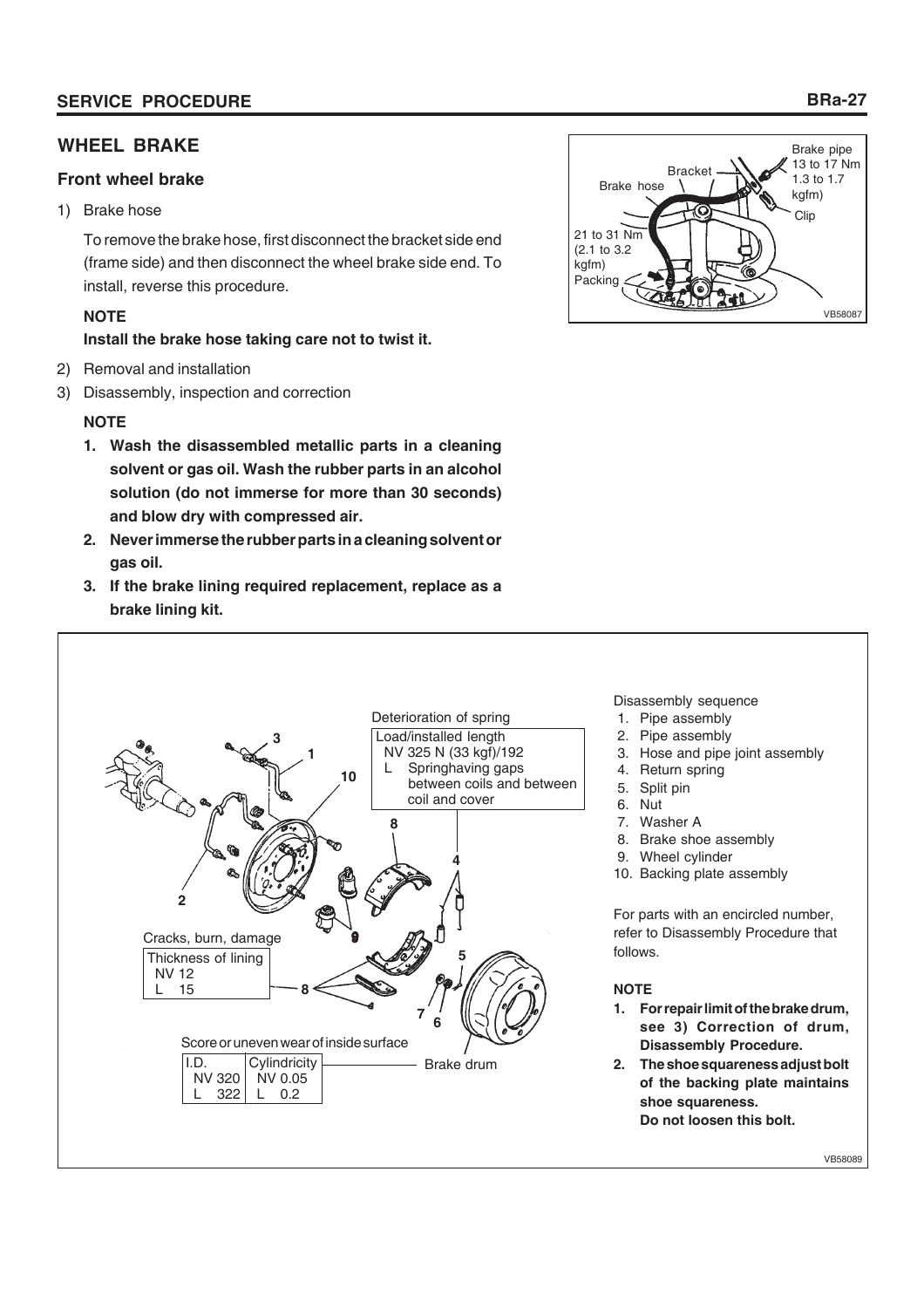# **WHEEL BRAKE**

# **Front wheel brake**

1) Brake hose

To remove the brake hose, first disconnect the bracket side end (frame side) and then disconnect the wheel brake side end. To install, reverse this procedure.

# **NOTE**

**Install the brake hose taking care not to twist it.**

- 2) Removal and installation
- 3) Disassembly, inspection and correction

# **NOTE**

- **1. Wash the disassembled metallic parts in a cleaning solvent or gas oil. Wash the rubber parts in an alcohol solution (do not immerse for more than 30 seconds) and blow dry with compressed air.**
- **2. Never immerse the rubber parts in a cleaning solvent or gas oil.**
- **3. If the brake lining required replacement, replace as a brake lining kit.**





## Disassembly sequence

- 1. Pipe assembly
- 2. Pipe assembly
- 3. Hose and pipe joint assembly
- 4. Return spring
- 5. Split pin
- 6. Nut
- 7. Washer A
- 8. Brake shoe assembly
- 9. Wheel cylinder
- 10. Backing plate assembly

For parts with an encircled number, refer to Disassembly Procedure that follows.

## **NOTE**

- **1. For repair limit of the brake drum, see 3) Correction of drum, Disassembly Procedure.**
- **2. The shoe squareness adjust bolt of the backing plate maintains shoe squareness. Do not loosen this bolt.**

VB58089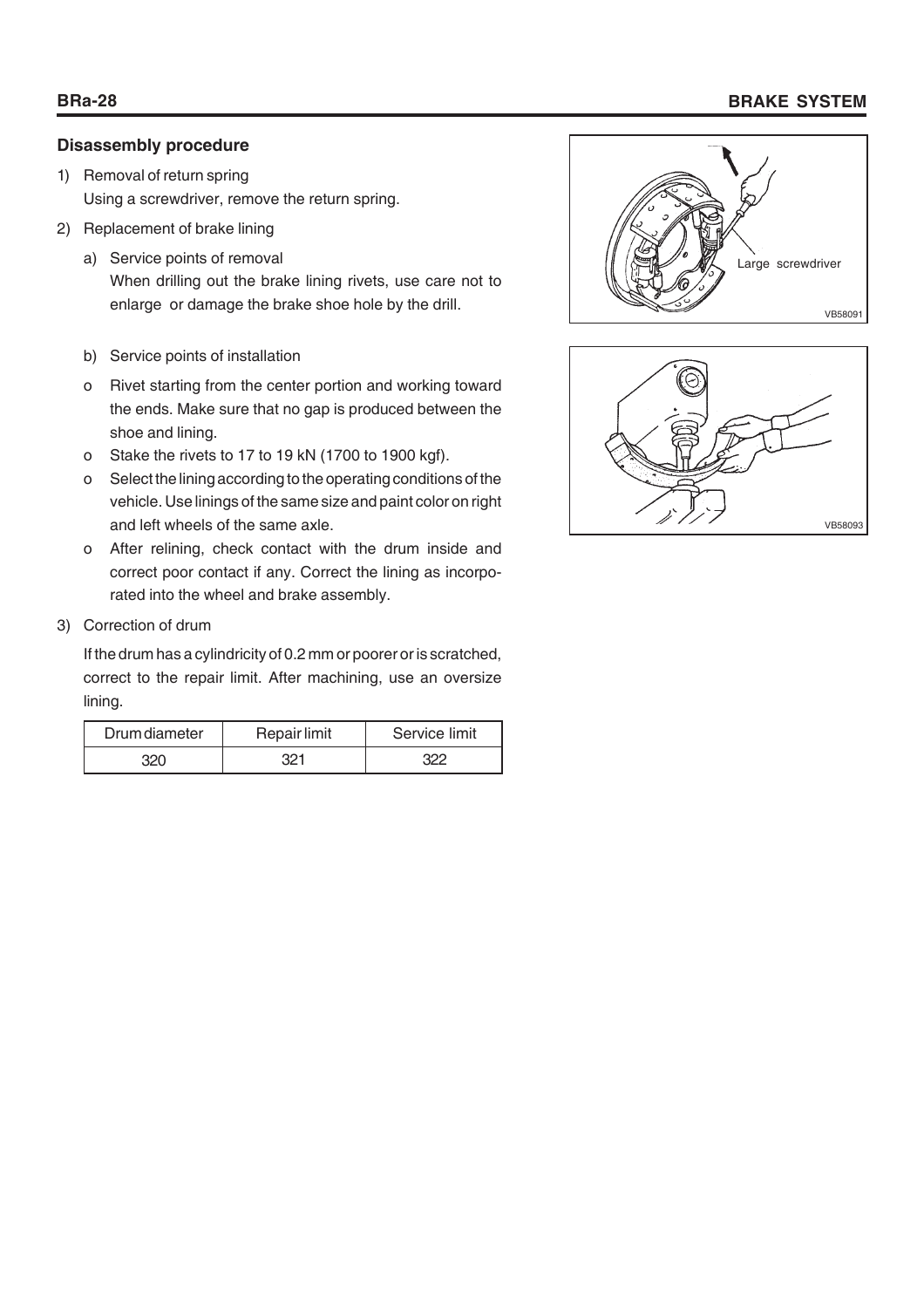# **BRa-28 BRAKE SYSTEM**

# **Disassembly procedure**

- 1) Removal of return spring Using a screwdriver, remove the return spring.
- 2) Replacement of brake lining
	- a) Service points of removal When drilling out the brake lining rivets, use care not to
	- b) Service points of installation
	- o Rivet starting from the center portion and working toward the ends. Make sure that no gap is produced between the shoe and lining.
	- o Stake the rivets to 17 to 19 kN (1700 to 1900 kgf).
	- o Select the lining according to the operating conditions of the vehicle. Use linings of the same size and paint color on right and left wheels of the same axle.
	- o After relining, check contact with the drum inside and correct poor contact if any. Correct the lining as incorporated into the wheel and brake assembly.
- 3) Correction of drum

If the drum has a cylindricity of 0.2 mm or poorer or is scratched, correct to the repair limit. After machining, use an oversize lining.

| Drum diameter | Repair limit | Service limit |
|---------------|--------------|---------------|
|               |              |               |



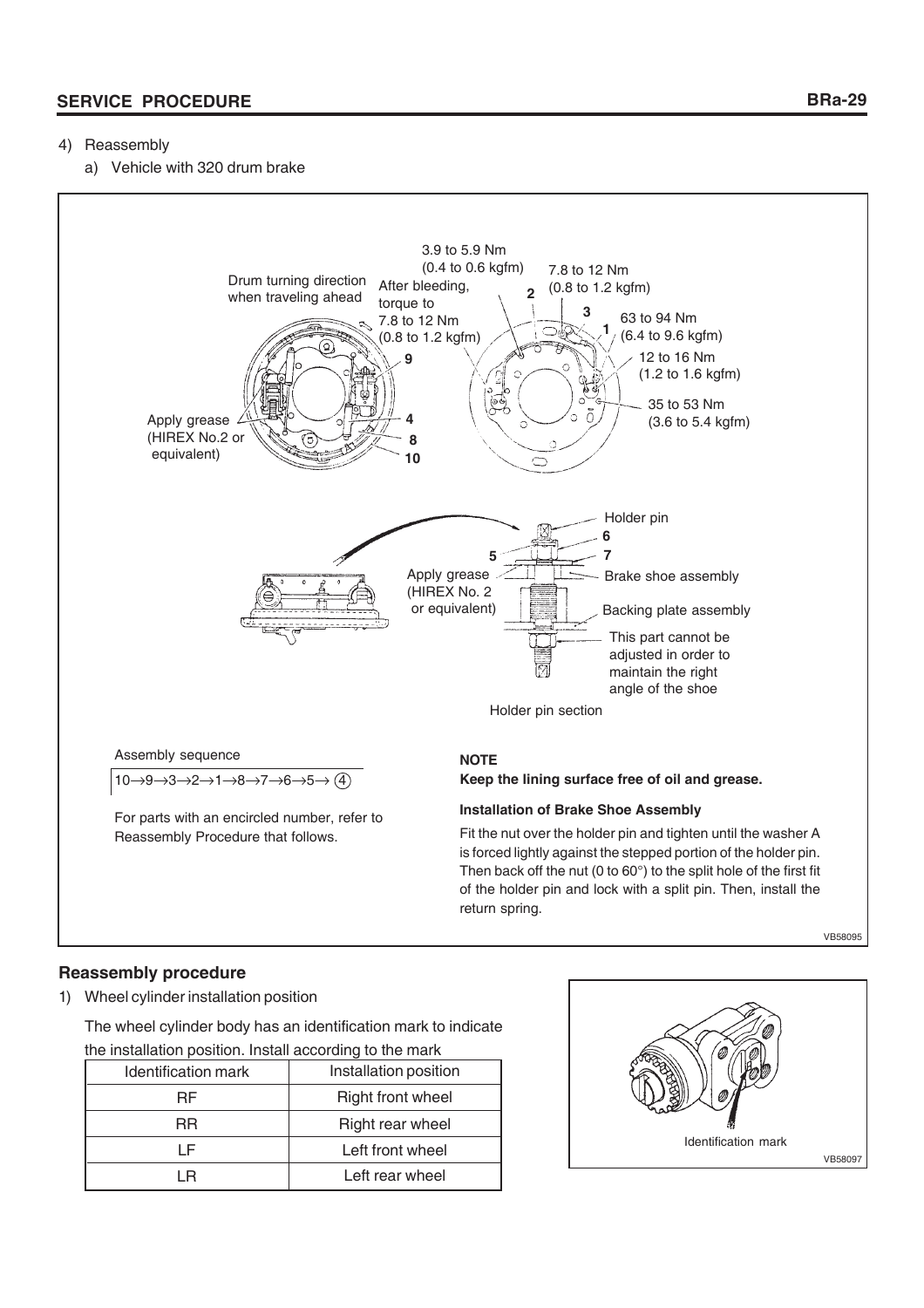# 4) Reassembly

a) Vehicle with 320 drum brake



VB58095

# **Reassembly procedure**

1) Wheel cylinder installation position

The wheel cylinder body has an identification mark to indicate the installation position. Install according to the mark

| Identification mark | Installation position    |  |  |  |
|---------------------|--------------------------|--|--|--|
| RF                  | <b>Right front wheel</b> |  |  |  |
| RR                  | Right rear wheel         |  |  |  |
|                     | Left front wheel         |  |  |  |
|                     | Left rear wheel          |  |  |  |

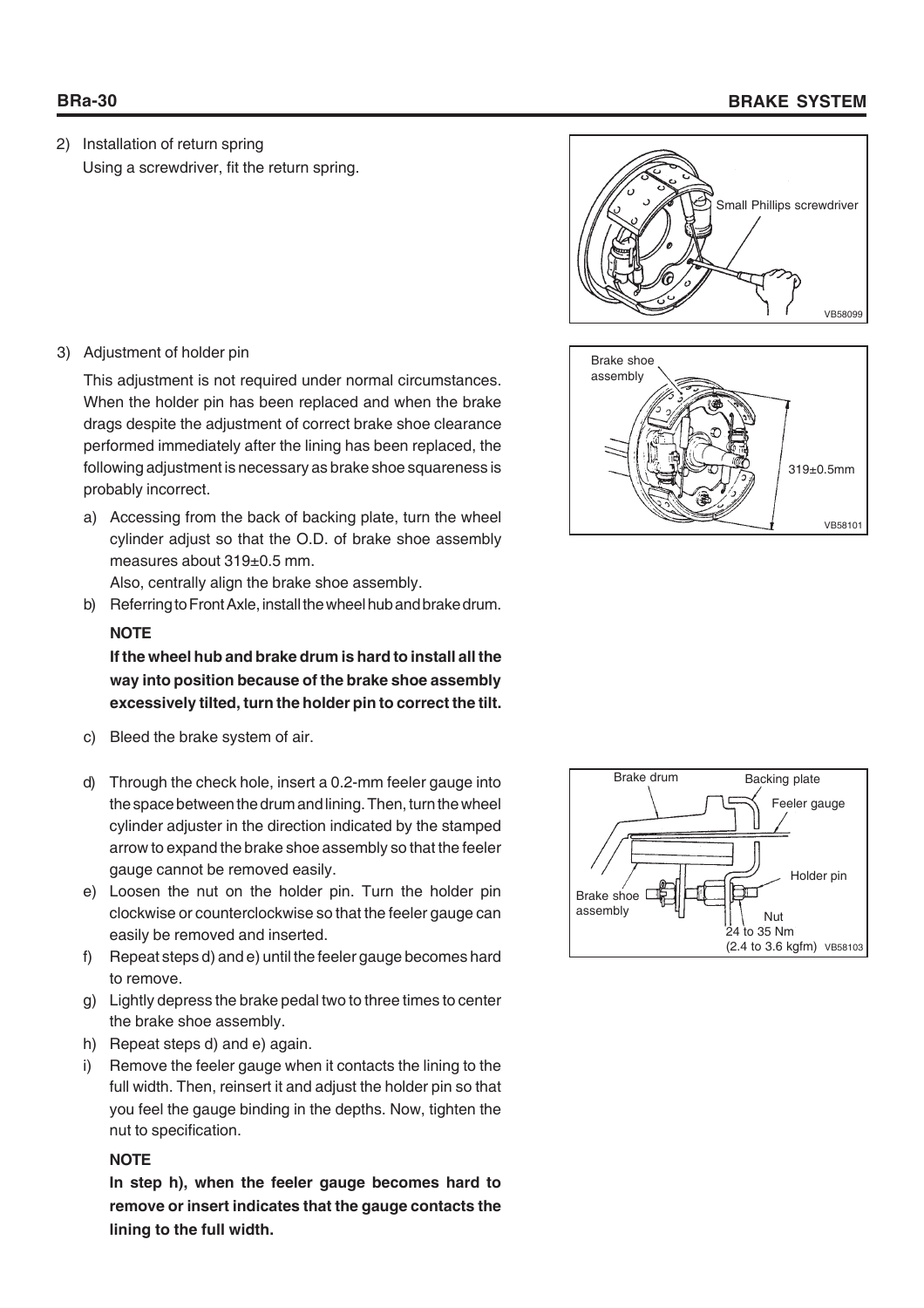# **BRa-30 BRAKE SYSTEM**

2) Installation of return spring Using a screwdriver, fit the return spring.



This adjustment is not required under normal circumstances. When the holder pin has been replaced and when the brake drags despite the adjustment of correct brake shoe clearance performed immediately after the lining has been replaced, the following adjustment is necessary as brake shoe squareness is probably incorrect.

a) Accessing from the back of backing plate, turn the wheel cylinder adjust so that the O.D. of brake shoe assembly measures about 319±0.5 mm.

Also, centrally align the brake shoe assembly.

b) Referring to Front Axle, install the wheel hub and brake drum.

# **NOTE**

**If the wheel hub and brake drum is hard to install all the way into position because of the brake shoe assembly excessively tilted, turn the holder pin to correct the tilt.**

- c) Bleed the brake system of air.
- d) Through the check hole, insert a 0.2-mm feeler gauge into the space between the drum and lining. Then, turn the wheel cylinder adjuster in the direction indicated by the stamped arrow to expand the brake shoe assembly so that the feeler gauge cannot be removed easily.
- e) Loosen the nut on the holder pin. Turn the holder pin clockwise or counterclockwise so that the feeler gauge can easily be removed and inserted.
- f) Repeat steps d) and e) until the feeler gauge becomes hard to remove.
- g) Lightly depress the brake pedal two to three times to center the brake shoe assembly.
- h) Repeat steps d) and e) again.
- i) Remove the feeler gauge when it contacts the lining to the full width. Then, reinsert it and adjust the holder pin so that you feel the gauge binding in the depths. Now, tighten the nut to specification.

## **NOTE**

**In step h), when the feeler gauge becomes hard to remove or insert indicates that the gauge contacts the lining to the full width.**





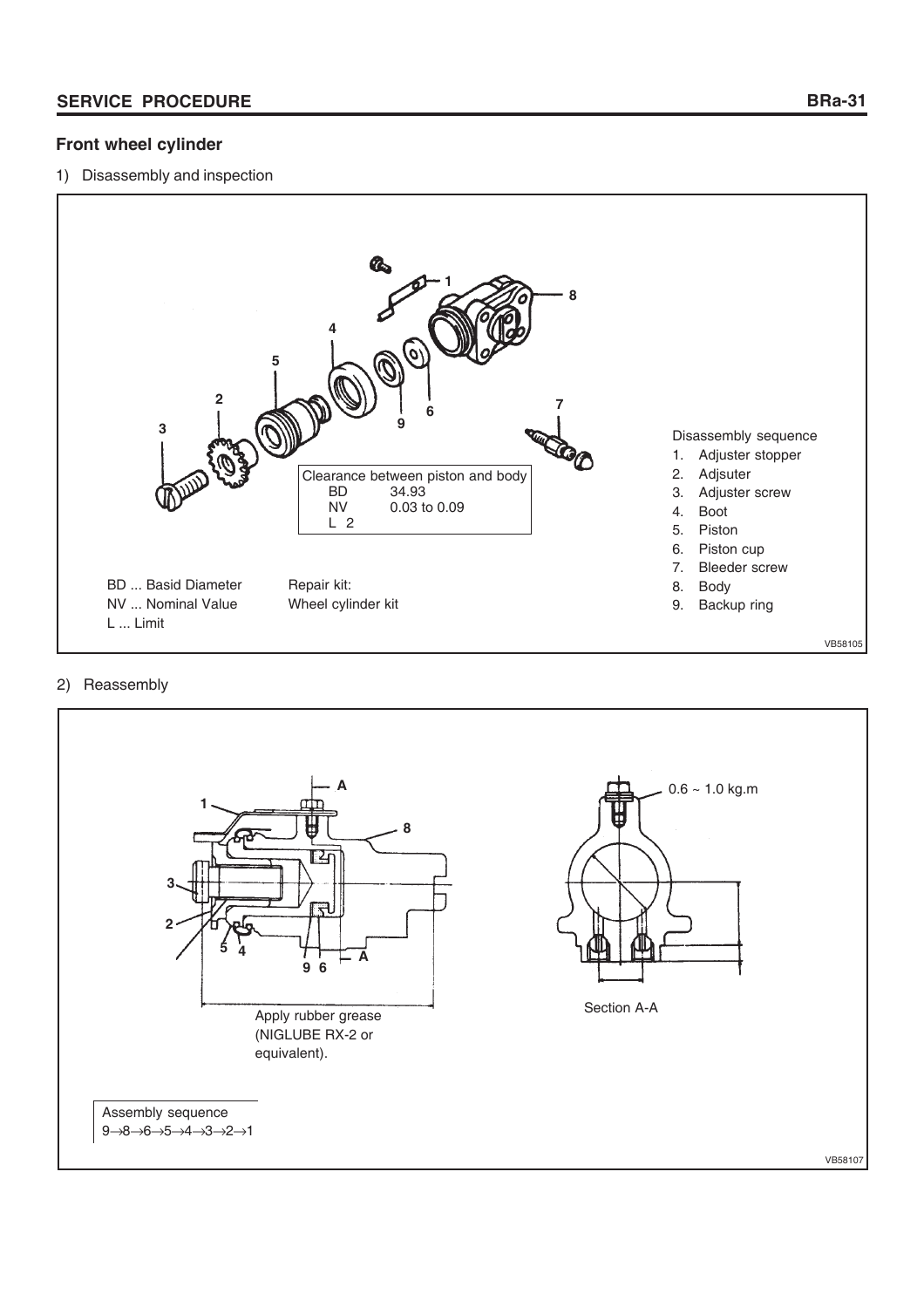# **Front wheel cylinder**

1) Disassembly and inspection



# 2) Reassembly

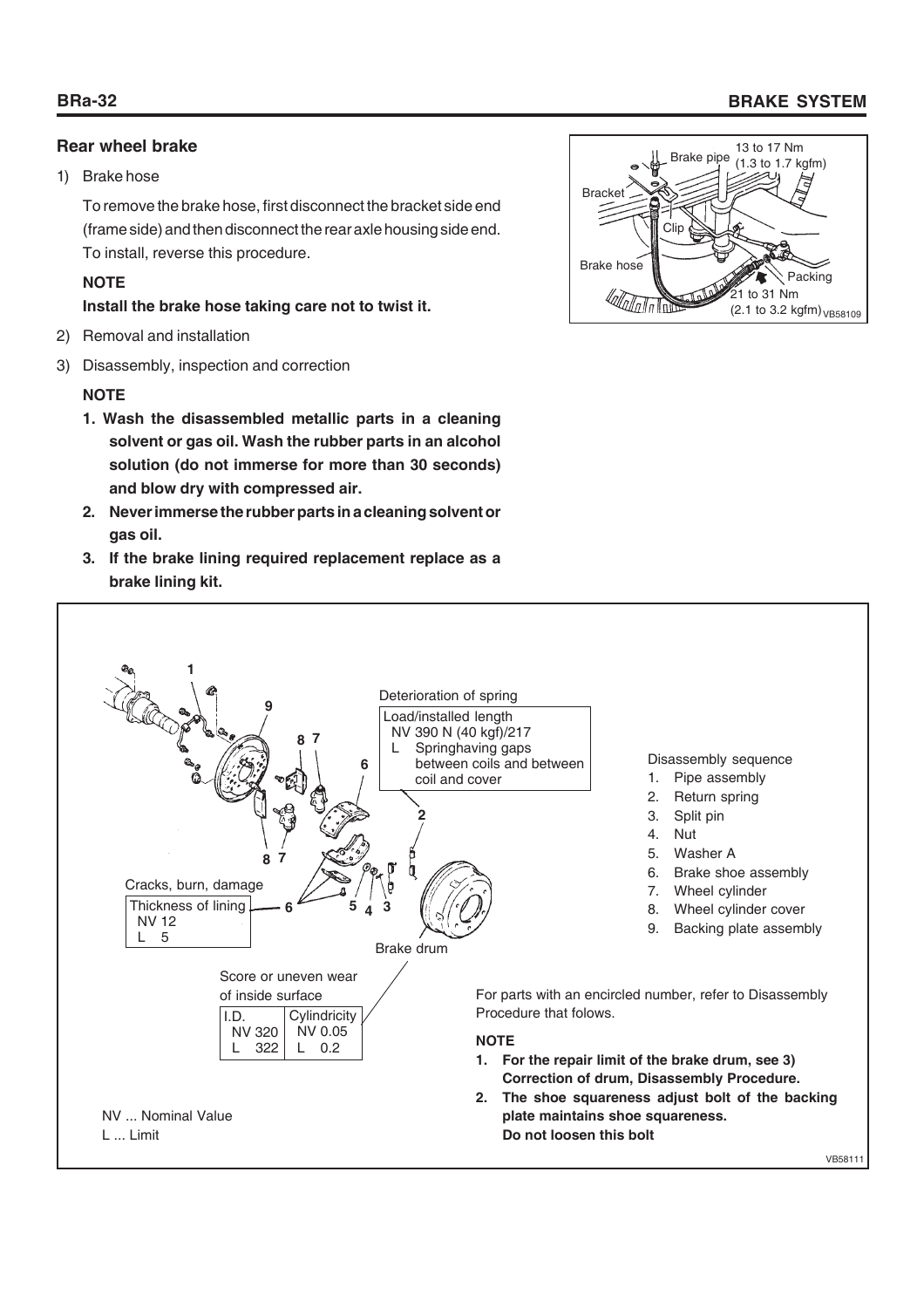# **Rear wheel brake**

# 1) Brake hose

To remove the brake hose, first disconnect the bracket side end (frame side) and then disconnect the rear axle housing side end. To install, reverse this procedure.

# **NOTE**

# **Install the brake hose taking care not to twist it.**

- 2) Removal and installation
- 3) Disassembly, inspection and correction

# **NOTE**

- **1. Wash the disassembled metallic parts in a cleaning solvent or gas oil. Wash the rubber parts in an alcohol solution (do not immerse for more than 30 seconds) and blow dry with compressed air.**
- **2. Never immerse the rubber parts in a cleaning solvent or gas oil.**
- **3. If the brake lining required replacement replace as a brake lining kit.**





# **BRa-32 BRAKE SYSTEM**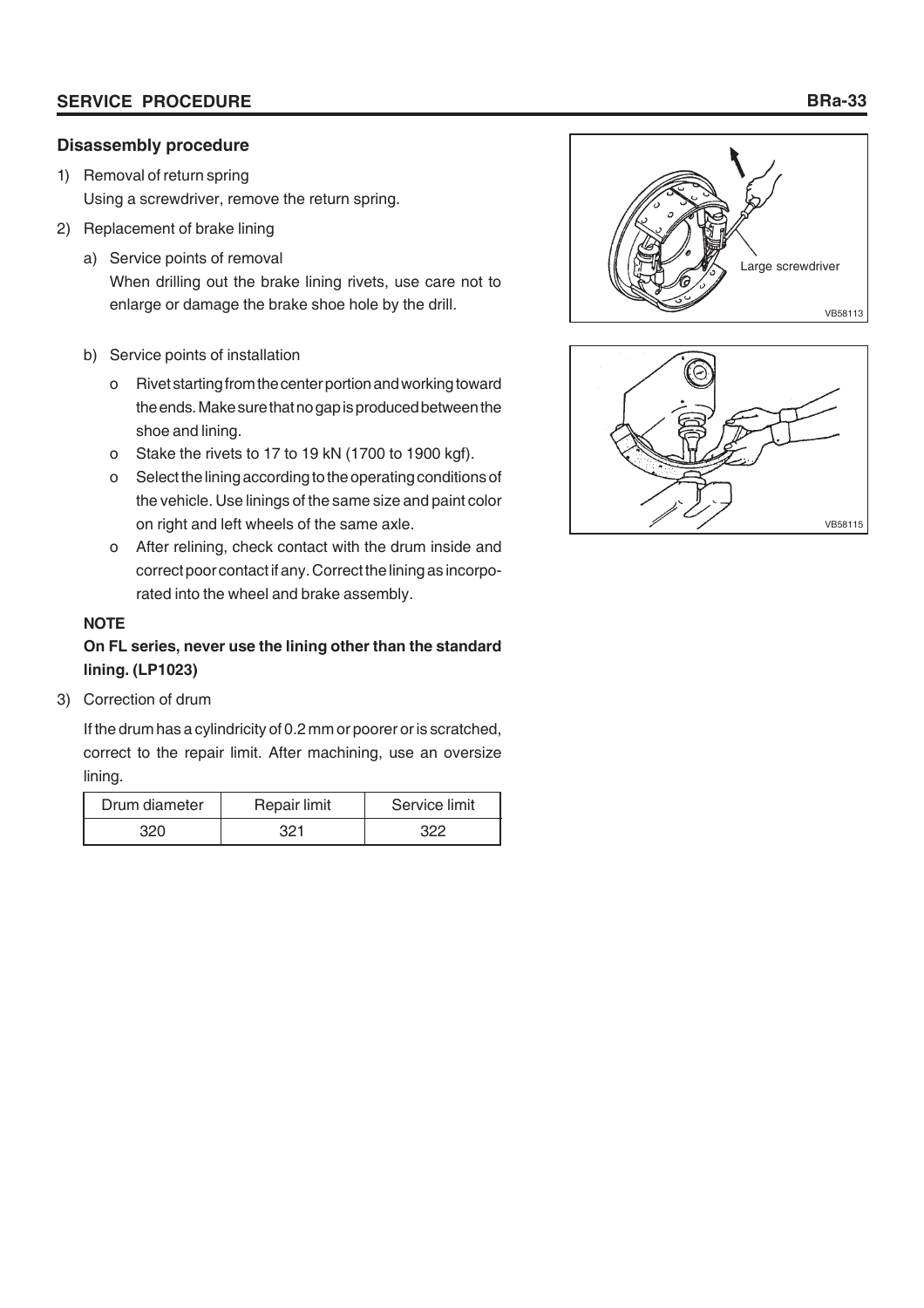# **Disassembly procedure**

- 1) Removal of return spring Using a screwdriver, remove the return spring.
- 2) Replacement of brake lining
	- a) Service points of removal When drilling out the brake lining rivets, use care not to enlarge or damage the brake shoe hole by the drill.
	- b) Service points of installation
		- o Rivet starting from the center portion and working toward the ends. Make sure that no gap is produced between the shoe and lining.
		- o Stake the rivets to 17 to 19 kN (1700 to 1900 kgf).
		- o Select the lining according to the operating conditions of the vehicle. Use linings of the same size and paint color on right and left wheels of the same axle.
		- o After relining, check contact with the drum inside and correct poor contact if any. Correct the lining as incorporated into the wheel and brake assembly.

# **NOTE**

# **On FL series, never use the lining other than the standard lining. (LP1023)**

3) Correction of drum

If the drum has a cylindricity of 0.2 mm or poorer or is scratched, correct to the repair limit. After machining, use an oversize lining.

| Drum diameter | Repair limit | Service limit |
|---------------|--------------|---------------|
|               | ാറ≁          |               |



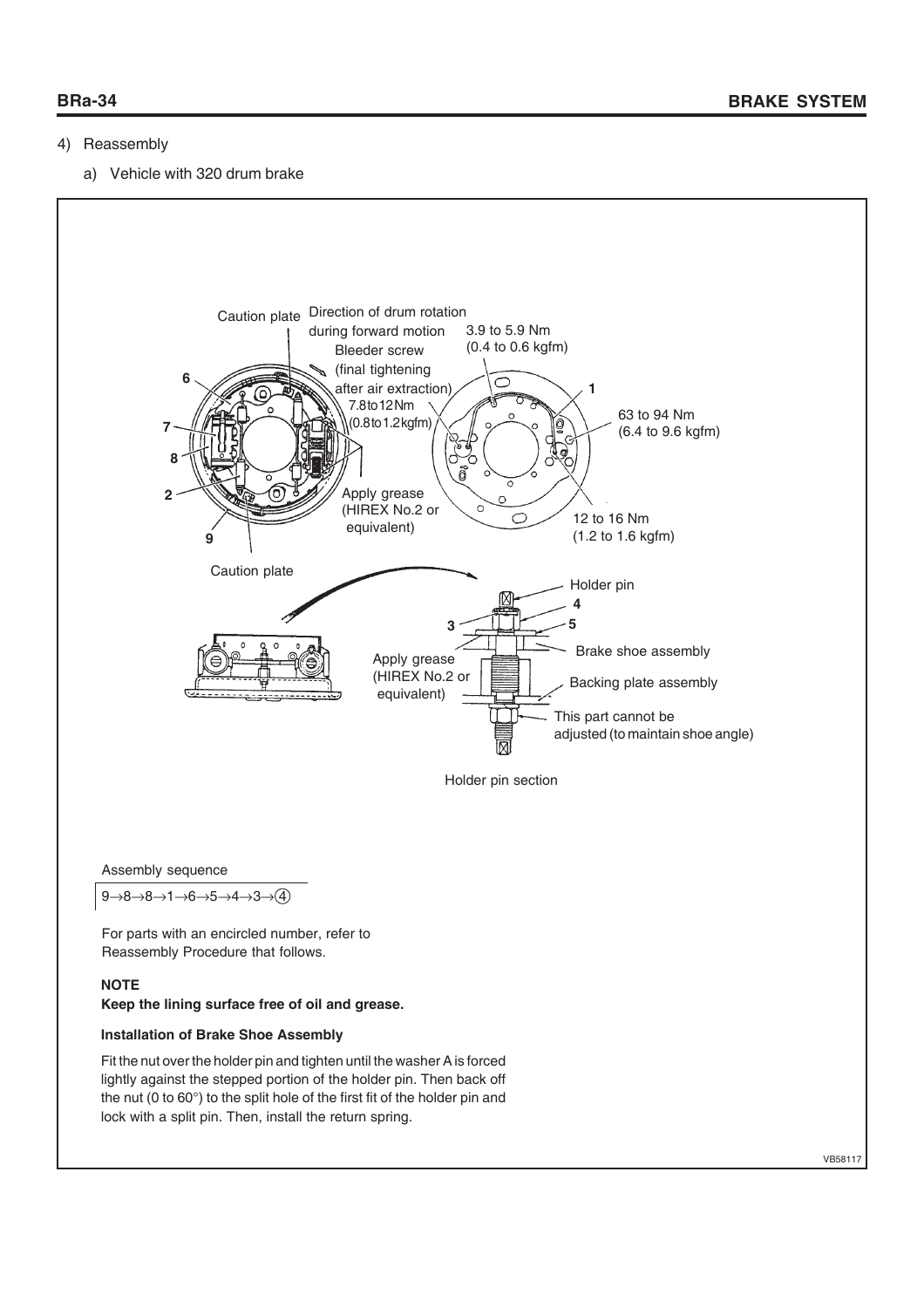# 4) Reassembly

a) Vehicle with 320 drum brake



Assembly sequence

 $9 \rightarrow 8 \rightarrow 1 \rightarrow 6 \rightarrow 5 \rightarrow 4 \rightarrow 3 \rightarrow (4)$ 

For parts with an encircled number, refer to Reassembly Procedure that follows.

## **NOTE**

# **Keep the lining surface free of oil and grease.**

# **Installation of Brake Shoe Assembly**

Fit the nut over the holder pin and tighten until the washer A is forced lightly against the stepped portion of the holder pin. Then back off the nut (0 to 60°) to the split hole of the first fit of the holder pin and lock with a split pin. Then, install the return spring.

VB58117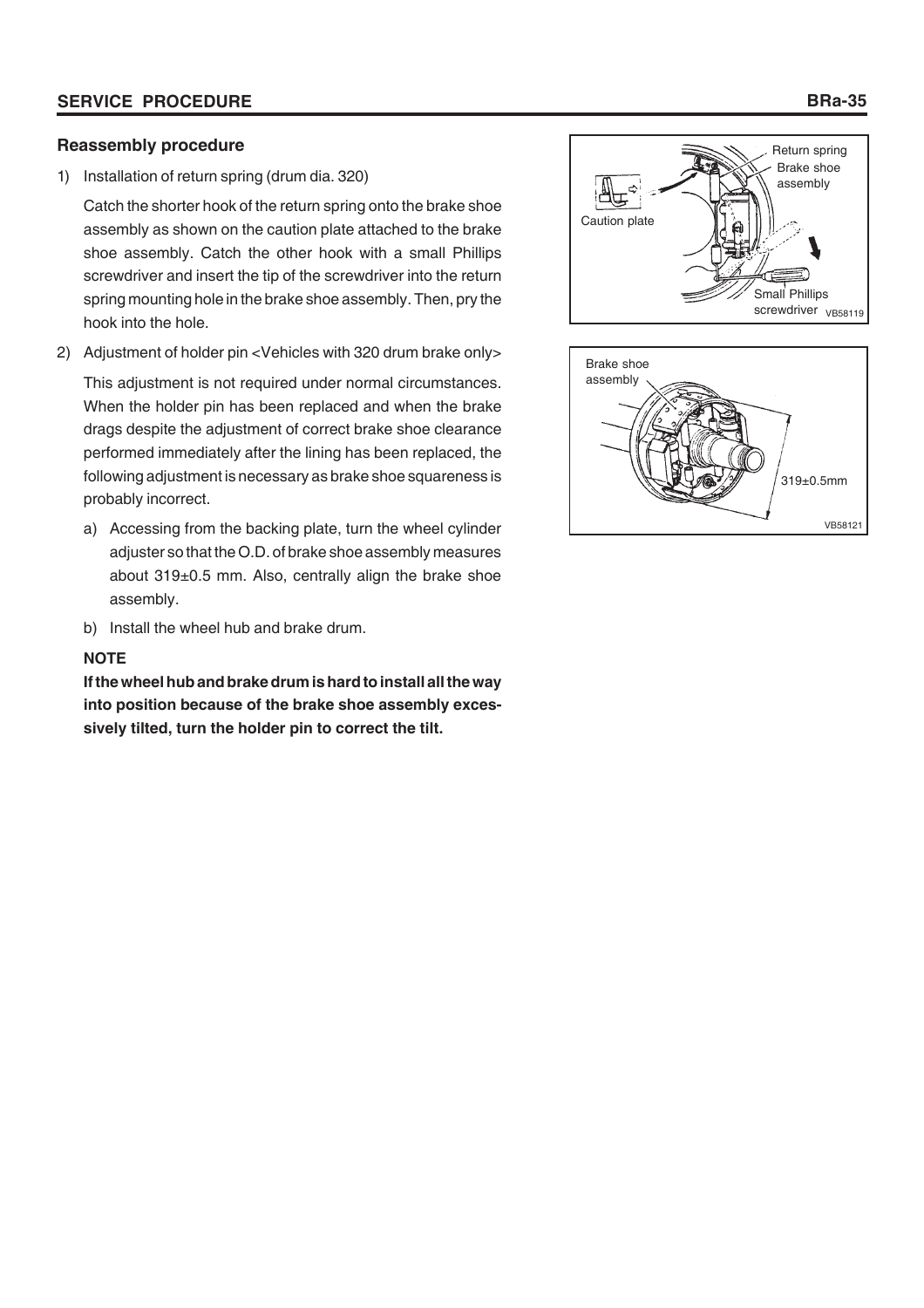# **SERVICE PROCEDURE**

# **Reassembly procedure**

1) Installation of return spring (drum dia. 320)

Catch the shorter hook of the return spring onto the brake shoe assembly as shown on the caution plate attached to the brake shoe assembly. Catch the other hook with a small Phillips screwdriver and insert the tip of the screwdriver into the return spring mounting hole in the brake shoe assembly. Then, pry the hook into the hole.

2) Adjustment of holder pin <Vehicles with 320 drum brake only>

This adjustment is not required under normal circumstances. When the holder pin has been replaced and when the brake drags despite the adjustment of correct brake shoe clearance performed immediately after the lining has been replaced, the following adjustment is necessary as brake shoe squareness is probably incorrect.

- a) Accessing from the backing plate, turn the wheel cylinder adjuster so that the O.D. of brake shoe assembly measures about 319±0.5 mm. Also, centrally align the brake shoe assembly.
- b) Install the wheel hub and brake drum.

# **NOTE**

**If the wheel hub and brake drum is hard to install all the way into position because of the brake shoe assembly excessively tilted, turn the holder pin to correct the tilt.**





# **BRa-35**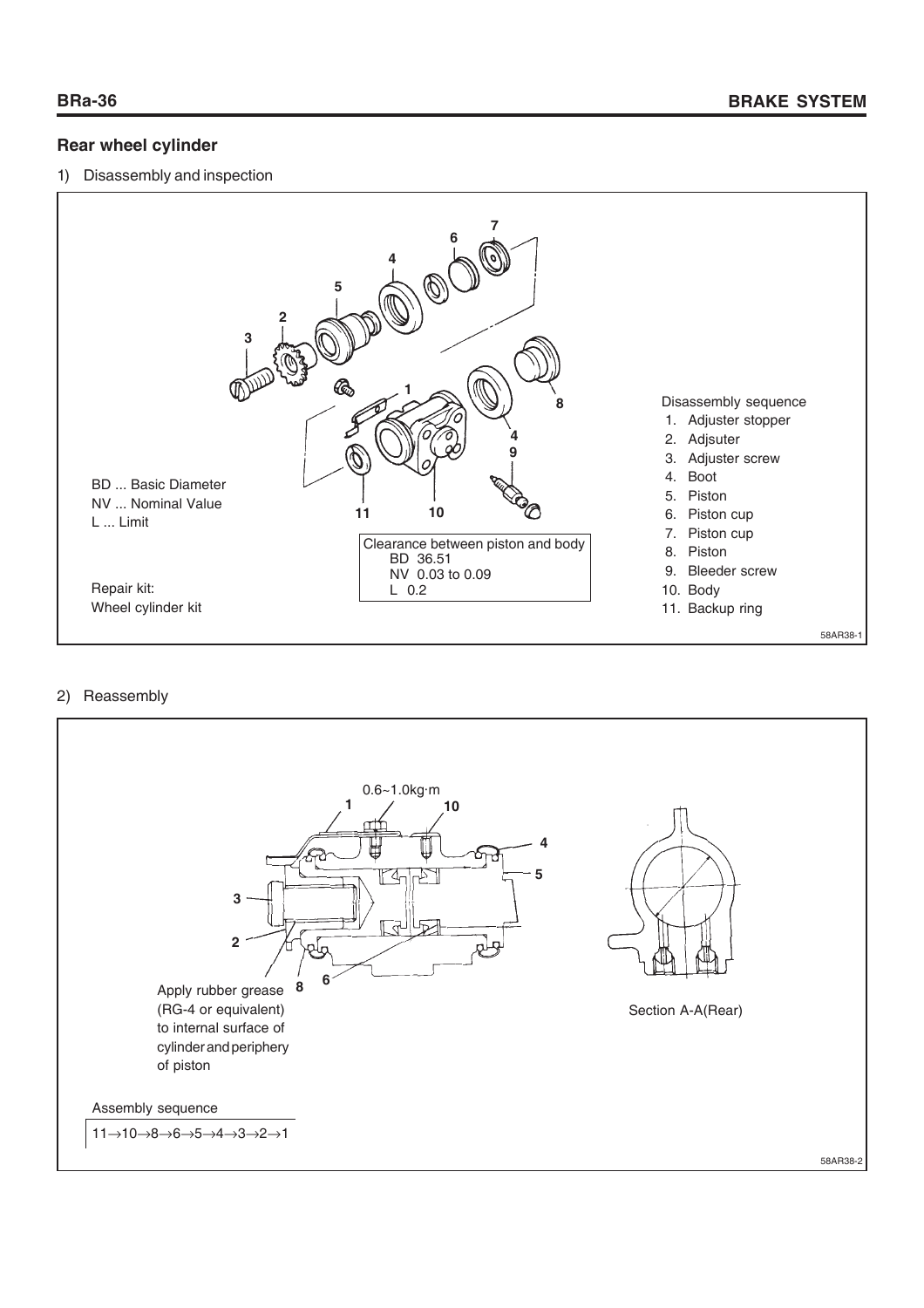# **Rear wheel cylinder**

## 1) Disassembly and inspection



## 2) Reassembly

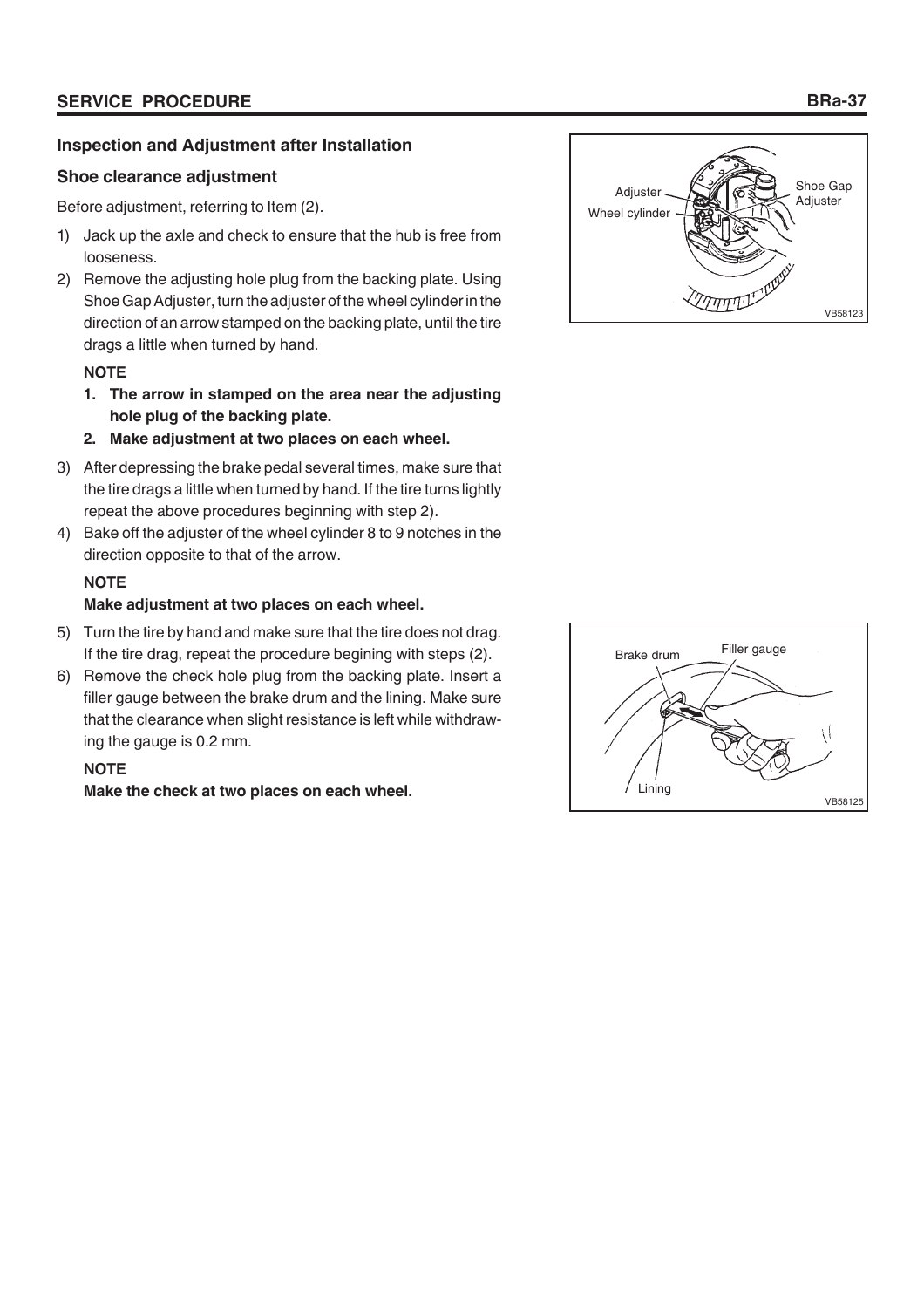# **Inspection and Adjustment after Installation**

# **Shoe clearance adjustment**

Before adjustment, referring to Item (2).

- 1) Jack up the axle and check to ensure that the hub is free from looseness.
- 2) Remove the adjusting hole plug from the backing plate. Using Shoe Gap Adjuster, turn the adjuster of the wheel cylinder in the direction of an arrow stamped on the backing plate, until the tire drags a little when turned by hand.

# **NOTE**

- **1. The arrow in stamped on the area near the adjusting hole plug of the backing plate.**
- **2. Make adjustment at two places on each wheel.**
- 3) After depressing the brake pedal several times, make sure that the tire drags a little when turned by hand. If the tire turns lightly repeat the above procedures beginning with step 2).
- 4) Bake off the adjuster of the wheel cylinder 8 to 9 notches in the direction opposite to that of the arrow.

# **NOTE**

# **Make adjustment at two places on each wheel.**

- 5) Turn the tire by hand and make sure that the tire does not drag. If the tire drag, repeat the procedure begining with steps (2).
- 6) Remove the check hole plug from the backing plate. Insert a filler gauge between the brake drum and the lining. Make sure that the clearance when slight resistance is left while withdrawing the gauge is 0.2 mm.

# **NOTE**

**Make the check at two places on each wheel.**



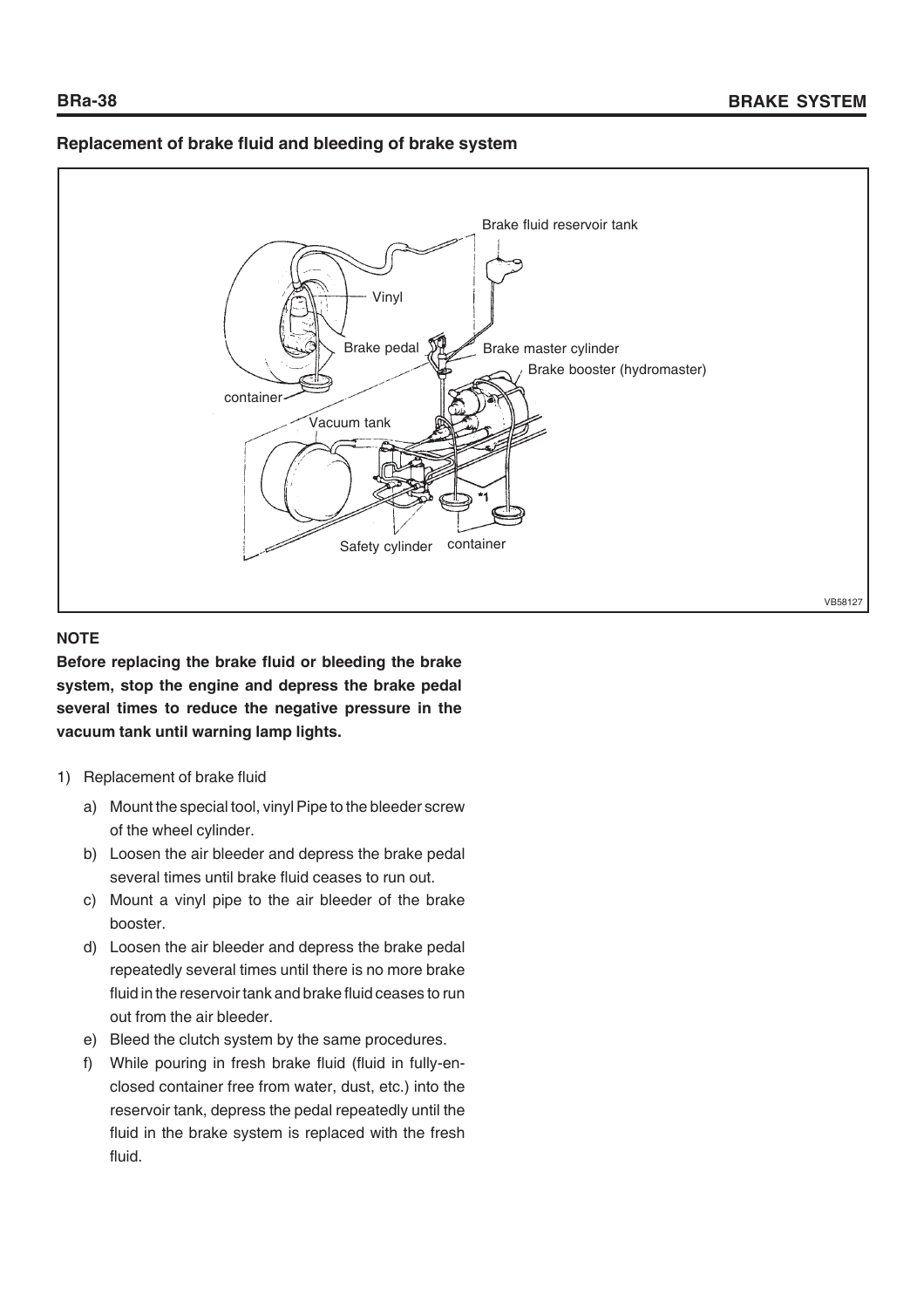# **Replacement of brake fluid and bleeding of brake system**



#### **NOTE**

**Before replacing the brake fluid or bleeding the brake system, stop the engine and depress the brake pedal several times to reduce the negative pressure in the vacuum tank until warning lamp lights.**

- 1) Replacement of brake fluid
	- a) Mount the special tool, vinyl Pipe to the bleeder screw of the wheel cylinder.
	- b) Loosen the air bleeder and depress the brake pedal several times until brake fluid ceases to run out.
	- c) Mount a vinyl pipe to the air bleeder of the brake booster.
	- d) Loosen the air bleeder and depress the brake pedal repeatedly several times until there is no more brake fluid in the reservoir tank and brake fluid ceases to run out from the air bleeder.
	- e) Bleed the clutch system by the same procedures.
	- f) While pouring in fresh brake fluid (fluid in fully-enclosed container free from water, dust, etc.) into the reservoir tank, depress the pedal repeatedly until the fluid in the brake system is replaced with the fresh fluid.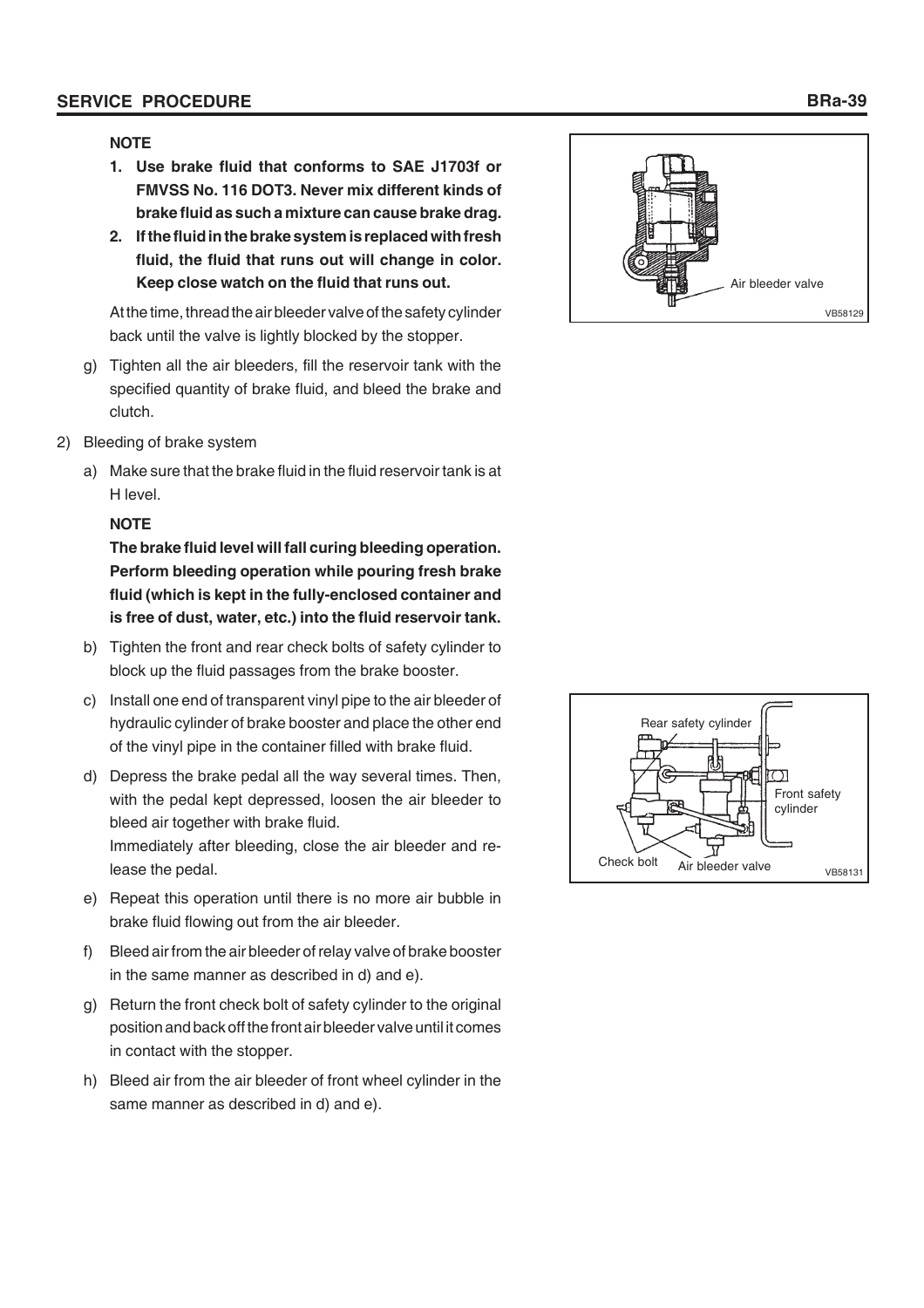#### **SERVICE PROCEDURE BRa-39**

#### **NOTE**

- **1. Use brake fluid that conforms to SAE J1703f or FMVSS No. 116 DOT3. Never mix different kinds of brake fluid as such a mixture can cause brake drag.**
- **2. If the fluid in the brake system is replaced with fresh fluid, the fluid that runs out will change in color. Keep close watch on the fluid that runs out.**

At the time, thread the air bleeder valve of the safety cylinder back until the valve is lightly blocked by the stopper.

- g) Tighten all the air bleeders, fill the reservoir tank with the specified quantity of brake fluid, and bleed the brake and clutch.
- 2) Bleeding of brake system
	- a) Make sure that the brake fluid in the fluid reservoir tank is at H level.

#### **NOTE**

**The brake fluid level will fall curing bleeding operation. Perform bleeding operation while pouring fresh brake fluid (which is kept in the fully-enclosed container and is free of dust, water, etc.) into the fluid reservoir tank.**

- b) Tighten the front and rear check bolts of safety cylinder to block up the fluid passages from the brake booster.
- c) Install one end of transparent vinyl pipe to the air bleeder of hydraulic cylinder of brake booster and place the other end of the vinyl pipe in the container filled with brake fluid.
- d) Depress the brake pedal all the way several times. Then, with the pedal kept depressed, loosen the air bleeder to bleed air together with brake fluid. Immediately after bleeding, close the air bleeder and re-
- lease the pedal. e) Repeat this operation until there is no more air bubble in
- brake fluid flowing out from the air bleeder.
- f) Bleed air from the air bleeder of relay valve of brake booster in the same manner as described in d) and e).
- g) Return the front check bolt of safety cylinder to the original position and back off the front air bleeder valve until it comes in contact with the stopper.
- h) Bleed air from the air bleeder of front wheel cylinder in the same manner as described in d) and e).



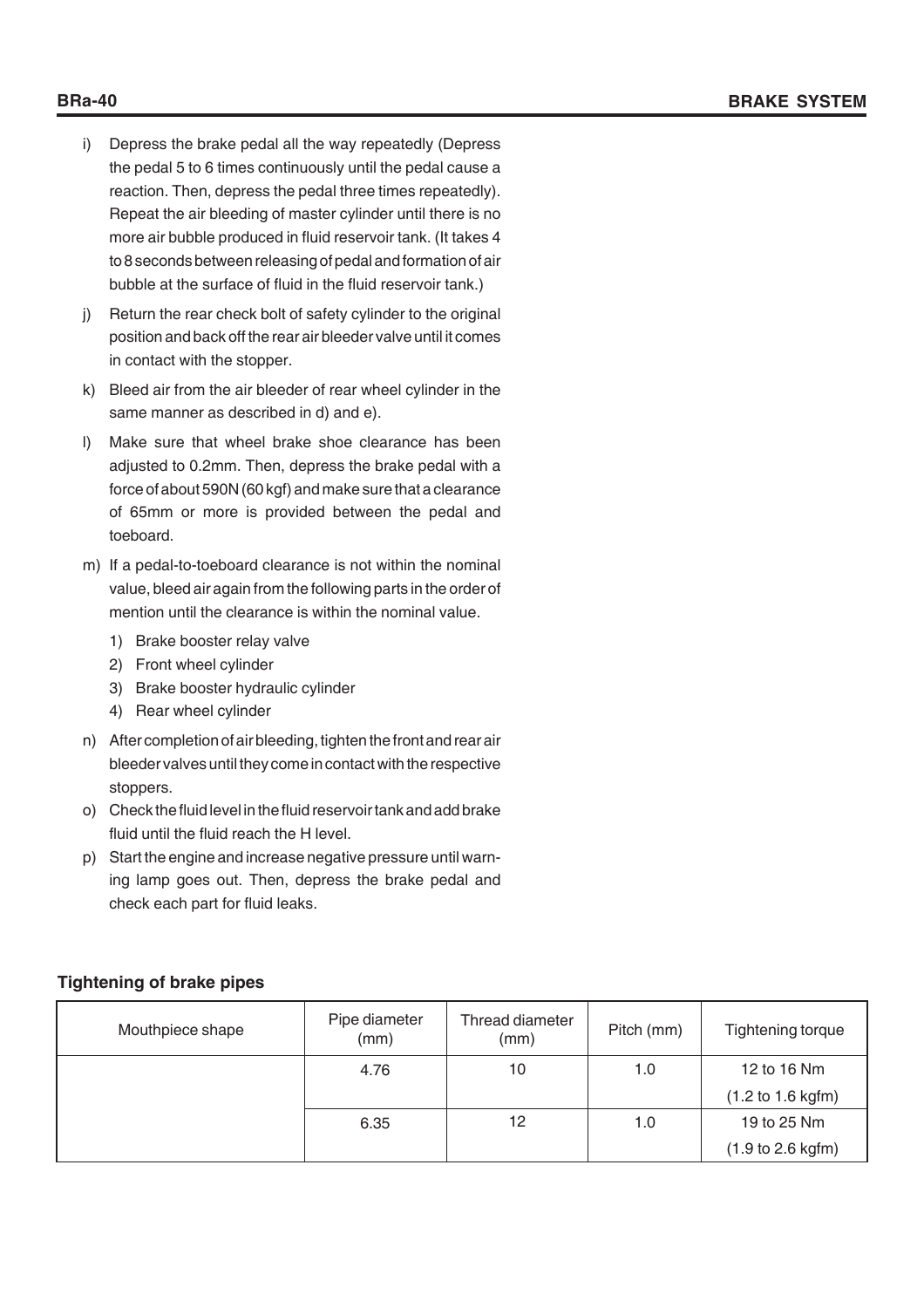- i) Depress the brake pedal all the way repeatedly (Depress the pedal 5 to 6 times continuously until the pedal cause a reaction. Then, depress the pedal three times repeatedly). Repeat the air bleeding of master cylinder until there is no more air bubble produced in fluid reservoir tank. (It takes 4 to 8 seconds between releasing of pedal and formation of air bubble at the surface of fluid in the fluid reservoir tank.)
- j) Return the rear check bolt of safety cylinder to the original position and back off the rear air bleeder valve until it comes in contact with the stopper.
- k) Bleed air from the air bleeder of rear wheel cylinder in the same manner as described in d) and e).
- l) Make sure that wheel brake shoe clearance has been adjusted to 0.2mm. Then, depress the brake pedal with a force of about 590N (60 kgf) and make sure that a clearance of 65mm or more is provided between the pedal and toeboard.
- m) If a pedal-to-toeboard clearance is not within the nominal value, bleed air again from the following parts in the order of mention until the clearance is within the nominal value.
	- 1) Brake booster relay valve
	- 2) Front wheel cylinder
	- 3) Brake booster hydraulic cylinder
	- 4) Rear wheel cylinder
- n) After completion of air bleeding, tighten the front and rear air bleeder valves until they come in contact with the respective stoppers.
- o) Check the fluid level in the fluid reservoir tank and add brake fluid until the fluid reach the H level.
- p) Start the engine and increase negative pressure until warning lamp goes out. Then, depress the brake pedal and check each part for fluid leaks.

# **Tightening of brake pipes**

| Mouthpiece shape | Pipe diameter<br>(mm) | Thread diameter<br>(mm) | Pitch (mm) | Tightening torque |
|------------------|-----------------------|-------------------------|------------|-------------------|
|                  | 4.76                  | 10                      | 1.0        | 12 to 16 Nm       |
|                  |                       |                         |            | (1.2 to 1.6 kgfm) |
|                  | 6.35                  | 12                      | 1.0        | 19 to 25 Nm       |
|                  |                       |                         |            | (1.9 to 2.6 kgfm) |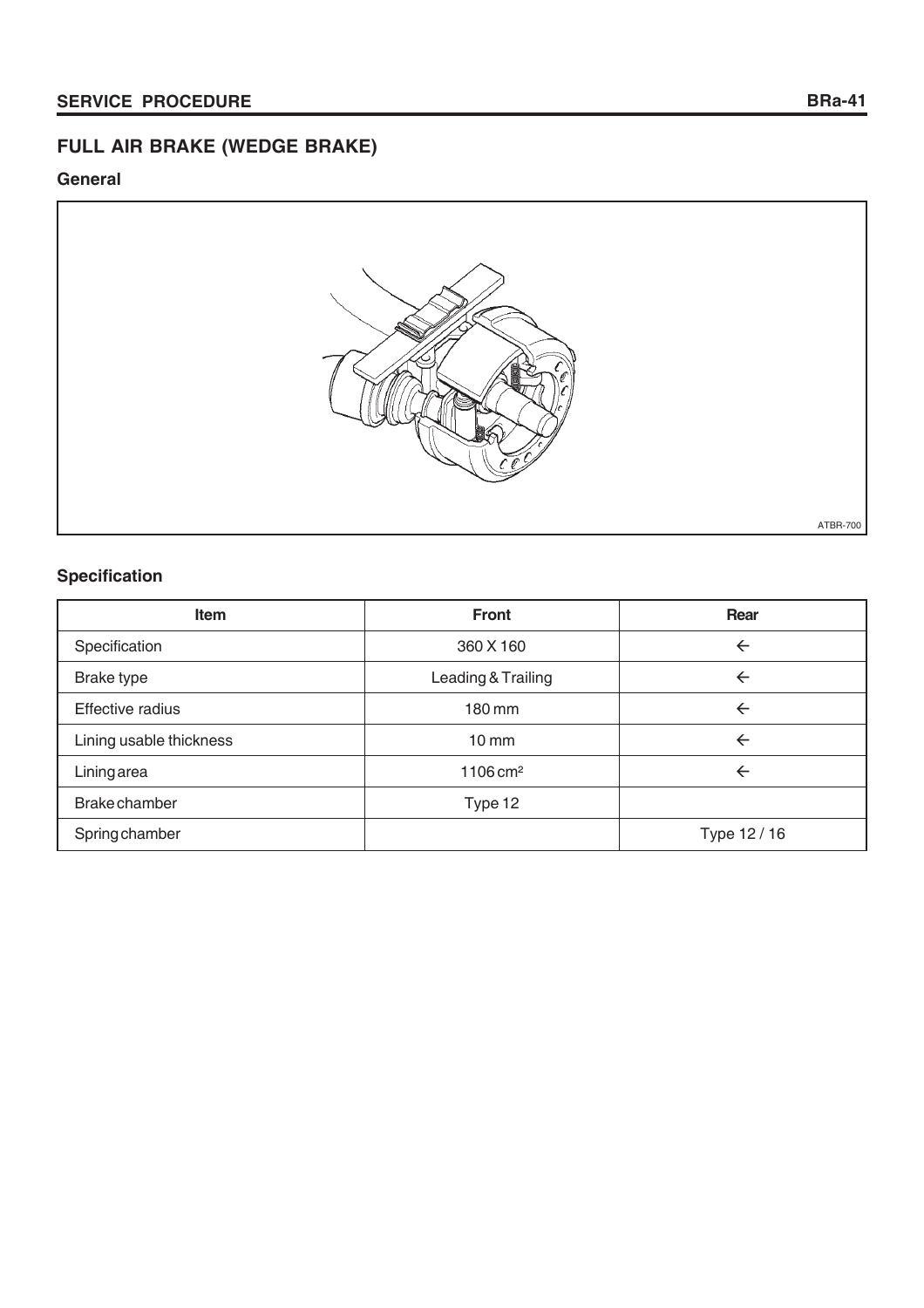# **FULL AIR BRAKE (WEDGE BRAKE)**

# **General**



# **Specification**

| <b>Item</b>             | <b>Front</b>          | Rear         |
|-------------------------|-----------------------|--------------|
| Specification           | 360 X 160             | $\leftarrow$ |
| Brake type              | Leading & Trailing    | $\leftarrow$ |
| Effective radius        | 180 mm                | $\leftarrow$ |
| Lining usable thickness | $10 \, \text{mm}$     | $\leftarrow$ |
| Liningarea              | $1106 \, \text{cm}^2$ | $\leftarrow$ |
| Brake chamber           | Type 12               |              |
| Spring chamber          |                       | Type 12 / 16 |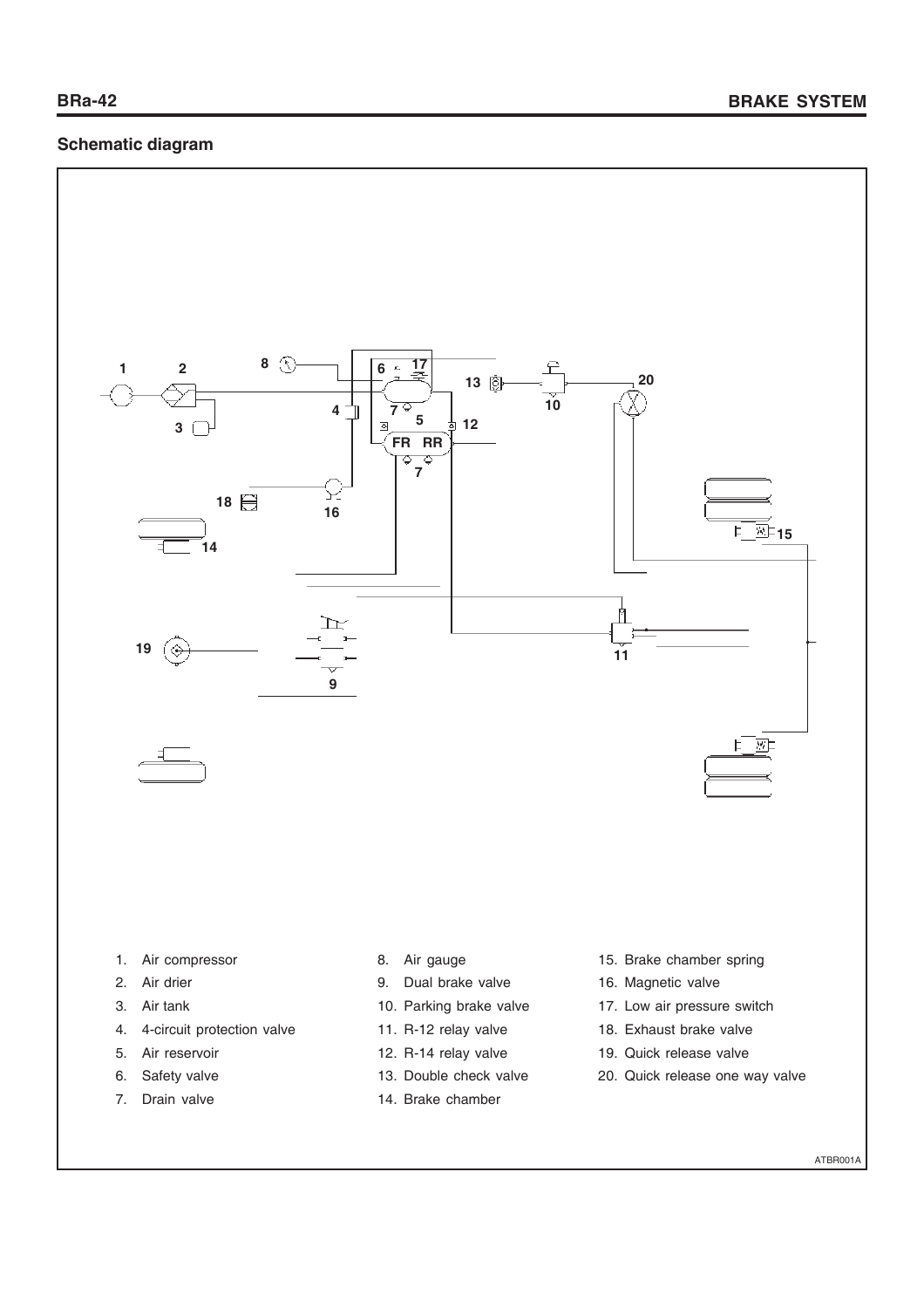# **Schematic diagram**



ATBR001A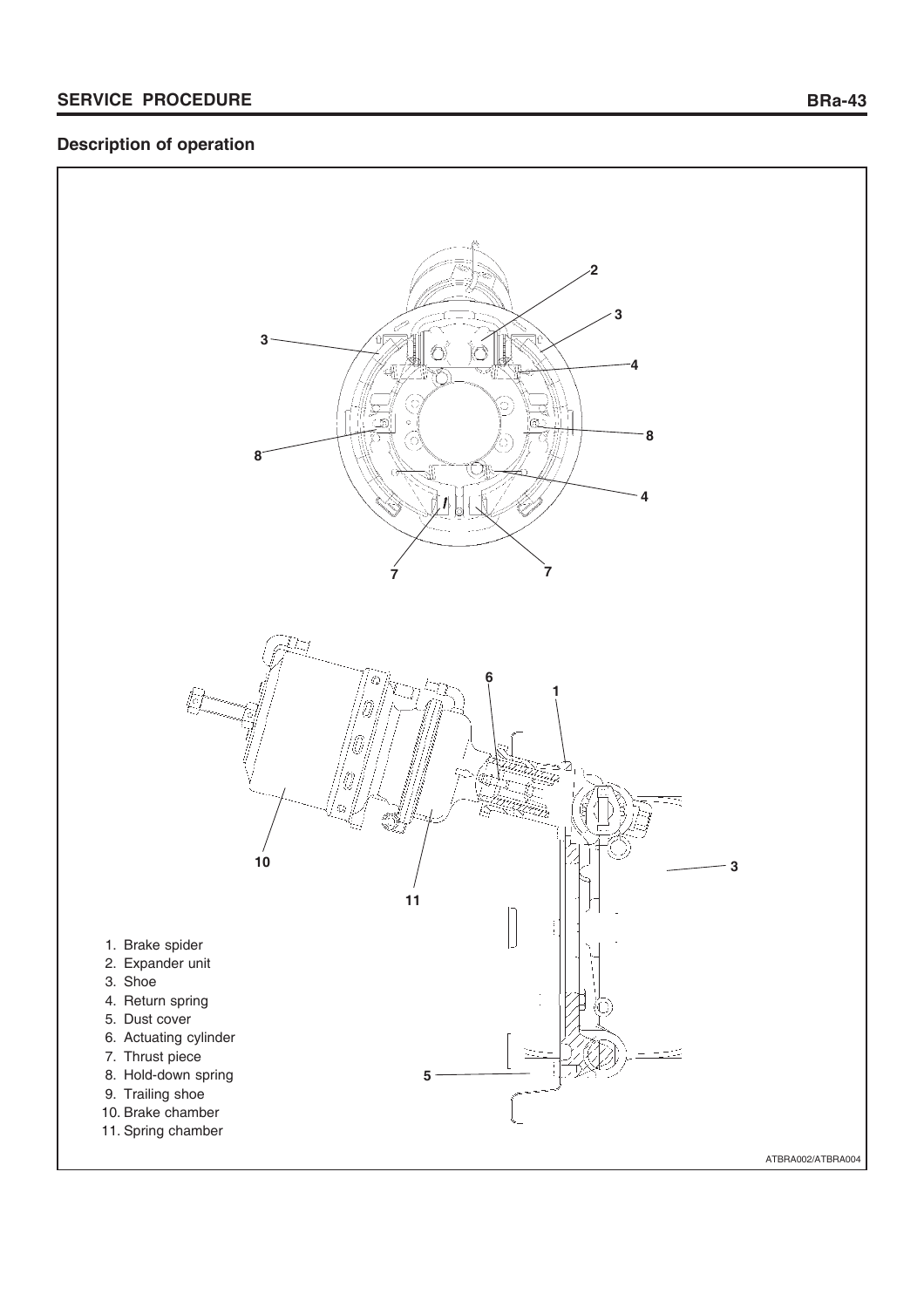# **Description of operation**

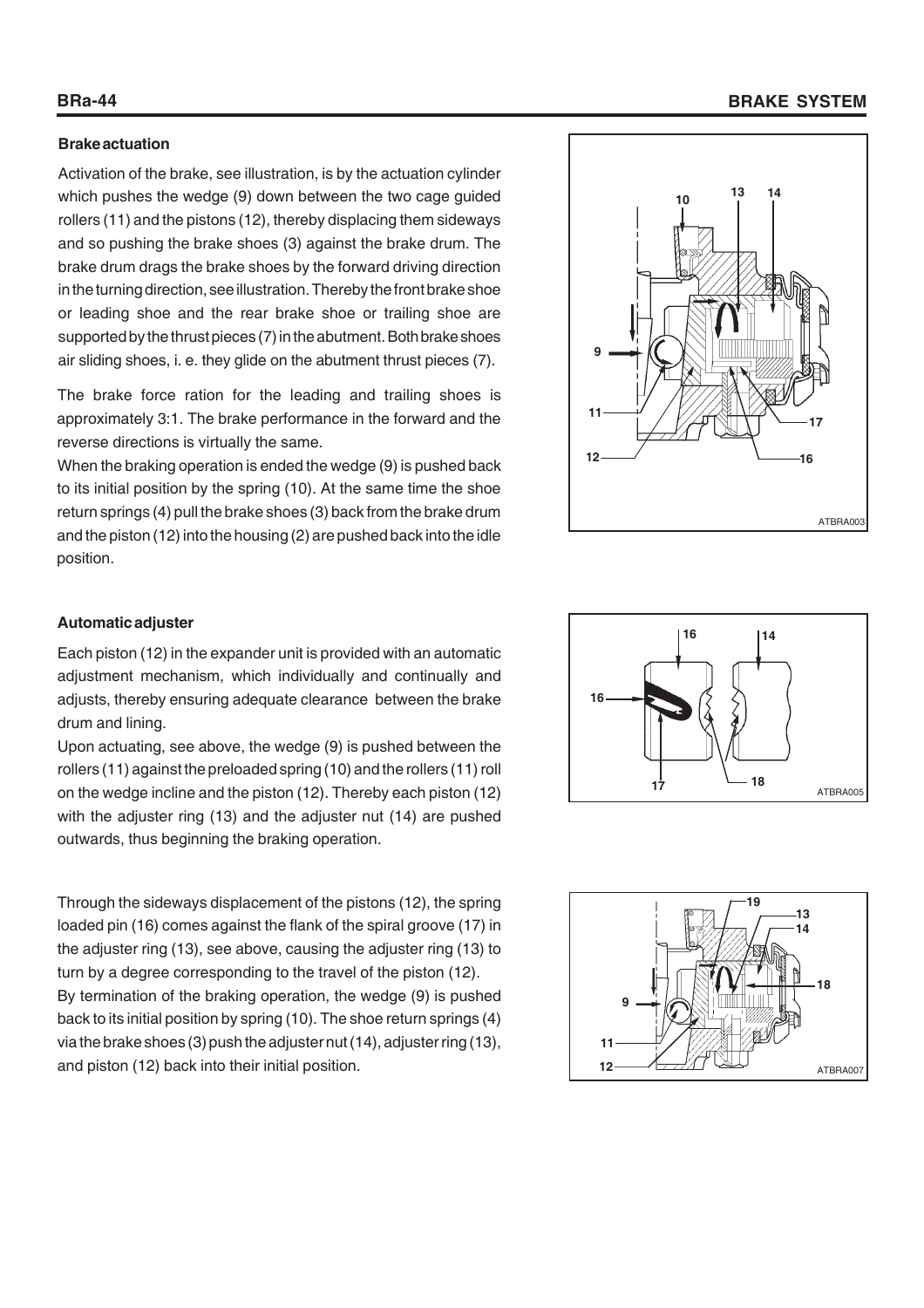# **BRa-44 BRAKE SYSTEM**

#### **Brake actuation**

Activation of the brake, see illustration, is by the actuation cylinder which pushes the wedge (9) down between the two cage guided rollers (11) and the pistons (12), thereby displacing them sideways and so pushing the brake shoes (3) against the brake drum. The brake drum drags the brake shoes by the forward driving direction in the turning direction, see illustration. Thereby the front brake shoe or leading shoe and the rear brake shoe or trailing shoe are supported by the thrust pieces (7) in the abutment. Both brake shoes air sliding shoes, i. e. they glide on the abutment thrust pieces (7).

The brake force ration for the leading and trailing shoes is approximately 3:1. The brake performance in the forward and the reverse directions is virtually the same.

When the braking operation is ended the wedge (9) is pushed back to its initial position by the spring (10). At the same time the shoe return springs (4) pull the brake shoes (3) back from the brake drum and the piston (12) into the housing (2) are pushed back into the idle position.



#### **Automatic adjuster**

Each piston (12) in the expander unit is provided with an automatic adjustment mechanism, which individually and continually and adjusts, thereby ensuring adequate clearance between the brake drum and lining.

Upon actuating, see above, the wedge (9) is pushed between the rollers (11) against the preloaded spring (10) and the rollers (11) roll on the wedge incline and the piston (12). Thereby each piston (12) with the adjuster ring (13) and the adjuster nut (14) are pushed outwards, thus beginning the braking operation.

Through the sideways displacement of the pistons (12), the spring loaded pin (16) comes against the flank of the spiral groove (17) in the adjuster ring (13), see above, causing the adjuster ring (13) to turn by a degree corresponding to the travel of the piston (12). By termination of the braking operation, the wedge (9) is pushed back to its initial position by spring (10). The shoe return springs (4) via the brake shoes (3) push the adjuster nut (14), adjuster ring (13), and piston (12) back into their initial position.  $12 \leftarrow \sqrt{2/11}$ 



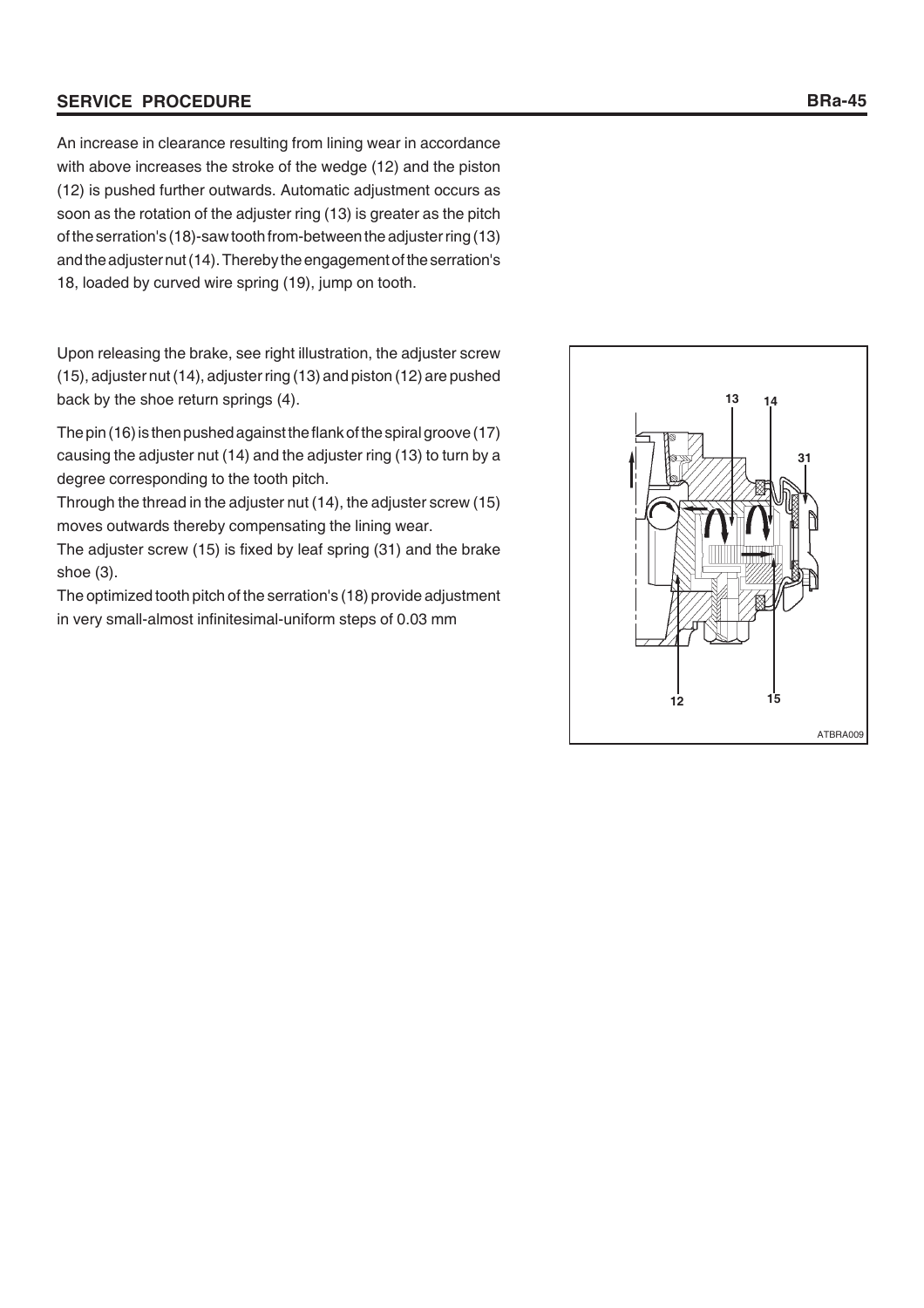#### **SERVICE PROCEDURE**

An increase in clearance resulting from lining wear in accordance with above increases the stroke of the wedge (12) and the piston (12) is pushed further outwards. Automatic adjustment occurs as soon as the rotation of the adjuster ring (13) is greater as the pitch of the serration's (18)-saw tooth from-between the adjuster ring (13) and the adjuster nut (14). Thereby the engagement of the serration's 18, loaded by curved wire spring (19), jump on tooth.

Upon releasing the brake, see right illustration, the adjuster screw (15), adjuster nut (14), adjuster ring (13) and piston (12) are pushed back by the shoe return springs (4).

The pin (16) is then pushed against the flank of the spiral groove (17) causing the adjuster nut (14) and the adjuster ring (13) to turn by a degree corresponding to the tooth pitch.

Through the thread in the adjuster nut (14), the adjuster screw (15) moves outwards thereby compensating the lining wear.

The adjuster screw (15) is fixed by leaf spring (31) and the brake shoe (3).

The optimized tooth pitch of the serration's (18) provide adjustment in very small-almost infinitesimal-uniform steps of 0.03 mm

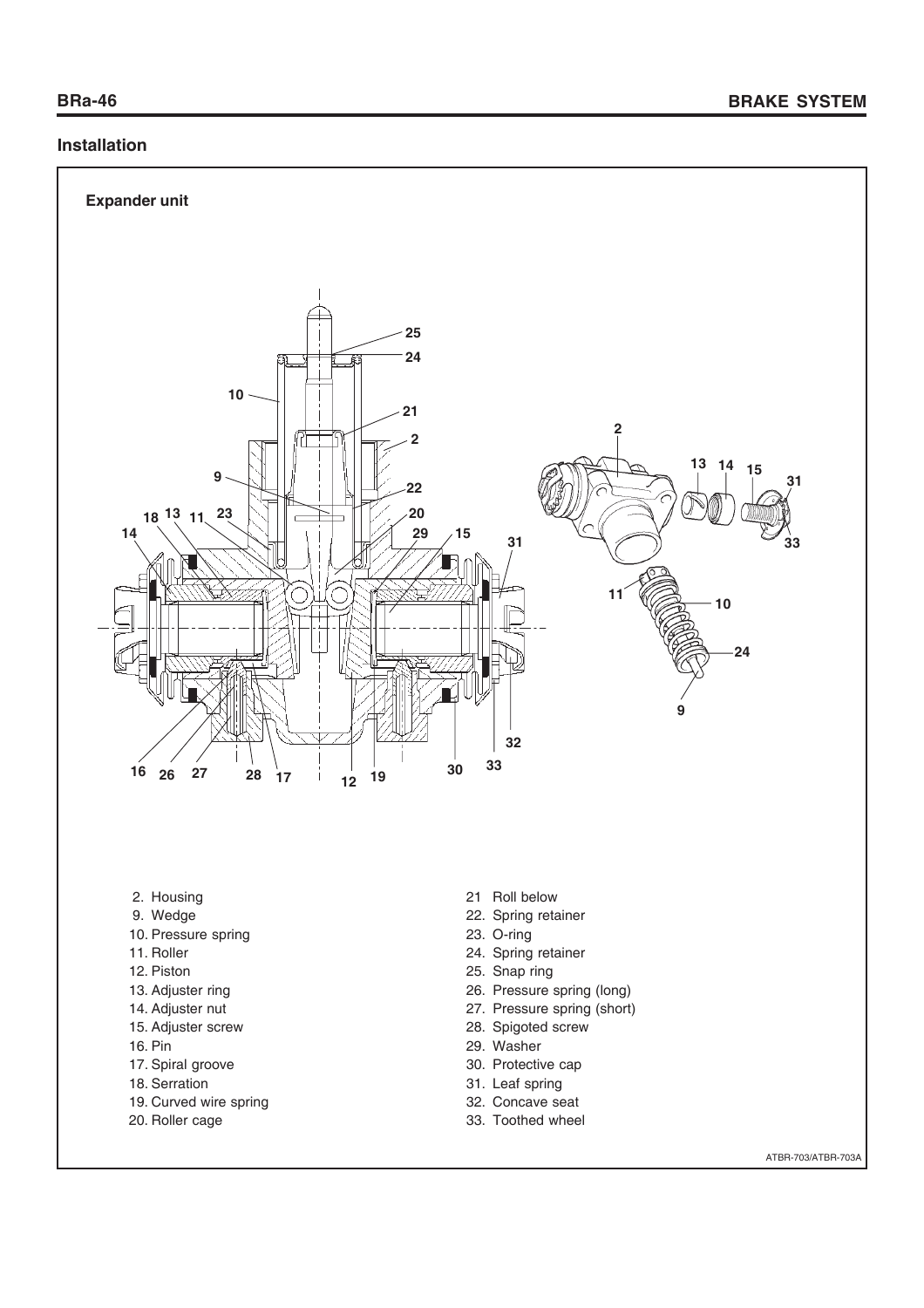# **Installation**



33. Toothed wheel

- 19. Curved wire spring
- 20. Roller cage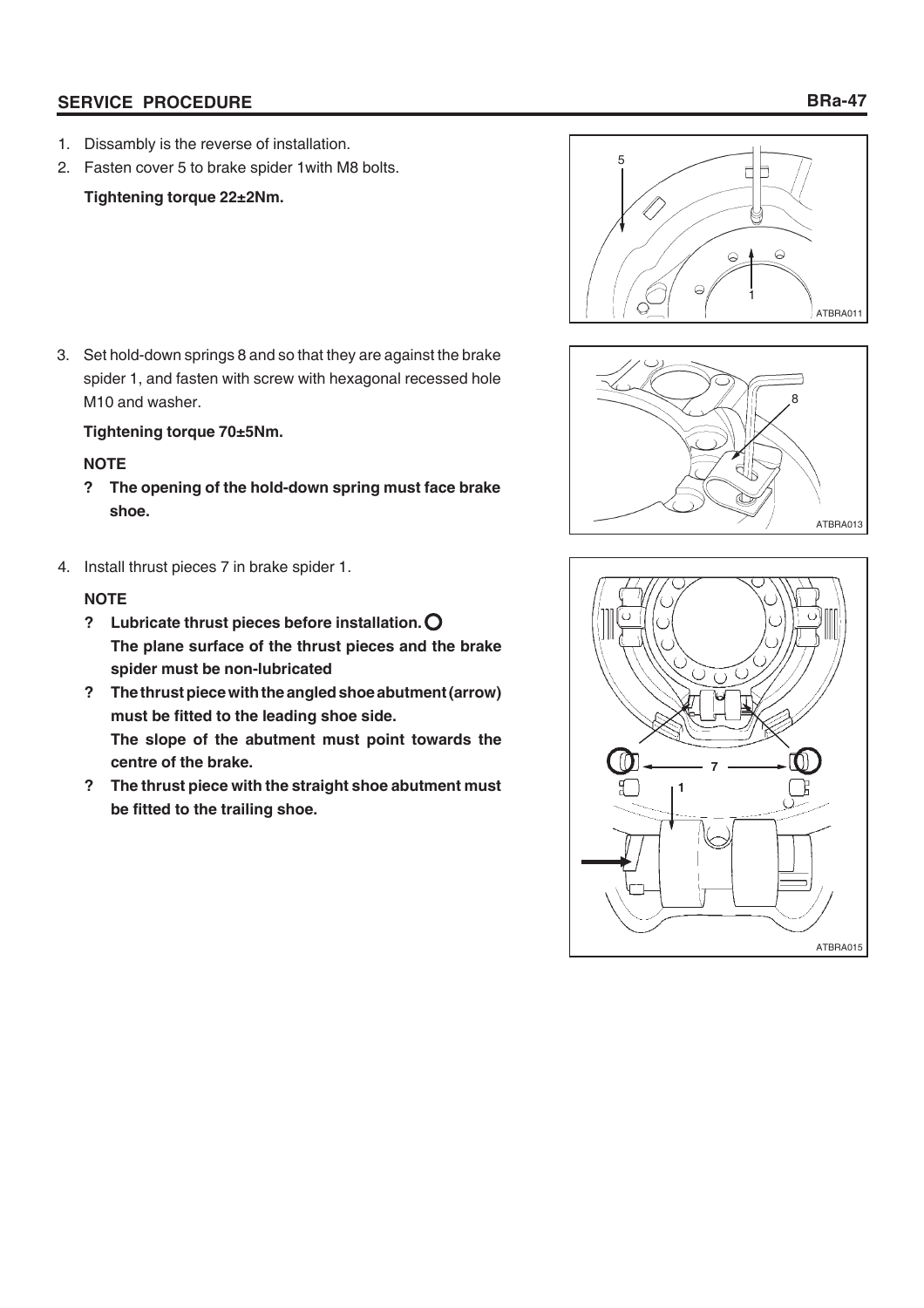# **SERVICE PROCEDURE**

2. Fasten cover 5 to brake spider 1with M8 bolts.

# **Tightening torque 22±2Nm.**

3. Set hold-down springs 8 and so that they are against the brake spider 1, and fasten with screw with hexagonal recessed hole M10 and washer.

# **Tightening torque 70±5Nm.**

# **NOTE**

- **? The opening of the hold-down spring must face brake shoe.**
- 4. Install thrust pieces 7 in brake spider 1.

# **NOTE**

- **? Lubricate thrust pieces before installation. The plane surface of the thrust pieces and the brake spider must be non-lubricated**
- **? The thrust piece with the angled shoe abutment (arrow) must be fitted to the leading shoe side. The slope of the abutment must point towards the centre of the brake.**
- **? The thrust piece with the straight shoe abutment must be fitted to the trailing shoe.**





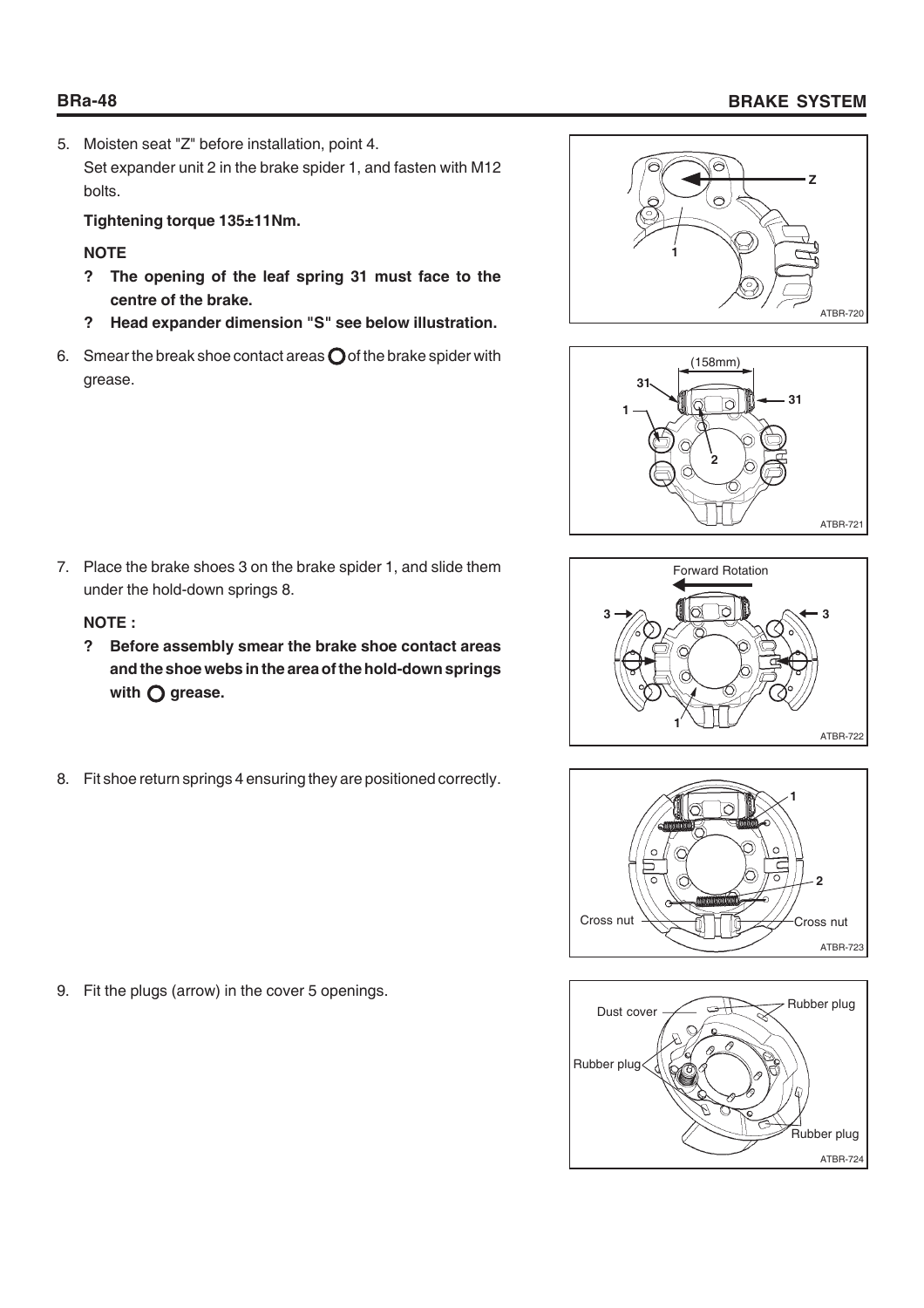# **BRa-48 BRAKE SYSTEM**

5. Moisten seat "Z" before installation, point 4. Set expander unit 2 in the brake spider 1, and fasten with M12 bolts.

**Tightening torque 135±11Nm.**

# **NOTE**

- **? The opening of the leaf spring 31 must face to the centre of the brake.**
- **? Head expander dimension "S" see below illustration.**
- 6. Smear the break shoe contact areas  $\bigcirc$  of the brake spider with grease.



# **NOTE :**

- **? Before assembly smear the brake shoe contact areas and the shoe webs in the area of the hold-down springs** with  $\bigcirc$  grease.
- 8. Fit shoe return springs 4 ensuring they are positioned correctly.

9. Fit the plugs (arrow) in the cover 5 openings.









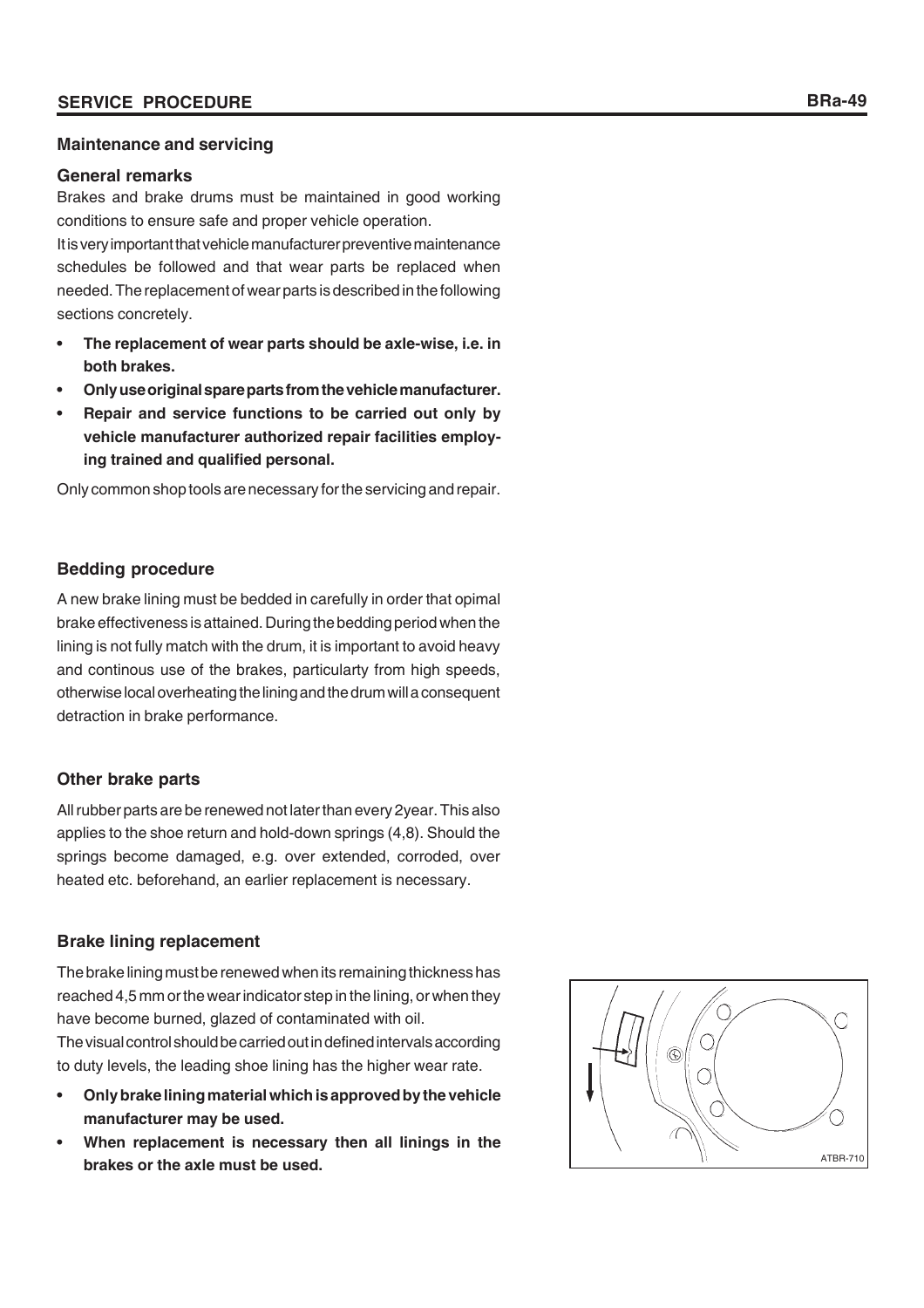#### **Maintenance and servicing**

#### **General remarks**

Brakes and brake drums must be maintained in good working conditions to ensure safe and proper vehicle operation.

It is very important that vehicle manufacturer preventive maintenance schedules be followed and that wear parts be replaced when needed. The replacement of wear parts is described in the following sections concretely.

- **The replacement of wear parts should be axle-wise, i.e. in both brakes.**
- **Only use original spare parts from the vehicle manufacturer.**
- **Repair and service functions to be carried out only by vehicle manufacturer authorized repair facilities employing trained and qualified personal.**

Only common shop tools are necessary for the servicing and repair.

# **Bedding procedure**

A new brake lining must be bedded in carefully in order that opimal brake effectiveness is attained. During the bedding period when the lining is not fully match with the drum, it is important to avoid heavy and continous use of the brakes, particularty from high speeds, otherwise local overheating the lining and the drum will a consequent detraction in brake performance.

# **Other brake parts**

All rubber parts are be renewed not later than every 2year. This also applies to the shoe return and hold-down springs (4,8). Should the springs become damaged, e.g. over extended, corroded, over heated etc. beforehand, an earlier replacement is necessary.

# **Brake lining replacement**

The brake lining must be renewed when its remaining thickness has reached 4,5 mm or the wear indicator step in the lining, or when they have become burned, glazed of contaminated with oil. The visual control should be carried out in defined intervals according to duty levels, the leading shoe lining has the higher wear rate.

- **Only brake lining material which is approved by the vehicle manufacturer may be used.**
- **When replacement is necessary then all linings in the brakes or the axle must be used.**

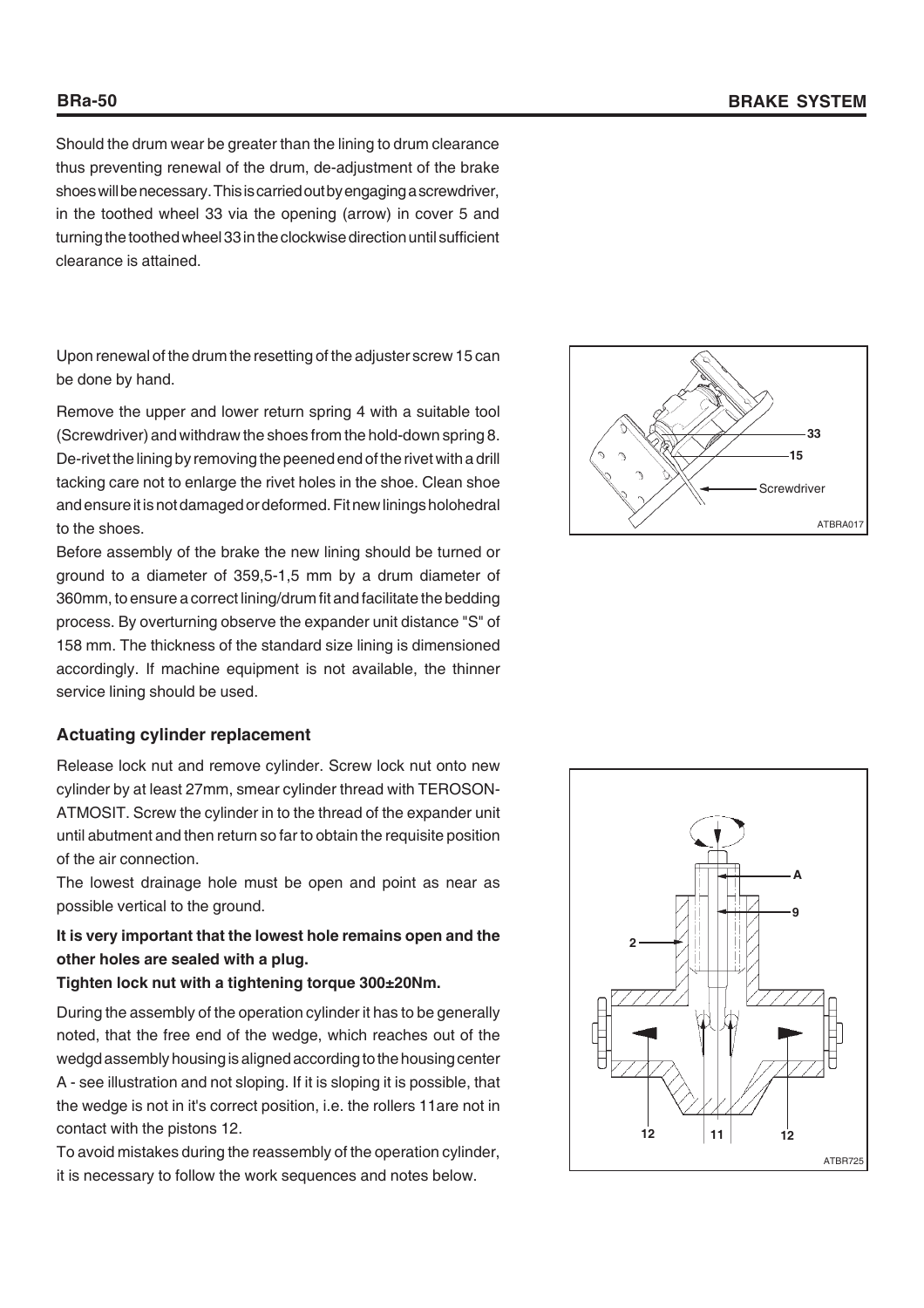Should the drum wear be greater than the lining to drum clearance thus preventing renewal of the drum, de-adjustment of the brake shoes will be necessary. This is carried out by engaging a screwdriver, in the toothed wheel 33 via the opening (arrow) in cover 5 and turning the toothed wheel 33 in the clockwise direction until sufficient clearance is attained.

Upon renewal of the drum the resetting of the adjuster screw 15 can be done by hand.

Remove the upper and lower return spring 4 with a suitable tool (Screwdriver) and withdraw the shoes from the hold-down spring 8. De-rivet the lining by removing the peened end of the rivet with a drill tacking care not to enlarge the rivet holes in the shoe. Clean shoe and ensure it is not damaged or deformed. Fit new linings holohedral to the shoes.

Before assembly of the brake the new lining should be turned or ground to a diameter of 359,5-1,5 mm by a drum diameter of 360mm, to ensure a correct lining/drum fit and facilitate the bedding process. By overturning observe the expander unit distance "S" of 158 mm. The thickness of the standard size lining is dimensioned accordingly. If machine equipment is not available, the thinner service lining should be used.

#### **Actuating cylinder replacement**

Release lock nut and remove cylinder. Screw lock nut onto new cylinder by at least 27mm, smear cylinder thread with TEROSON-ATMOSIT. Screw the cylinder in to the thread of the expander unit until abutment and then return so far to obtain the requisite position of the air connection.

The lowest drainage hole must be open and point as near as possible vertical to the ground.

# **It is very important that the lowest hole remains open and the other holes are sealed with a plug.**

#### **Tighten lock nut with a tightening torque 300±20Nm.**

During the assembly of the operation cylinder it has to be generally noted, that the free end of the wedge, which reaches out of the wedgd assembly housing is aligned according to the housing center A - see illustration and not sloping. If it is sloping it is possible, that the wedge is not in it's correct position, i.e. the rollers 11are not in contact with the pistons 12.

To avoid mistakes during the reassembly of the operation cylinder, it is necessary to follow the work sequences and notes below.



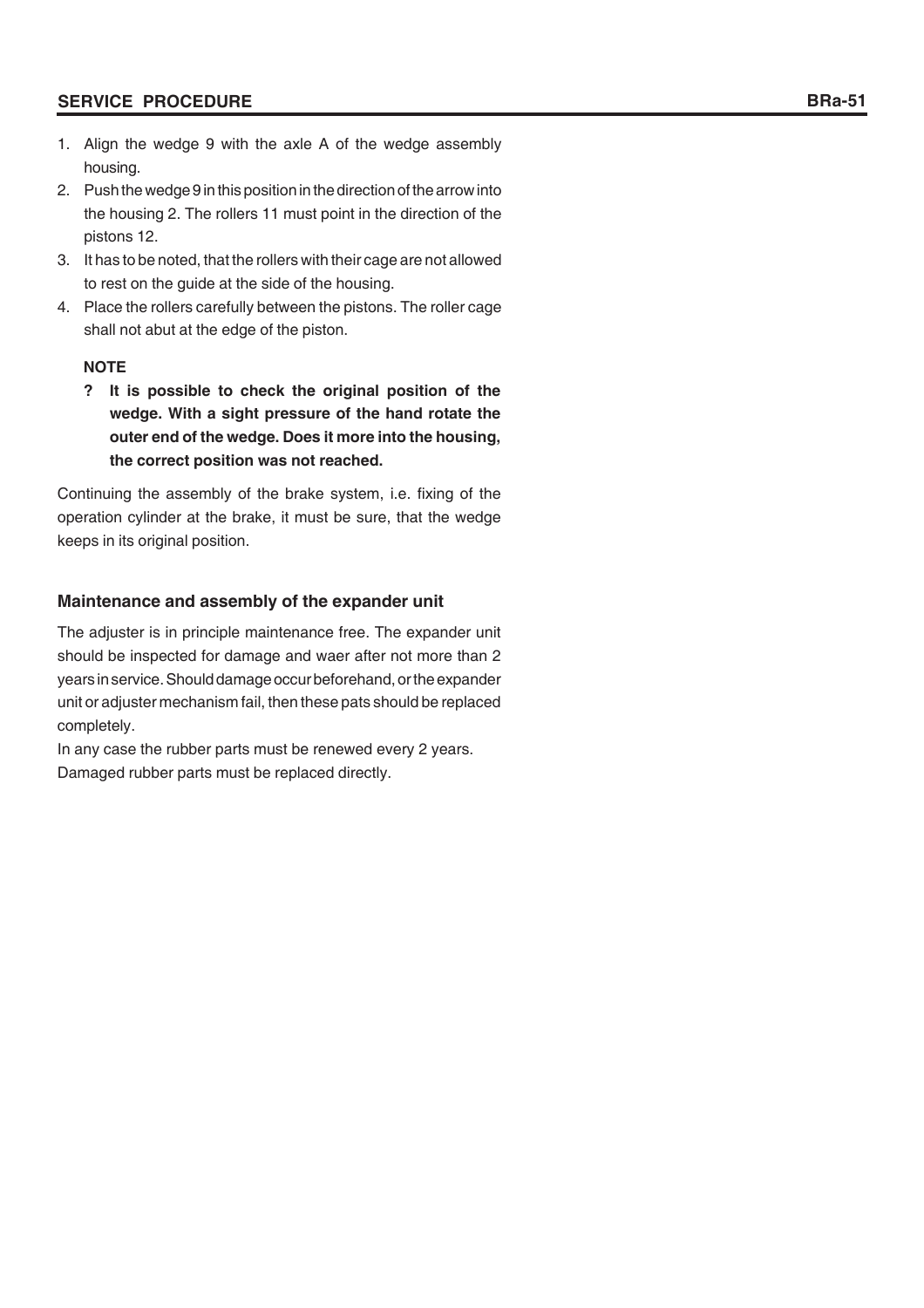#### **SERVICE PROCEDURE**

- 1. Align the wedge 9 with the axle A of the wedge assembly housing.
- 2. Push the wedge 9 in this position in the direction of the arrow into the housing 2. The rollers 11 must point in the direction of the pistons 12.
- 3. It has to be noted, that the rollers with their cage are not allowed to rest on the guide at the side of the housing.
- 4. Place the rollers carefully between the pistons. The roller cage shall not abut at the edge of the piston.

#### **NOTE**

**? It is possible to check the original position of the wedge. With a sight pressure of the hand rotate the outer end of the wedge. Does it more into the housing, the correct position was not reached.**

Continuing the assembly of the brake system, i.e. fixing of the operation cylinder at the brake, it must be sure, that the wedge keeps in its original position.

#### **Maintenance and assembly of the expander unit**

The adjuster is in principle maintenance free. The expander unit should be inspected for damage and waer after not more than 2 years in service. Should damage occur beforehand, or the expander unit or adjuster mechanism fail, then these pats should be replaced completely.

In any case the rubber parts must be renewed every 2 years. Damaged rubber parts must be replaced directly.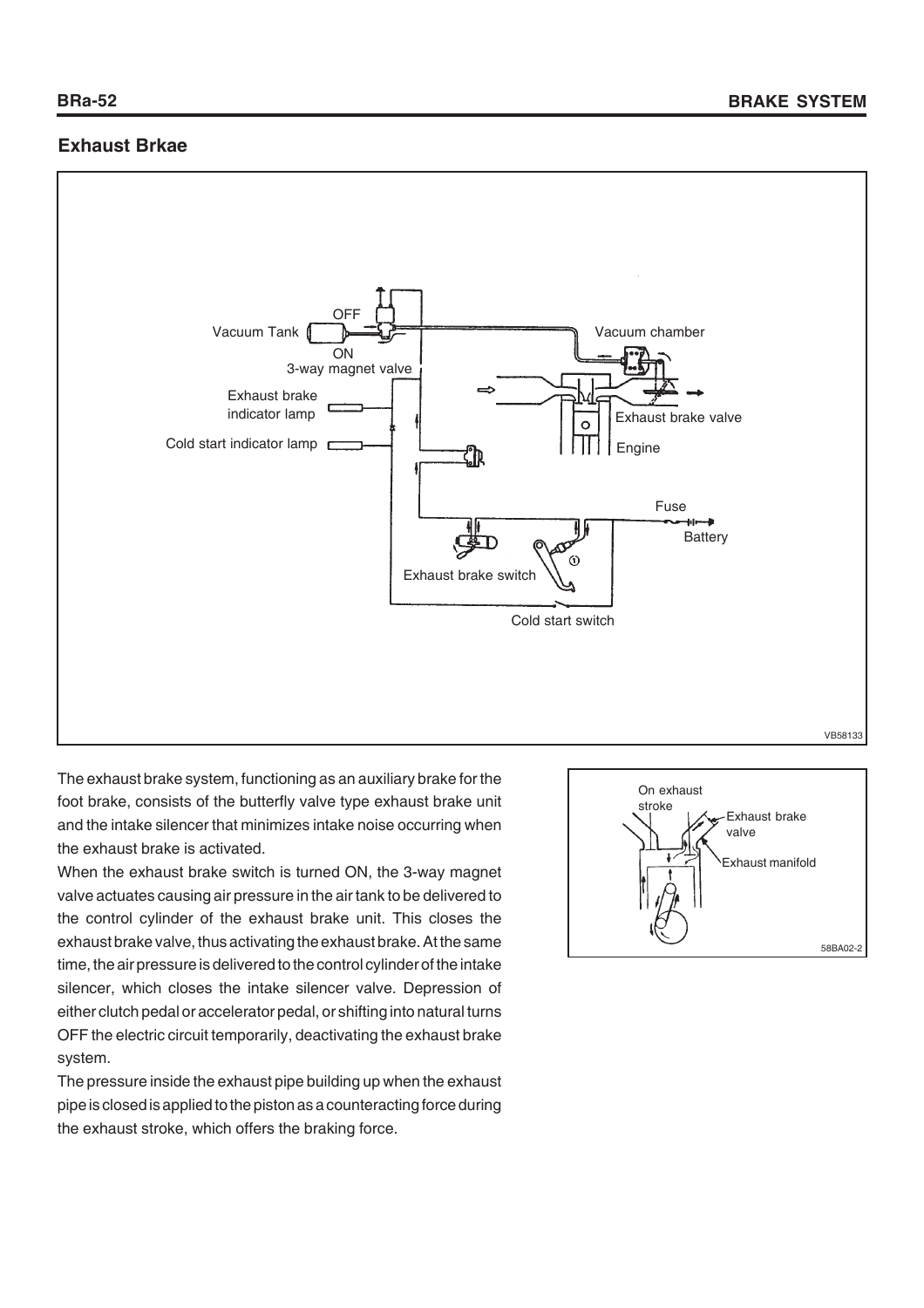# **Exhaust Brkae**



The exhaust brake system, functioning as an auxiliary brake for the foot brake, consists of the butterfly valve type exhaust brake unit and the intake silencer that minimizes intake noise occurring when the exhaust brake is activated.

When the exhaust brake switch is turned ON, the 3-way magnet valve actuates causing air pressure in the air tank to be delivered to the control cylinder of the exhaust brake unit. This closes the exhaust brake valve, thus activating the exhaust brake. At the same time, the air pressure is delivered to the control cylinder of the intake silencer, which closes the intake silencer valve. Depression of either clutch pedal or accelerator pedal, or shifting into natural turns OFF the electric circuit temporarily, deactivating the exhaust brake system.

The pressure inside the exhaust pipe building up when the exhaust pipe is closed is applied to the piston as a counteracting force during the exhaust stroke, which offers the braking force.

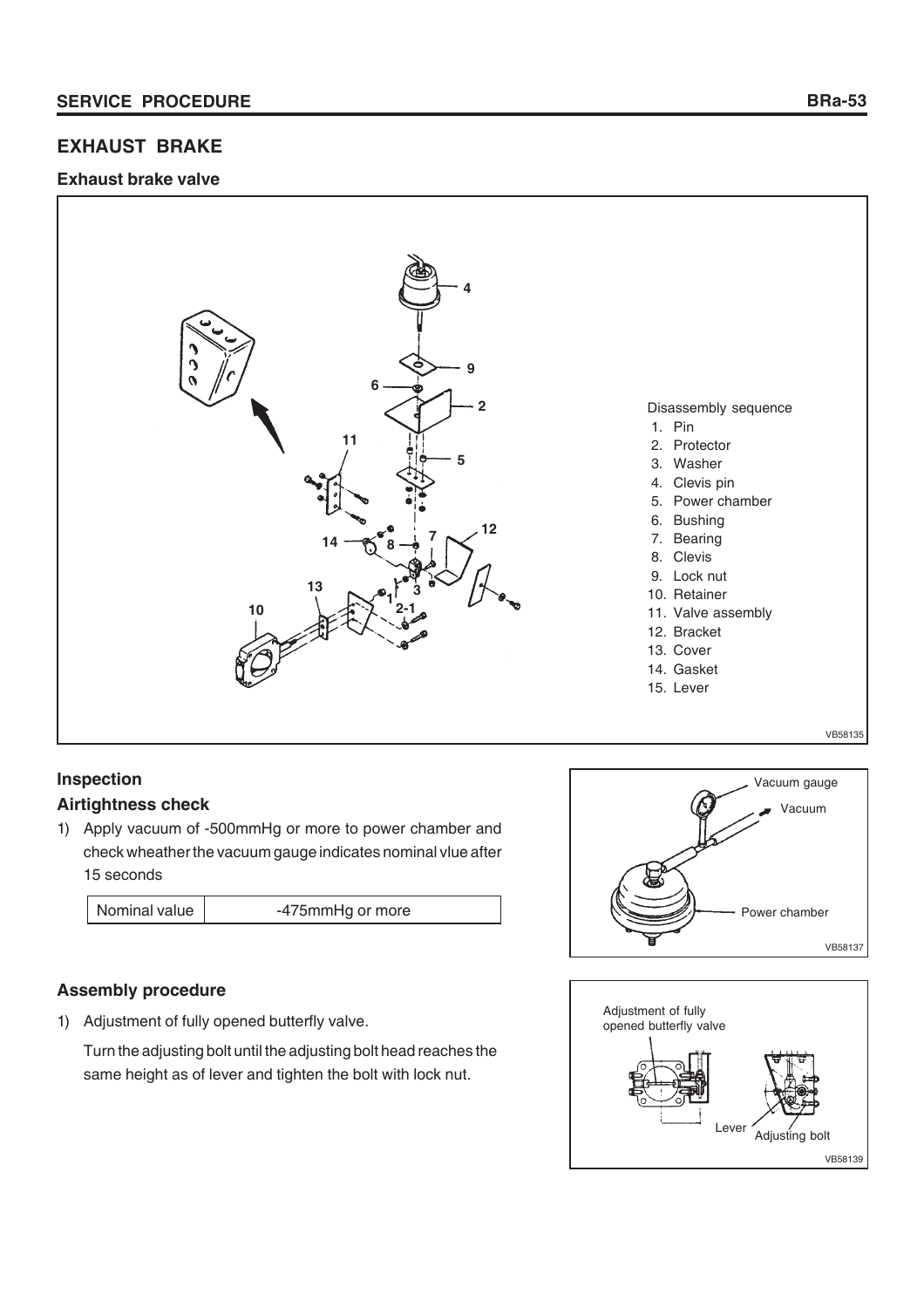# **EXHAUST BRAKE**

#### **Exhaust brake valve**



# **Inspection Airtightness check**

1) Apply vacuum of -500mmHg or more to power chamber and check wheather the vacuum gauge indicates nominal vlue after 15 seconds

Nominal value | 175mmHg or more

# **Assembly procedure**

1) Adjustment of fully opened butterfly valve.

Turn the adjusting bolt until the adjusting bolt head reaches the same height as of lever and tighten the bolt with lock nut.



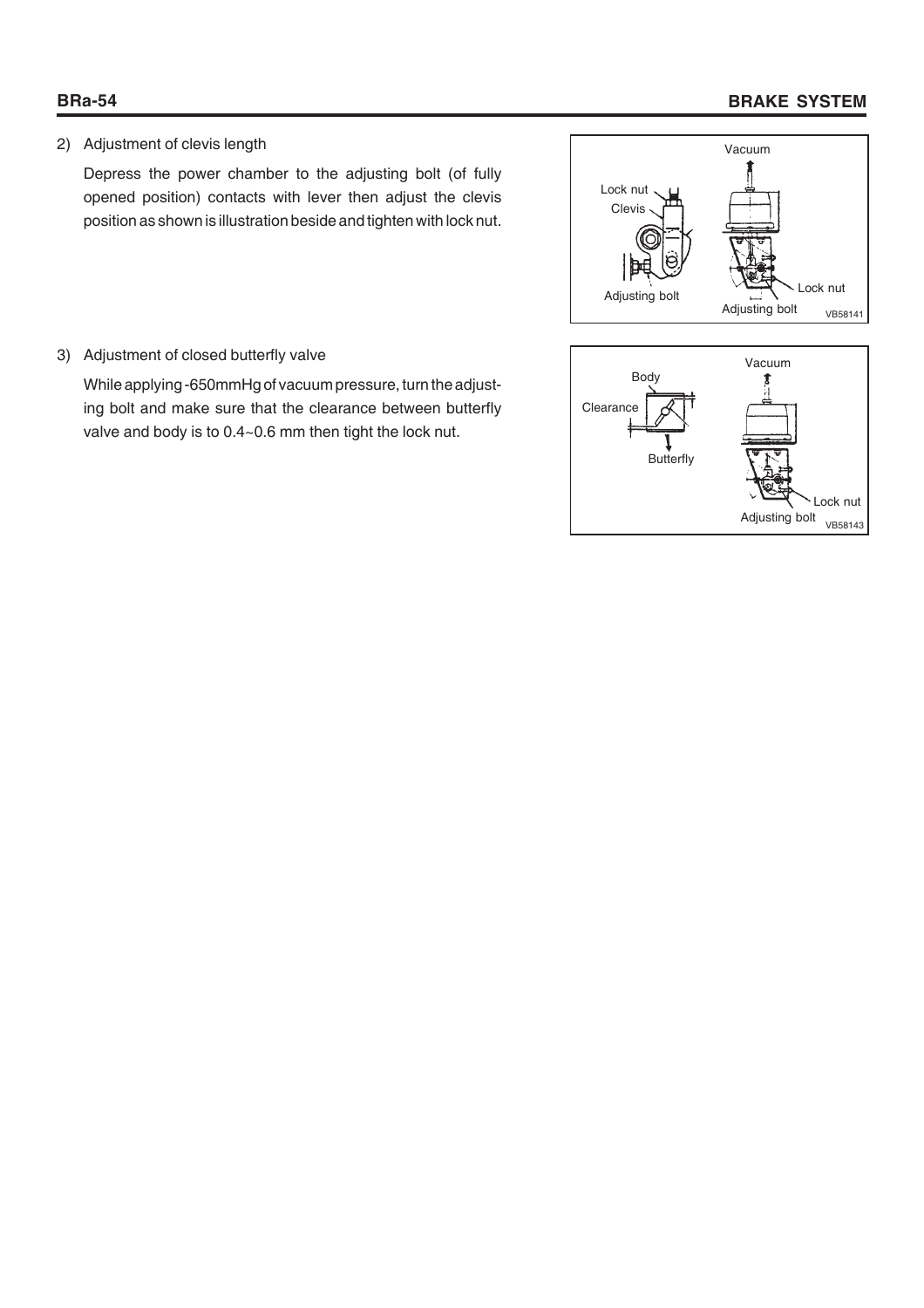# **BRa-54 BRAKE SYSTEM**

2) Adjustment of clevis length

Depress the power chamber to the adjusting bolt (of fully opened position) contacts with lever then adjust the clevis position as shown is illustration beside and tighten with lock nut.



3) Adjustment of closed butterfly valve

While applying -650mmHg of vacuum pressure, turn the adjusting bolt and make sure that the clearance between butterfly valve and body is to 0.4~0.6 mm then tight the lock nut.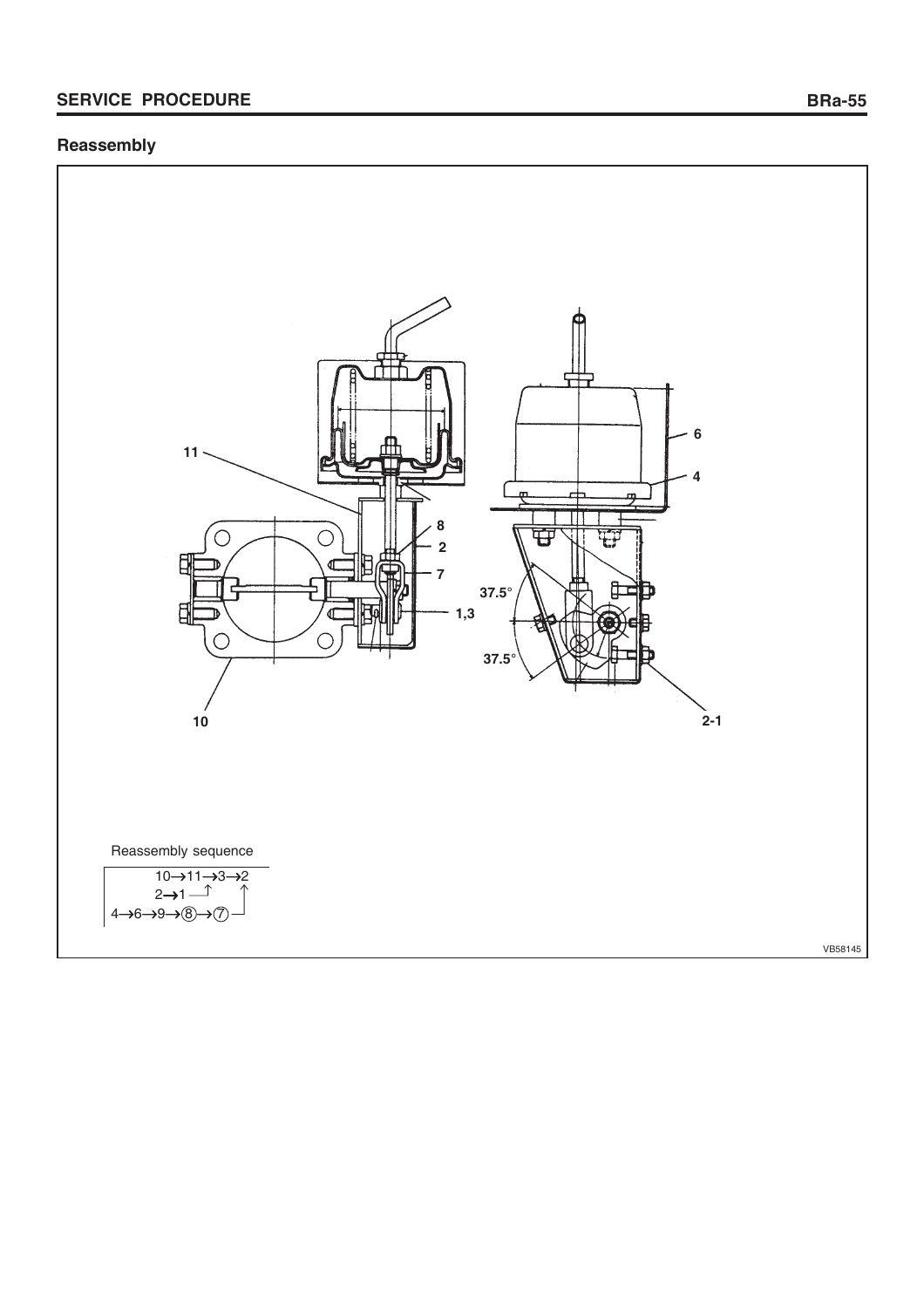# **SERVICE PROCEDURE BRa-55**

# **Reassembly**

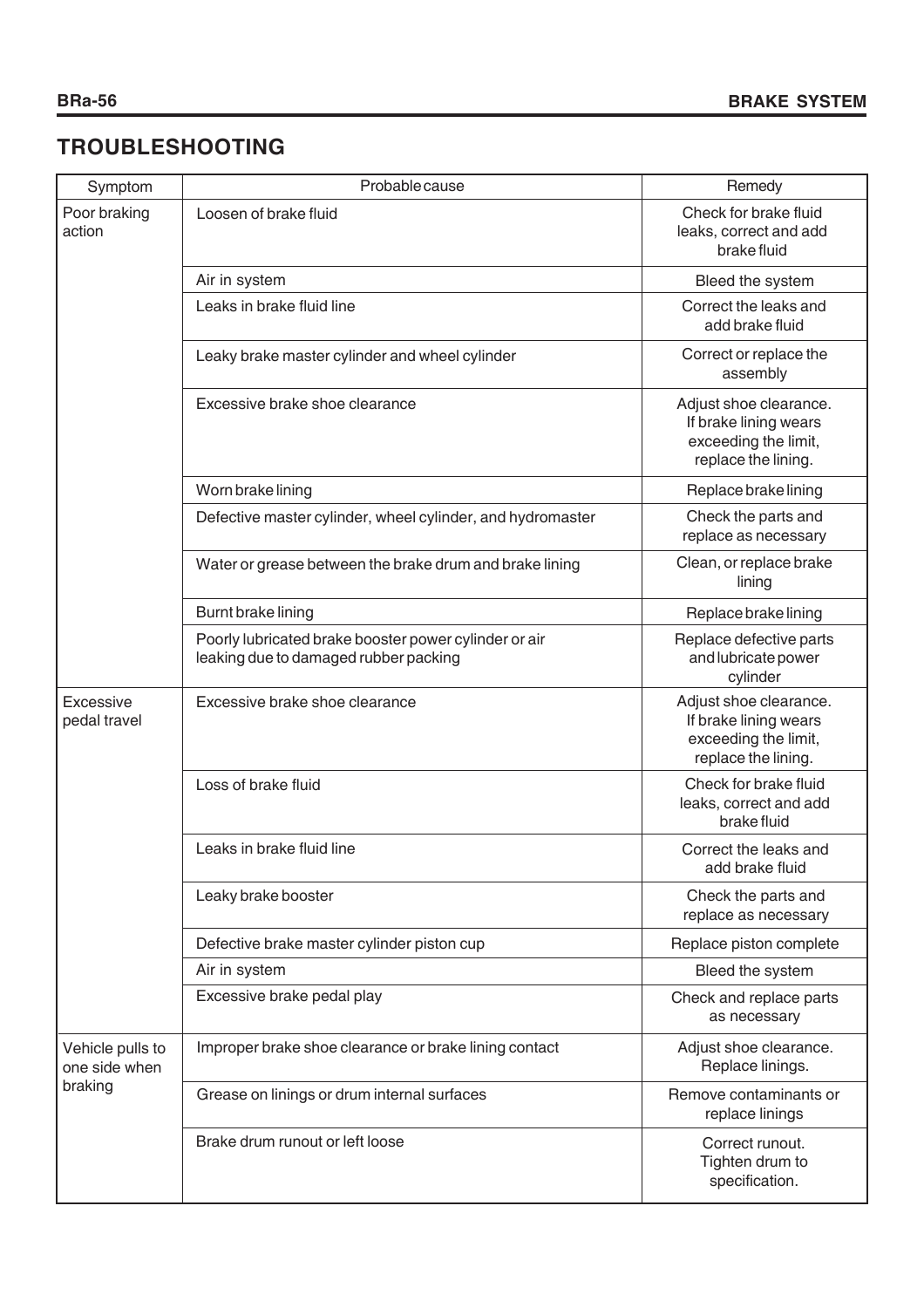# **TROUBLESHOOTING**

| Symptom                                      | Probable cause                                                                                 | Remedy                                                                                         |
|----------------------------------------------|------------------------------------------------------------------------------------------------|------------------------------------------------------------------------------------------------|
| Poor braking<br>action                       | Loosen of brake fluid                                                                          | Check for brake fluid<br>leaks, correct and add<br>brake fluid                                 |
|                                              | Air in system                                                                                  | Bleed the system                                                                               |
|                                              | Leaks in brake fluid line                                                                      | Correct the leaks and<br>add brake fluid                                                       |
|                                              | Leaky brake master cylinder and wheel cylinder                                                 | Correct or replace the<br>assembly                                                             |
|                                              | Excessive brake shoe clearance                                                                 | Adjust shoe clearance.<br>If brake lining wears<br>exceeding the limit,<br>replace the lining. |
|                                              | Worn brake lining                                                                              | Replace brake lining                                                                           |
|                                              | Defective master cylinder, wheel cylinder, and hydromaster                                     | Check the parts and<br>replace as necessary                                                    |
|                                              | Water or grease between the brake drum and brake lining                                        | Clean, or replace brake<br>lining                                                              |
|                                              | Burnt brake lining                                                                             | Replace brake lining                                                                           |
|                                              | Poorly lubricated brake booster power cylinder or air<br>leaking due to damaged rubber packing | Replace defective parts<br>and lubricate power<br>cylinder                                     |
| Excessive<br>pedal travel                    | Excessive brake shoe clearance                                                                 | Adjust shoe clearance.<br>If brake lining wears<br>exceeding the limit,<br>replace the lining. |
|                                              | Loss of brake fluid                                                                            | Check for brake fluid<br>leaks, correct and add<br>brake fluid                                 |
|                                              | Leaks in brake fluid line                                                                      | Correct the leaks and<br>add brake fluid                                                       |
|                                              | Leaky brake booster                                                                            | Check the parts and<br>replace as necessary                                                    |
|                                              | Defective brake master cylinder piston cup                                                     | Replace piston complete                                                                        |
|                                              | Air in system                                                                                  | Bleed the system                                                                               |
|                                              | Excessive brake pedal play                                                                     | Check and replace parts<br>as necessary                                                        |
| Vehicle pulls to<br>one side when<br>braking | Improper brake shoe clearance or brake lining contact                                          | Adjust shoe clearance.<br>Replace linings.                                                     |
|                                              | Grease on linings or drum internal surfaces                                                    | Remove contaminants or<br>replace linings                                                      |
|                                              | Brake drum runout or left loose                                                                | Correct runout.<br>Tighten drum to<br>specification.                                           |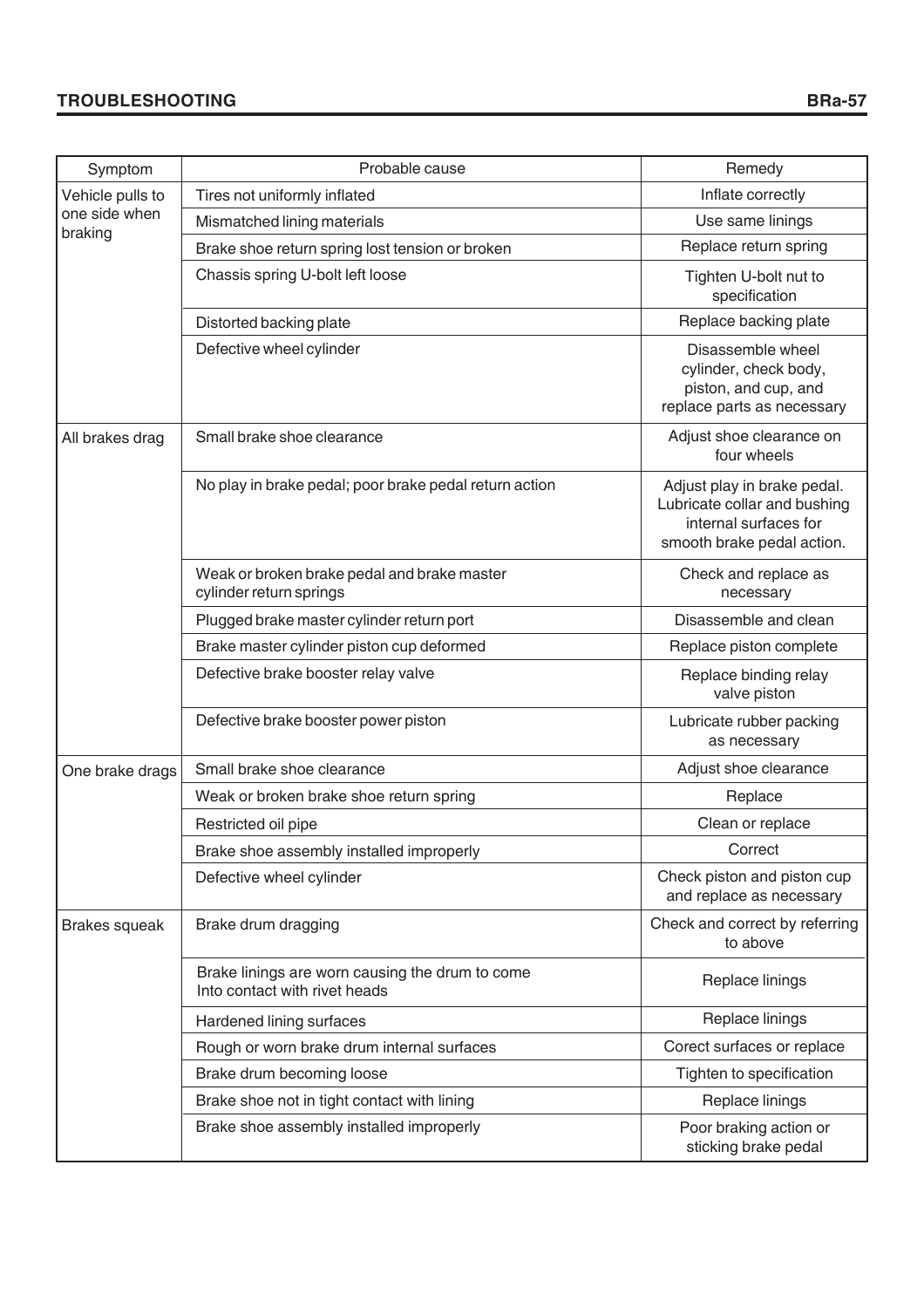# **TROUBLESHOOTING BRa-57**

| Symptom                  | Probable cause                                                                   | Remedy                                                                                                             |
|--------------------------|----------------------------------------------------------------------------------|--------------------------------------------------------------------------------------------------------------------|
| Vehicle pulls to         | Tires not uniformly inflated                                                     | Inflate correctly                                                                                                  |
| one side when<br>braking | Mismatched lining materials                                                      | Use same linings                                                                                                   |
|                          | Brake shoe return spring lost tension or broken                                  | Replace return spring                                                                                              |
|                          | Chassis spring U-bolt left loose                                                 | Tighten U-bolt nut to<br>specification                                                                             |
|                          | Distorted backing plate                                                          | Replace backing plate                                                                                              |
|                          | Defective wheel cylinder                                                         | Disassemble wheel<br>cylinder, check body,<br>piston, and cup, and<br>replace parts as necessary                   |
| All brakes drag          | Small brake shoe clearance                                                       | Adjust shoe clearance on<br>four wheels                                                                            |
|                          | No play in brake pedal; poor brake pedal return action                           | Adjust play in brake pedal.<br>Lubricate collar and bushing<br>internal surfaces for<br>smooth brake pedal action. |
|                          | Weak or broken brake pedal and brake master<br>cylinder return springs           | Check and replace as<br>necessary                                                                                  |
|                          | Plugged brake master cylinder return port                                        | Disassemble and clean                                                                                              |
|                          | Brake master cylinder piston cup deformed                                        | Replace piston complete                                                                                            |
|                          | Defective brake booster relay valve                                              | Replace binding relay<br>valve piston                                                                              |
|                          | Defective brake booster power piston                                             | Lubricate rubber packing<br>as necessary                                                                           |
| One brake drags          | Small brake shoe clearance                                                       | Adjust shoe clearance                                                                                              |
|                          | Weak or broken brake shoe return spring                                          | Replace                                                                                                            |
|                          | Restricted oil pipe                                                              | Clean or replace                                                                                                   |
|                          | Brake shoe assembly installed improperly                                         | Correct                                                                                                            |
|                          | Defective wheel cylinder                                                         | Check piston and piston cup<br>and replace as necessary                                                            |
| <b>Brakes squeak</b>     | Brake drum dragging                                                              | Check and correct by referring<br>to above                                                                         |
|                          | Brake linings are worn causing the drum to come<br>Into contact with rivet heads | Replace linings                                                                                                    |
|                          | Hardened lining surfaces                                                         | Replace linings                                                                                                    |
|                          | Rough or worn brake drum internal surfaces                                       | Corect surfaces or replace                                                                                         |
|                          | Brake drum becoming loose                                                        | Tighten to specification                                                                                           |
|                          | Brake shoe not in tight contact with lining                                      | Replace linings                                                                                                    |
|                          | Brake shoe assembly installed improperly                                         | Poor braking action or<br>sticking brake pedal                                                                     |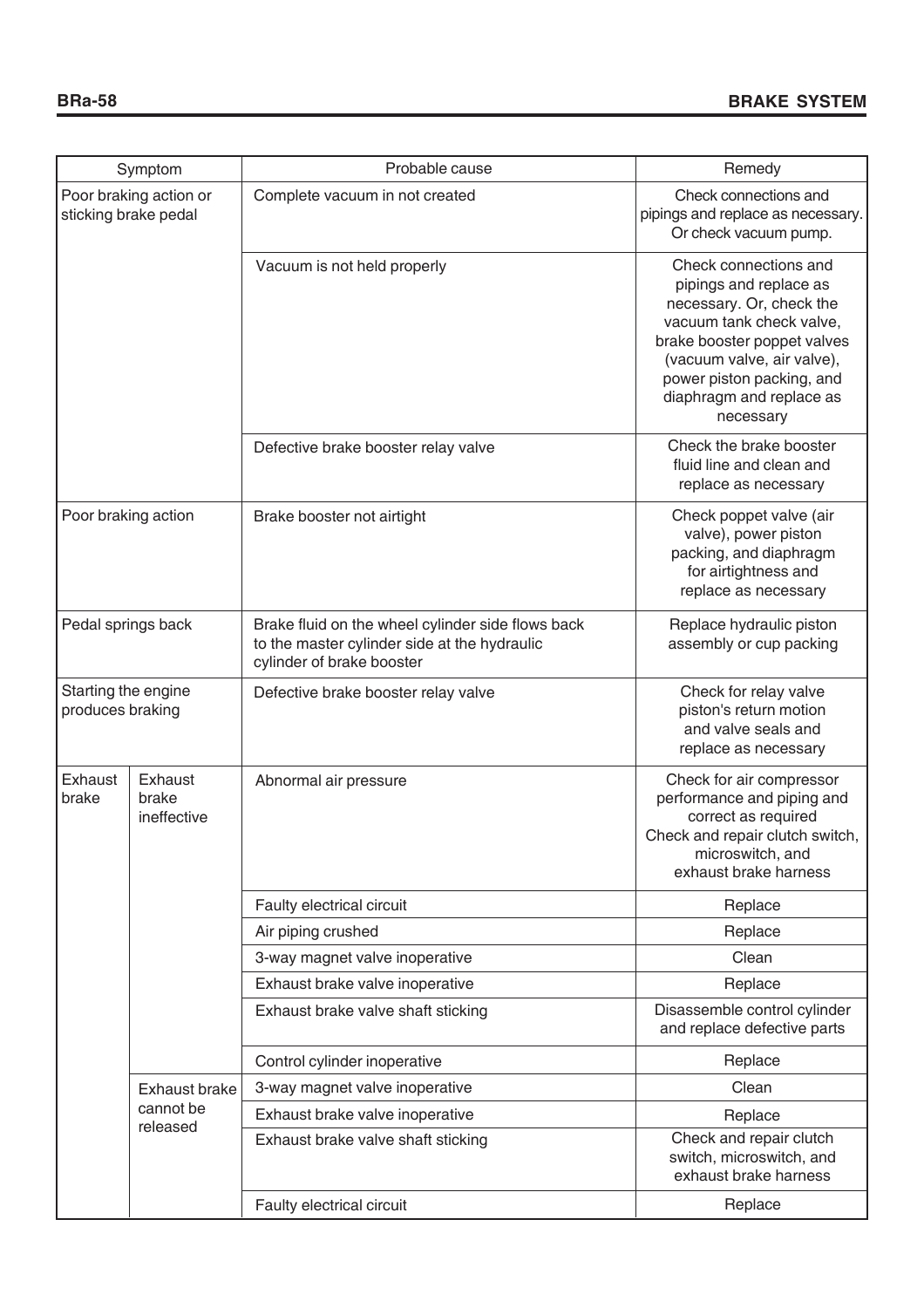| Symptom                                        |                                 | Probable cause                                                                                                                 | Remedy                                                                                                                                                                                                                                     |  |
|------------------------------------------------|---------------------------------|--------------------------------------------------------------------------------------------------------------------------------|--------------------------------------------------------------------------------------------------------------------------------------------------------------------------------------------------------------------------------------------|--|
| Poor braking action or<br>sticking brake pedal |                                 | Complete vacuum in not created                                                                                                 | Check connections and<br>pipings and replace as necessary.<br>Or check vacuum pump.                                                                                                                                                        |  |
|                                                |                                 | Vacuum is not held properly                                                                                                    | Check connections and<br>pipings and replace as<br>necessary. Or, check the<br>vacuum tank check valve,<br>brake booster poppet valves<br>(vacuum valve, air valve),<br>power piston packing, and<br>diaphragm and replace as<br>necessary |  |
|                                                |                                 | Defective brake booster relay valve                                                                                            | Check the brake booster<br>fluid line and clean and<br>replace as necessary                                                                                                                                                                |  |
| Poor braking action                            |                                 | Brake booster not airtight                                                                                                     | Check poppet valve (air<br>valve), power piston<br>packing, and diaphragm<br>for airtightness and<br>replace as necessary                                                                                                                  |  |
| Pedal springs back                             |                                 | Brake fluid on the wheel cylinder side flows back<br>to the master cylinder side at the hydraulic<br>cylinder of brake booster | Replace hydraulic piston<br>assembly or cup packing                                                                                                                                                                                        |  |
| Starting the engine<br>produces braking        |                                 | Defective brake booster relay valve                                                                                            | Check for relay valve<br>piston's return motion<br>and valve seals and<br>replace as necessary                                                                                                                                             |  |
| Exhaust<br>brake                               | Exhaust<br>brake<br>ineffective | Abnormal air pressure                                                                                                          | Check for air compressor<br>performance and piping and<br>correct as required<br>Check and repair clutch switch,<br>microswitch, and<br>exhaust brake harness                                                                              |  |
|                                                |                                 | Faulty electrical circuit                                                                                                      | Replace                                                                                                                                                                                                                                    |  |
|                                                |                                 | Air piping crushed                                                                                                             | Replace                                                                                                                                                                                                                                    |  |
|                                                |                                 | 3-way magnet valve inoperative                                                                                                 | Clean                                                                                                                                                                                                                                      |  |
|                                                |                                 | Exhaust brake valve inoperative                                                                                                | Replace                                                                                                                                                                                                                                    |  |
|                                                |                                 | Exhaust brake valve shaft sticking                                                                                             | Disassemble control cylinder<br>and replace defective parts                                                                                                                                                                                |  |
|                                                |                                 | Control cylinder inoperative                                                                                                   | Replace                                                                                                                                                                                                                                    |  |
|                                                | <b>Exhaust brake</b>            | 3-way magnet valve inoperative                                                                                                 | Clean                                                                                                                                                                                                                                      |  |
|                                                | cannot be                       | Exhaust brake valve inoperative                                                                                                | Replace                                                                                                                                                                                                                                    |  |
|                                                | released                        | Exhaust brake valve shaft sticking                                                                                             | Check and repair clutch<br>switch, microswitch, and<br>exhaust brake harness                                                                                                                                                               |  |
|                                                |                                 | Faulty electrical circuit                                                                                                      | Replace                                                                                                                                                                                                                                    |  |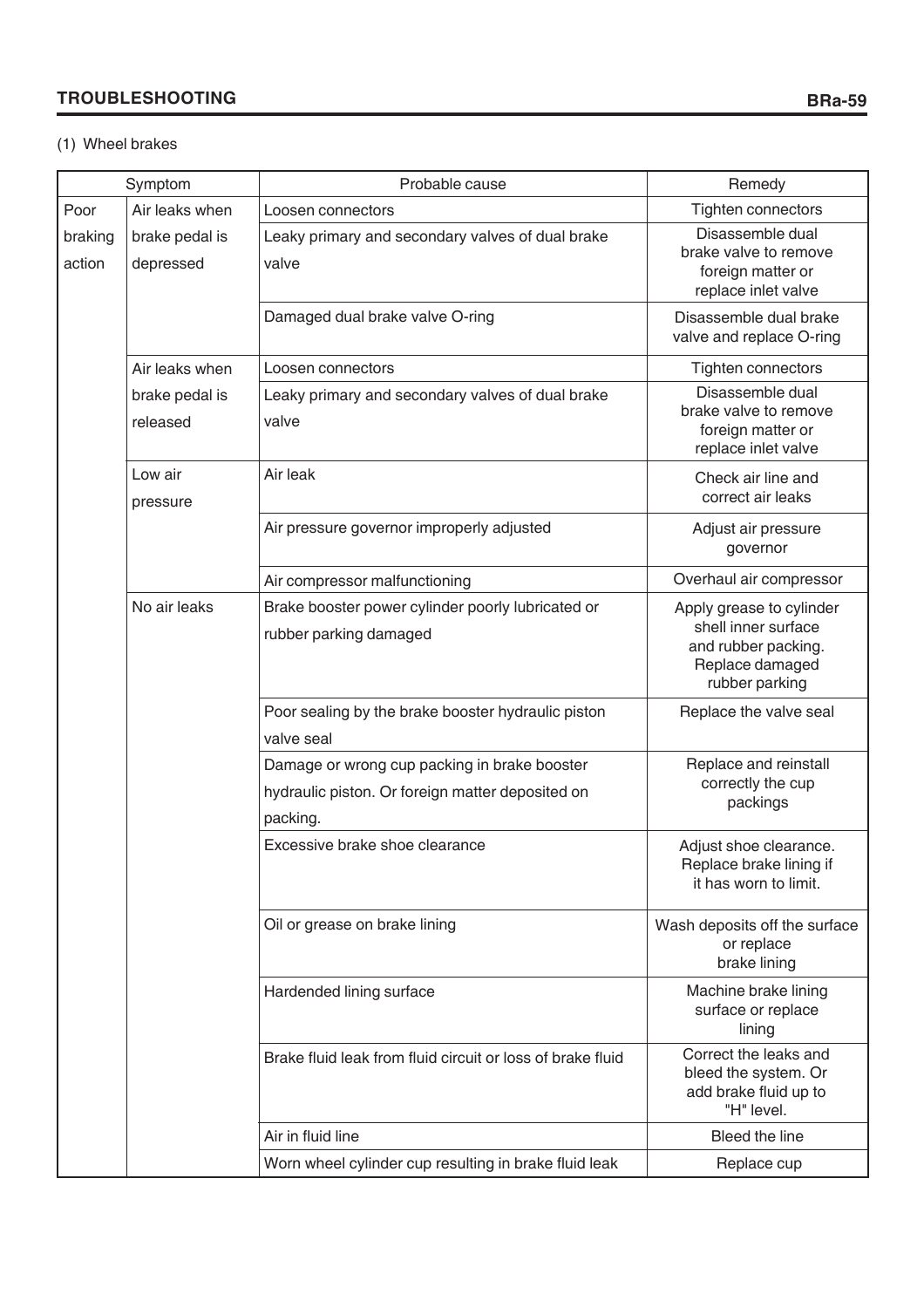# **TROUBLESHOOTING**

# (1) Wheel brakes

|                   | Symptom                     | Probable cause                                                                                               | Remedy                                                                                                      |
|-------------------|-----------------------------|--------------------------------------------------------------------------------------------------------------|-------------------------------------------------------------------------------------------------------------|
| Poor              | Air leaks when              | Loosen connectors                                                                                            | Tighten connectors                                                                                          |
| braking<br>action | brake pedal is<br>depressed | Leaky primary and secondary valves of dual brake<br>valve                                                    | Disassemble dual<br>brake valve to remove<br>foreign matter or<br>replace inlet valve                       |
|                   |                             | Damaged dual brake valve O-ring                                                                              | Disassemble dual brake<br>valve and replace O-ring                                                          |
|                   | Air leaks when              | Loosen connectors                                                                                            | Tighten connectors                                                                                          |
|                   | brake pedal is<br>released  | Leaky primary and secondary valves of dual brake<br>valve                                                    | Disassemble dual<br>brake valve to remove<br>foreign matter or<br>replace inlet valve                       |
|                   | Low air<br>pressure         | Air leak                                                                                                     | Check air line and<br>correct air leaks                                                                     |
|                   |                             | Air pressure governor improperly adjusted                                                                    | Adjust air pressure<br>governor                                                                             |
|                   |                             | Air compressor malfunctioning                                                                                | Overhaul air compressor                                                                                     |
|                   | No air leaks                | Brake booster power cylinder poorly lubricated or<br>rubber parking damaged                                  | Apply grease to cylinder<br>shell inner surface<br>and rubber packing.<br>Replace damaged<br>rubber parking |
|                   |                             | Poor sealing by the brake booster hydraulic piston<br>valve seal                                             | Replace the valve seal                                                                                      |
|                   |                             | Damage or wrong cup packing in brake booster<br>hydraulic piston. Or foreign matter deposited on<br>packing. | Replace and reinstall<br>correctly the cup<br>packings                                                      |
|                   |                             | Excessive brake shoe clearance                                                                               | Adjust shoe clearance.<br>Replace brake lining if<br>it has worn to limit.                                  |
|                   |                             | Oil or grease on brake lining                                                                                | Wash deposits off the surface<br>or replace<br>brake lining                                                 |
|                   |                             | Hardended lining surface                                                                                     | Machine brake lining<br>surface or replace<br>lining                                                        |
|                   |                             | Brake fluid leak from fluid circuit or loss of brake fluid                                                   | Correct the leaks and<br>bleed the system. Or<br>add brake fluid up to<br>"H" level.                        |
|                   |                             | Air in fluid line                                                                                            | Bleed the line                                                                                              |
|                   |                             | Worn wheel cylinder cup resulting in brake fluid leak                                                        | Replace cup                                                                                                 |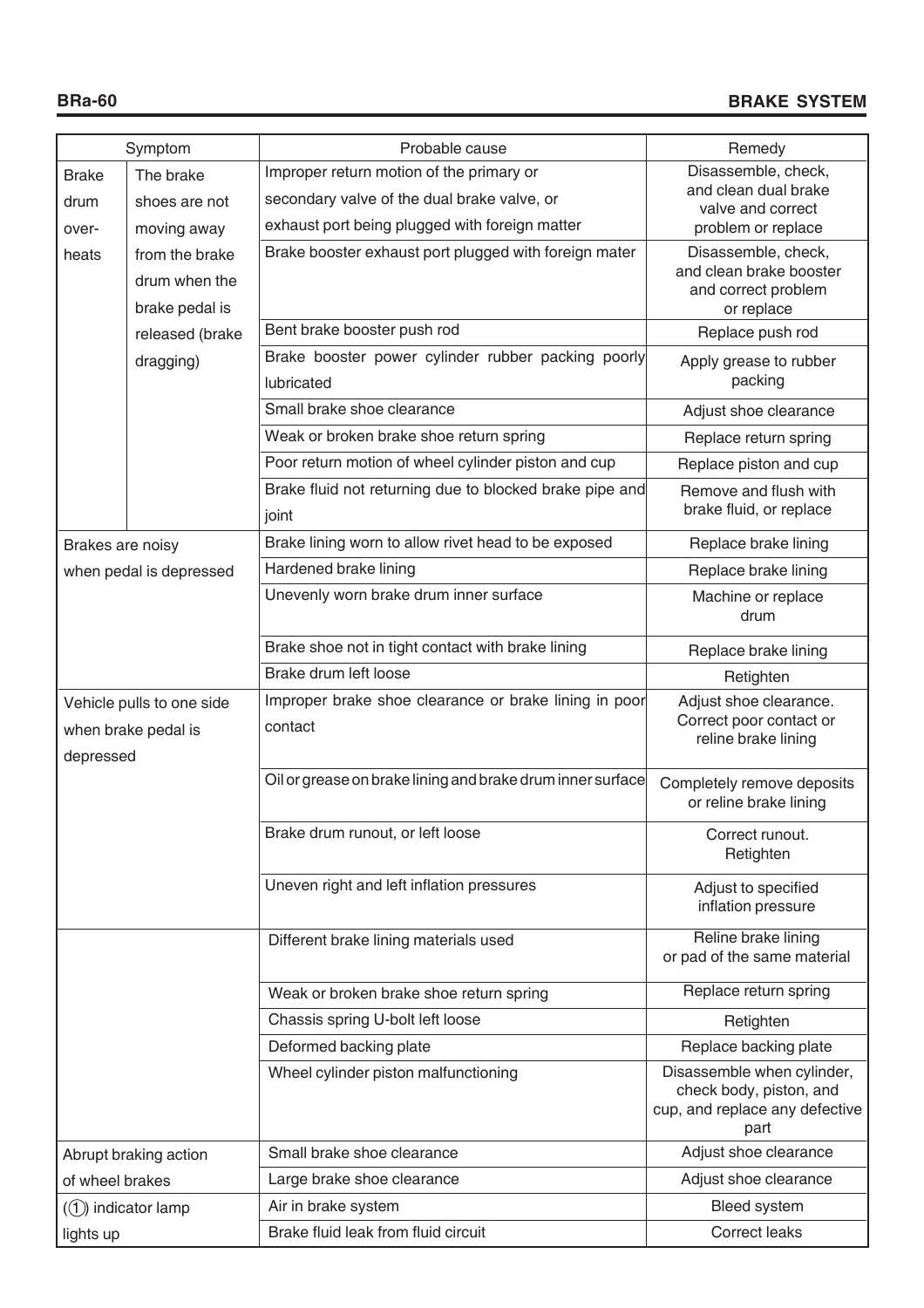|                           | Symptom                                                       | Probable cause                                             | Remedy                                                                                          |
|---------------------------|---------------------------------------------------------------|------------------------------------------------------------|-------------------------------------------------------------------------------------------------|
| <b>Brake</b>              | The brake                                                     | Improper return motion of the primary or                   | Disassemble, check,                                                                             |
| drum                      | shoes are not                                                 | secondary valve of the dual brake valve, or                | and clean dual brake<br>valve and correct                                                       |
| over-                     | exhaust port being plugged with foreign matter<br>moving away |                                                            | problem or replace                                                                              |
| heats                     | from the brake                                                | Brake booster exhaust port plugged with foreign mater      | Disassemble, check,                                                                             |
| drum when the             |                                                               |                                                            | and clean brake booster                                                                         |
|                           | brake pedal is                                                |                                                            | and correct problem<br>or replace                                                               |
|                           | released (brake                                               | Bent brake booster push rod                                | Replace push rod                                                                                |
|                           | dragging)                                                     | Brake booster power cylinder rubber packing poorly         | Apply grease to rubber                                                                          |
|                           |                                                               | lubricated                                                 | packing                                                                                         |
|                           |                                                               | Small brake shoe clearance                                 | Adjust shoe clearance                                                                           |
|                           |                                                               | Weak or broken brake shoe return spring                    | Replace return spring                                                                           |
|                           |                                                               | Poor return motion of wheel cylinder piston and cup        | Replace piston and cup                                                                          |
|                           |                                                               | Brake fluid not returning due to blocked brake pipe and    | Remove and flush with                                                                           |
|                           |                                                               | joint                                                      | brake fluid, or replace                                                                         |
| Brakes are noisy          |                                                               | Brake lining worn to allow rivet head to be exposed        | Replace brake lining                                                                            |
|                           | when pedal is depressed                                       | Hardened brake lining                                      | Replace brake lining                                                                            |
|                           |                                                               | Unevenly worn brake drum inner surface                     | Machine or replace<br>drum                                                                      |
|                           |                                                               | Brake shoe not in tight contact with brake lining          | Replace brake lining                                                                            |
|                           |                                                               | Brake drum left loose                                      | Retighten                                                                                       |
| Vehicle pulls to one side |                                                               | Improper brake shoe clearance or brake lining in poor      | Adjust shoe clearance.                                                                          |
|                           | when brake pedal is                                           | contact                                                    | Correct poor contact or<br>reline brake lining                                                  |
| depressed                 |                                                               |                                                            |                                                                                                 |
|                           |                                                               | Oil or grease on brake lining and brake drum inner surface | Completely remove deposits<br>or reline brake lining                                            |
|                           |                                                               | Brake drum runout, or left loose                           | Correct runout.<br>Retighten                                                                    |
|                           |                                                               | Uneven right and left inflation pressures                  | Adjust to specified<br>inflation pressure                                                       |
|                           |                                                               | Different brake lining materials used                      | Reline brake lining<br>or pad of the same material                                              |
|                           |                                                               | Weak or broken brake shoe return spring                    | Replace return spring                                                                           |
|                           |                                                               | Chassis spring U-bolt left loose                           | Retighten                                                                                       |
|                           |                                                               | Deformed backing plate                                     | Replace backing plate                                                                           |
|                           |                                                               | Wheel cylinder piston malfunctioning                       | Disassemble when cylinder,<br>check body, piston, and<br>cup, and replace any defective<br>part |
|                           | Abrupt braking action                                         | Small brake shoe clearance                                 | Adjust shoe clearance                                                                           |
| of wheel brakes           |                                                               | Large brake shoe clearance                                 | Adjust shoe clearance                                                                           |
|                           | $(1)$ indicator lamp                                          | Air in brake system                                        | Bleed system                                                                                    |
| lights up                 |                                                               | Brake fluid leak from fluid circuit                        | <b>Correct leaks</b>                                                                            |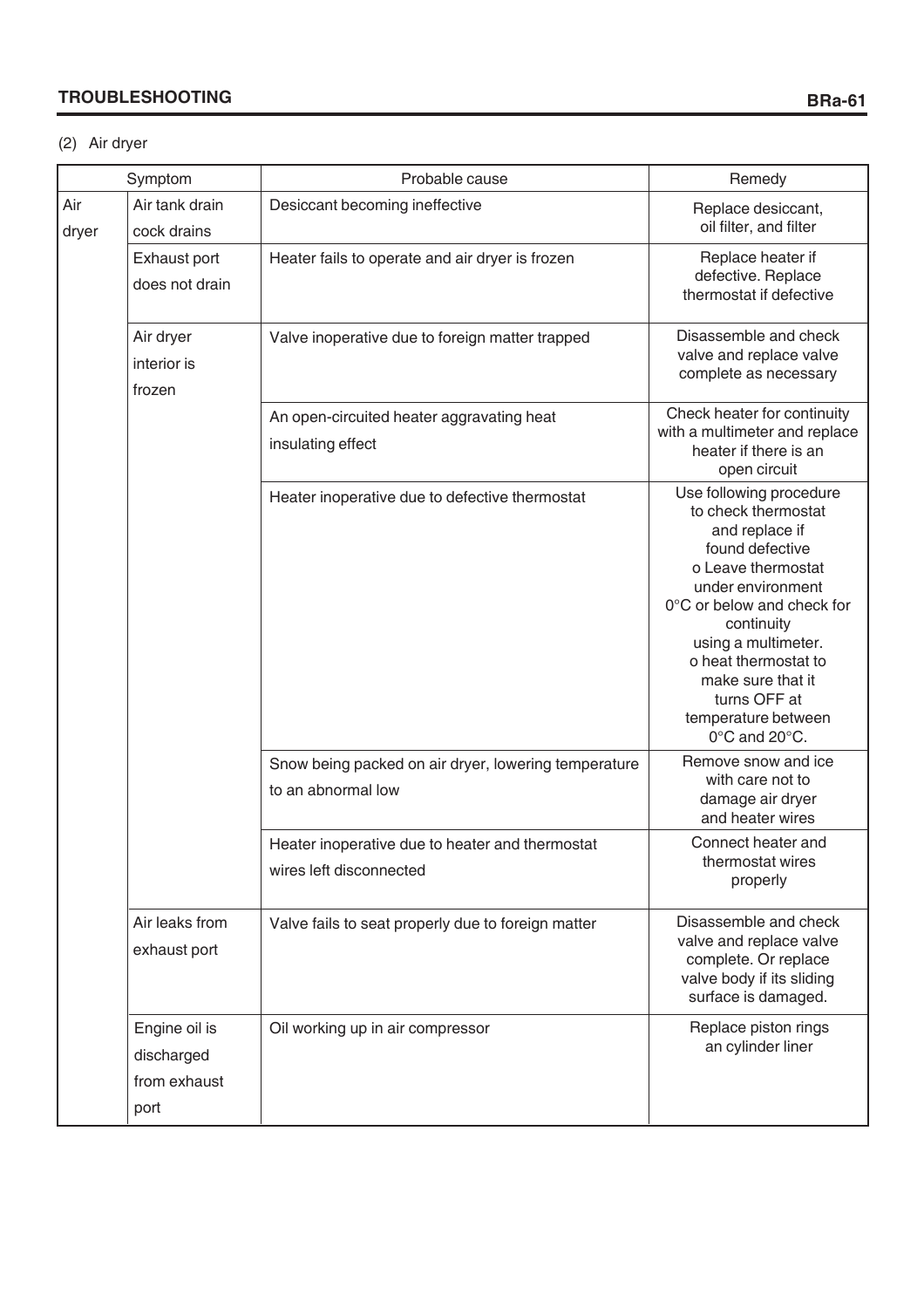# **TROUBLESHOOTING**

# (2) Air dryer

|              | Symptom                                             | Probable cause                                                             | Remedy                                                                                                                                                                                                                                                                                                 |  |
|--------------|-----------------------------------------------------|----------------------------------------------------------------------------|--------------------------------------------------------------------------------------------------------------------------------------------------------------------------------------------------------------------------------------------------------------------------------------------------------|--|
| Air<br>dryer | Air tank drain<br>cock drains                       | Desiccant becoming ineffective                                             | Replace desiccant,<br>oil filter, and filter                                                                                                                                                                                                                                                           |  |
|              | Exhaust port<br>does not drain                      | Heater fails to operate and air dryer is frozen                            | Replace heater if<br>defective. Replace<br>thermostat if defective                                                                                                                                                                                                                                     |  |
|              | Air dryer<br>interior is<br>frozen                  | Valve inoperative due to foreign matter trapped                            | Disassemble and check<br>valve and replace valve<br>complete as necessary                                                                                                                                                                                                                              |  |
|              |                                                     | An open-circuited heater aggravating heat<br>insulating effect             | Check heater for continuity<br>with a multimeter and replace<br>heater if there is an<br>open circuit                                                                                                                                                                                                  |  |
|              |                                                     | Heater inoperative due to defective thermostat                             | Use following procedure<br>to check thermostat<br>and replace if<br>found defective<br>o Leave thermostat<br>under environment<br>0°C or below and check for<br>continuity<br>using a multimeter.<br>o heat thermostat to<br>make sure that it<br>turns OFF at<br>temperature between<br>0°C and 20°C. |  |
|              |                                                     | Snow being packed on air dryer, lowering temperature<br>to an abnormal low | Remove snow and ice<br>with care not to<br>damage air dryer<br>and heater wires                                                                                                                                                                                                                        |  |
|              |                                                     | Heater inoperative due to heater and thermostat<br>wires left disconnected | Connect heater and<br>thermostat wires<br>properly                                                                                                                                                                                                                                                     |  |
|              | Air leaks from<br>exhaust port                      | Valve fails to seat properly due to foreign matter                         | Disassemble and check<br>valve and replace valve<br>complete. Or replace<br>valve body if its sliding<br>surface is damaged.                                                                                                                                                                           |  |
|              | Engine oil is<br>discharged<br>from exhaust<br>port | Oil working up in air compressor                                           | Replace piston rings<br>an cylinder liner                                                                                                                                                                                                                                                              |  |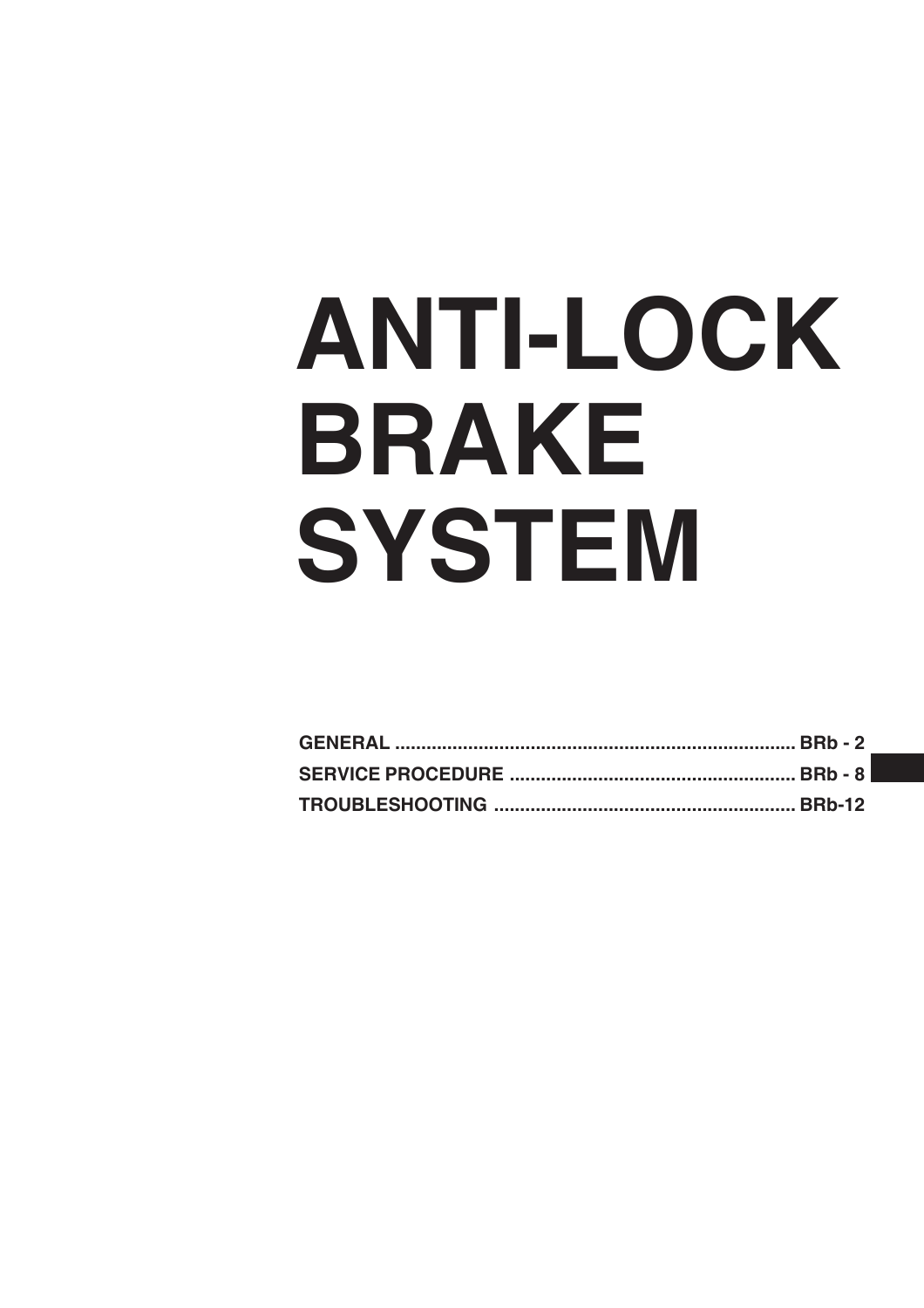# **ANTI-LOCK BRAKE SYSTEM**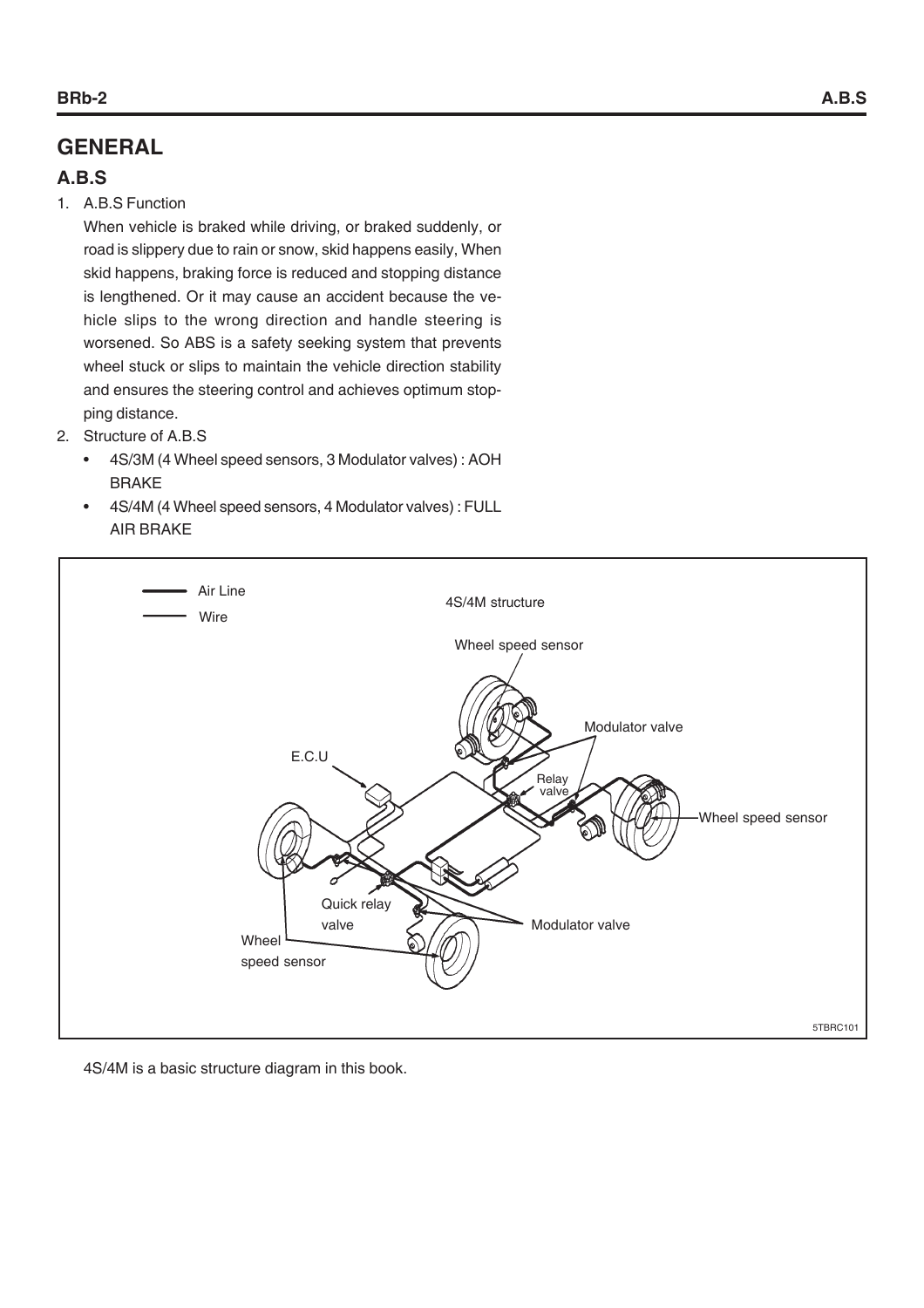# **GENERAL**

# **A.B.S**

1. A.B.S Function

When vehicle is braked while driving, or braked suddenly, or road is slippery due to rain or snow, skid happens easily, When skid happens, braking force is reduced and stopping distance is lengthened. Or it may cause an accident because the vehicle slips to the wrong direction and handle steering is worsened. So ABS is a safety seeking system that prevents wheel stuck or slips to maintain the vehicle direction stability and ensures the steering control and achieves optimum stopping distance.

- 2. Structure of A.B.S
	- 4S/3M (4 Wheel speed sensors, 3 Modulator valves) : AOH BRAKE
	- 4S/4M (4 Wheel speed sensors, 4 Modulator valves) : FULL AIR BRAKE



4S/4M is a basic structure diagram in this book.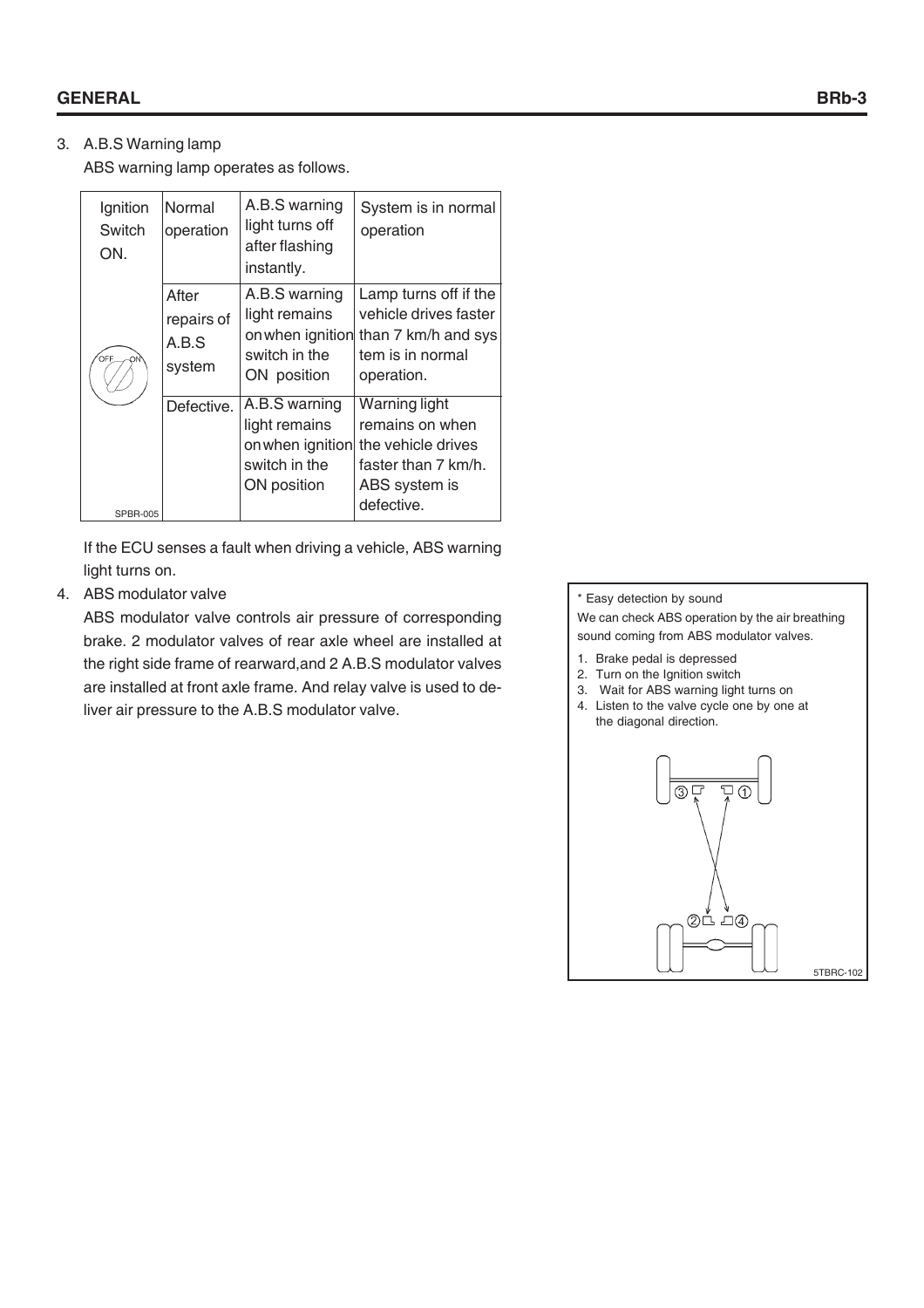# 3. A.B.S Warning lamp

ABS warning lamp operates as follows.

| Ignition<br>Switch<br>ON. | Normal<br>operation                    | A.B.S warning<br>light turns off<br>after flashing<br>instantly. | System is in normal<br>operation                                                                                              |
|---------------------------|----------------------------------------|------------------------------------------------------------------|-------------------------------------------------------------------------------------------------------------------------------|
| OFF<br>ON                 | After<br>repairs of<br>A.B.S<br>system | A.B.S warning<br>light remains<br>switch in the<br>ON position   | Lamp turns off if the<br>vehicle drives faster<br>on when ignition than 7 km/h and sys<br>tem is in normal<br>operation.      |
| <b>SPBR-005</b>           | Defective.                             | A.B.S warning<br>light remains<br>switch in the<br>ON position   | Warning light<br>remains on when<br>on when ignition the vehicle drives<br>faster than 7 km/h.<br>ABS system is<br>defective. |

If the ECU senses a fault when driving a vehicle, ABS warning light turns on.

# 4. ABS modulator valve

ABS modulator valve controls air pressure of corresponding brake. 2 modulator valves of rear axle wheel are installed at the right side frame of rearward,and 2 A.B.S modulator valves are installed at front axle frame. And relay valve is used to deliver air pressure to the A.B.S modulator valve.

#### \* Easy detection by sound

We can check ABS operation by the air breathing sound coming from ABS modulator valves.

- 1. Brake pedal is depressed
- 2. Turn on the Ignition switch
- 3. Wait for ABS warning light turns on
- 4. Listen to the valve cycle one by one at the diagonal direction.

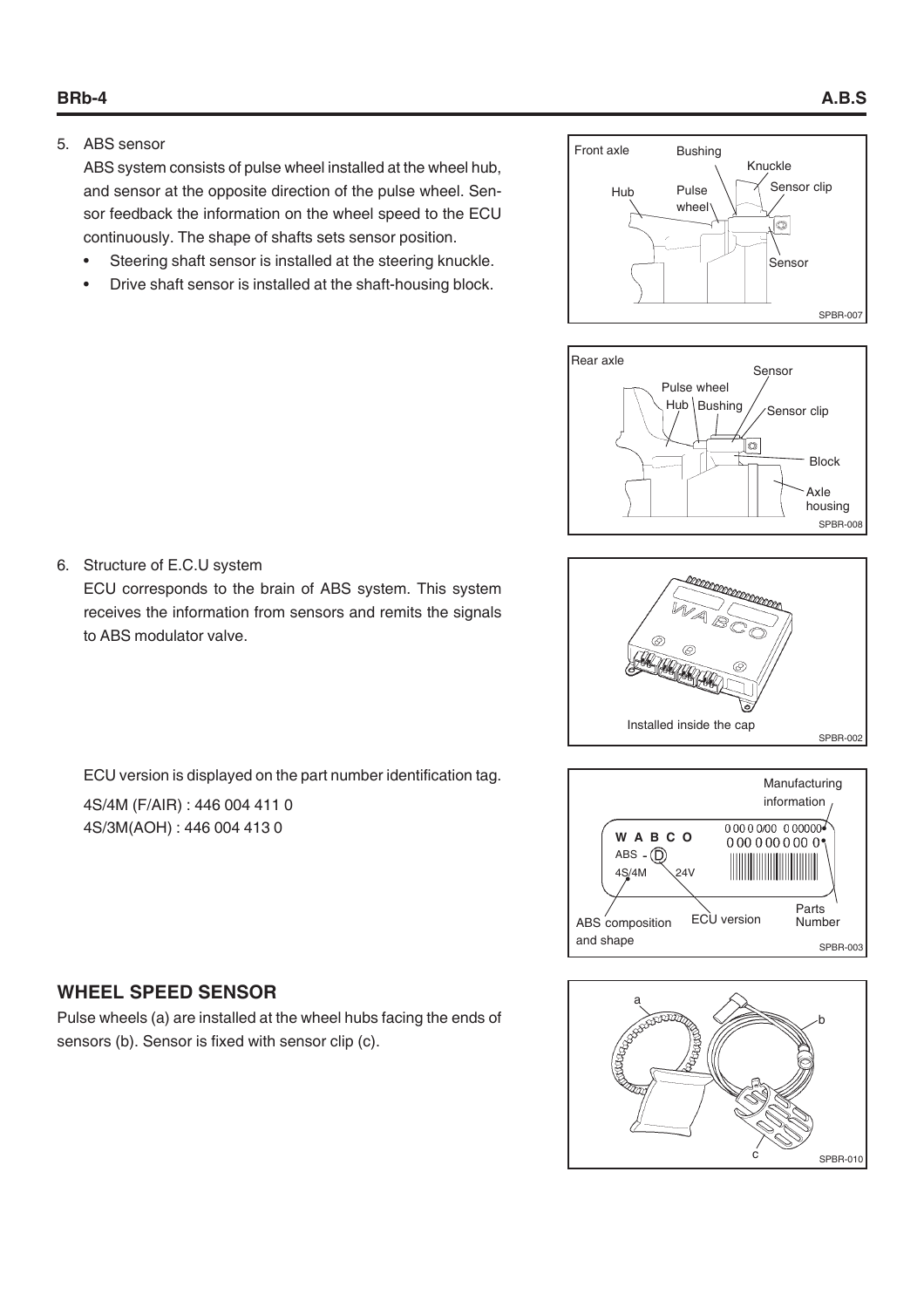5. ABS sensor

ABS system consists of pulse wheel installed at the wheel hub, and sensor at the opposite direction of the pulse wheel. Sensor feedback the information on the wheel speed to the ECU continuously. The shape of shafts sets sensor position.

- Steering shaft sensor is installed at the steering knuckle.
- Drive shaft sensor is installed at the shaft-housing block.





an<br>Simonana Installed inside the cap SPBR-002





# 6. Structure of E.C.U system

ECU corresponds to the brain of ABS system. This system receives the information from sensors and remits the signals to ABS modulator valve.

ECU version is displayed on the part number identification tag.

4S/4M (F/AIR) : 446 004 411 0 4S/3M(AOH) : 446 004 413 0

# **WHEEL SPEED SENSOR**

Pulse wheels (a) are installed at the wheel hubs facing the ends of sensors (b). Sensor is fixed with sensor clip (c).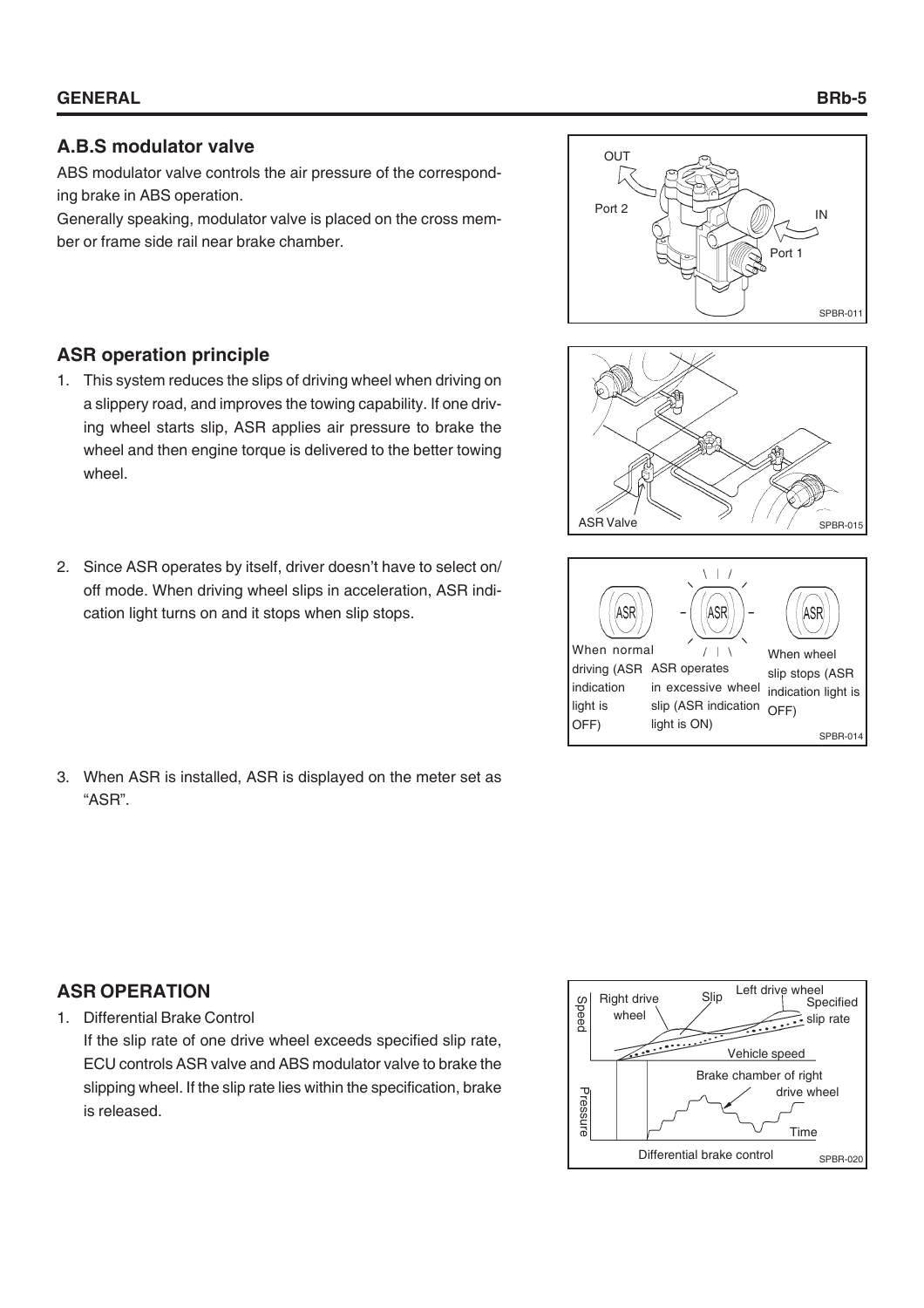# **A.B.S modulator valve**

ABS modulator valve controls the air pressure of the corresponding brake in ABS operation.

Generally speaking, modulator valve is placed on the cross member or frame side rail near brake chamber.



# **ASR operation principle**

- 1. This system reduces the slips of driving wheel when driving on a slippery road, and improves the towing capability. If one driving wheel starts slip, ASR applies air pressure to brake the wheel and then engine torque is delivered to the better towing wheel.
- 2. Since ASR operates by itself, driver doesn't have to select on/ off mode. When driving wheel slips in acceleration, ASR indication light turns on and it stops when slip stops.
- 3. When ASR is installed, ASR is displayed on the meter set as "ASR".
- ASR Valve SPBR-015  $\left| \cdot \right|$ ASF **ASR** ASF When normal  $\mathbf{I}$ When wheel driving (ASR ASR operates slip stops (ASR indication in excessive wheel indication light is light is slip (ASR indication OFF)

SPBR-014

light is ON)

OFF)

# **ASR OPERATION**

1. Differential Brake Control

If the slip rate of one drive wheel exceeds specified slip rate, ECU controls ASR valve and ABS modulator valve to brake the slipping wheel. If the slip rate lies within the specification, brake is released.

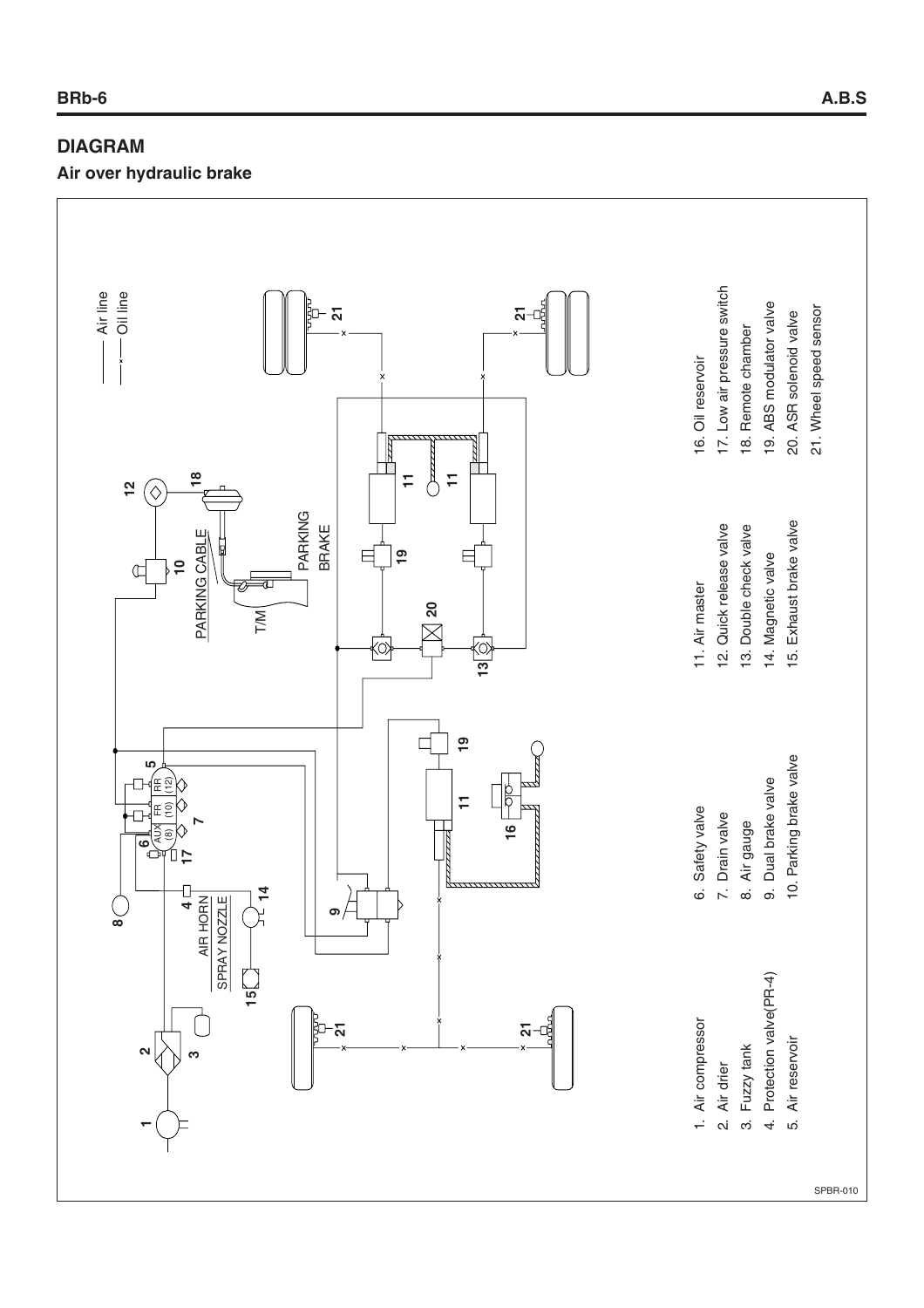# **DIAGRAM**

**Air over hydraulic brake**

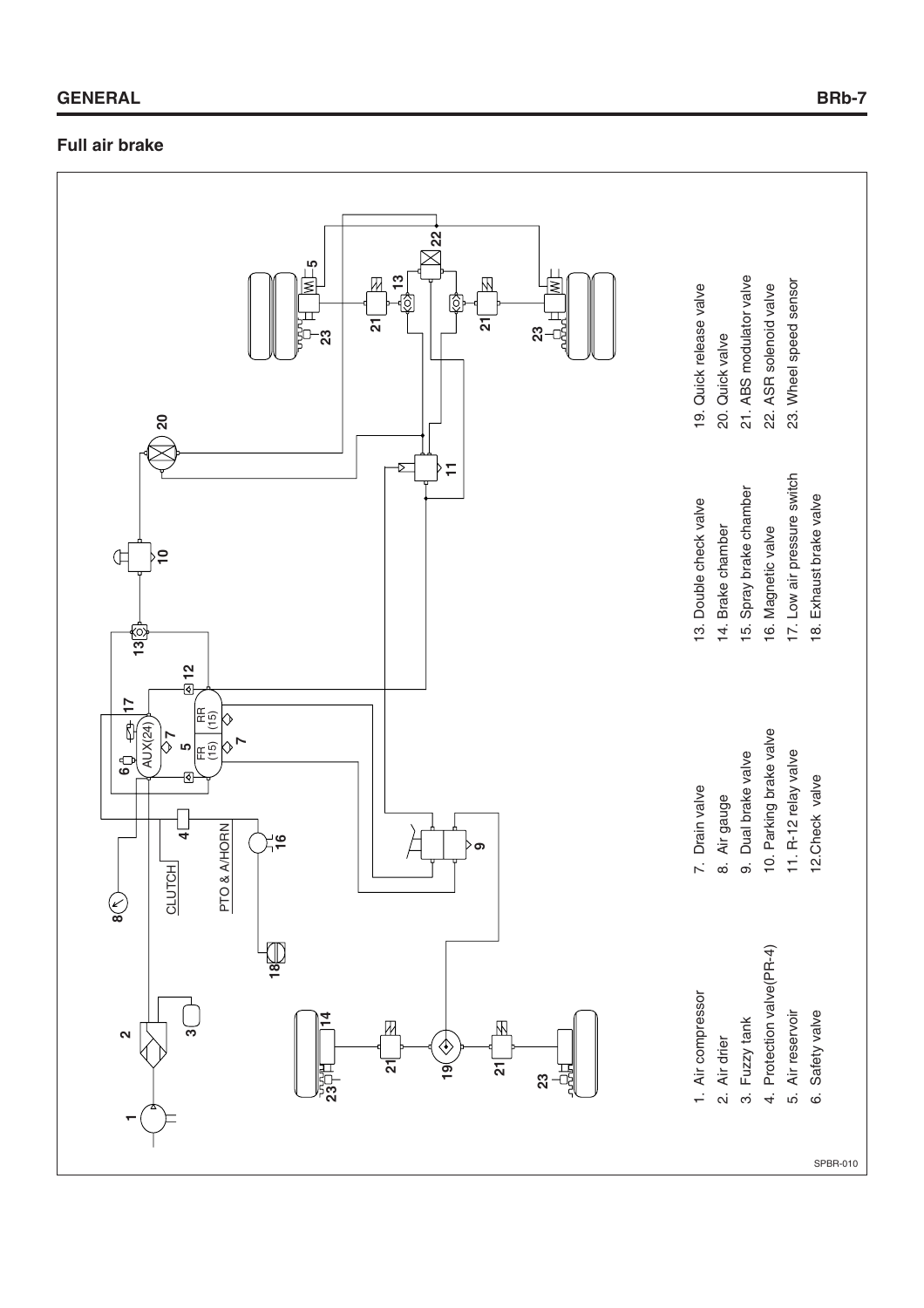# **Full air brake**

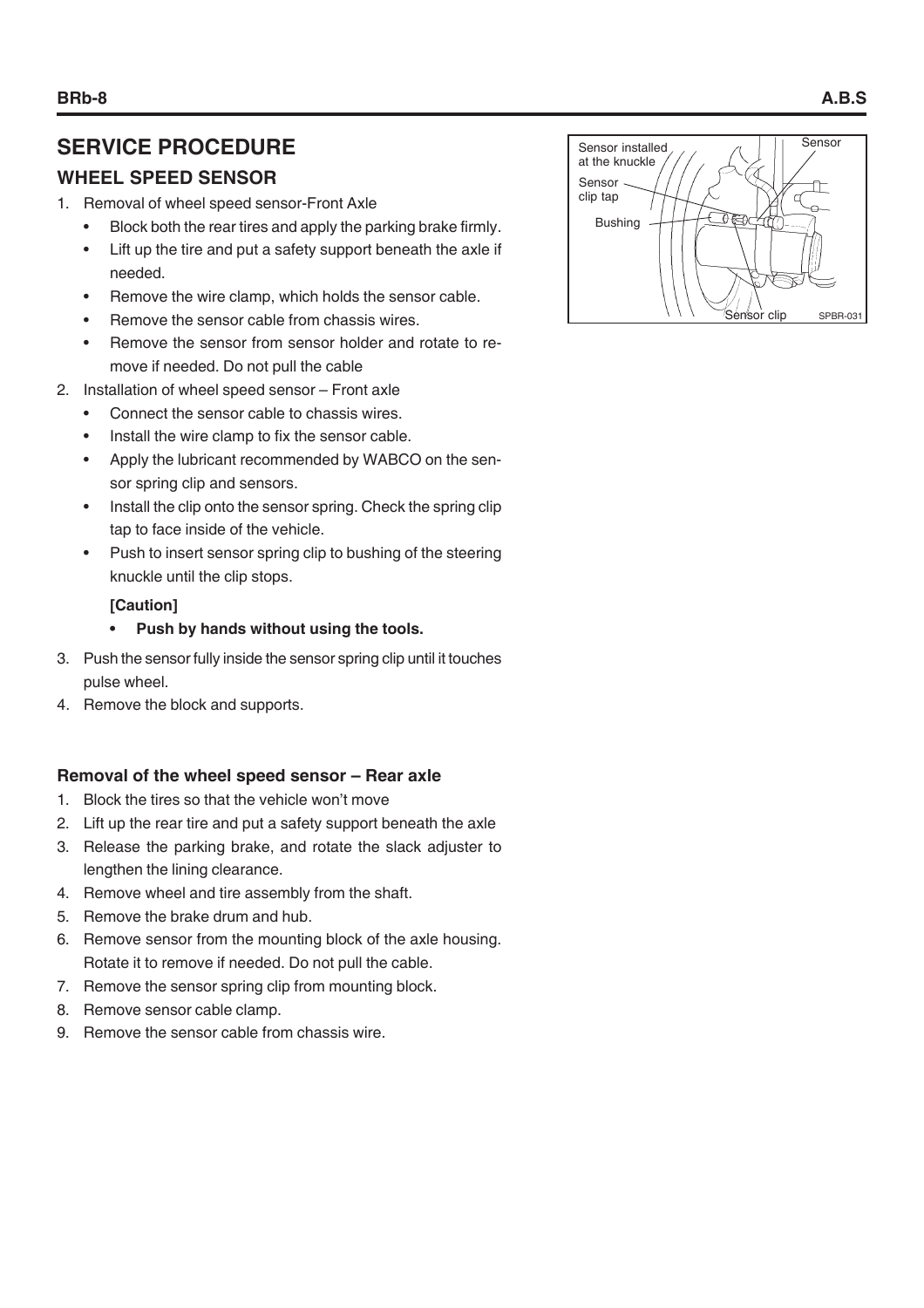# **SERVICE PROCEDURE**

# **WHEEL SPEED SENSOR**

- 1. Removal of wheel speed sensor-Front Axle
	- Block both the rear tires and apply the parking brake firmly.
	- Lift up the tire and put a safety support beneath the axle if needed.
	- Remove the wire clamp, which holds the sensor cable.
	- Remove the sensor cable from chassis wires.
	- Remove the sensor from sensor holder and rotate to remove if needed. Do not pull the cable
- 2. Installation of wheel speed sensor Front axle
	- Connect the sensor cable to chassis wires.
	- Install the wire clamp to fix the sensor cable.
	- Apply the lubricant recommended by WABCO on the sensor spring clip and sensors.
	- Install the clip onto the sensor spring. Check the spring clip tap to face inside of the vehicle.
	- Push to insert sensor spring clip to bushing of the steering knuckle until the clip stops.

# **[Caution]**

- **Push by hands without using the tools.**
- 3. Push the sensor fully inside the sensor spring clip until it touches pulse wheel.
- 4. Remove the block and supports.

# **Removal of the wheel speed sensor – Rear axle**

- 1. Block the tires so that the vehicle won't move
- 2. Lift up the rear tire and put a safety support beneath the axle
- 3. Release the parking brake, and rotate the slack adjuster to lengthen the lining clearance.
- 4. Remove wheel and tire assembly from the shaft.
- 5. Remove the brake drum and hub.
- 6. Remove sensor from the mounting block of the axle housing. Rotate it to remove if needed. Do not pull the cable.
- 7. Remove the sensor spring clip from mounting block.
- 8. Remove sensor cable clamp.
- 9. Remove the sensor cable from chassis wire.

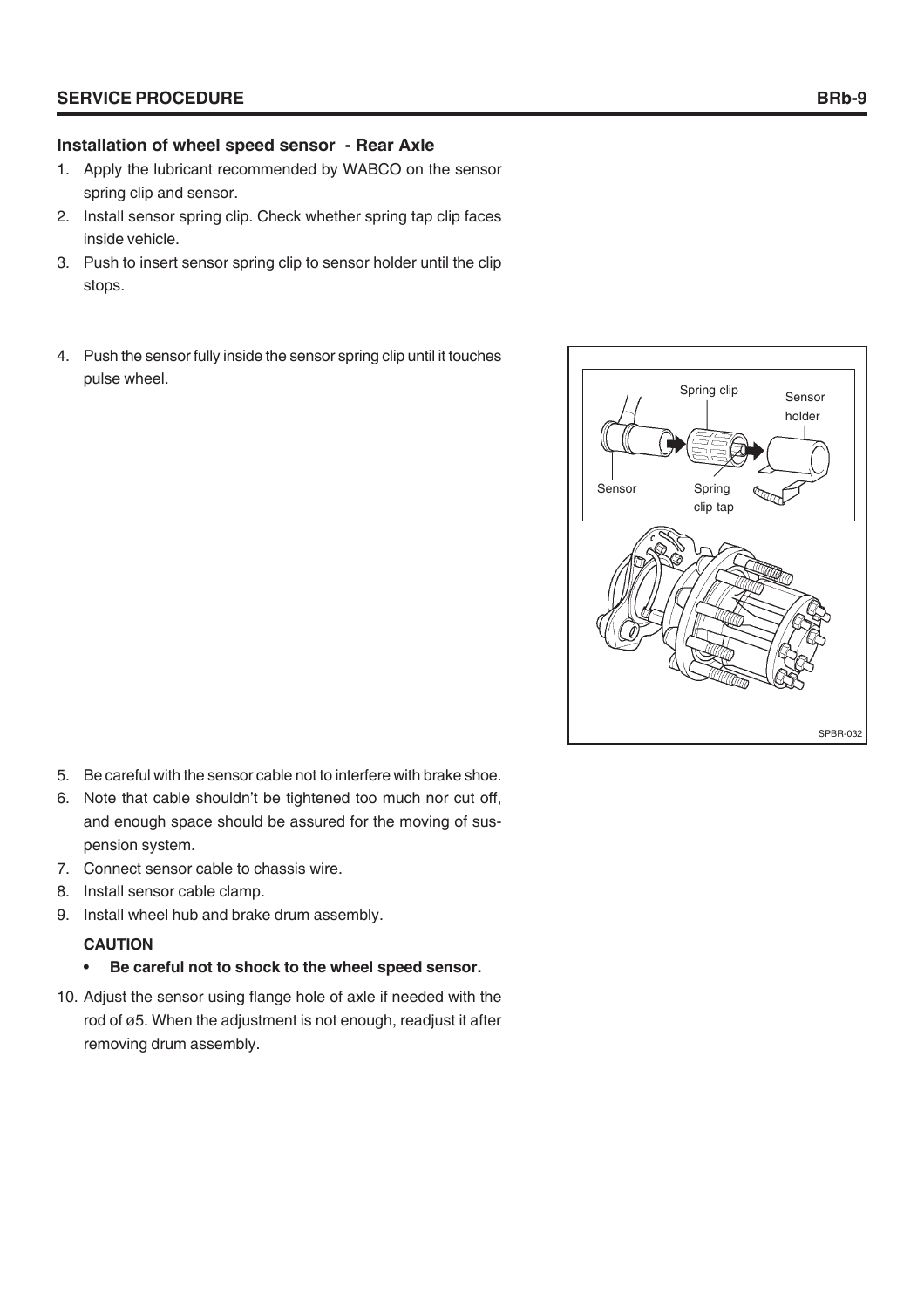# **Installation of wheel speed sensor - Rear Axle**

- 1. Apply the lubricant recommended by WABCO on the sensor spring clip and sensor.
- 2. Install sensor spring clip. Check whether spring tap clip faces inside vehicle.
- 3. Push to insert sensor spring clip to sensor holder until the clip stops.
- 4. Push the sensor fully inside the sensor spring clip until it touches pulse wheel.



- 5. Be careful with the sensor cable not to interfere with brake shoe.
- 6. Note that cable shouldn't be tightened too much nor cut off, and enough space should be assured for the moving of suspension system.
- 7. Connect sensor cable to chassis wire.
- 8. Install sensor cable clamp.
- 9. Install wheel hub and brake drum assembly.

# **CAUTION**

- **Be careful not to shock to the wheel speed sensor.**
- 10. Adjust the sensor using flange hole of axle if needed with the rod of ø5. When the adjustment is not enough, readjust it after removing drum assembly.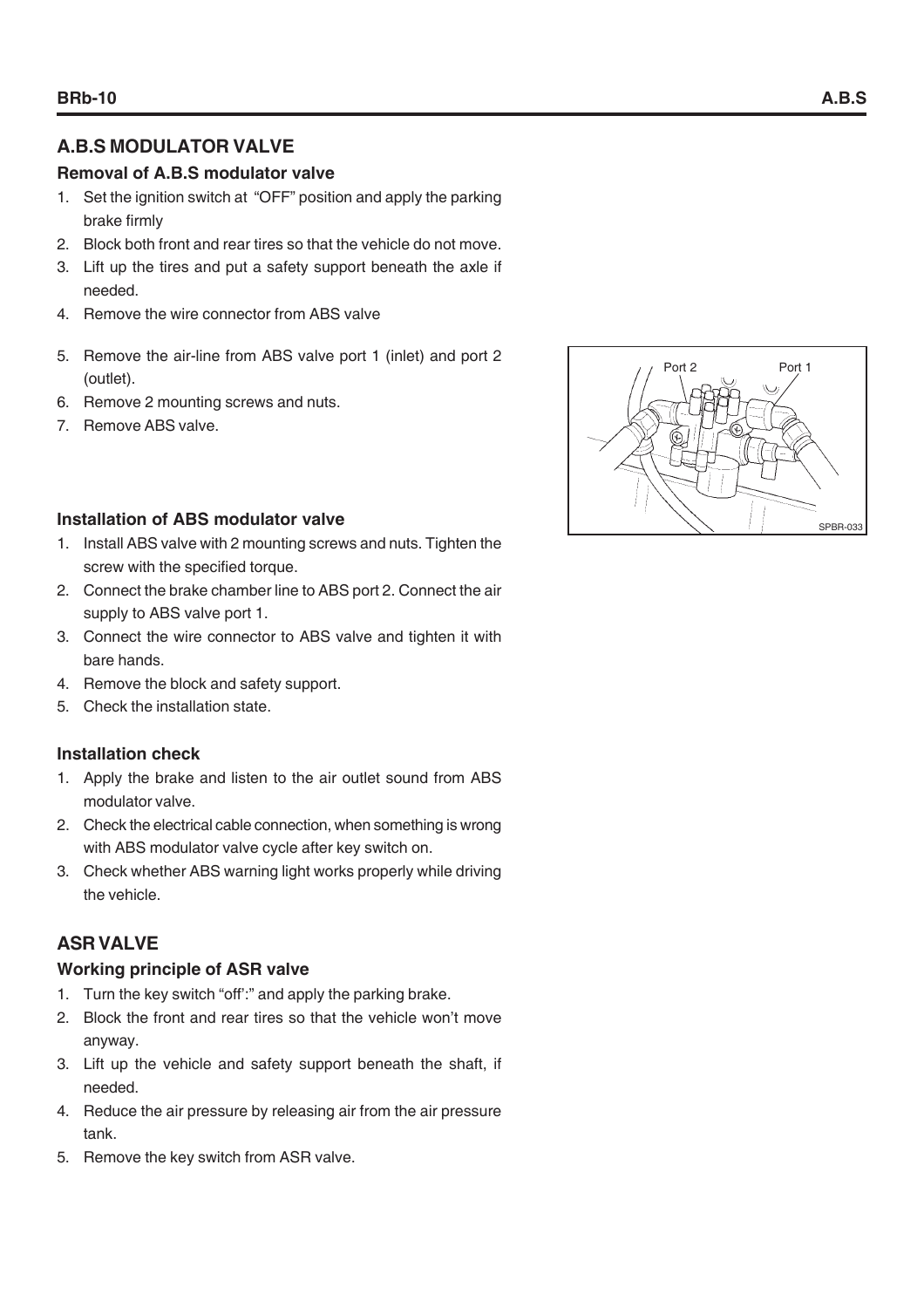# **A.B.S MODULATOR VALVE**

# **Removal of A.B.S modulator valve**

- 1. Set the ignition switch at "OFF" position and apply the parking brake firmly
- 2. Block both front and rear tires so that the vehicle do not move.
- 3. Lift up the tires and put a safety support beneath the axle if needed.
- 4. Remove the wire connector from ABS valve
- 5. Remove the air-line from ABS valve port 1 (inlet) and port 2 (outlet).
- 6. Remove 2 mounting screws and nuts.
- 7. Remove ABS valve.

# **Installation of ABS modulator valve**

- 1. Install ABS valve with 2 mounting screws and nuts. Tighten the screw with the specified torque.
- 2. Connect the brake chamber line to ABS port 2. Connect the air supply to ABS valve port 1.
- 3. Connect the wire connector to ABS valve and tighten it with bare hands.
- 4. Remove the block and safety support.
- 5. Check the installation state.

# **Installation check**

- 1. Apply the brake and listen to the air outlet sound from ABS modulator valve.
- 2. Check the electrical cable connection, when something is wrong with ABS modulator valve cycle after key switch on.
- 3. Check whether ABS warning light works properly while driving the vehicle.

# **ASR VALVE**

# **Working principle of ASR valve**

- 1. Turn the key switch "off':" and apply the parking brake.
- 2. Block the front and rear tires so that the vehicle won't move anyway.
- 3. Lift up the vehicle and safety support beneath the shaft, if needed.
- 4. Reduce the air pressure by releasing air from the air pressure tank.
- 5. Remove the key switch from ASR valve.

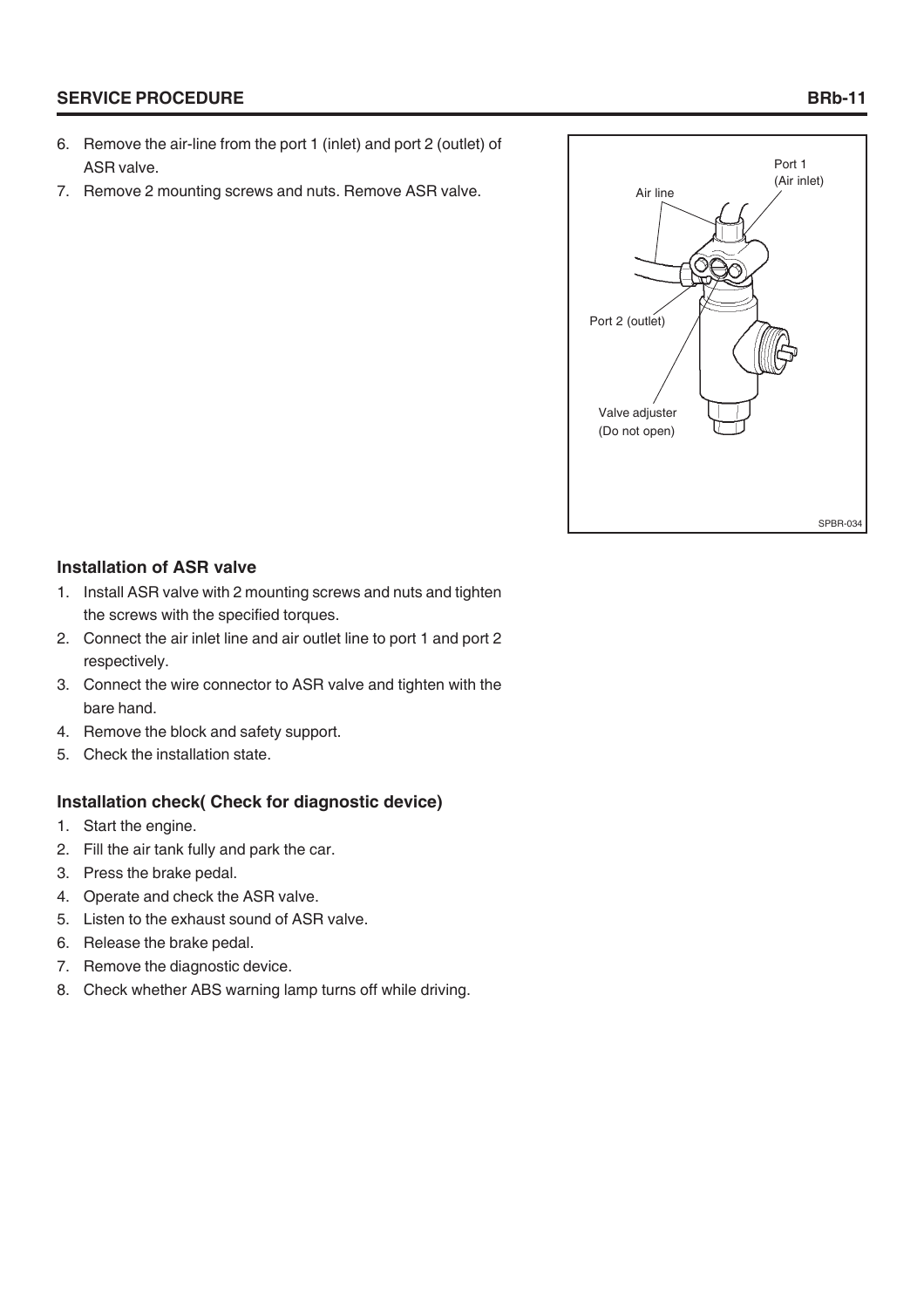# **SERVICE PROCEDURE**

- 6. Remove the air-line from the port 1 (inlet) and port 2 (outlet) of ASR valve.
- 7. Remove 2 mounting screws and nuts. Remove ASR valve.



#### **Installation of ASR valve**

- 1. Install ASR valve with 2 mounting screws and nuts and tighten the screws with the specified torques.
- 2. Connect the air inlet line and air outlet line to port 1 and port 2 respectively.
- 3. Connect the wire connector to ASR valve and tighten with the bare hand.
- 4. Remove the block and safety support.
- 5. Check the installation state.

#### **Installation check( Check for diagnostic device)**

- 1. Start the engine.
- 2. Fill the air tank fully and park the car.
- 3. Press the brake pedal.
- 4. Operate and check the ASR valve.
- 5. Listen to the exhaust sound of ASR valve.
- 6. Release the brake pedal.
- 7. Remove the diagnostic device.
- 8. Check whether ABS warning lamp turns off while driving.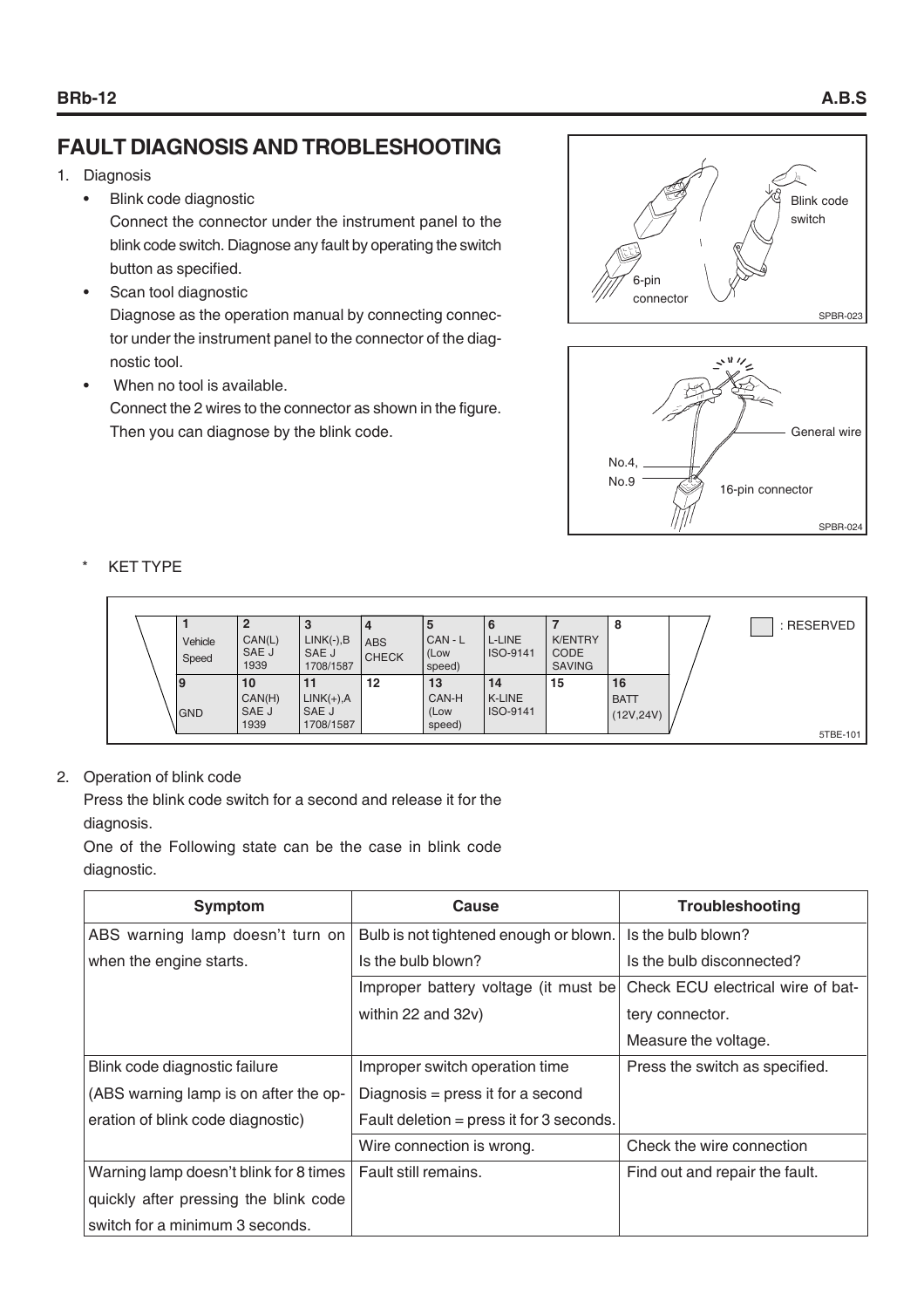# **FAULT DIAGNOSIS AND TROBLESHOOTING**

- 1. Diagnosis
	- Blink code diagnostic

Connect the connector under the instrument panel to the blink code switch. Diagnose any fault by operating the switch button as specified.

- Scan tool diagnostic Diagnose as the operation manual by connecting connector under the instrument panel to the connector of the diagnostic tool.
- When no tool is available. Connect the 2 wires to the connector as shown in the figure. Then you can diagnose by the blink code.





#### **KET TYPE**

|           |         | 2      | P            |              | ು      | O         |                | 8           | : RESERVED |
|-----------|---------|--------|--------------|--------------|--------|-----------|----------------|-------------|------------|
|           | Vehicle | CAN(L) | $LINK(-),B$  | <b>ABS</b>   | CAN-L  | L-LINE    | <b>K/ENTRY</b> |             |            |
|           | Speed   | SAE J  | SAE J        | <b>CHECK</b> | (Low   | IISO-9141 | <b>CODE</b>    |             |            |
|           |         | 1939   | 1708/1587    |              | speed) |           | <b>SAVING</b>  |             |            |
| <u> 9</u> |         | 10     |              | 12           | 13     | 14        | 15             | 16          |            |
|           |         | CAN(H) | $LINK(+), A$ |              | CAN-H  | l K-LINE  |                | <b>BATT</b> |            |
| GND       |         | SAE J  | SAE J        |              | (Low   | ISO-9141  |                | (12V, 24V)  |            |
|           |         | 1939   | 1708/1587    |              | speed) |           |                |             |            |
|           |         |        |              |              |        |           |                |             | 5TBE-101   |

#### 2. Operation of blink code

Press the blink code switch for a second and release it for the diagnosis.

One of the Following state can be the case in blink code diagnostic.

| <b>Symptom</b>                         | Cause                                    | Troubleshooting                   |
|----------------------------------------|------------------------------------------|-----------------------------------|
| ABS warning lamp doesn't turn on       | Bulb is not tightened enough or blown.   | Is the bulb blown?                |
| when the engine starts.                | Is the bulb blown?                       | Is the bulb disconnected?         |
|                                        | Improper battery voltage (it must be)    | Check ECU electrical wire of bat- |
|                                        | within 22 and 32v)                       | tery connector.                   |
|                                        |                                          | Measure the voltage.              |
| Blink code diagnostic failure          | Improper switch operation time           | Press the switch as specified.    |
| (ABS warning lamp is on after the op-  | Diagnosis = press it for a second        |                                   |
| eration of blink code diagnostic)      | Fault deletion = press it for 3 seconds. |                                   |
|                                        | Wire connection is wrong.                | Check the wire connection         |
| Warning lamp doesn't blink for 8 times | Fault still remains.                     | Find out and repair the fault.    |
| quickly after pressing the blink code  |                                          |                                   |
| switch for a minimum 3 seconds.        |                                          |                                   |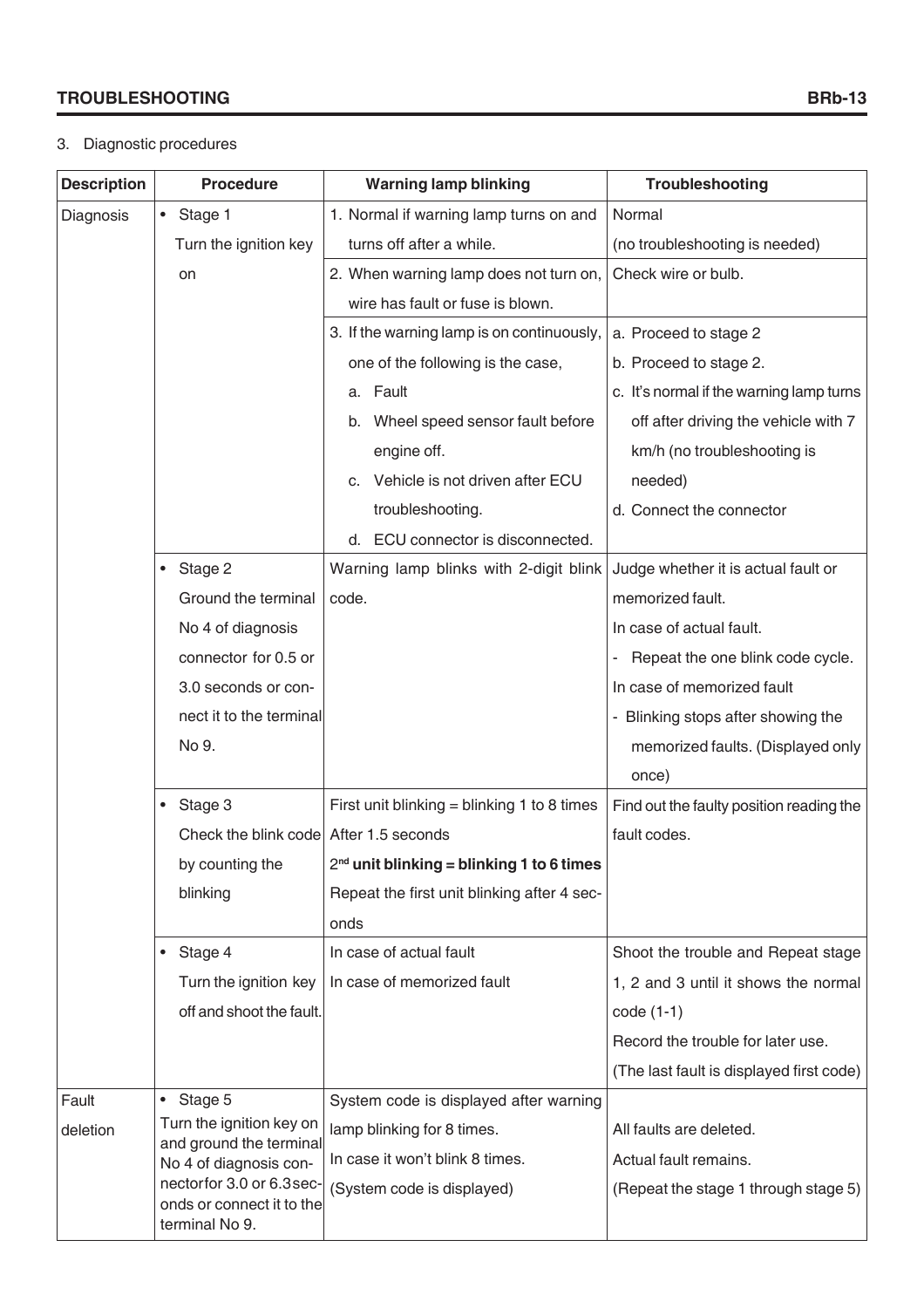### **TROUBLESHOOTING BRb-13**

#### 3. Diagnostic procedures

| <b>Description</b> | <b>Procedure</b>                                                         | <b>Warning lamp blinking</b>                | Troubleshooting                                                  |
|--------------------|--------------------------------------------------------------------------|---------------------------------------------|------------------------------------------------------------------|
| Diagnosis          | $\bullet$<br>Stage 1                                                     | 1. Normal if warning lamp turns on and      | Normal                                                           |
|                    | Turn the ignition key                                                    | turns off after a while.                    | (no troubleshooting is needed)                                   |
|                    | on                                                                       | 2. When warning lamp does not turn on,      | Check wire or bulb.                                              |
|                    |                                                                          | wire has fault or fuse is blown.            |                                                                  |
|                    |                                                                          | 3. If the warning lamp is on continuously,  | a. Proceed to stage 2                                            |
|                    |                                                                          | one of the following is the case,           | b. Proceed to stage 2.                                           |
|                    |                                                                          | a. Fault                                    | c. It's normal if the warning lamp turns                         |
|                    |                                                                          | Wheel speed sensor fault before<br>b.       | off after driving the vehicle with 7                             |
|                    |                                                                          | engine off.                                 | km/h (no troubleshooting is                                      |
|                    |                                                                          | c. Vehicle is not driven after ECU          | needed)                                                          |
|                    |                                                                          | troubleshooting.                            | d. Connect the connector                                         |
|                    |                                                                          | ECU connector is disconnected.<br>d.        |                                                                  |
|                    | Stage 2<br>$\bullet$                                                     | Warning lamp blinks with 2-digit blink      | Judge whether it is actual fault or                              |
|                    | Ground the terminal                                                      | code.                                       | memorized fault.                                                 |
|                    | No 4 of diagnosis                                                        |                                             | In case of actual fault.                                         |
|                    | connector for 0.5 or                                                     |                                             | Repeat the one blink code cycle.<br>$\qquad \qquad \blacksquare$ |
|                    | 3.0 seconds or con-                                                      |                                             | In case of memorized fault                                       |
|                    | nect it to the terminal                                                  |                                             | - Blinking stops after showing the                               |
|                    | No 9.                                                                    |                                             | memorized faults. (Displayed only                                |
|                    |                                                                          |                                             | once)                                                            |
|                    | $\bullet$ Stage 3                                                        | First unit blinking = blinking 1 to 8 times | Find out the faulty position reading the                         |
|                    | Check the blink code After 1.5 seconds                                   |                                             | fault codes.                                                     |
|                    | by counting the                                                          | $2nd$ unit blinking = blinking 1 to 6 times |                                                                  |
|                    | blinking                                                                 | Repeat the first unit blinking after 4 sec- |                                                                  |
|                    |                                                                          | onds                                        |                                                                  |
|                    | • Stage 4                                                                | In case of actual fault                     | Shoot the trouble and Repeat stage                               |
|                    | Turn the ignition key                                                    | In case of memorized fault                  | 1, 2 and 3 until it shows the normal                             |
|                    | off and shoot the fault.                                                 |                                             | $code(1-1)$                                                      |
|                    |                                                                          |                                             | Record the trouble for later use.                                |
|                    |                                                                          |                                             | (The last fault is displayed first code)                         |
| Fault              | $\bullet$ Stage 5                                                        | System code is displayed after warning      |                                                                  |
| deletion           | Turn the ignition key on<br>and ground the terminal                      | lamp blinking for 8 times.                  | All faults are deleted.                                          |
|                    | No 4 of diagnosis con-                                                   | In case it won't blink 8 times.             | Actual fault remains.                                            |
|                    | nectorfor 3.0 or 6.3 sec-<br>onds or connect it to the<br>terminal No 9. | (System code is displayed)                  | (Repeat the stage 1 through stage 5)                             |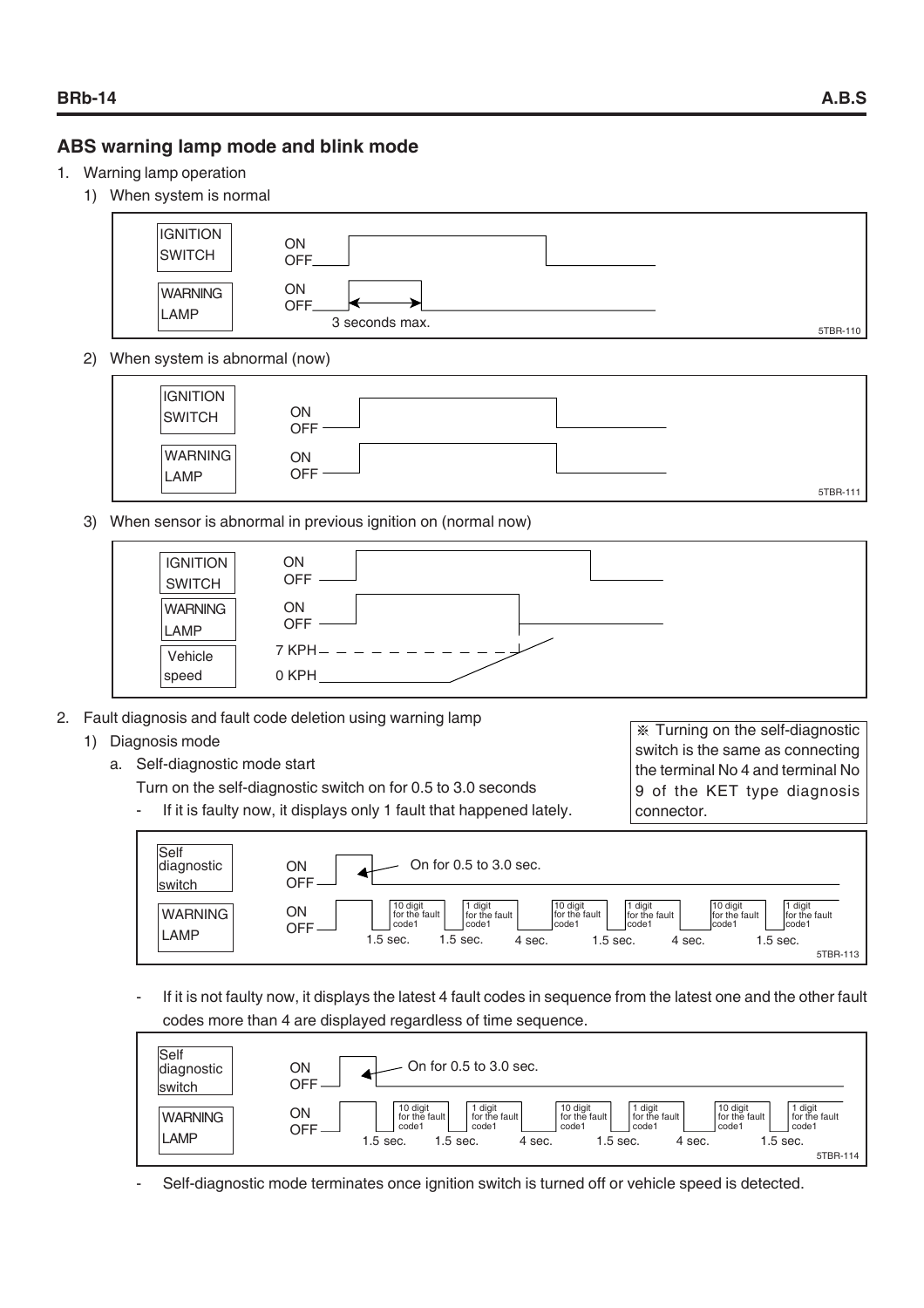#### **ABS warning lamp mode and blink mode**

- 1. Warning lamp operation
	- 1) When system is normal



2) When system is abnormal (now)



3) When sensor is abnormal in previous ignition on (normal now)



- 2. Fault diagnosis and fault code deletion using warning lamp
	- 1) Diagnosis mode
		- a. Self-diagnostic mode start
			- Turn on the self-diagnostic switch on for 0.5 to 3.0 seconds
			- If it is faulty now, it displays only 1 fault that happened lately.

 Turning on the self-diagnostic switch is the same as connecting the terminal No 4 and terminal No 9 of the KET type diagnosis connector.



If it is not faulty now, it displays the latest 4 fault codes in sequence from the latest one and the other fault codes more than 4 are displayed regardless of time sequence.



Self-diagnostic mode terminates once ignition switch is turned off or vehicle speed is detected.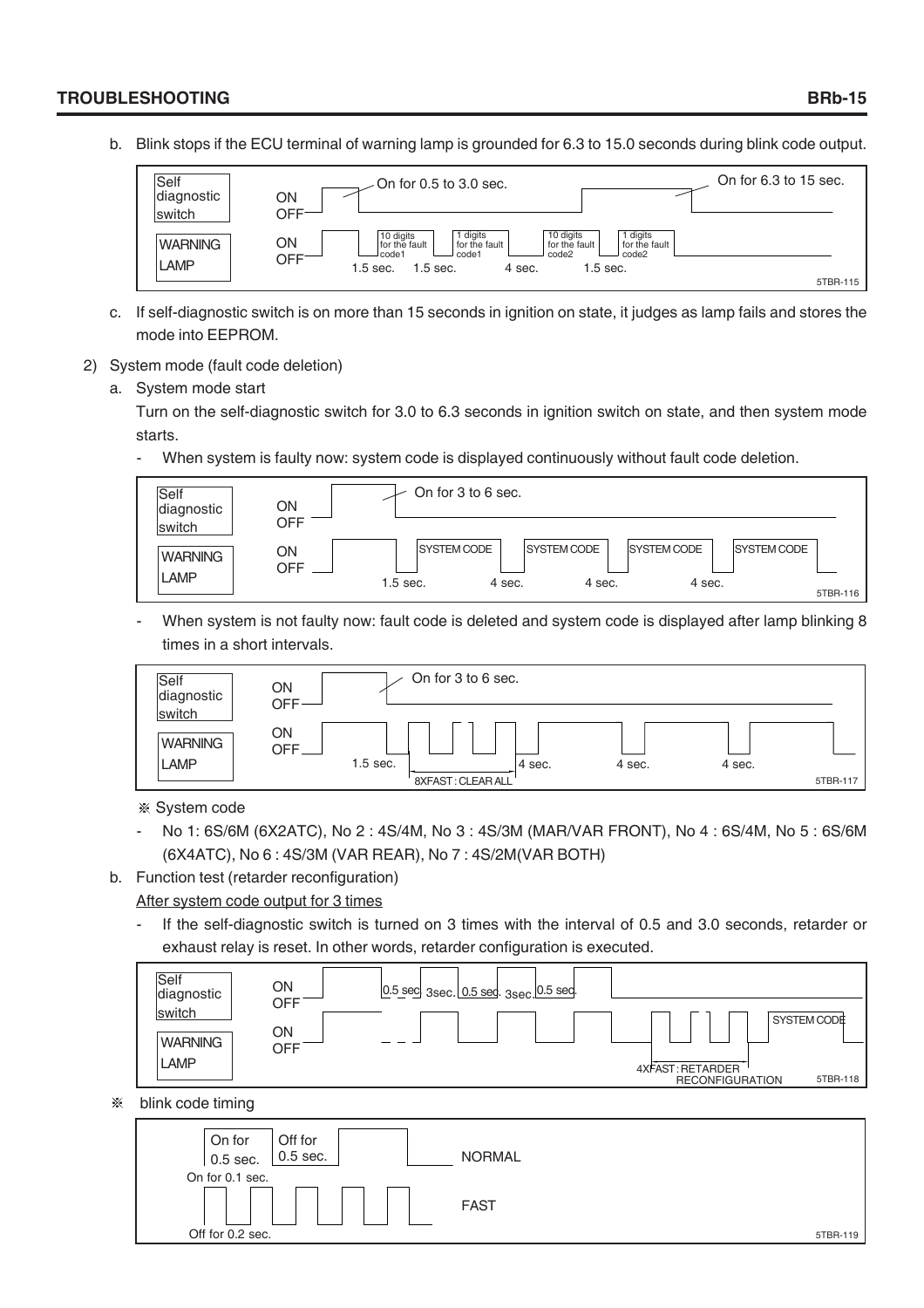#### **TROUBLESHOOTING BRb-15**

b. Blink stops if the ECU terminal of warning lamp is grounded for 6.3 to 15.0 seconds during blink code output.



- c. If self-diagnostic switch is on more than 15 seconds in ignition on state, it judges as lamp fails and stores the mode into EEPROM.
- 2) System mode (fault code deletion)
	- a. System mode start

Turn on the self-diagnostic switch for 3.0 to 6.3 seconds in ignition switch on state, and then system mode starts.

When system is faulty now: system code is displayed continuously without fault code deletion.



When system is not faulty now: fault code is deleted and system code is displayed after lamp blinking 8 times in a short intervals.

| Self<br>diagnostic<br>switch | ON<br>OFF-                     | On for 3 to 6 sec. |        |        |          |
|------------------------------|--------------------------------|--------------------|--------|--------|----------|
| <b>WARNING</b><br>LAMP       | ON<br><b>OFF</b><br>$1.5$ sec. | 4 sec.             | 4 sec. | 4 sec. |          |
|                              |                                | 8XFAST: CLEAR ALL  |        |        | 5TBR-117 |

System code

- No 1: 6S/6M (6X2ATC), No 2 : 4S/4M, No 3 : 4S/3M (MAR/VAR FRONT), No 4 : 6S/4M, No 5 : 6S/6M (6X4ATC), No 6 : 4S/3M (VAR REAR), No 7 : 4S/2M(VAR BOTH)
- b. Function test (retarder reconfiguration)

#### After system code output for 3 times

If the self-diagnostic switch is turned on 3 times with the interval of 0.5 and 3.0 seconds, retarder or exhaust relay is reset. In other words, retarder configuration is executed.



#### $\mathbb{X}$ blink code timing

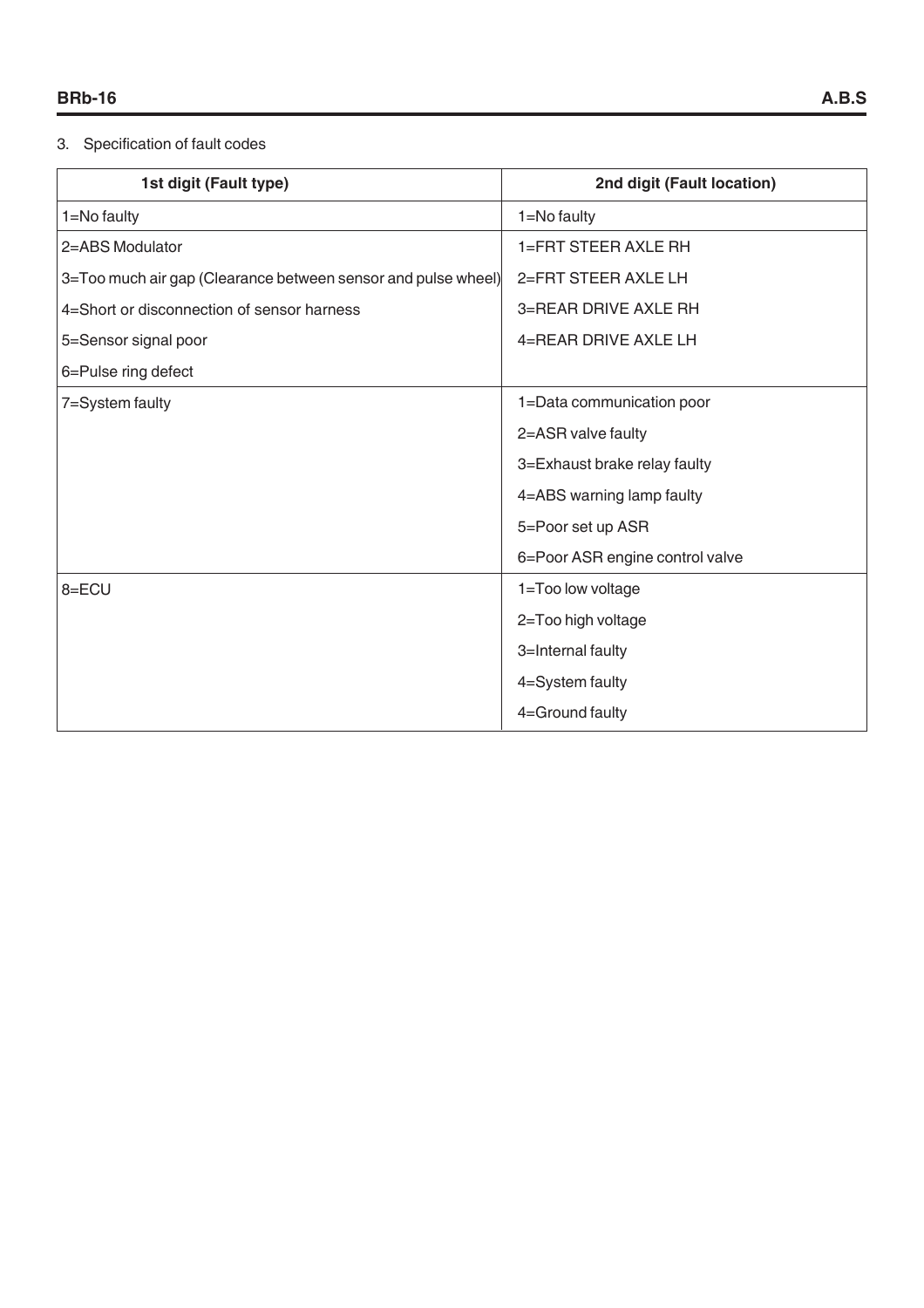#### 3. Specification of fault codes

| 1st digit (Fault type)                                        | 2nd digit (Fault location)      |
|---------------------------------------------------------------|---------------------------------|
| 1=No faulty                                                   | 1=No faulty                     |
| 2=ABS Modulator                                               | 1=FRT STEER AXLE RH             |
| 3=Too much air gap (Clearance between sensor and pulse wheel) | 2=FRT STEER AXLE LH             |
| 4=Short or disconnection of sensor harness                    | 3=REAR DRIVE AXLE RH            |
| 5=Sensor signal poor                                          | 4=REAR DRIVE AXLE LH            |
| 6=Pulse ring defect                                           |                                 |
| 7=System faulty                                               | 1=Data communication poor       |
|                                                               | 2=ASR valve faulty              |
|                                                               | 3=Exhaust brake relay faulty    |
|                                                               | 4=ABS warning lamp faulty       |
|                                                               | 5=Poor set up ASR               |
|                                                               | 6=Poor ASR engine control valve |
| 8=ECU                                                         | 1=Too low voltage               |
|                                                               | 2=Too high voltage              |
|                                                               | 3=Internal faulty               |
|                                                               | 4=System faulty                 |
|                                                               | 4=Ground faulty                 |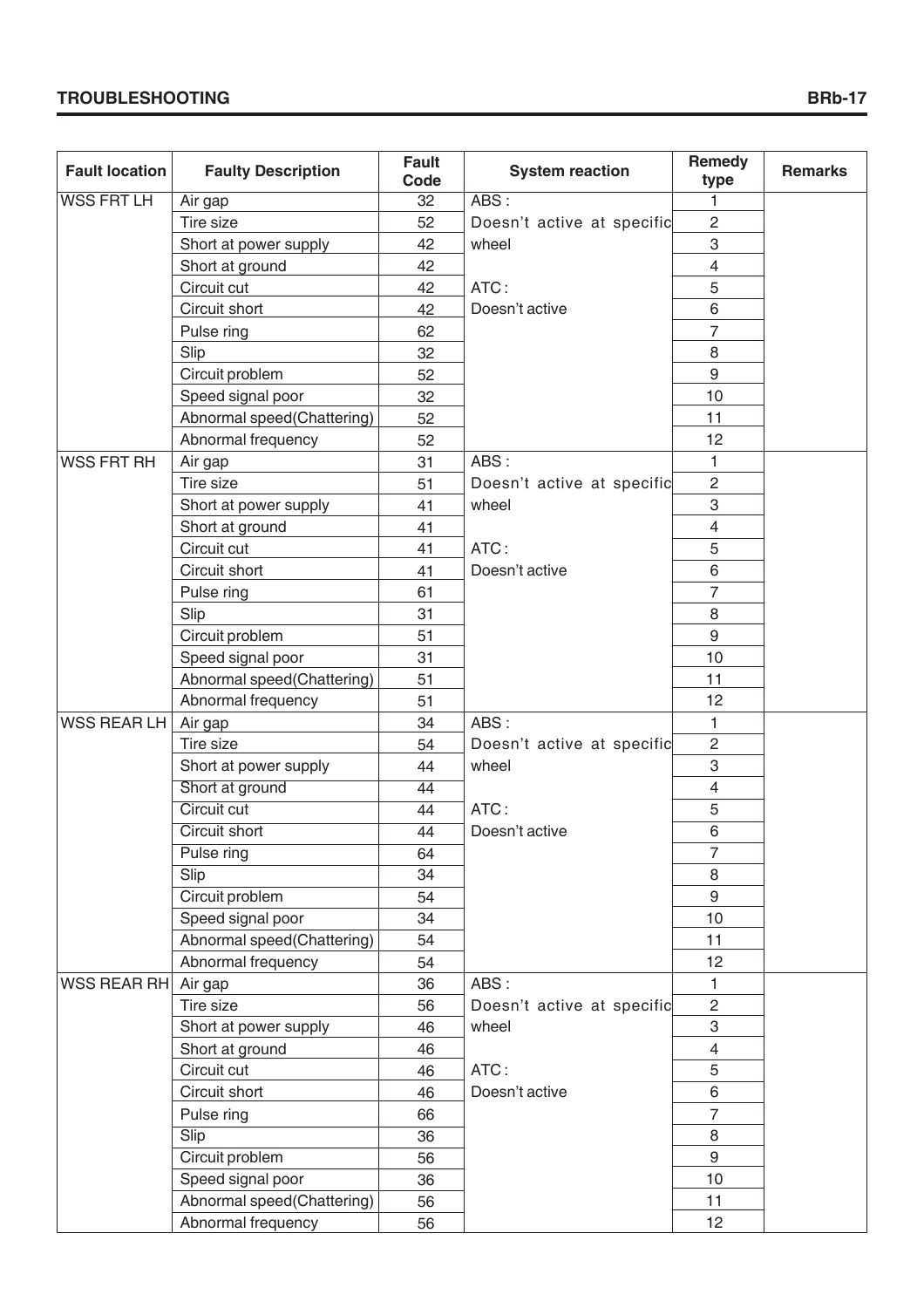| <b>Fault location</b> | <b>Faulty Description</b>  | <b>Fault</b><br>Code | <b>System reaction</b>     | Remedy<br>type   | <b>Remarks</b> |
|-----------------------|----------------------------|----------------------|----------------------------|------------------|----------------|
| <b>WSS FRT LH</b>     | Air gap                    | 32                   | ABS:                       | 1                |                |
|                       | Tire size                  | 52                   | Doesn't active at specific | $\overline{2}$   |                |
|                       | Short at power supply      | 42                   | wheel                      | 3                |                |
|                       | Short at ground            | 42                   |                            | $\overline{4}$   |                |
|                       | Circuit cut                | 42                   | ATC:                       | 5                |                |
|                       | Circuit short              | 42                   | Doesn't active             | 6                |                |
|                       | Pulse ring                 | 62                   |                            | $\overline{7}$   |                |
|                       | Slip                       | 32                   |                            | 8                |                |
|                       | Circuit problem            | 52                   |                            | $\boldsymbol{9}$ |                |
|                       | Speed signal poor          | 32                   |                            | 10               |                |
|                       | Abnormal speed(Chattering) | 52                   |                            | 11               |                |
|                       | Abnormal frequency         | 52                   |                            | 12               |                |
| <b>WSS FRT RH</b>     | Air gap                    | 31                   | ABS:                       | 1                |                |
|                       | Tire size                  | 51                   | Doesn't active at specific | $\overline{2}$   |                |
|                       | Short at power supply      | 41                   | wheel                      | 3                |                |
|                       | Short at ground            | 41                   |                            | $\overline{4}$   |                |
|                       | Circuit cut                | 41                   | ATC:                       | 5                |                |
|                       | Circuit short              | 41                   | Doesn't active             | 6                |                |
|                       | Pulse ring                 | 61                   |                            | $\overline{7}$   |                |
|                       | Slip                       | 31                   |                            | 8                |                |
|                       | Circuit problem            | 51                   |                            | $\boldsymbol{9}$ |                |
|                       | Speed signal poor          | 31                   |                            | 10               |                |
|                       | Abnormal speed(Chattering) | 51                   |                            | 11               |                |
|                       | Abnormal frequency         | 51                   |                            | 12               |                |
| WSS REAR LH           | Air gap                    | 34                   | ABS:                       | $\mathbf{1}$     |                |
|                       | Tire size                  | 54                   | Doesn't active at specific | $\overline{2}$   |                |
|                       | Short at power supply      | 44                   | wheel                      | 3                |                |
|                       | Short at ground            | $\overline{44}$      |                            | $\overline{4}$   |                |
|                       | Circuit cut                | 44                   | ATC:                       | $\mathbf 5$      |                |
|                       | Circuit short              | 44                   | Doesn't active             | 6                |                |
|                       | Pulse ring                 | 64                   |                            | $\overline{7}$   |                |
|                       | Slip                       | 34                   |                            | 8                |                |
|                       | Circuit problem            | 54                   |                            | 9                |                |
|                       | Speed signal poor          | 34                   |                            | 10               |                |
|                       | Abnormal speed(Chattering) | 54                   |                            | 11               |                |
|                       | Abnormal frequency         | 54                   |                            | 12               |                |
| WSS REAR RH           | Air gap                    | 36                   | ABS:                       | 1                |                |
|                       | Tire size                  | 56                   | Doesn't active at specific | $\overline{2}$   |                |
|                       | Short at power supply      | 46                   | wheel                      | 3                |                |
|                       | Short at ground            | 46                   |                            | $\overline{4}$   |                |
|                       | Circuit cut                | 46                   | ATC:                       | 5                |                |
|                       | Circuit short              | 46                   | Doesn't active             | 6                |                |
|                       | Pulse ring                 | 66                   |                            | $\overline{7}$   |                |
|                       | Slip                       | 36                   |                            | 8                |                |
|                       | Circuit problem            | 56                   |                            | 9                |                |
|                       | Speed signal poor          | 36                   |                            | 10 <sup>1</sup>  |                |
|                       | Abnormal speed(Chattering) | 56                   |                            | 11               |                |
|                       | Abnormal frequency         | 56                   |                            | 12               |                |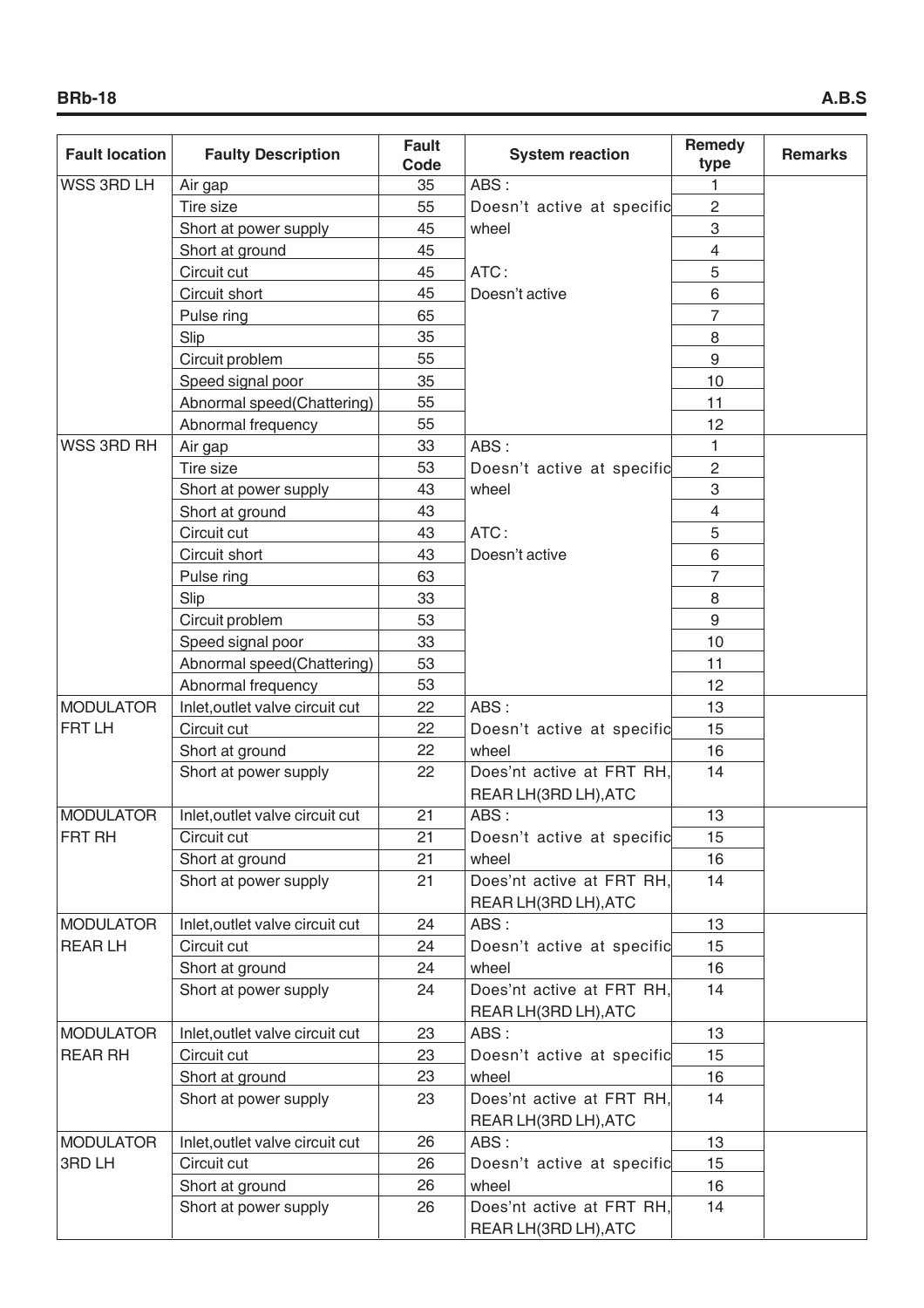| <b>Fault location</b> | <b>Faulty Description</b>       | <b>Fault</b><br>Code | <b>System reaction</b>     | Remedy<br>type  | <b>Remarks</b> |
|-----------------------|---------------------------------|----------------------|----------------------------|-----------------|----------------|
| <b>WSS 3RD LH</b>     | Air gap                         | 35                   | ABS:                       | 1               |                |
|                       | Tire size                       | 55                   | Doesn't active at specific | $\overline{c}$  |                |
|                       | Short at power supply           | 45                   | wheel                      | 3               |                |
|                       | Short at ground                 | 45                   |                            | 4               |                |
|                       | Circuit cut                     | 45                   | ATC:                       | 5               |                |
|                       | Circuit short                   | 45                   | Doesn't active             | 6               |                |
|                       | Pulse ring                      | 65                   |                            | $\overline{7}$  |                |
|                       | Slip                            | 35                   |                            | 8               |                |
|                       | Circuit problem                 | 55                   |                            | 9               |                |
|                       | Speed signal poor               | 35                   |                            | 10              |                |
|                       | Abnormal speed(Chattering)      | 55                   |                            | 11              |                |
|                       | Abnormal frequency              | 55                   |                            | 12              |                |
| <b>WSS 3RD RH</b>     | Air gap                         | 33                   | ABS:                       | 1               |                |
|                       | Tire size                       | 53                   | Doesn't active at specific | $\overline{c}$  |                |
|                       | Short at power supply           | 43                   | wheel                      | 3               |                |
|                       | Short at ground                 | 43                   |                            | 4               |                |
|                       | Circuit cut                     | 43                   | ATC:                       | 5               |                |
|                       | Circuit short                   | 43                   | Doesn't active             | 6               |                |
|                       | Pulse ring                      | 63                   |                            | $\overline{7}$  |                |
|                       | Slip                            | 33                   |                            | 8               |                |
|                       | Circuit problem                 | 53                   |                            | 9               |                |
|                       | Speed signal poor               | 33                   |                            | 10              |                |
|                       | Abnormal speed(Chattering)      | 53                   |                            | 11              |                |
|                       | Abnormal frequency              | 53                   |                            | 12              |                |
| <b>MODULATOR</b>      | Inlet, outlet valve circuit cut | 22                   | ABS:                       | 13              |                |
| <b>FRT LH</b>         | Circuit cut                     | 22                   | Doesn't active at specific | 15              |                |
|                       | Short at ground                 | 22                   | wheel                      | 16              |                |
|                       | Short at power supply           | 22                   | Does'nt active at FRT RH.  | 14              |                |
|                       |                                 |                      | REAR LH(3RD LH), ATC       |                 |                |
| <b>MODULATOR</b>      | Inlet, outlet valve circuit cut | 21                   | ABS:                       | $\overline{13}$ |                |
| FRT RH                | Circuit cut                     | 21                   | Doesn't active at specific | 15              |                |
|                       | Short at ground                 | 21                   | wheel                      | 16              |                |
|                       | Short at power supply           | 21                   | Does'nt active at FRT RH,  | 14              |                |
|                       |                                 |                      | REAR LH(3RD LH), ATC       |                 |                |
| <b>MODULATOR</b>      | Inlet, outlet valve circuit cut | 24                   | ABS:                       | 13              |                |
| <b>REARLH</b>         | Circuit cut                     | 24                   | Doesn't active at specific | 15              |                |
|                       | Short at ground                 | 24                   | wheel                      | 16              |                |
|                       | Short at power supply           | 24                   | Does'nt active at FRT RH,  | 14              |                |
|                       |                                 |                      | REAR LH(3RD LH), ATC       |                 |                |
| <b>MODULATOR</b>      | Inlet, outlet valve circuit cut | 23                   | ABS:                       | 13              |                |
| <b>REAR RH</b>        | Circuit cut                     | 23                   | Doesn't active at specific | 15              |                |
|                       | Short at ground                 | 23                   | wheel                      | 16              |                |
|                       | Short at power supply           | 23                   | Does'nt active at FRT RH,  | 14              |                |
|                       |                                 |                      | REAR LH(3RD LH), ATC       |                 |                |
| <b>MODULATOR</b>      | Inlet, outlet valve circuit cut | 26                   | ABS:                       | 13              |                |
| 3RD LH                | Circuit cut                     | 26                   | Doesn't active at specific | 15              |                |
|                       | Short at ground                 | 26                   | wheel                      | 16              |                |
|                       | Short at power supply           | 26                   | Does'nt active at FRT RH,  | 14              |                |
|                       |                                 |                      | REAR LH(3RD LH), ATC       |                 |                |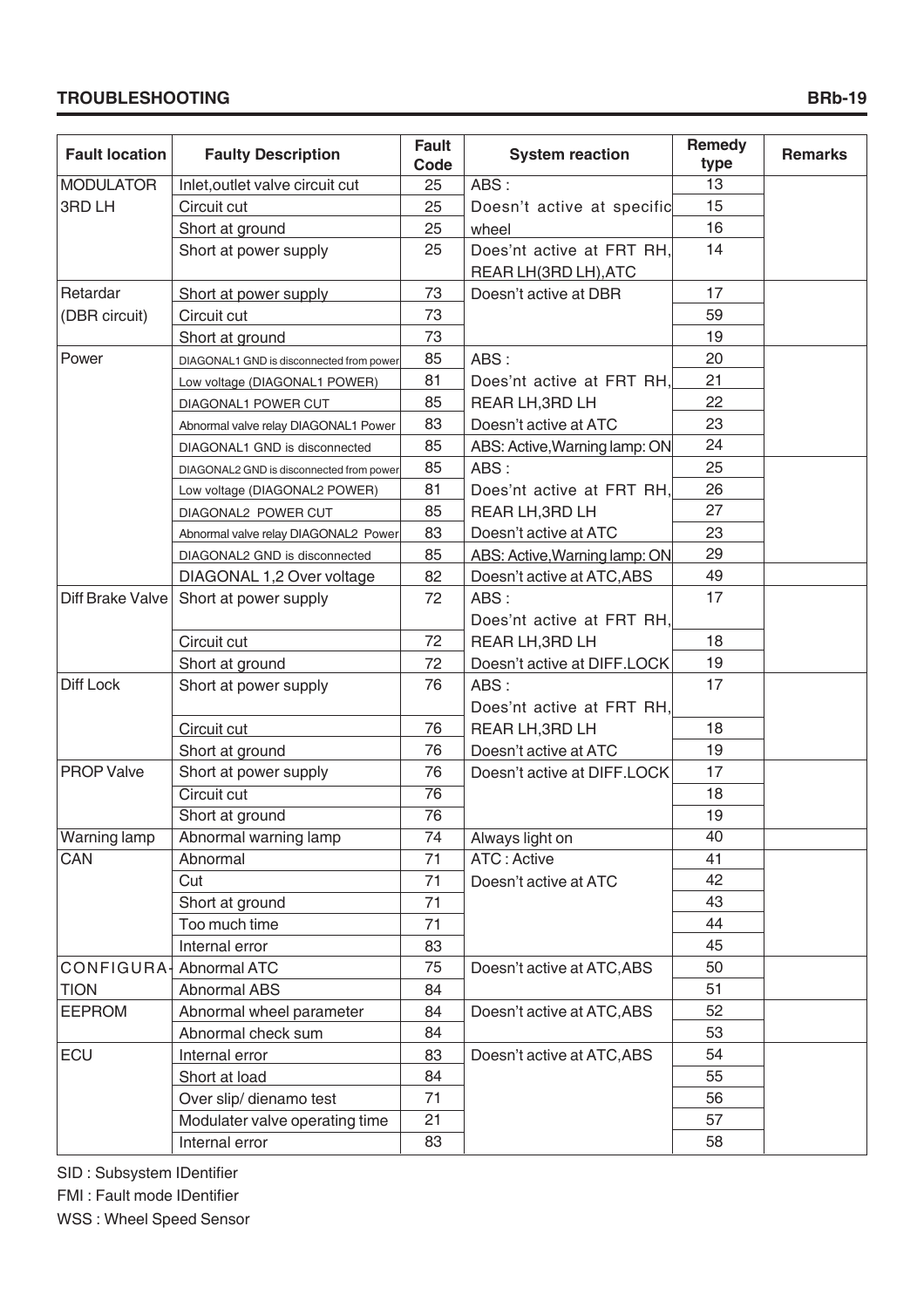#### **TROUBLESHOOTING**

| <b>Fault location</b> | <b>Faulty Description</b>                | <b>Fault</b><br>Code | <b>System reaction</b>                            | Remedy<br>type | <b>Remarks</b> |
|-----------------------|------------------------------------------|----------------------|---------------------------------------------------|----------------|----------------|
| <b>MODULATOR</b>      | Inlet, outlet valve circuit cut          | 25                   | ABS:                                              | 13             |                |
| 3RD LH                | Circuit cut                              | 25                   | Doesn't active at specific                        | 15             |                |
|                       | Short at ground                          | 25                   | wheel                                             | 16             |                |
|                       | Short at power supply                    | 25                   | Does'nt active at FRT RH.<br>REAR LH(3RD LH), ATC | 14             |                |
| Retardar              | Short at power supply                    | 73                   | Doesn't active at DBR                             | 17             |                |
| (DBR circuit)         | Circuit cut                              | 73                   |                                                   | 59             |                |
|                       | Short at ground                          | 73                   |                                                   | 19             |                |
| Power                 | DIAGONAL1 GND is disconnected from power | 85                   | ABS:                                              | 20             |                |
|                       | Low voltage (DIAGONAL1 POWER)            | 81                   | Does'nt active at FRT RH,                         | 21             |                |
|                       | DIAGONAL1 POWER CUT                      | 85                   | REAR LH, 3RD LH                                   | 22             |                |
|                       | Abnormal valve relay DIAGONAL1 Power     | 83                   | Doesn't active at ATC                             | 23             |                |
|                       | DIAGONAL1 GND is disconnected            | 85                   | ABS: Active, Warning lamp: ON                     | 24             |                |
|                       | DIAGONAL2 GND is disconnected from power | 85                   | ABS:                                              | 25             |                |
|                       | Low voltage (DIAGONAL2 POWER)            | 81                   | Does'nt active at FRT RH,                         | 26             |                |
|                       | DIAGONAL2 POWER CUT                      | 85                   | REAR LH, 3RD LH                                   | 27             |                |
|                       | Abnormal valve relay DIAGONAL2 Power     | 83                   | Doesn't active at ATC                             | 23             |                |
|                       | DIAGONAL2 GND is disconnected            | 85                   | ABS: Active, Warning lamp: ON                     | 29             |                |
|                       | DIAGONAL 1,2 Over voltage                | 82                   | Doesn't active at ATC, ABS                        | 49             |                |
| Diff Brake Valve      | Short at power supply                    | 72                   | ABS:                                              | 17             |                |
|                       |                                          |                      | Does'nt active at FRT RH,                         |                |                |
|                       | Circuit cut                              | 72                   | REAR LH, 3RD LH                                   | 18             |                |
|                       | Short at ground                          | 72                   | Doesn't active at DIFF.LOCK                       | 19             |                |
| Diff Lock             | Short at power supply                    | 76                   | ABS:                                              | 17             |                |
|                       |                                          |                      | Does'nt active at FRT RH.                         |                |                |
|                       | Circuit cut                              | 76                   | REAR LH, 3RD LH                                   | 18             |                |
|                       | Short at ground                          | 76                   | Doesn't active at ATC                             | 19             |                |
| <b>PROP Valve</b>     | Short at power supply                    | 76                   | Doesn't active at DIFF.LOCK                       | 17             |                |
|                       | Circuit cut                              | $\overline{76}$      |                                                   | 18             |                |
|                       | Short at ground                          | 76                   |                                                   | 19             |                |
| Warning lamp          | Abnormal warning lamp                    | 74                   | Always light on                                   | 40             |                |
| CAN                   | Abnormal                                 | 71                   | <b>ATC: Active</b>                                | 41             |                |
|                       | Cut                                      | 71                   | Doesn't active at ATC                             | 42             |                |
|                       | Short at ground                          | 71                   |                                                   | 43             |                |
|                       | Too much time                            | 71                   |                                                   | 44             |                |
|                       | Internal error                           | 83                   |                                                   | 45             |                |
| CONFIGURA-            | Abnormal ATC                             | 75                   | Doesn't active at ATC, ABS                        | 50             |                |
| <b>TION</b>           | Abnormal ABS                             | 84                   |                                                   | 51             |                |
| <b>EEPROM</b>         | Abnormal wheel parameter                 | 84                   | Doesn't active at ATC, ABS                        | 52             |                |
|                       | Abnormal check sum                       | 84                   |                                                   | 53             |                |
| ECU                   | Internal error                           | 83                   | Doesn't active at ATC, ABS                        | 54             |                |
|                       | Short at load                            | 84                   |                                                   | 55             |                |
|                       | Over slip/ dienamo test                  | 71                   |                                                   | 56             |                |
|                       | Modulater valve operating time           | 21                   |                                                   | 57             |                |
|                       | Internal error                           | 83                   |                                                   | 58             |                |

SID : Subsystem IDentifier

FMI : Fault mode IDentifier

WSS : Wheel Speed Sensor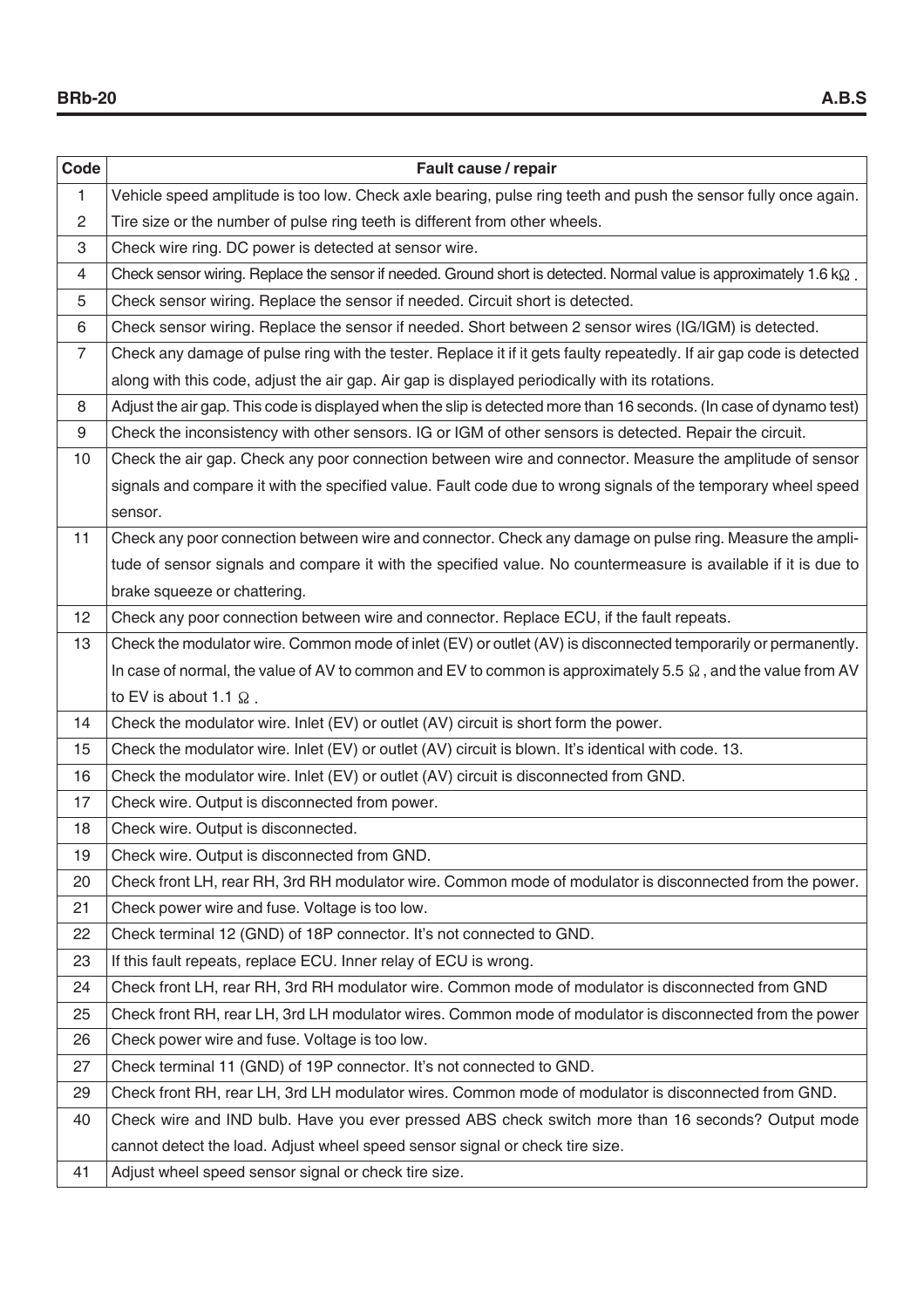| Code             | Fault cause / repair                                                                                                       |
|------------------|----------------------------------------------------------------------------------------------------------------------------|
| $\mathbf{1}$     | Vehicle speed amplitude is too low. Check axle bearing, pulse ring teeth and push the sensor fully once again.             |
| $\overline{2}$   | Tire size or the number of pulse ring teeth is different from other wheels.                                                |
| 3                | Check wire ring. DC power is detected at sensor wire.                                                                      |
| $\overline{4}$   | Check sensor wiring. Replace the sensor if needed. Ground short is detected. Normal value is approximately 1.6 $k\Omega$ . |
| 5                | Check sensor wiring. Replace the sensor if needed. Circuit short is detected.                                              |
| 6                | Check sensor wiring. Replace the sensor if needed. Short between 2 sensor wires (IG/IGM) is detected.                      |
| $\overline{7}$   | Check any damage of pulse ring with the tester. Replace it if it gets faulty repeatedly. If air gap code is detected       |
|                  | along with this code, adjust the air gap. Air gap is displayed periodically with its rotations.                            |
| 8                | Adjust the air gap. This code is displayed when the slip is detected more than 16 seconds. (In case of dynamo test)        |
| $\boldsymbol{9}$ | Check the inconsistency with other sensors. IG or IGM of other sensors is detected. Repair the circuit.                    |
| 10               | Check the air gap. Check any poor connection between wire and connector. Measure the amplitude of sensor                   |
|                  | signals and compare it with the specified value. Fault code due to wrong signals of the temporary wheel speed              |
|                  | sensor.                                                                                                                    |
| 11               | Check any poor connection between wire and connector. Check any damage on pulse ring. Measure the ampli-                   |
|                  | tude of sensor signals and compare it with the specified value. No countermeasure is available if it is due to             |
|                  | brake squeeze or chattering.                                                                                               |
| 12               | Check any poor connection between wire and connector. Replace ECU, if the fault repeats.                                   |
| 13               | Check the modulator wire. Common mode of inlet (EV) or outlet (AV) is disconnected temporarily or permanently.             |
|                  | In case of normal, the value of AV to common and EV to common is approximately 5.5 $\Omega$ , and the value from AV        |
|                  | to EV is about 1.1 $\Omega$ .                                                                                              |
| 14               | Check the modulator wire. Inlet (EV) or outlet (AV) circuit is short form the power.                                       |
| 15               | Check the modulator wire. Inlet (EV) or outlet (AV) circuit is blown. It's identical with code. 13.                        |
| 16               | Check the modulator wire. Inlet (EV) or outlet (AV) circuit is disconnected from GND.                                      |
| 17               | Check wire. Output is disconnected from power.                                                                             |
| 18               | Check wire. Output is disconnected.                                                                                        |
| 19               | Check wire. Output is disconnected from GND.                                                                               |
| 20               | Check front LH, rear RH, 3rd RH modulator wire. Common mode of modulator is disconnected from the power.                   |
| 21               | Check power wire and fuse. Voltage is too low.                                                                             |
| 22               | Check terminal 12 (GND) of 18P connector. It's not connected to GND.                                                       |
| 23               | If this fault repeats, replace ECU. Inner relay of ECU is wrong.                                                           |
| 24               | Check front LH, rear RH, 3rd RH modulator wire. Common mode of modulator is disconnected from GND                          |
| 25               | Check front RH, rear LH, 3rd LH modulator wires. Common mode of modulator is disconnected from the power                   |
| 26               | Check power wire and fuse. Voltage is too low.                                                                             |
| 27               | Check terminal 11 (GND) of 19P connector. It's not connected to GND.                                                       |
| 29               | Check front RH, rear LH, 3rd LH modulator wires. Common mode of modulator is disconnected from GND.                        |
| 40               | Check wire and IND bulb. Have you ever pressed ABS check switch more than 16 seconds? Output mode                          |
|                  | cannot detect the load. Adjust wheel speed sensor signal or check tire size.                                               |
| 41               | Adjust wheel speed sensor signal or check tire size.                                                                       |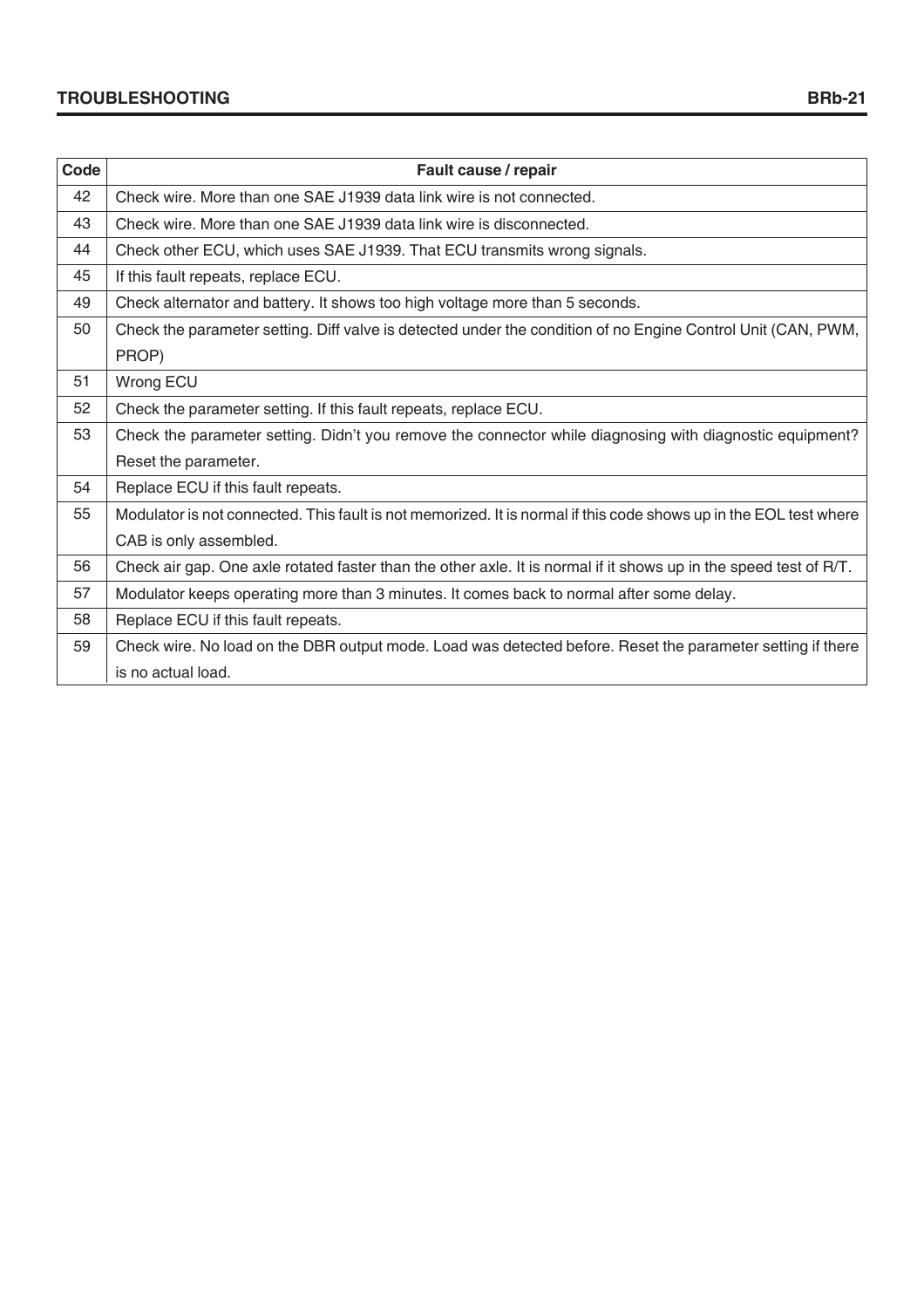| Code | Fault cause / repair                                                                                              |
|------|-------------------------------------------------------------------------------------------------------------------|
| 42   | Check wire. More than one SAE J1939 data link wire is not connected.                                              |
| 43   | Check wire. More than one SAE J1939 data link wire is disconnected.                                               |
| 44   | Check other ECU, which uses SAE J1939. That ECU transmits wrong signals.                                          |
| 45   | If this fault repeats, replace ECU.                                                                               |
| 49   | Check alternator and battery. It shows too high voltage more than 5 seconds.                                      |
| 50   | Check the parameter setting. Diff valve is detected under the condition of no Engine Control Unit (CAN, PWM,      |
|      | PROP)                                                                                                             |
| 51   | Wrong ECU                                                                                                         |
| 52   | Check the parameter setting. If this fault repeats, replace ECU.                                                  |
| 53   | Check the parameter setting. Didn't you remove the connector while diagnosing with diagnostic equipment?          |
|      | Reset the parameter.                                                                                              |
| 54   | Replace ECU if this fault repeats.                                                                                |
| 55   | Modulator is not connected. This fault is not memorized. It is normal if this code shows up in the EOL test where |
|      | CAB is only assembled.                                                                                            |
| 56   | Check air gap. One axle rotated faster than the other axle. It is normal if it shows up in the speed test of R/T. |
| 57   | Modulator keeps operating more than 3 minutes. It comes back to normal after some delay.                          |
| 58   | Replace ECU if this fault repeats.                                                                                |
| 59   | Check wire. No load on the DBR output mode. Load was detected before. Reset the parameter setting if there        |
|      | is no actual load.                                                                                                |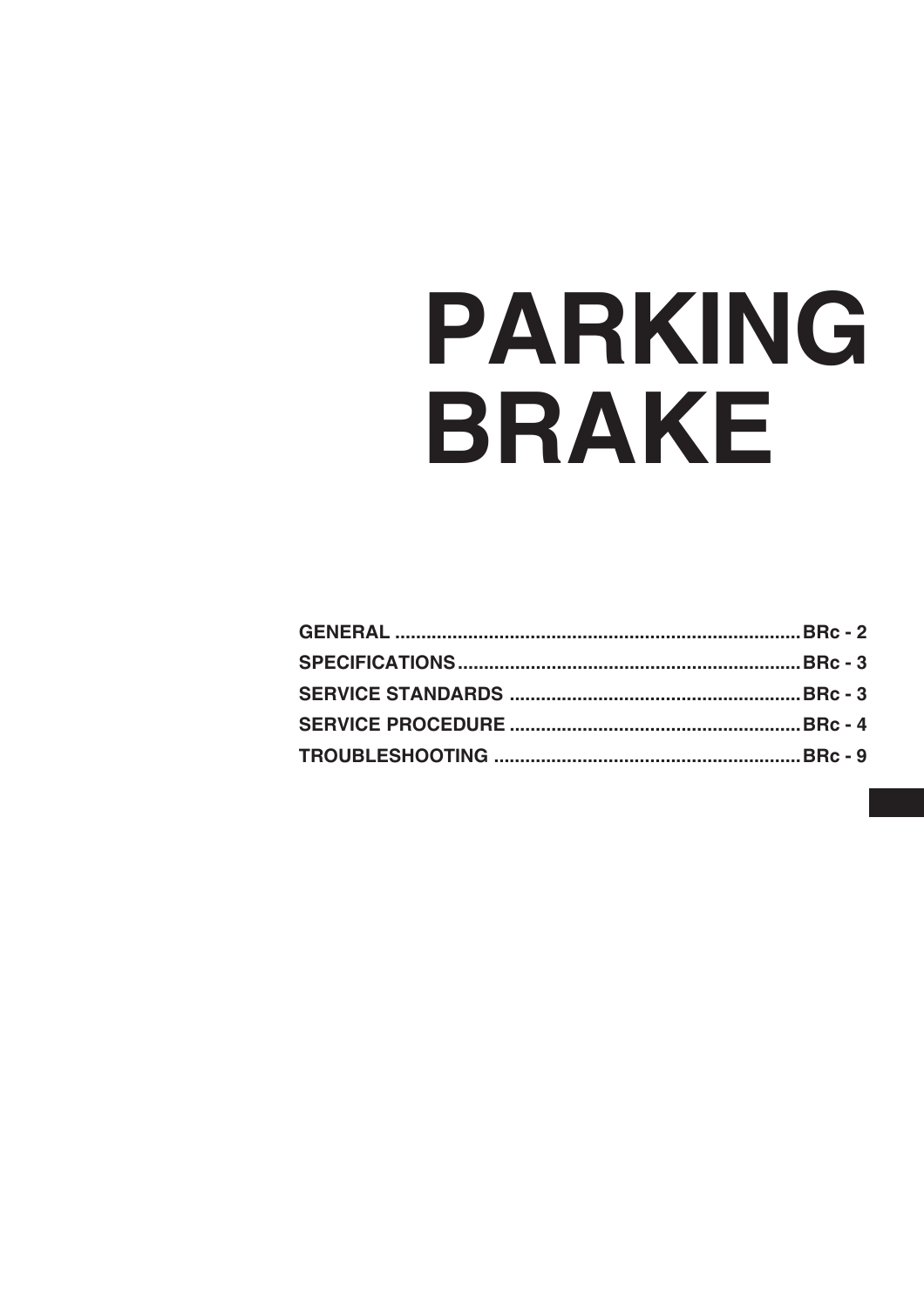# PARKING BRAKE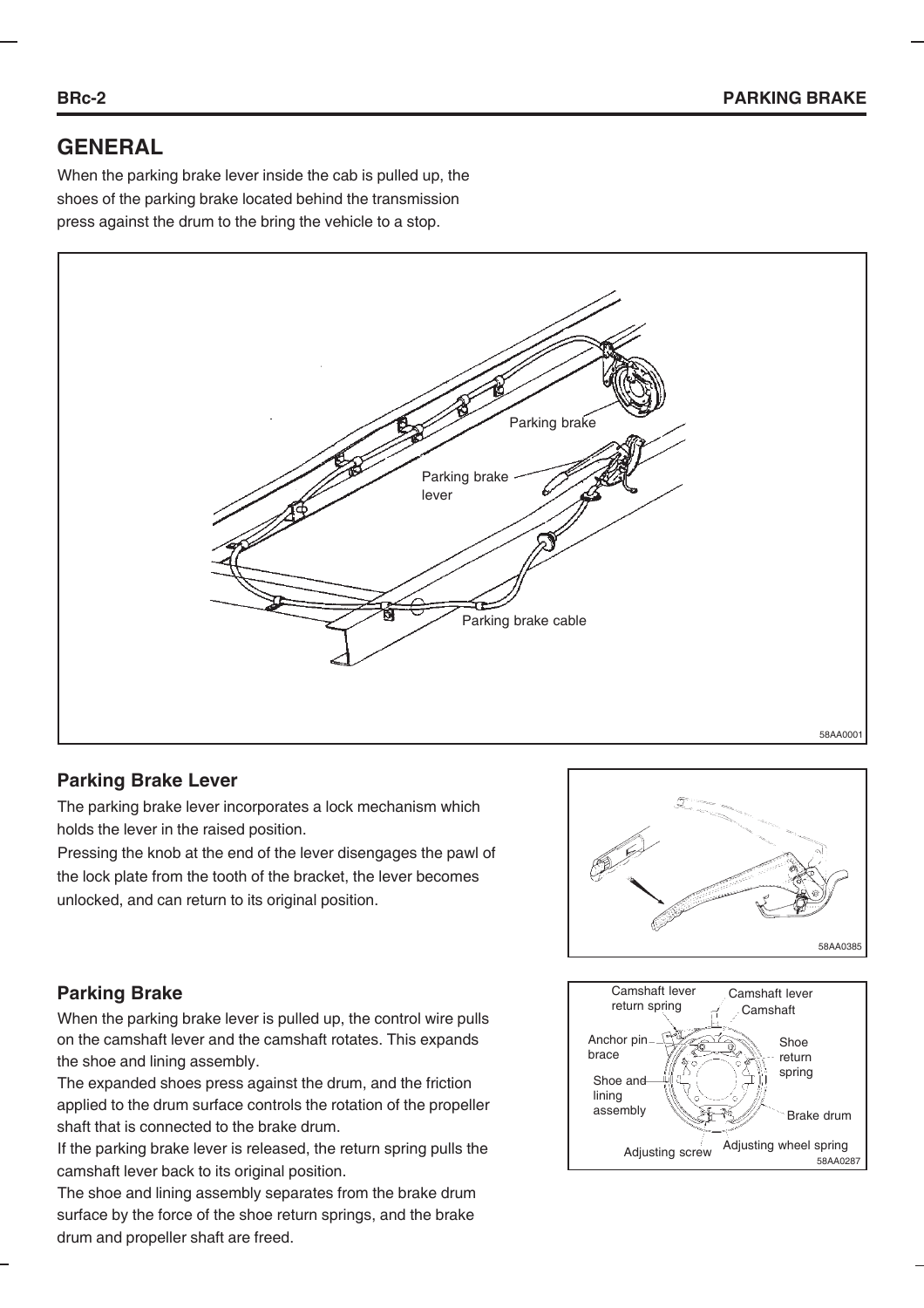# **GENERAL**

When the parking brake lever inside the cab is pulled up, the shoes of the parking brake located behind the transmission press against the drum to the bring the vehicle to a stop.



#### **Parking Brake Lever**

The parking brake lever incorporates a lock mechanism which holds the lever in the raised position.

Pressing the knob at the end of the lever disengages the pawl of the lock plate from the tooth of the bracket, the lever becomes unlocked, and can return to its original position.



## **Parking Brake**

When the parking brake lever is pulled up, the control wire pulls on the camshaft lever and the camshaft rotates. This expands the shoe and lining assembly.

The expanded shoes press against the drum, and the friction applied to the drum surface controls the rotation of the propeller shaft that is connected to the brake drum.

If the parking brake lever is released, the return spring pulls the camshaft lever back to its original position.

The shoe and lining assembly separates from the brake drum surface by the force of the shoe return springs, and the brake drum and propeller shaft are freed.

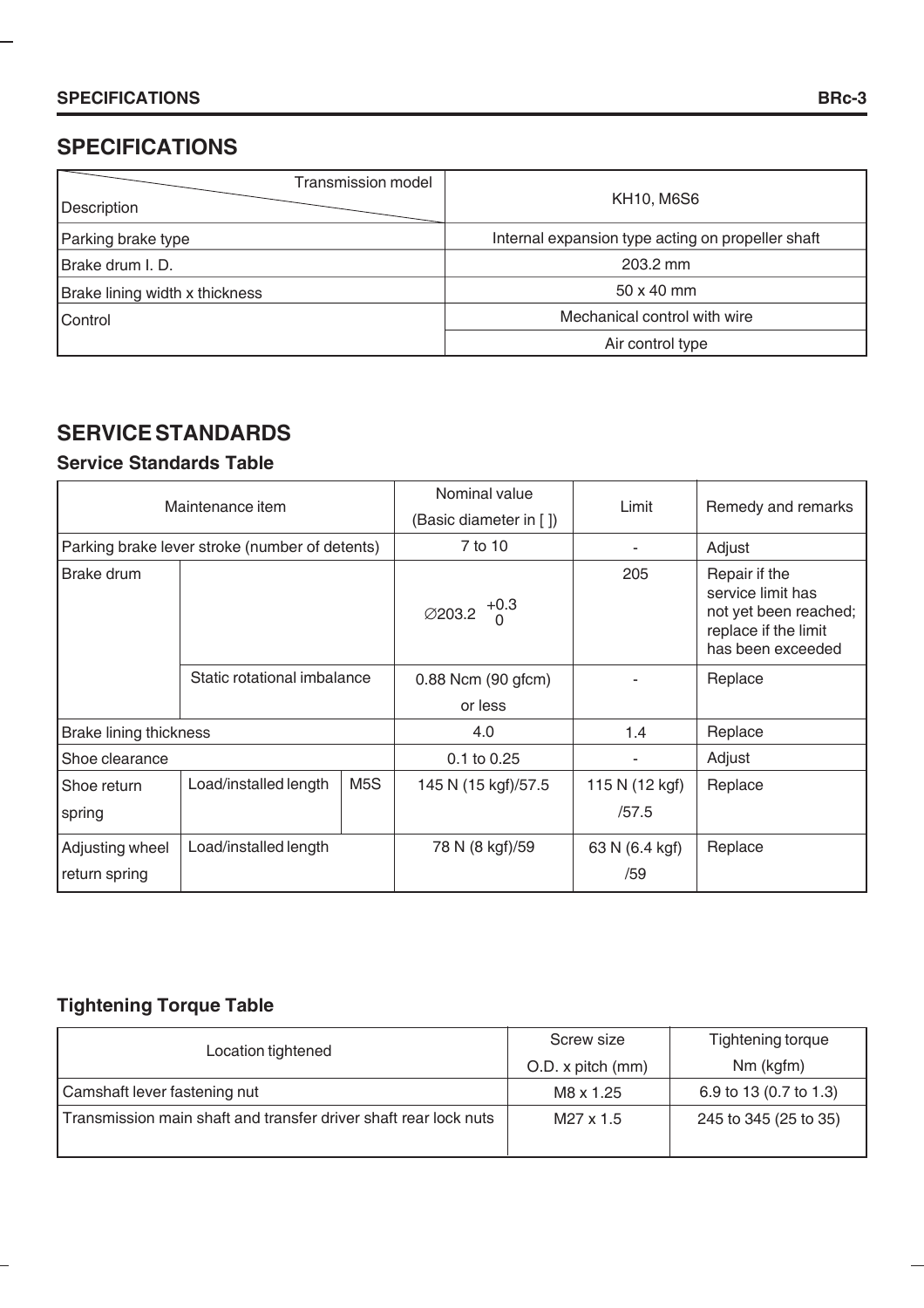# **SPECIFICATIONS**

| <b>Transmission model</b><br>Description | <b>KH10, M6S6</b>                                 |  |
|------------------------------------------|---------------------------------------------------|--|
| Parking brake type                       | Internal expansion type acting on propeller shaft |  |
| Brake drum I. D.                         | 203.2 mm                                          |  |
| Brake lining width x thickness           | $50 \times 40$ mm                                 |  |
| Control                                  | Mechanical control with wire                      |  |
|                                          | Air control type                                  |  |

# **SERVICE STANDARDS**

## **Service Standards Table**

| Maintenance item                               |                             |                  | Nominal value<br>(Basic diameter in [ ]) | Limit                   | Remedy and remarks                                                                                       |
|------------------------------------------------|-----------------------------|------------------|------------------------------------------|-------------------------|----------------------------------------------------------------------------------------------------------|
| Parking brake lever stroke (number of detents) |                             |                  | 7 to 10                                  |                         | Adjust                                                                                                   |
| Brake drum                                     | Static rotational imbalance |                  | $\varnothing$ 203.2 $^{+0.3}_{0}$        | 205                     | Repair if the<br>service limit has<br>not yet been reached;<br>replace if the limit<br>has been exceeded |
|                                                |                             |                  | 0.88 Ncm (90 gfcm)<br>or less            |                         | Replace                                                                                                  |
| <b>Brake lining thickness</b>                  |                             |                  | 4.0                                      | 1.4                     | Replace                                                                                                  |
| Shoe clearance                                 |                             |                  | 0.1 to 0.25                              |                         | Adjust                                                                                                   |
| Shoe return<br>spring                          | Load/installed length       | M <sub>5</sub> S | 145 N (15 kgf)/57.5                      | 115 N (12 kgf)<br>/57.5 | Replace                                                                                                  |
| Adjusting wheel<br>return spring               | Load/installed length       |                  | 78 N (8 kgf)/59                          | 63 N (6.4 kgf)<br>/59   | Replace                                                                                                  |

# **Tightening Torque Table**

-

| Location tightened                                               | Screw size        | Tightening torque      |
|------------------------------------------------------------------|-------------------|------------------------|
|                                                                  | O.D. x pitch (mm) | Nm (kgfm)              |
| Camshaft lever fastening nut                                     | M8 x 1.25         | 6.9 to 13 (0.7 to 1.3) |
| Transmission main shaft and transfer driver shaft rear lock nuts | M27 x 1.5         | 245 to 345 (25 to 35)  |
|                                                                  |                   |                        |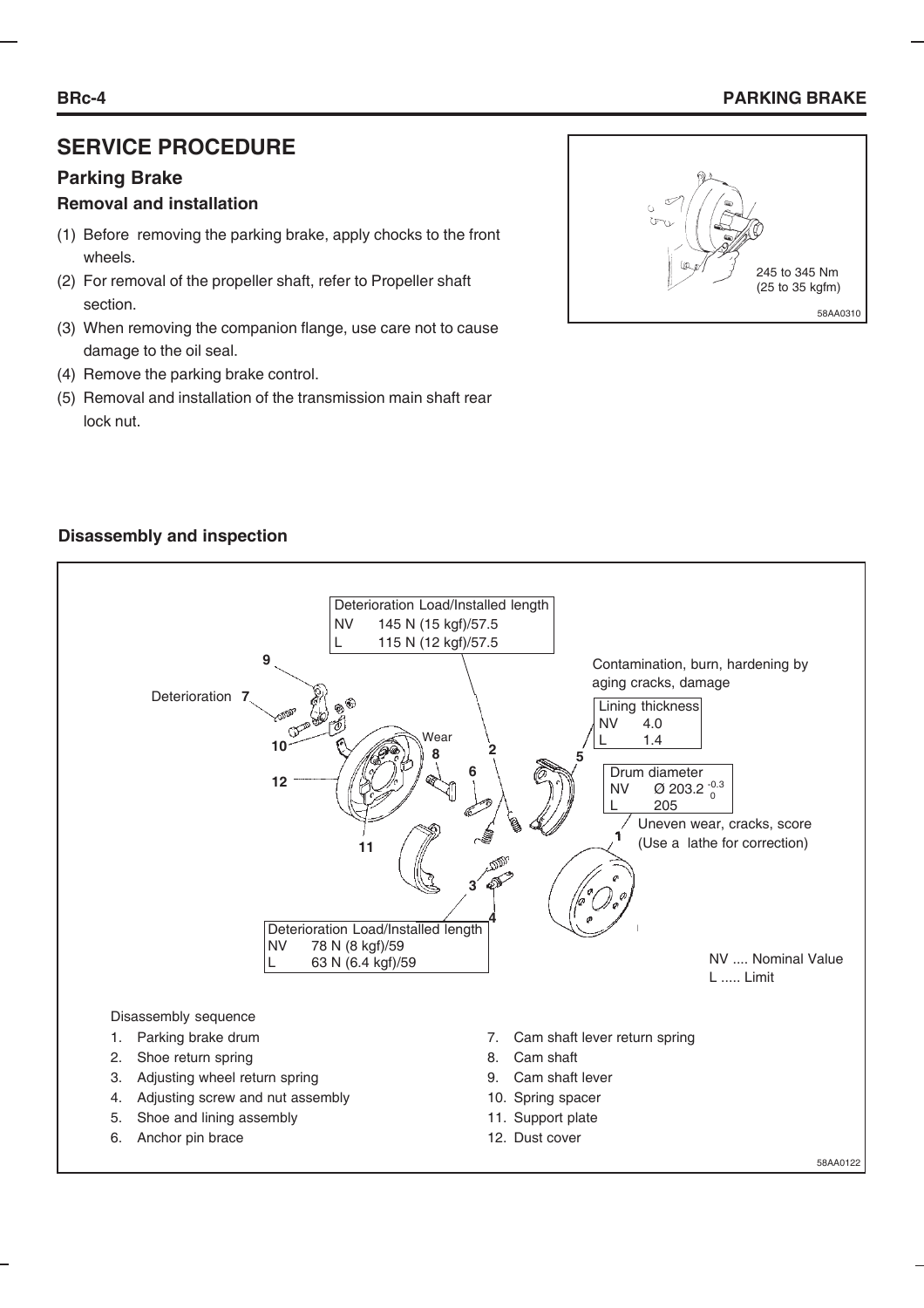#### **BRc-4 PARKING BRAKE**

# **SERVICE PROCEDURE**

#### **Parking Brake**

#### **Removal and installation**

- (1) Before removing the parking brake, apply chocks to the front wheels.
- (2) For removal of the propeller shaft, refer to Propeller shaft section.
- (3) When removing the companion flange, use care not to cause damage to the oil seal.
- (4) Remove the parking brake control.
- (5) Removal and installation of the transmission main shaft rear lock nut.



#### **Disassembly and inspection**

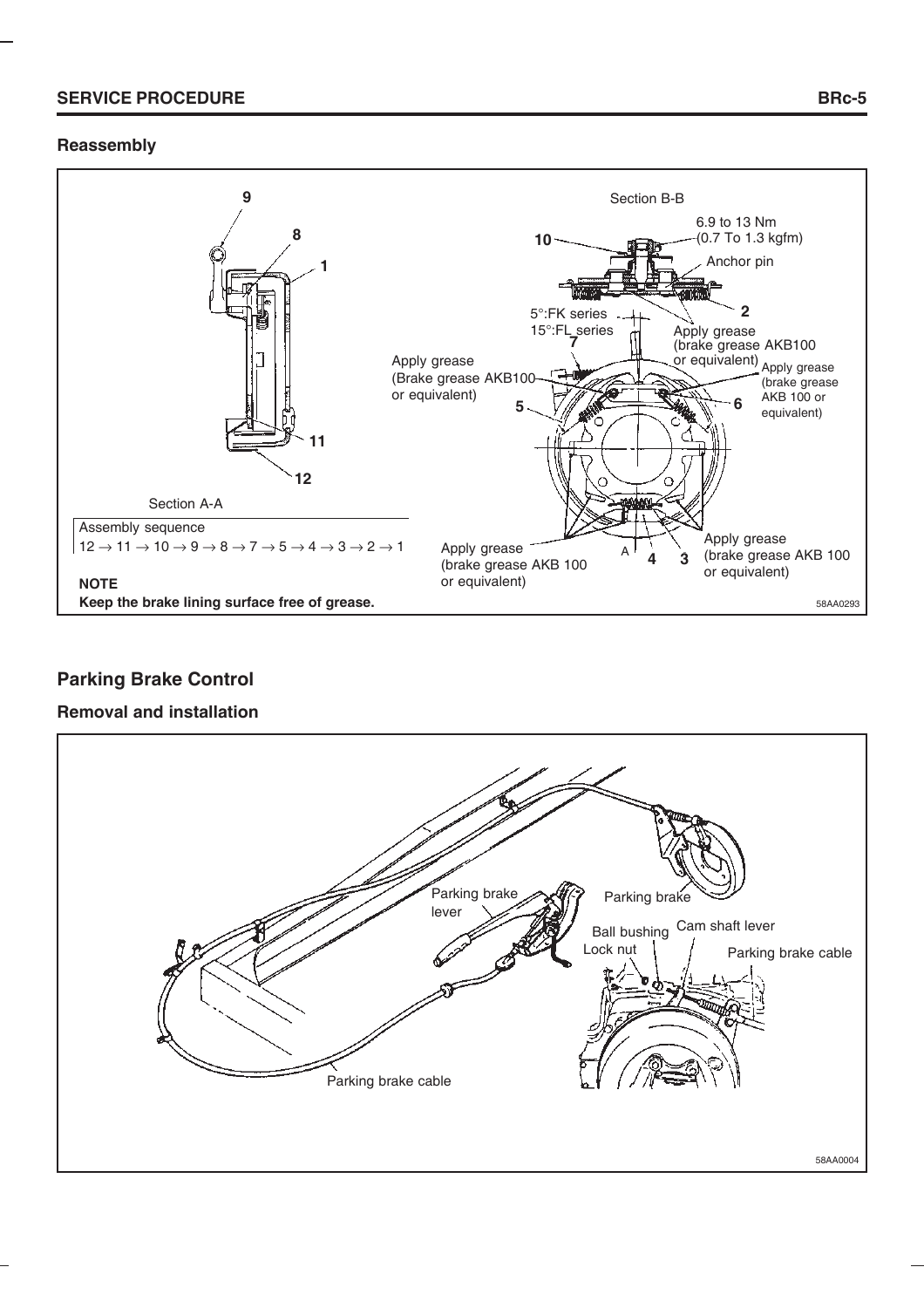#### **SERVICE PROCEDURE**

#### **Reassembly**



# **Parking Brake Control**

#### **Removal and installation**

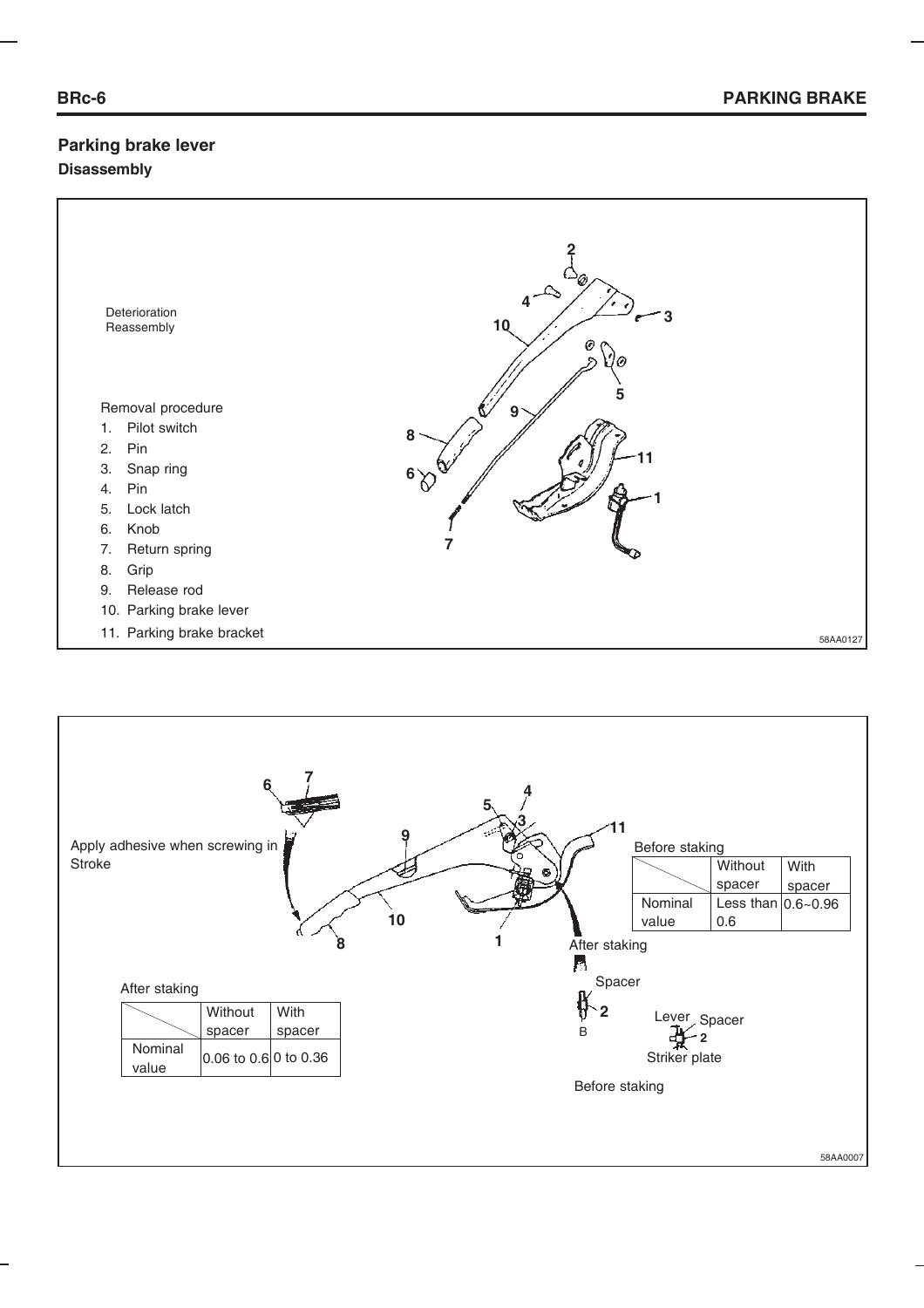#### **Parking brake lever Disassembly**



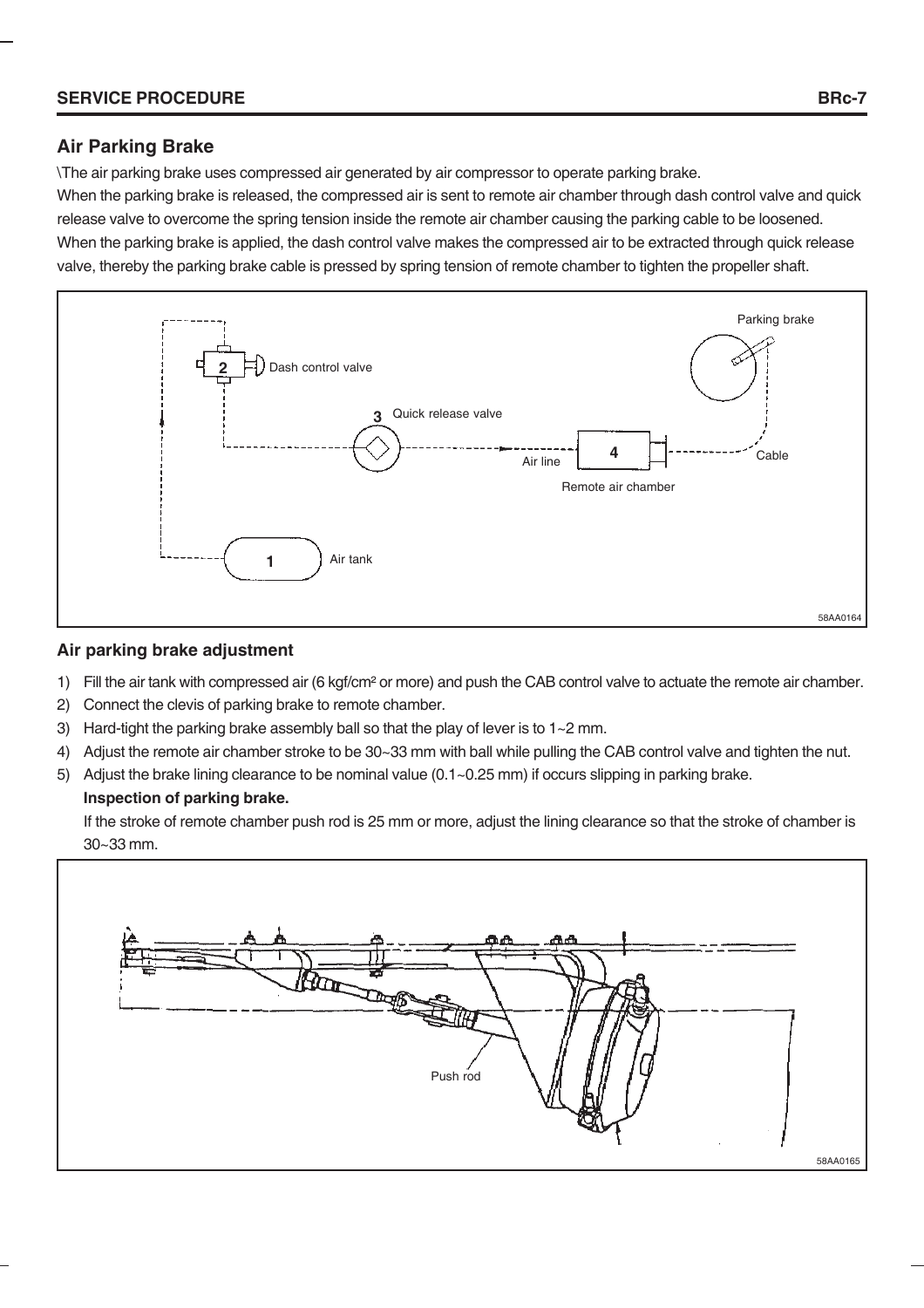#### **SERVICE PROCEDURE BRc-7**

#### **Air Parking Brake**

\The air parking brake uses compressed air generated by air compressor to operate parking brake.

When the parking brake is released, the compressed air is sent to remote air chamber through dash control valve and quick release valve to overcome the spring tension inside the remote air chamber causing the parking cable to be loosened. When the parking brake is applied, the dash control valve makes the compressed air to be extracted through quick release valve, thereby the parking brake cable is pressed by spring tension of remote chamber to tighten the propeller shaft.



#### **Air parking brake adjustment**

- 1) Fill the air tank with compressed air (6 kgf/cm² or more) and push the CAB control valve to actuate the remote air chamber.
- 2) Connect the clevis of parking brake to remote chamber.
- 3) Hard-tight the parking brake assembly ball so that the play of lever is to 1~2 mm.
- 4) Adjust the remote air chamber stroke to be 30~33 mm with ball while pulling the CAB control valve and tighten the nut.
- 5) Adjust the brake lining clearance to be nominal value (0.1~0.25 mm) if occurs slipping in parking brake.

#### **Inspection of parking brake.**

If the stroke of remote chamber push rod is 25 mm or more, adjust the lining clearance so that the stroke of chamber is 30~33 mm.

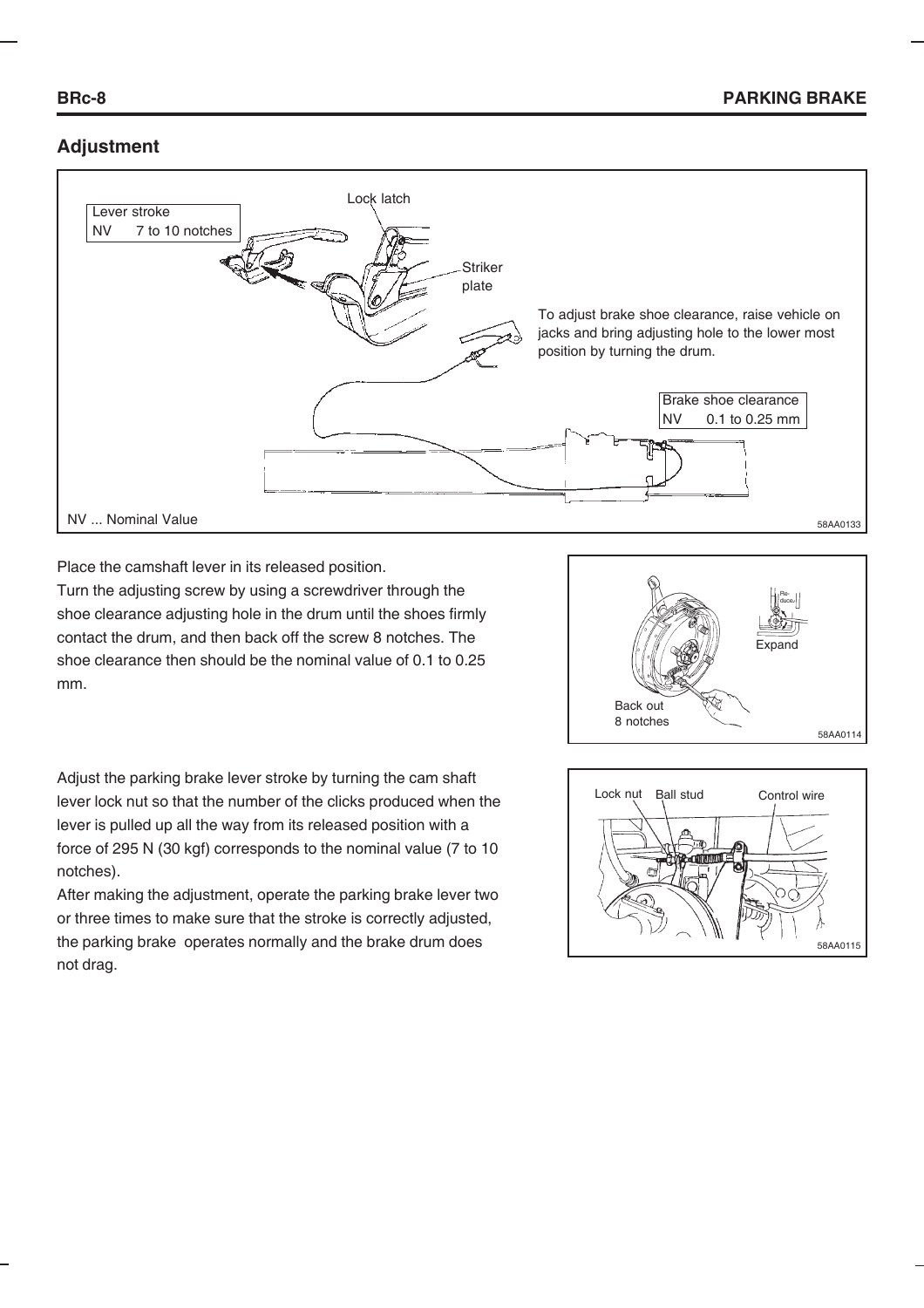# **Adjustment**



Place the camshaft lever in its released position.

Turn the adjusting screw by using a screwdriver through the shoe clearance adjusting hole in the drum until the shoes firmly contact the drum, and then back off the screw 8 notches. The shoe clearance then should be the nominal value of 0.1 to 0.25 mm.



Adjust the parking brake lever stroke by turning the cam shaft lever lock nut so that the number of the clicks produced when the lever is pulled up all the way from its released position with a force of 295 N (30 kgf) corresponds to the nominal value (7 to 10 notches).

After making the adjustment, operate the parking brake lever two or three times to make sure that the stroke is correctly adjusted, the parking brake operates normally and the brake drum does not drag.